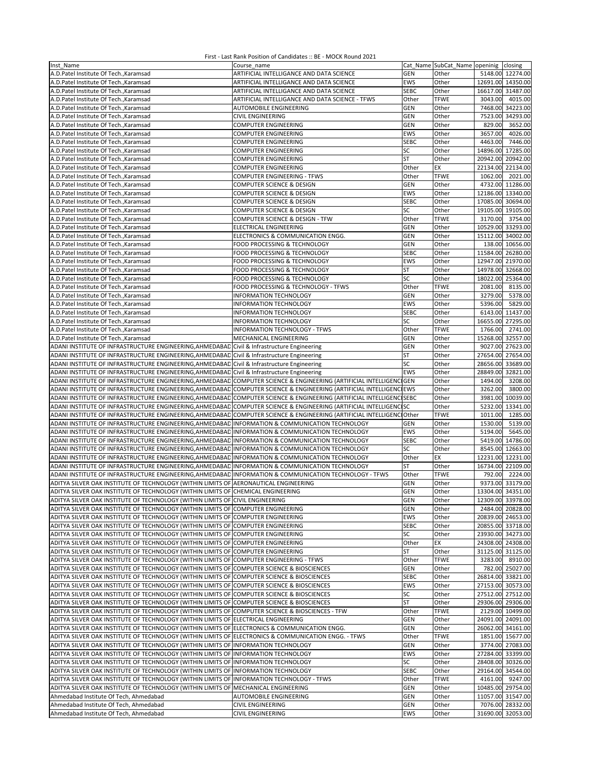| Inst Name                                                                                                            | Course name                                                   |             | Cat Name SubCat Name openinig closing |                   |          |
|----------------------------------------------------------------------------------------------------------------------|---------------------------------------------------------------|-------------|---------------------------------------|-------------------|----------|
| A.D.Patel Institute Of Tech., Karamsad                                                                               | ARTIFICIAL INTELLIGANCE AND DATA SCIENCE                      | <b>GEN</b>  | Other                                 | 5148.00 12274.00  |          |
| A.D.Patel Institute Of Tech., Karamsad                                                                               | ARTIFICIAL INTELLIGANCE AND DATA SCIENCE                      | EWS         | Other                                 | 12691.00 14350.00 |          |
|                                                                                                                      |                                                               |             |                                       | 16617.00 31487.00 |          |
| A.D.Patel Institute Of Tech., Karamsad                                                                               | ARTIFICIAL INTELLIGANCE AND DATA SCIENCE                      | <b>SEBC</b> | Other                                 |                   |          |
| A.D.Patel Institute Of Tech., Karamsad                                                                               | ARTIFICIAL INTELLIGANCE AND DATA SCIENCE - TFWS               | Other       | <b>TFWE</b>                           | 3043.00           | 4015.00  |
| A.D.Patel Institute Of Tech., Karamsad                                                                               | AUTOMOBILE ENGINEERING                                        | <b>GEN</b>  | Other                                 | 7468.00 34223.00  |          |
| A.D.Patel Institute Of Tech., Karamsad                                                                               | CIVIL ENGINEERING                                             | <b>GEN</b>  | Other                                 | 7523.00           | 34293.00 |
| A.D.Patel Institute Of Tech., Karamsad                                                                               | <b>COMPUTER ENGINEERING</b>                                   | <b>GEN</b>  | Other                                 | 829.00            | 3652.00  |
| A.D.Patel Institute Of Tech., Karamsad                                                                               | <b>COMPUTER ENGINEERING</b>                                   | EWS         | Other                                 | 3657.00           | 4026.00  |
|                                                                                                                      |                                                               |             |                                       |                   |          |
| A.D.Patel Institute Of Tech., Karamsad                                                                               | COMPUTER ENGINEERING                                          | <b>SEBC</b> | Other                                 | 4463.00           | 7446.00  |
| A.D.Patel Institute Of Tech., Karamsad                                                                               | COMPUTER ENGINEERING                                          | SC          | Other                                 | 14896.00 17285.00 |          |
| A.D.Patel Institute Of Tech., Karamsad                                                                               | <b>COMPUTER ENGINEERING</b>                                   | <b>ST</b>   | Other                                 | 20942.00 20942.00 |          |
| A.D.Patel Institute Of Tech., Karamsad                                                                               | COMPUTER ENGINEERING                                          | Other       | ЕX                                    | 22134.00 22134.00 |          |
| A.D.Patel Institute Of Tech., Karamsad                                                                               | <b>COMPUTER ENGINEERING - TFWS</b>                            | Other       | <b>TFWE</b>                           | 1062.00           | 2021.00  |
|                                                                                                                      |                                                               |             |                                       |                   |          |
| A.D.Patel Institute Of Tech., Karamsad                                                                               | COMPUTER SCIENCE & DESIGN                                     | <b>GEN</b>  | Other                                 | 4732.00 11286.00  |          |
| A.D.Patel Institute Of Tech., Karamsad                                                                               | COMPUTER SCIENCE & DESIGN                                     | EWS         | Other                                 | 12186.00 13340.00 |          |
| A.D.Patel Institute Of Tech., Karamsad                                                                               | COMPUTER SCIENCE & DESIGN                                     | <b>SEBC</b> | Other                                 | 17085.00 30694.00 |          |
| A.D.Patel Institute Of Tech., Karamsad                                                                               | COMPUTER SCIENCE & DESIGN                                     | SC          | Other                                 | 19105.00 19105.00 |          |
| A.D.Patel Institute Of Tech., Karamsad                                                                               | COMPUTER SCIENCE & DESIGN - TFW                               | Other       | <b>TFWE</b>                           | 3170.00           | 3754.00  |
|                                                                                                                      |                                                               |             |                                       |                   |          |
| A.D.Patel Institute Of Tech., Karamsad                                                                               | ELECTRICAL ENGINEERING                                        | <b>GEN</b>  | Other                                 | 10529.00          | 33293.00 |
| A.D.Patel Institute Of Tech., Karamsad                                                                               | ELECTRONICS & COMMUNICATION ENGG.                             | <b>GEN</b>  | Other                                 | 15112.00 34002.00 |          |
| A.D.Patel Institute Of Tech., Karamsad                                                                               | FOOD PROCESSING & TECHNOLOGY                                  | <b>GEN</b>  | Other                                 | 138.00 10656.00   |          |
| A.D.Patel Institute Of Tech., Karamsad                                                                               | FOOD PROCESSING & TECHNOLOGY                                  | <b>SEBC</b> | Other                                 | 11584.00 26280.00 |          |
| A.D.Patel Institute Of Tech., Karamsad                                                                               | FOOD PROCESSING & TECHNOLOGY                                  | EWS         | Other                                 | 12947.00 21970.00 |          |
|                                                                                                                      |                                                               |             |                                       |                   |          |
| A.D.Patel Institute Of Tech., Karamsad                                                                               | FOOD PROCESSING & TECHNOLOGY                                  | <b>ST</b>   | Other                                 | 14978.00 32668.00 |          |
| A.D.Patel Institute Of Tech., Karamsad                                                                               | FOOD PROCESSING & TECHNOLOGY                                  | SC          | Other                                 | 18022.00 25364.00 |          |
| A.D.Patel Institute Of Tech., Karamsad                                                                               | FOOD PROCESSING & TECHNOLOGY - TFWS                           | Other       | <b>TFWE</b>                           | 2081.00           | 8135.00  |
| A.D.Patel Institute Of Tech., Karamsad                                                                               | <b>INFORMATION TECHNOLOGY</b>                                 | <b>GEN</b>  | Other                                 | 3279.00           | 5378.00  |
| A.D.Patel Institute Of Tech., Karamsad                                                                               | <b>INFORMATION TECHNOLOGY</b>                                 | EWS         | Other                                 | 5396.00           | 5829.00  |
|                                                                                                                      |                                                               |             |                                       |                   |          |
| A.D.Patel Institute Of Tech., Karamsad                                                                               | INFORMATION TECHNOLOGY                                        | <b>SEBC</b> | Other                                 | 6143.00           | 11437.00 |
| A.D.Patel Institute Of Tech., Karamsad                                                                               | <b>INFORMATION TECHNOLOGY</b>                                 | SC          | Other                                 | 16655.00          | 27295.00 |
| A.D.Patel Institute Of TechKaramsad                                                                                  | <b>INFORMATION TECHNOLOGY - TFWS</b>                          | Other       | <b>TFWE</b>                           | 1766.00           | 2741.00  |
| A.D.Patel Institute Of Tech., Karamsad                                                                               | MECHANICAL ENGINEERING                                        | <b>GEN</b>  | Other                                 | 15268.00 32557.00 |          |
| ADANI INSTITUTE OF INFRASTRUCTURE ENGINEERING, AHMEDABAD Civil & Infrastructure Engineering                          |                                                               | <b>GEN</b>  | Other                                 | 9027.00 27623.00  |          |
|                                                                                                                      |                                                               |             |                                       |                   |          |
| ADANI INSTITUTE OF INFRASTRUCTURE ENGINEERING, AHMEDABAD Civil & Infrastructure Engineering                          |                                                               | <b>ST</b>   | Other                                 | 27654.00 27654.00 |          |
| ADANI INSTITUTE OF INFRASTRUCTURE ENGINEERING, AHMEDABAD Civil & Infrastructure Engineering                          |                                                               | SC          | Other                                 | 28656.00 33689.00 |          |
| ADANI INSTITUTE OF INFRASTRUCTURE ENGINEERING, AHMEDABAD Civil & Infrastructure Engineering                          |                                                               | <b>EWS</b>  | Other                                 | 28849.00 32821.00 |          |
| ADANI INSTITUTE OF INFRASTRUCTURE ENGINEERING, AHMEDABAD COMPUTER SCIENCE & ENGINEERING (ARTIFICIAL INTELLIGENCIGEN  |                                                               |             | Other                                 | 1494.00           | 3208.00  |
| ADANI INSTITUTE OF INFRASTRUCTURE ENGINEERING, AHMEDABAD COMPUTER SCIENCE & ENGINEERING (ARTIFICIAL INTELLIGENCIEWS  |                                                               |             | Other                                 | 3262.00           | 3800.00  |
|                                                                                                                      |                                                               |             |                                       |                   |          |
| ADANI INSTITUTE OF INFRASTRUCTURE ENGINEERING, AHMEDABAD COMPUTER SCIENCE & ENGINEERING (ARTIFICIAL INTELLIGENCISEBC |                                                               |             | Other                                 | 3981.00 10039.00  |          |
| ADANI INSTITUTE OF INFRASTRUCTURE ENGINEERING, AHMEDABAD COMPUTER SCIENCE & ENGINEERING (ARTIFICIAL INTELLIGENCISC   |                                                               |             | Other                                 | 5232.00 13341.00  |          |
| ADANI INSTITUTE OF INFRASTRUCTURE ENGINEERING, AHMEDABAD                                                             | COMPUTER SCIENCE & ENGINEERING (ARTIFICIAL INTELLIGENCI Other |             | <b>TFWE</b>                           | 1011.00           | 1285.00  |
| ADANI INSTITUTE OF INFRASTRUCTURE ENGINEERING, AHMEDABAD INFORMATION & COMMUNICATION TECHNOLOGY                      |                                                               | <b>GEN</b>  | Other                                 | 1530.00           | 5139.00  |
| ADANI INSTITUTE OF INFRASTRUCTURE ENGINEERING, AHMEDABAD                                                             | INFORMATION & COMMUNICATION TECHNOLOGY                        | EWS         | Other                                 | 5194.00           | 5645.00  |
| ADANI INSTITUTE OF INFRASTRUCTURE ENGINEERING, AHMEDABAD                                                             | INFORMATION & COMMUNICATION TECHNOLOGY                        | <b>SEBC</b> | Other                                 | 5419.00           | 14786.00 |
|                                                                                                                      |                                                               |             |                                       |                   |          |
| ADANI INSTITUTE OF INFRASTRUCTURE ENGINEERING, AHMEDABAD INFORMATION & COMMUNICATION TECHNOLOGY                      |                                                               | SC          | Other                                 | 8545.00 12663.00  |          |
| ADANI INSTITUTE OF INFRASTRUCTURE ENGINEERING, AHMEDABAD INFORMATION & COMMUNICATION TECHNOLOGY                      |                                                               | Other       | EX                                    | 12231.00 12231.00 |          |
| ADANI INSTITUTE OF INFRASTRUCTURE ENGINEERING, AHMEDABAD INFORMATION & COMMUNICATION TECHNOLOGY                      |                                                               | <b>ST</b>   | Other                                 | 16734.00          | 22109.00 |
| ADANI INSTITUTE OF INFRASTRUCTURE ENGINEERING, AHMEDABAD INFORMATION & COMMUNICATION TECHNOLOGY - TFWS               |                                                               | Other       | <b>TFWE</b>                           | 792.00            | 2224.00  |
| ADITYA SILVER OAK INSTITUTE OF TECHNOLOGY (WITHIN LIMITS OF AERONAUTICAL ENGINEERING                                 |                                                               | <b>GEN</b>  | Other                                 | 9373.00 33179.00  |          |
|                                                                                                                      |                                                               |             |                                       |                   |          |
| ADITYA SILVER OAK INSTITUTE OF TECHNOLOGY (WITHIN LIMITS OF CHEMICAL ENGINEERING                                     |                                                               | <b>GEN</b>  | Other                                 | 13304.00 34351.00 |          |
| ADITYA SILVER OAK INSTITUTE OF TECHNOLOGY (WITHIN LIMITS OF CIVIL ENGINEERING                                        |                                                               | GEN         | Other                                 | 12309.00 33978.00 |          |
| ADITYA SILVER OAK INSTITUTE OF TECHNOLOGY (WITHIN LIMITS OF COMPUTER ENGINEERING                                     |                                                               | GEN         | Other                                 | 2484.00 20828.00  |          |
| ADITYA SILVER OAK INSTITUTE OF TECHNOLOGY (WITHIN LIMITS OF COMPUTER ENGINEERING                                     |                                                               | EWS         | Other                                 | 20839.00 24653.00 |          |
| ADITYA SILVER OAK INSTITUTE OF TECHNOLOGY (WITHIN LIMITS OF COMPUTER ENGINEERING                                     |                                                               | <b>SEBC</b> | Other                                 | 20855.00 33718.00 |          |
| ADITYA SILVER OAK INSTITUTE OF TECHNOLOGY (WITHIN LIMITS OF COMPUTER ENGINEERING                                     |                                                               | SC          | Other                                 | 23930.00 34273.00 |          |
|                                                                                                                      |                                                               |             |                                       |                   |          |
| ADITYA SILVER OAK INSTITUTE OF TECHNOLOGY (WITHIN LIMITS OF COMPUTER ENGINEERING                                     |                                                               | Other       | EX                                    | 24308.00 24308.00 |          |
| ADITYA SILVER OAK INSTITUTE OF TECHNOLOGY (WITHIN LIMITS OF COMPUTER ENGINEERING                                     |                                                               | ST          | Other                                 | 31125.00 31125.00 |          |
| ADITYA SILVER OAK INSTITUTE OF TECHNOLOGY (WITHIN LIMITS OF COMPUTER ENGINEERING - TFWS                              |                                                               | Other       | <b>TFWE</b>                           | 3283.00 8910.00   |          |
| ADITYA SILVER OAK INSTITUTE OF TECHNOLOGY (WITHIN LIMITS OF COMPUTER SCIENCE & BIOSCIENCES                           |                                                               | <b>GEN</b>  | Other                                 | 782.00 25027.00   |          |
| ADITYA SILVER OAK INSTITUTE OF TECHNOLOGY (WITHIN LIMITS OF COMPUTER SCIENCE & BIOSCIENCES                           |                                                               | <b>SEBC</b> | Other                                 | 26814.00 33821.00 |          |
|                                                                                                                      |                                                               |             |                                       |                   |          |
| ADITYA SILVER OAK INSTITUTE OF TECHNOLOGY (WITHIN LIMITS OF COMPUTER SCIENCE & BIOSCIENCES                           |                                                               | EWS         | Other                                 | 27153.00 30573.00 |          |
| ADITYA SILVER OAK INSTITUTE OF TECHNOLOGY (WITHIN LIMITS OF COMPUTER SCIENCE & BIOSCIENCES                           |                                                               | SC          | Other                                 | 27512.00 27512.00 |          |
| ADITYA SILVER OAK INSTITUTE OF TECHNOLOGY (WITHIN LIMITS OF COMPUTER SCIENCE & BIOSCIENCES                           |                                                               | <b>ST</b>   | Other                                 | 29306.00 29306.00 |          |
| ADITYA SILVER OAK INSTITUTE OF TECHNOLOGY (WITHIN LIMITS OF COMPUTER SCIENCE & BIOSCIENCES - TFW                     |                                                               | Other       | <b>TFWE</b>                           | 2129.00 10499.00  |          |
|                                                                                                                      |                                                               |             |                                       |                   |          |
|                                                                                                                      |                                                               |             |                                       |                   |          |
| ADITYA SILVER OAK INSTITUTE OF TECHNOLOGY (WITHIN LIMITS OF ELECTRICAL ENGINEERING                                   |                                                               | <b>GEN</b>  | Other                                 | 24091.00 24091.00 |          |
| ADITYA SILVER OAK INSTITUTE OF TECHNOLOGY (WITHIN LIMITS OF ELECTRONICS & COMMUNICATION ENGG.                        |                                                               | <b>GEN</b>  | Other                                 | 26062.00 34161.00 |          |
| ADITYA SILVER OAK INSTITUTE OF TECHNOLOGY (WITHIN LIMITS OF ELECTRONICS & COMMUNICATION ENGG. - TFWS                 |                                                               | Other       | <b>TFWE</b>                           | 1851.00 15677.00  |          |
| ADITYA SILVER OAK INSTITUTE OF TECHNOLOGY (WITHIN LIMITS OF INFORMATION TECHNOLOGY                                   |                                                               | <b>GEN</b>  | Other                                 | 3774.00 27083.00  |          |
| ADITYA SILVER OAK INSTITUTE OF TECHNOLOGY (WITHIN LIMITS OF INFORMATION TECHNOLOGY                                   |                                                               | EWS         | Other                                 | 27284.00 33399.00 |          |
|                                                                                                                      |                                                               | SC          | Other                                 |                   |          |
| ADITYA SILVER OAK INSTITUTE OF TECHNOLOGY (WITHIN LIMITS OF INFORMATION TECHNOLOGY                                   |                                                               |             |                                       | 28408.00 30326.00 |          |
| ADITYA SILVER OAK INSTITUTE OF TECHNOLOGY (WITHIN LIMITS OF INFORMATION TECHNOLOGY                                   |                                                               | <b>SEBC</b> | Other                                 | 29164.00 34544.00 |          |
| ADITYA SILVER OAK INSTITUTE OF TECHNOLOGY (WITHIN LIMITS OF INFORMATION TECHNOLOGY - TFWS                            |                                                               | Other       | <b>TFWE</b>                           | 4161.00 9247.00   |          |
| ADITYA SILVER OAK INSTITUTE OF TECHNOLOGY (WITHIN LIMITS OF MECHANICAL ENGINEERING                                   |                                                               | <b>GEN</b>  | Other                                 | 10485.00 29754.00 |          |
| Ahmedabad Institute Of Tech, Ahmedabad                                                                               | AUTOMOBILE ENGINEERING                                        | <b>GEN</b>  | Other                                 | 11057.00 31547.00 |          |
| Ahmedabad Institute Of Tech, Ahmedabad                                                                               | <b>CIVIL ENGINEERING</b>                                      | <b>GEN</b>  | Other                                 | 7076.00 28332.00  |          |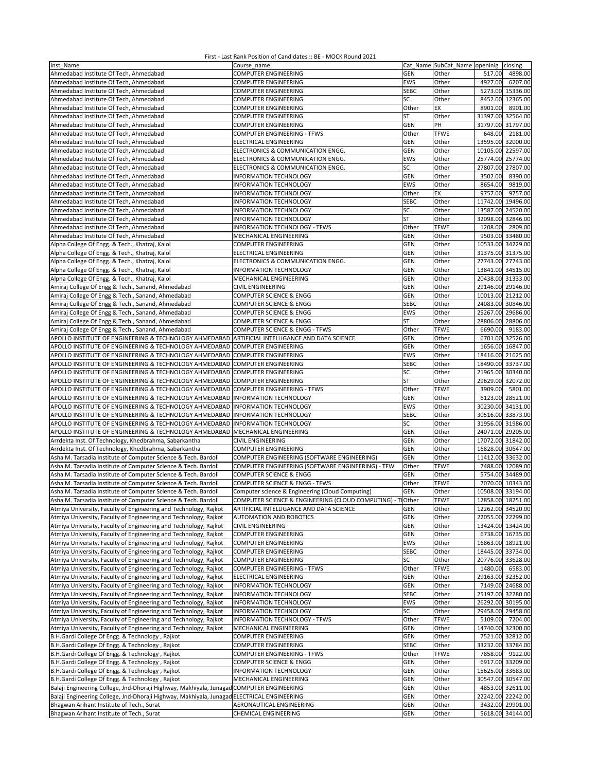| Inst Name                                                                                       | Course name                                                |             | Cat Name SubCat_Name openinig closing |                   |          |
|-------------------------------------------------------------------------------------------------|------------------------------------------------------------|-------------|---------------------------------------|-------------------|----------|
| Ahmedabad Institute Of Tech, Ahmedabad                                                          | <b>COMPUTER ENGINEERING</b>                                | <b>GEN</b>  | Other                                 | 517.00            | 4898.00  |
| Ahmedabad Institute Of Tech, Ahmedabad                                                          | <b>COMPUTER ENGINEERING</b>                                | EWS         | Other                                 | 4927.00           | 6207.00  |
| Ahmedabad Institute Of Tech, Ahmedabad                                                          | <b>COMPUTER ENGINEERING</b>                                | <b>SEBC</b> | Other                                 | 5273.00 15336.00  |          |
| Ahmedabad Institute Of Tech, Ahmedabad                                                          | <b>COMPUTER ENGINEERING</b>                                | SC          | Other                                 | 8452.00 12365.00  |          |
|                                                                                                 |                                                            |             |                                       |                   |          |
| Ahmedabad Institute Of Tech, Ahmedabad                                                          | COMPUTER ENGINEERING                                       | Other       | EX                                    | 8901.00           | 8901.00  |
| Ahmedabad Institute Of Tech, Ahmedabad                                                          | <b>COMPUTER ENGINEERING</b>                                | ST          | Other                                 | 31397.00 32564.00 |          |
| Ahmedabad Institute Of Tech, Ahmedabad                                                          | <b>COMPUTER ENGINEERING</b>                                | <b>GEN</b>  | PH                                    | 31797.00 31797.00 |          |
| Ahmedabad Institute Of Tech, Ahmedabad                                                          | COMPUTER ENGINEERING - TFWS                                | Other       | <b>TFWE</b>                           | 648.00            | 2181.00  |
| Ahmedabad Institute Of Tech, Ahmedabad                                                          | ELECTRICAL ENGINEERING                                     | <b>GEN</b>  | Other                                 | 13595.00 32000.00 |          |
| Ahmedabad Institute Of Tech, Ahmedabad                                                          | ELECTRONICS & COMMUNICATION ENGG.                          | <b>GEN</b>  | Other                                 | 10105.00          | 22597.00 |
| Ahmedabad Institute Of Tech, Ahmedabad                                                          | ELECTRONICS & COMMUNICATION ENGG.                          | EWS         | Other                                 | 25774.00          | 25774.00 |
| Ahmedabad Institute Of Tech, Ahmedabad                                                          | ELECTRONICS & COMMUNICATION ENGG.                          | SC          | Other                                 | 27807.00 27807.00 |          |
| Ahmedabad Institute Of Tech, Ahmedabad                                                          | INFORMATION TECHNOLOGY                                     | GEN         | Other                                 | 3502.00           | 8390.00  |
| Ahmedabad Institute Of Tech, Ahmedabad                                                          | INFORMATION TECHNOLOGY                                     | EWS         | Other                                 | 8654.00           | 9819.00  |
| Ahmedabad Institute Of Tech, Ahmedabad                                                          | INFORMATION TECHNOLOGY                                     | Other       | EX                                    | 9757.00           | 9757.00  |
| Ahmedabad Institute Of Tech, Ahmedabad                                                          | INFORMATION TECHNOLOGY                                     | <b>SEBC</b> | Other                                 | 11742.00 19496.00 |          |
| Ahmedabad Institute Of Tech, Ahmedabad                                                          | INFORMATION TECHNOLOGY                                     | SC          | Other                                 | 13587.00 24520.00 |          |
|                                                                                                 |                                                            |             |                                       |                   |          |
| Ahmedabad Institute Of Tech, Ahmedabad                                                          | INFORMATION TECHNOLOGY                                     | ST          | Other                                 | 32098.00 32846.00 |          |
| Ahmedabad Institute Of Tech, Ahmedabad                                                          | INFORMATION TECHNOLOGY - TFWS                              | Other       | <b>TFWE</b>                           | 1208.00           | 2809.00  |
| Ahmedabad Institute Of Tech, Ahmedabad                                                          | MECHANICAL ENGINEERING                                     | <b>GEN</b>  | Other                                 | 9503.00 33480.00  |          |
| Alpha College Of Engg. & Tech., Khatraj, Kalol                                                  | COMPUTER ENGINEERING                                       | <b>GEN</b>  | Other                                 | 10533.00 34229.00 |          |
| Alpha College Of Engg. & Tech., Khatraj, Kalol                                                  | ELECTRICAL ENGINEERING                                     | GEN         | Other                                 | 31375.00 31375.00 |          |
| Alpha College Of Engg. & Tech., Khatraj, Kalol                                                  | ELECTRONICS & COMMUNICATION ENGG.                          | GEN         | Other                                 | 27743.00 27743.00 |          |
| Alpha College Of Engg. & Tech., Khatraj, Kalol                                                  | <b>INFORMATION TECHNOLOGY</b>                              | GEN         | Other                                 | 13841.00 34515.00 |          |
| Alpha College Of Engg. & Tech., Khatraj, Kalol                                                  | MECHANICAL ENGINEERING                                     | GEN         | Other                                 | 20438.00 31333.00 |          |
| Amiraj College Of Engg & Tech., Sanand, Ahmedabad                                               | CIVIL ENGINEERING                                          | GEN         | Other                                 | 29146.00 29146.00 |          |
| Amiraj College Of Engg & Tech., Sanand, Ahmedabad                                               | COMPUTER SCIENCE & ENGG                                    | <b>GEN</b>  | Other                                 | 10013.00 21212.00 |          |
|                                                                                                 | COMPUTER SCIENCE & ENGG                                    |             |                                       | 24083.00 30846.00 |          |
| Amiraj College Of Engg & Tech., Sanand, Ahmedabad                                               |                                                            | <b>SEBC</b> | Other                                 |                   |          |
| Amiraj College Of Engg & Tech., Sanand, Ahmedabad                                               | COMPUTER SCIENCE & ENGG                                    | <b>EWS</b>  | Other                                 | 25267.00 29686.00 |          |
| Amiraj College Of Engg & Tech., Sanand, Ahmedabad                                               | COMPUTER SCIENCE & ENGG                                    | <b>ST</b>   | Other                                 | 28806.00 28806.00 |          |
| Amiraj College Of Engg & Tech., Sanand, Ahmedabad                                               | COMPUTER SCIENCE & ENGG - TFWS                             | Other       | <b>TFWE</b>                           | 6690.00           | 9183.00  |
| APOLLO INSTITUTE OF ENGINEERING & TECHNOLOGY AHMEDABAD ARTIFICIAL INTELLIGANCE AND DATA SCIENCE |                                                            | <b>GEN</b>  | Other                                 | 6701.00 32526.00  |          |
| APOLLO INSTITUTE OF ENGINEERING & TECHNOLOGY AHMEDABAD COMPUTER ENGINEERING                     |                                                            | <b>GEN</b>  | Other                                 | 1656.00 16847.00  |          |
| APOLLO INSTITUTE OF ENGINEERING & TECHNOLOGY AHMEDABAD COMPUTER ENGINEERING                     |                                                            | <b>EWS</b>  | Other                                 | 18416.00 21625.00 |          |
| APOLLO INSTITUTE OF ENGINEERING & TECHNOLOGY AHMEDABAD COMPUTER ENGINEERING                     |                                                            | <b>SEBC</b> | Other                                 | 18490.00 33737.00 |          |
| APOLLO INSTITUTE OF ENGINEERING & TECHNOLOGY AHMEDABAD COMPUTER ENGINEERING                     |                                                            | SC          | Other                                 | 21965.00          | 30340.00 |
| APOLLO INSTITUTE OF ENGINEERING & TECHNOLOGY AHMEDABAD COMPUTER ENGINEERING                     |                                                            | ST          | Other                                 | 29629.00 32072.00 |          |
| APOLLO INSTITUTE OF ENGINEERING & TECHNOLOGY AHMEDABAD COMPUTER ENGINEERING - TFWS              |                                                            | Other       | <b>TFWE</b>                           | 3909.00           | 5801.00  |
|                                                                                                 |                                                            | GEN         | Other                                 | 6123.00 28521.00  |          |
| APOLLO INSTITUTE OF ENGINEERING & TECHNOLOGY AHMEDABAD INFORMATION TECHNOLOGY                   |                                                            |             |                                       |                   |          |
| APOLLO INSTITUTE OF ENGINEERING & TECHNOLOGY AHMEDABAD INFORMATION TECHNOLOGY                   |                                                            | <b>EWS</b>  | Other                                 | 30230.00 34131.00 |          |
| APOLLO INSTITUTE OF ENGINEERING & TECHNOLOGY AHMEDABAD INFORMATION TECHNOLOGY                   |                                                            | <b>SEBC</b> | Other                                 | 30516.00 33873.00 |          |
| APOLLO INSTITUTE OF ENGINEERING & TECHNOLOGY AHMEDABAD                                          | <b>INFORMATION TECHNOLOGY</b>                              | SC          | Other                                 | 31956.00 31986.00 |          |
| APOLLO INSTITUTE OF ENGINEERING & TECHNOLOGY AHMEDABAD                                          | MECHANICAL ENGINEERING                                     | <b>GEN</b>  | Other                                 | 24071.00 29205.00 |          |
| Arrdekta Inst. Of Technology, Khedbrahma, Sabarkantha                                           | CIVIL ENGINEERING                                          | GEN         | Other                                 | 17072.00 31842.00 |          |
| Arrdekta Inst. Of Technology, Khedbrahma, Sabarkantha                                           | COMPUTER ENGINEERING                                       | <b>GEN</b>  | Other                                 | 16828.00 30647.00 |          |
| Asha M. Tarsadia Institute of Computer Science & Tech. Bardoli                                  | COMPUTER ENGINEERING (SOFTWARE ENGINEERING)                | <b>GEN</b>  | Other                                 | 11412.00 33632.00 |          |
| Asha M. Tarsadia Institute of Computer Science & Tech. Bardoli                                  | COMPUTER ENGINEERING (SOFTWARE ENGINEERING) - TFW          | Other       | <b>TFWE</b>                           | 7488.00 12089.00  |          |
| Asha M. Tarsadia Institute of Computer Science & Tech. Bardoli                                  | COMPUTER SCIENCE & ENGG                                    | <b>GEN</b>  | Other                                 | 5754.00 34489.00  |          |
| Asha M. Tarsadia Institute of Computer Science & Tech. Bardoli                                  | COMPUTER SCIENCE & ENGG - TFWS                             | Other       | <b>TFWE</b>                           | 7070.00 10343.00  |          |
| Asha M. Tarsadia Institute of Computer Science & Tech. Bardoli                                  |                                                            | <b>GEN</b>  | Other                                 | 10508.00 33194.00 |          |
|                                                                                                 | Computer science & Engineering (Cloud Computing)           |             |                                       |                   |          |
| Asha M. Tarsadia Institute of Computer Science & Tech. Bardoli                                  | COMPUTER SCIENCE & ENGINEERING (CLOUD COMPUTING) - TIOther |             | <b>TFWE</b>                           | 12858.00 18251.00 |          |
| Atmiya University, Faculty of Engineering and Technology, Rajkot                                | ARTIFICIAL INTELLIGANCE AND DATA SCIENCE                   | <b>GEN</b>  | Other                                 | 12262.00 34520.00 |          |
| Atmiya University, Faculty of Engineering and Technology, Rajkot                                | AUTOMATION AND ROBOTICS                                    | <b>GEN</b>  | Other                                 | 22055.00 22299.00 |          |
| Atmiya University, Faculty of Engineering and Technology, Rajkot                                | <b>CIVIL ENGINEERING</b>                                   | <b>GEN</b>  | Other                                 | 13424.00 13424.00 |          |
| Atmiya University, Faculty of Engineering and Technology, Rajkot                                | <b>COMPUTER ENGINEERING</b>                                | <b>GEN</b>  | Other                                 | 6738.00 16735.00  |          |
| Atmiya University, Faculty of Engineering and Technology, Rajkot                                | <b>COMPUTER ENGINEERING</b>                                | EWS         | Other                                 | 16863.00 18921.00 |          |
| Atmiya University, Faculty of Engineering and Technology, Rajkot                                | <b>COMPUTER ENGINEERING</b>                                | <b>SEBC</b> | Other                                 | 18445.00 33734.00 |          |
| Atmiya University, Faculty of Engineering and Technology, Rajkot                                | <b>COMPUTER ENGINEERING</b>                                | SC          | Other                                 | 20776.00 33628.00 |          |
| Atmiya University, Faculty of Engineering and Technology, Rajkot                                | COMPUTER ENGINEERING - TFWS                                | Other       | <b>TFWE</b>                           | 1480.00           | 6583.00  |
| Atmiya University, Faculty of Engineering and Technology, Rajkot                                | ELECTRICAL ENGINEERING                                     | <b>GEN</b>  | Other                                 | 29163.00 32352.00 |          |
| Atmiya University, Faculty of Engineering and Technology, Rajkot                                | INFORMATION TECHNOLOGY                                     | <b>GEN</b>  | Other                                 | 7149.00 24688.00  |          |
| Atmiya University, Faculty of Engineering and Technology, Rajkot                                | INFORMATION TECHNOLOGY                                     | <b>SEBC</b> | Other                                 | 25197.00 32280.00 |          |
|                                                                                                 |                                                            | EWS         |                                       | 26292.00 30195.00 |          |
| Atmiya University, Faculty of Engineering and Technology, Rajkot                                | INFORMATION TECHNOLOGY                                     |             | Other                                 |                   |          |
| Atmiya University, Faculty of Engineering and Technology, Rajkot                                | INFORMATION TECHNOLOGY                                     | SC          | Other                                 | 29458.00 29458.00 |          |
| Atmiya University, Faculty of Engineering and Technology, Rajkot                                | INFORMATION TECHNOLOGY - TFWS                              | Other       | <b>TFWE</b>                           | 5109.00           | 7204.00  |
| Atmiya University, Faculty of Engineering and Technology, Rajkot                                | MECHANICAL ENGINEERING                                     | <b>GEN</b>  | Other                                 | 14740.00 32300.00 |          |
| B.H.Gardi College Of Engg. & Technology, Rajkot                                                 | COMPUTER ENGINEERING                                       | <b>GEN</b>  | Other                                 | 7521.00 32812.00  |          |
| B.H.Gardi College Of Engg. & Technology, Rajkot                                                 | <b>COMPUTER ENGINEERING</b>                                | <b>SEBC</b> | Other                                 | 33232.00 33784.00 |          |
| B.H.Gardi College Of Engg. & Technology, Rajkot                                                 | COMPUTER ENGINEERING - TFWS                                | Other       | <b>TFWE</b>                           | 7858.00           | 9122.00  |
| B.H.Gardi College Of Engg. & Technology, Rajkot                                                 | COMPUTER SCIENCE & ENGG                                    | <b>GEN</b>  | Other                                 | 6917.00 33209.00  |          |
| B.H.Gardi College Of Engg. & Technology, Rajkot                                                 | INFORMATION TECHNOLOGY                                     | <b>GEN</b>  | Other                                 | 15625.00 33683.00 |          |
| B.H.Gardi College Of Engg. & Technology, Rajkot                                                 | MECHANICAL ENGINEERING                                     | GEN         | Other                                 | 30547.00 30547.00 |          |
| Balaji Engineering College, Jnd-Dhoraji Highway, Makhiyala, Junagad COMPUTER ENGINEERING        |                                                            | GEN         | Other                                 | 4853.00 32611.00  |          |
| Balaji Engineering College, Jnd-Dhoraji Highway, Makhiyala, Junagad ELECTRICAL ENGINEERING      |                                                            | <b>GEN</b>  | Other                                 | 22242.00 22242.00 |          |
|                                                                                                 |                                                            |             |                                       |                   |          |
| Bhagwan Arihant Institute of Tech., Surat                                                       | AERONAUTICAL ENGINEERING                                   | GEN         | Other                                 | 3432.00 29901.00  |          |
| Bhagwan Arihant Institute of Tech., Surat                                                       | CHEMICAL ENGINEERING                                       | <b>GEN</b>  | Other                                 | 5618.00 34144.00  |          |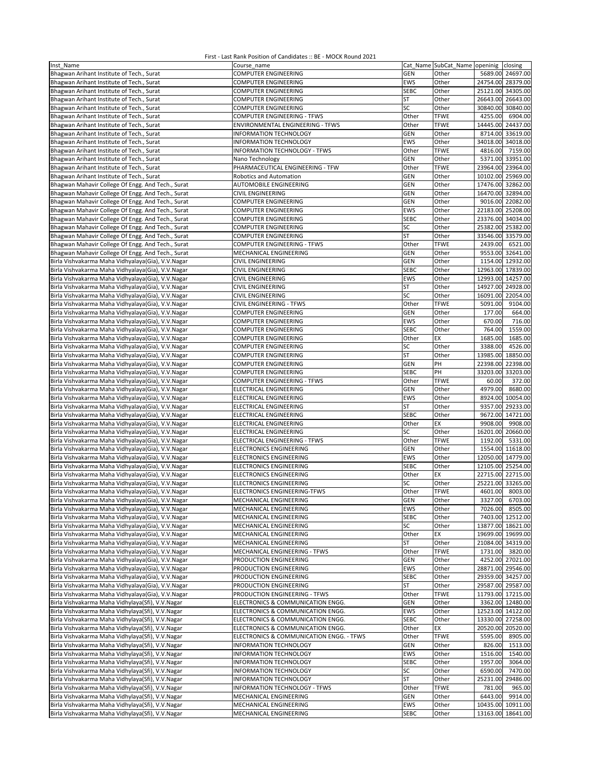| Inst Name                                                                                              | Course name                                                       |                      | Cat Name SubCat_Name openinig closing |                   |                                        |
|--------------------------------------------------------------------------------------------------------|-------------------------------------------------------------------|----------------------|---------------------------------------|-------------------|----------------------------------------|
| Bhagwan Arihant Institute of Tech., Surat                                                              | <b>COMPUTER ENGINEERING</b>                                       | <b>GEN</b>           | Other                                 |                   | 5689.00 24697.00                       |
| Bhagwan Arihant Institute of Tech., Surat                                                              | <b>COMPUTER ENGINEERING</b>                                       | EWS                  | Other                                 |                   | 24754.00 28379.00                      |
| Bhagwan Arihant Institute of Tech., Surat                                                              | <b>COMPUTER ENGINEERING</b>                                       | <b>SEBC</b>          | Other                                 |                   | 25121.00 34305.00                      |
| Bhagwan Arihant Institute of Tech., Surat                                                              | <b>COMPUTER ENGINEERING</b>                                       | ST                   | Other                                 |                   | 26643.00 26643.00                      |
| Bhagwan Arihant Institute of Tech., Surat                                                              | <b>COMPUTER ENGINEERING</b>                                       | SC                   | Other                                 |                   | 30840.00 30840.00                      |
| Bhagwan Arihant Institute of Tech., Surat                                                              | <b>COMPUTER ENGINEERING - TFWS</b>                                | Other                | <b>TFWE</b>                           | 4255.00           | 6904.00                                |
| Bhagwan Arihant Institute of Tech., Surat                                                              | ENVIRONMENTAL ENGINEERING - TFWS                                  | Other                | <b>TFWE</b>                           | 14445.00          | 24437.00                               |
| Bhagwan Arihant Institute of Tech., Surat                                                              | <b>INFORMATION TECHNOLOGY</b>                                     | <b>GEN</b>           | Other                                 | 8714.00           | 33619.00                               |
| Bhagwan Arihant Institute of Tech., Surat                                                              | INFORMATION TECHNOLOGY                                            | EWS                  | Other                                 |                   | 34018.00 34018.00                      |
| Bhagwan Arihant Institute of Tech., Surat                                                              | INFORMATION TECHNOLOGY - TFWS                                     | Other                | <b>TFWE</b>                           | 4816.00           | 7159.00                                |
| Bhagwan Arihant Institute of Tech., Surat                                                              | Nano Technology                                                   | GEN                  | Other                                 | 5371.00           | 33951.00                               |
| Bhagwan Arihant Institute of Tech., Surat                                                              | PHARMACEUTICAL ENGINEERING - TFW<br>Robotics and Automation       | Other                | <b>TFWE</b>                           | 10102.00 25969.00 | 23964.00 23964.00                      |
| Bhagwan Arihant Institute of Tech., Surat                                                              | AUTOMOBILE ENGINEERING                                            | GEN<br>GEN           | Other<br>Other                        | 17476.00          | 32862.00                               |
| Bhagwan Mahavir College Of Engg. And Tech., Surat<br>Bhagwan Mahavir College Of Engg. And Tech., Surat | <b>CIVIL ENGINEERING</b>                                          | GEN                  | Other                                 |                   | 16470.00 32894.00                      |
| Bhagwan Mahavir College Of Engg. And Tech., Surat                                                      | <b>COMPUTER ENGINEERING</b>                                       | <b>GEN</b>           | Other                                 |                   | 9016.00 22082.00                       |
| Bhagwan Mahavir College Of Engg. And Tech., Surat                                                      | <b>COMPUTER ENGINEERING</b>                                       | EWS                  | Other                                 |                   | 22183.00 25208.00                      |
| Bhagwan Mahavir College Of Engg. And Tech., Surat                                                      | <b>COMPUTER ENGINEERING</b>                                       | <b>SEBC</b>          | Other                                 |                   | 23376.00 34034.00                      |
| Bhagwan Mahavir College Of Engg. And Tech., Surat                                                      | <b>COMPUTER ENGINEERING</b>                                       | SC                   | Other                                 | 25382.00          | 25382.00                               |
| Bhagwan Mahavir College Of Engg. And Tech., Surat                                                      | COMPUTER ENGINEERING                                              | ST                   | Other                                 | 33546.00          | 33579.00                               |
| Bhagwan Mahavir College Of Engg. And Tech., Surat                                                      | COMPUTER ENGINEERING - TFWS                                       | Other                | <b>TFWE</b>                           | 2439.00           | 6521.00                                |
| Bhagwan Mahavir College Of Engg. And Tech., Surat                                                      | MECHANICAL ENGINEERING                                            | GEN                  | Other                                 | 9553.00           | 32641.00                               |
| Birla Vishvakarma Maha Vidhyalaya(Gia), V.V.Nagar                                                      | CIVIL ENGINEERING                                                 | GEN                  | Other                                 |                   | 1154.00 12932.00                       |
| Birla Vishvakarma Maha Vidhyalaya(Gia), V.V.Nagar                                                      | CIVIL ENGINEERING                                                 | <b>SEBC</b>          | Other                                 | 12963.00 17839.00 |                                        |
| Birla Vishvakarma Maha Vidhyalaya(Gia), V.V.Nagar                                                      | CIVIL ENGINEERING                                                 | <b>EWS</b>           | Other                                 | 12993.00          | 14257.00                               |
| Birla Vishvakarma Maha Vidhyalaya(Gia), V.V.Nagar                                                      | CIVIL ENGINEERING                                                 | ST                   | Other                                 | 14927.00          | 24928.00                               |
| Birla Vishvakarma Maha Vidhyalaya(Gia), V.V.Nagar                                                      | <b>CIVIL ENGINEERING</b>                                          | SC                   | Other                                 | 16091.00          | 22054.00                               |
| Birla Vishvakarma Maha Vidhyalaya(Gia), V.V.Nagar                                                      | CIVIL ENGINEERING - TFWS                                          | Other                | <b>TFWE</b>                           | 5091.00           | 9104.00                                |
| Birla Vishvakarma Maha Vidhyalaya(Gia), V.V.Nagar                                                      | <b>COMPUTER ENGINEERING</b>                                       | <b>GEN</b>           | Other                                 | 177.00            | 664.00                                 |
| Birla Vishvakarma Maha Vidhyalaya(Gia), V.V.Nagar                                                      | <b>COMPUTER ENGINEERING</b>                                       | EWS                  | Other                                 | 670.00            | 716.00                                 |
| Birla Vishvakarma Maha Vidhyalaya(Gia), V.V.Nagar                                                      | <b>COMPUTER ENGINEERING</b>                                       | <b>SEBC</b>          | Other                                 | 764.00            | 1559.00                                |
| Birla Vishvakarma Maha Vidhyalaya(Gia), V.V.Nagar                                                      | COMPUTER ENGINEERING                                              | Other                | EX                                    | 1685.00           | 1685.00                                |
| Birla Vishvakarma Maha Vidhyalaya(Gia), V.V.Nagar                                                      | COMPUTER ENGINEERING                                              | SC                   | Other                                 | 3388.00           | 4526.00                                |
| Birla Vishvakarma Maha Vidhyalaya(Gia), V.V.Nagar                                                      | COMPUTER ENGINEERING                                              | <b>ST</b>            | Other                                 | 13985.00          | 18850.00                               |
| Birla Vishvakarma Maha Vidhyalaya(Gia), V.V.Nagar                                                      | <b>COMPUTER ENGINEERING</b>                                       | GEN                  | PH                                    | 22398.00 22398.00 |                                        |
| Birla Vishvakarma Maha Vidhyalaya(Gia), V.V.Nagar                                                      | <b>COMPUTER ENGINEERING</b><br><b>COMPUTER ENGINEERING - TFWS</b> | <b>SEBC</b><br>Other | PH<br><b>TFWE</b>                     | 60.00             | 33203.00 33203.00<br>372.00            |
| Birla Vishvakarma Maha Vidhyalaya(Gia), V.V.Nagar<br>Birla Vishvakarma Maha Vidhyalaya(Gia), V.V.Nagar | ELECTRICAL ENGINEERING                                            | GEN                  | Other                                 | 4979.00           | 8680.00                                |
| Birla Vishvakarma Maha Vidhyalaya(Gia), V.V.Nagar                                                      | ELECTRICAL ENGINEERING                                            | EWS                  | Other                                 |                   | 8924.00 10054.00                       |
| Birla Vishvakarma Maha Vidhyalaya(Gia), V.V.Nagar                                                      | ELECTRICAL ENGINEERING                                            | ST                   | Other                                 |                   | 9357.00 29233.00                       |
| Birla Vishvakarma Maha Vidhyalaya(Gia), V.V.Nagar                                                      | ELECTRICAL ENGINEERING                                            | <b>SEBC</b>          | Other                                 |                   | 9672.00 14721.00                       |
| Birla Vishvakarma Maha Vidhyalaya(Gia), V.V.Nagar                                                      | ELECTRICAL ENGINEERING                                            | Other                | EX                                    | 9908.00           | 9908.00                                |
| Birla Vishvakarma Maha Vidhyalaya(Gia), V.V.Nagar                                                      | ELECTRICAL ENGINEERING                                            | SC                   | Other                                 | 16201.00          | 20660.00                               |
| Birla Vishvakarma Maha Vidhyalaya(Gia), V.V.Nagar                                                      | ELECTRICAL ENGINEERING - TFWS                                     | Other                | <b>TFWE</b>                           | 1192.00           | 5331.00                                |
| Birla Vishvakarma Maha Vidhyalaya(Gia), V.V.Nagar                                                      | ELECTRONICS ENGINEERING                                           | <b>GEN</b>           | Other                                 | 1554.00           | 11618.00                               |
| Birla Vishvakarma Maha Vidhyalaya(Gia), V.V.Nagar                                                      | <b>ELECTRONICS ENGINEERING</b>                                    | EWS                  | Other                                 |                   | 12050.00 14779.00                      |
| Birla Vishvakarma Maha Vidhyalaya(Gia), V.V.Nagar                                                      | <b>ELECTRONICS ENGINEERING</b>                                    | <b>SEBC</b>          | Other                                 | 12105.00          | 25254.00                               |
| Birla Vishvakarma Maha Vidhyalaya(Gia), V.V.Nagar                                                      | <b>ELECTRONICS ENGINEERING</b>                                    | Other                | EX                                    | 22715.00 22715.00 |                                        |
| Birla Vishvakarma Maha Vidhyalaya(Gia), V.V.Nagar                                                      | ELECTRONICS ENGINEERING                                           | SC                   | Other                                 | 25221.00          | 33265.00                               |
| Birla Vishvakarma Maha Vidhyalaya(Gia), V.V.Nagar                                                      | ELECTRONICS ENGINEERING-TFWS                                      | Other                | <b>TFWE</b>                           | 4601.00           | 8003.00                                |
| Birla Vishvakarma Maha Vidhyalaya(Gia), V.V.Nagar                                                      | MECHANICAL ENGINEERING                                            | GEN                  | Other                                 |                   | 3327.00 6703.00                        |
| Birla Vishvakarma Maha Vidhyalaya(Gia), V.V.Nagar                                                      | MECHANICAL ENGINEERING                                            | EWS                  | Other                                 | 7026.00           | 8505.00                                |
| Birla Vishvakarma Maha Vidhyalaya(Gia), V.V.Nagar                                                      | MECHANICAL ENGINEERING                                            | <b>SEBC</b>          | Other                                 |                   | 7403.00 12512.00                       |
| Birla Vishvakarma Maha Vidhyalaya(Gia), V.V.Nagar                                                      | MECHANICAL ENGINEERING                                            | SC                   | Other                                 |                   | 13877.00 18621.00                      |
| Birla Vishvakarma Maha Vidhyalaya(Gia), V.V.Nagar<br>Birla Vishvakarma Maha Vidhyalaya(Gia), V.V.Nagar | MECHANICAL ENGINEERING<br>MECHANICAL ENGINEERING                  | Other<br>ST          | EX<br>Other                           |                   | 19699.00 19699.00<br>21084.00 34319.00 |
| Birla Vishvakarma Maha Vidhyalaya(Gia), V.V.Nagar                                                      | MECHANICAL ENGINEERING - TFWS                                     | Other                | <b>TFWE</b>                           | 1731.00           | 3820.00                                |
| Birla Vishvakarma Maha Vidhyalaya(Gia), V.V.Nagar                                                      | PRODUCTION ENGINEERING                                            | GEN                  | Other                                 |                   | 4252.00 27021.00                       |
| Birla Vishvakarma Maha Vidhyalaya(Gia), V.V.Nagar                                                      | PRODUCTION ENGINEERING                                            | EWS                  | Other                                 |                   | 28871.00 29546.00                      |
| Birla Vishvakarma Maha Vidhyalaya(Gia), V.V.Nagar                                                      | PRODUCTION ENGINEERING                                            | <b>SEBC</b>          | Other                                 |                   | 29359.00 34257.00                      |
| Birla Vishvakarma Maha Vidhyalaya(Gia), V.V.Nagar                                                      | PRODUCTION ENGINEERING                                            | ST                   | Other                                 |                   | 29587.00 29587.00                      |
| Birla Vishvakarma Maha Vidhyalaya(Gia), V.V.Nagar                                                      | PRODUCTION ENGINEERING - TFWS                                     | Other                | <b>TFWE</b>                           |                   | 11793.00 17215.00                      |
| Birla Vishvakarma Maha Vidhylaya(Sfi), V.V.Nagar                                                       | ELECTRONICS & COMMUNICATION ENGG.                                 | GEN                  | Other                                 |                   | 3362.00 12480.00                       |
| Birla Vishvakarma Maha Vidhylaya(Sfi), V.V.Nagar                                                       | ELECTRONICS & COMMUNICATION ENGG.                                 | EWS                  | Other                                 |                   | 12523.00 14122.00                      |
| Birla Vishvakarma Maha Vidhylaya(Sfi), V.V.Nagar                                                       | ELECTRONICS & COMMUNICATION ENGG.                                 | <b>SEBC</b>          | Other                                 |                   | 13330.00 27258.00                      |
| Birla Vishvakarma Maha Vidhylaya(Sfi), V.V.Nagar                                                       | ELECTRONICS & COMMUNICATION ENGG.                                 | Other                | EX                                    | 20520.00          | 20520.00                               |
| Birla Vishvakarma Maha Vidhylaya(Sfi), V.V.Nagar                                                       | ELECTRONICS & COMMUNICATION ENGG. - TFWS                          | Other                | <b>TFWE</b>                           | 5595.00           | 8905.00                                |
| Birla Vishvakarma Maha Vidhylaya(Sfi), V.V.Nagar                                                       | INFORMATION TECHNOLOGY                                            | GEN                  | Other                                 | 826.00            | 1513.00                                |
| Birla Vishvakarma Maha Vidhylaya(Sfi), V.V.Nagar                                                       | INFORMATION TECHNOLOGY                                            | EWS                  | Other                                 | 1516.00           | 1540.00                                |
| Birla Vishvakarma Maha Vidhylaya(Sfi), V.V.Nagar                                                       | INFORMATION TECHNOLOGY                                            | SEBC                 | Other                                 | 1957.00           | 3064.00                                |
| Birla Vishvakarma Maha Vidhylaya(Sfi), V.V.Nagar                                                       | INFORMATION TECHNOLOGY                                            | SC                   | Other                                 | 6590.00           | 7470.00                                |
| Birla Vishvakarma Maha Vidhylaya(Sfi), V.V.Nagar                                                       | INFORMATION TECHNOLOGY                                            | ST                   | Other                                 | 25231.00          | 29486.00                               |
| Birla Vishvakarma Maha Vidhylaya(Sfi), V.V.Nagar                                                       | INFORMATION TECHNOLOGY - TFWS                                     | Other                | <b>TFWE</b>                           | 781.00            | 965.00                                 |
| Birla Vishvakarma Maha Vidhylaya(Sfi), V.V.Nagar<br>Birla Vishvakarma Maha Vidhylaya(Sfi), V.V.Nagar   | MECHANICAL ENGINEERING<br>MECHANICAL ENGINEERING                  | GEN<br>EWS           | Other<br>Other                        | 6443.00           | 9914.00<br>10435.00 10911.00           |
| Birla Vishvakarma Maha Vidhylaya(Sfi), V.V.Nagar                                                       | MECHANICAL ENGINEERING                                            | SEBC                 | Other                                 |                   | 13163.00 18641.00                      |
|                                                                                                        |                                                                   |                      |                                       |                   |                                        |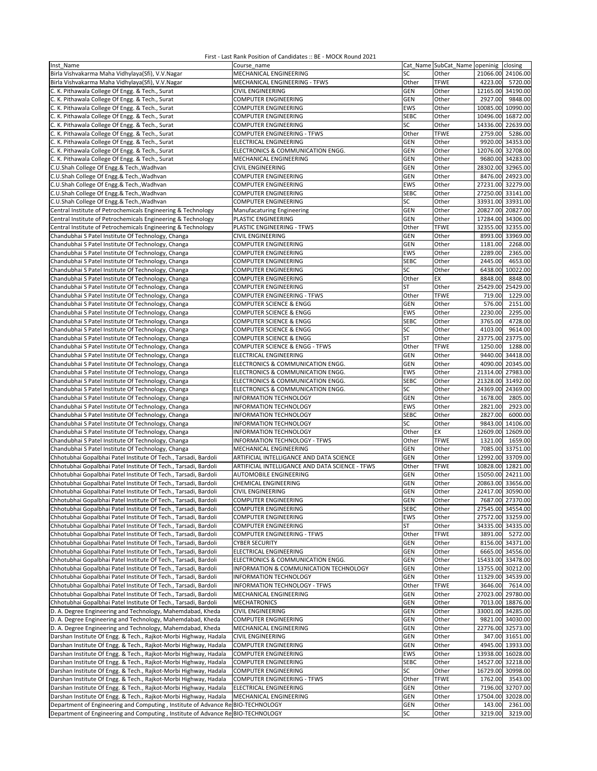| Inst Name                                                                       | Course_name                                     |             |             | Cat_Name SubCat_Name openinig closing |
|---------------------------------------------------------------------------------|-------------------------------------------------|-------------|-------------|---------------------------------------|
| Birla Vishvakarma Maha Vidhylaya(Sfi), V.V.Nagar                                | MECHANICAL ENGINEERING                          | SC          | Other       | 21066.00 24106.00                     |
| Birla Vishvakarma Maha Vidhylaya(Sfi), V.V.Nagar                                | MECHANICAL ENGINEERING - TFWS                   | Other       | <b>TFWE</b> | 4223.00<br>5720.00                    |
| C. K. Pithawala College Of Engg. & Tech., Surat                                 | <b>CIVIL ENGINEERING</b>                        |             |             |                                       |
|                                                                                 |                                                 | GEN         | Other       | 12165.00<br>34190.00                  |
| C. K. Pithawala College Of Engg. & Tech., Surat                                 | <b>COMPUTER ENGINEERING</b>                     | GEN         | Other       | 2927.00<br>9848.00                    |
| C. K. Pithawala College Of Engg. & Tech., Surat                                 | COMPUTER ENGINEERING                            | <b>EWS</b>  | Other       | 10085.00 10990.00                     |
| C. K. Pithawala College Of Engg. & Tech., Surat                                 | <b>COMPUTER ENGINEERING</b>                     | <b>SEBC</b> | Other       | 10496.00 16872.00                     |
| C. K. Pithawala College Of Engg. & Tech., Surat                                 | <b>COMPUTER ENGINEERING</b>                     | SC          | Other       | 14336.00 22639.00                     |
| C. K. Pithawala College Of Engg. & Tech., Surat                                 | COMPUTER ENGINEERING - TFWS                     | Other       | <b>TFWE</b> | 2759.00<br>5286.00                    |
| C. K. Pithawala College Of Engg. & Tech., Surat                                 | ELECTRICAL ENGINEERING                          | GEN         | Other       | 9920.00 34353.00                      |
| C. K. Pithawala College Of Engg. & Tech., Surat                                 |                                                 | <b>GEN</b>  |             | 12076.00 32708.00                     |
|                                                                                 | ELECTRONICS & COMMUNICATION ENGG.               |             | Other       |                                       |
| C. K. Pithawala College Of Engg. & Tech., Surat                                 | MECHANICAL ENGINEERING                          | <b>GEN</b>  | Other       | 9680.00 34283.00                      |
| C.U.Shah College Of Engg.& Tech., Wadhvan                                       | CIVIL ENGINEERING                               | GEN         | Other       | 28302.00 32965.00                     |
| C.U.Shah College Of Engg.& Tech., Wadhvan                                       | COMPUTER ENGINEERING                            | GEN         | Other       | 8476.00 24923.00                      |
| C.U.Shah College Of Engg.& Tech., Wadhvan                                       | <b>COMPUTER ENGINEERING</b>                     | EWS         | Other       | 27231.00 32279.00                     |
| C.U.Shah College Of Engg.& Tech., Wadhvan                                       | <b>COMPUTER ENGINEERING</b>                     | <b>SEBC</b> | Other       | 27250.00 33141.00                     |
| C.U.Shah College Of Engg.& Tech., Wadhvan                                       | <b>COMPUTER ENGINEERING</b>                     | SC          | Other       | 33931.00 33931.00                     |
| Central Institute of Petrochemicals Engineering & Technology                    |                                                 | GEN         | Other       | 20827.00 20827.00                     |
|                                                                                 | Manufacaturing Engineering                      |             |             |                                       |
| Central Institute of Petrochemicals Engineering & Technology                    | PLASTIC ENGINEERING                             | <b>GEN</b>  | Other       | 17284.00 34306.00                     |
| Central Institute of Petrochemicals Engineering & Technology                    | PLASTIC ENGINEERING - TFWS                      | Other       | <b>TFWE</b> | 32355.00 32355.00                     |
| Chandubhai S Patel Institute Of Technology, Changa                              | <b>CIVIL ENGINEERING</b>                        | <b>GEN</b>  | Other       | 8993.00 33969.00                      |
| Chandubhai S Patel Institute Of Technology, Changa                              | <b>COMPUTER ENGINEERING</b>                     | <b>GEN</b>  | Other       | 1181.00<br>2268.00                    |
| Chandubhai S Patel Institute Of Technology, Changa                              | <b>COMPUTER ENGINEERING</b>                     | <b>EWS</b>  | Other       | 2289.00<br>2365.00                    |
| Chandubhai S Patel Institute Of Technology, Changa                              | COMPUTER ENGINEERING                            | <b>SEBC</b> | Other       | 2445.00<br>4653.00                    |
| Chandubhai S Patel Institute Of Technology, Changa                              | COMPUTER ENGINEERING                            | SC          | Other       | 10022.00<br>6438.00                   |
|                                                                                 |                                                 |             |             |                                       |
| Chandubhai S Patel Institute Of Technology, Changa                              | <b>COMPUTER ENGINEERING</b>                     | Other       | EX          | 8848.00<br>8848.00                    |
| Chandubhai S Patel Institute Of Technology, Changa                              | <b>COMPUTER ENGINEERING</b>                     | ST          | Other       | 25429.00<br>25429.00                  |
| Chandubhai S Patel Institute Of Technology, Changa                              | <b>COMPUTER ENGINEERING - TFWS</b>              | Other       | <b>TFWE</b> | 719.00<br>1229.00                     |
| Chandubhai S Patel Institute Of Technology, Changa                              | COMPUTER SCIENCE & ENGG                         | GEN         | Other       | 576.00<br>2151.00                     |
| Chandubhai S Patel Institute Of Technology, Changa                              | COMPUTER SCIENCE & ENGG                         | <b>EWS</b>  | Other       | 2230.00<br>2295.00                    |
| Chandubhai S Patel Institute Of Technology, Changa                              | COMPUTER SCIENCE & ENGG                         | <b>SEBC</b> | Other       | 3765.00<br>4728.00                    |
| Chandubhai S Patel Institute Of Technology, Changa                              | COMPUTER SCIENCE & ENGG                         | SC          | Other       | 4103.00<br>9614.00                    |
|                                                                                 |                                                 | <b>ST</b>   |             |                                       |
| Chandubhai S Patel Institute Of Technology, Changa                              | COMPUTER SCIENCE & ENGG                         |             | Other       | 23775.00 23775.00                     |
| Chandubhai S Patel Institute Of Technology, Changa                              | COMPUTER SCIENCE & ENGG - TFWS                  | Other       | <b>TFWE</b> | 1250.00<br>1288.00                    |
| Chandubhai S Patel Institute Of Technology, Changa                              | ELECTRICAL ENGINEERING                          | <b>GEN</b>  | Other       | 9440.00 34418.00                      |
| Chandubhai S Patel Institute Of Technology, Changa                              | ELECTRONICS & COMMUNICATION ENGG.               | GEN         | Other       | 4090.00 20345.00                      |
| Chandubhai S Patel Institute Of Technology, Changa                              | ELECTRONICS & COMMUNICATION ENGG.               | EWS         | Other       | 27983.00<br>21314.00                  |
| Chandubhai S Patel Institute Of Technology, Changa                              | ELECTRONICS & COMMUNICATION ENGG.               | <b>SEBC</b> | Other       | 21328.00 31492.00                     |
| Chandubhai S Patel Institute Of Technology, Changa                              | ELECTRONICS & COMMUNICATION ENGG.               | SC          | Other       | 24369.00<br>24369.00                  |
|                                                                                 |                                                 |             |             |                                       |
| Chandubhai S Patel Institute Of Technology, Changa                              | INFORMATION TECHNOLOGY                          | GEN         | Other       | 1678.00<br>2805.00                    |
| Chandubhai S Patel Institute Of Technology, Changa                              | INFORMATION TECHNOLOGY                          | <b>EWS</b>  | Other       | 2821.00<br>2923.00                    |
| Chandubhai S Patel Institute Of Technology, Changa                              | INFORMATION TECHNOLOGY                          | <b>SEBC</b> | Other       | 6000.00<br>2827.00                    |
| Chandubhai S Patel Institute Of Technology, Changa                              | <b>INFORMATION TECHNOLOGY</b>                   | SC          | Other       | 9843.00 14106.00                      |
| Chandubhai S Patel Institute Of Technology, Changa                              | INFORMATION TECHNOLOGY                          | Other       | EX          | 12609.00 12609.00                     |
| Chandubhai S Patel Institute Of Technology, Changa                              | INFORMATION TECHNOLOGY - TFWS                   | Other       | <b>TFWE</b> | 1321.00<br>1659.00                    |
| Chandubhai S Patel Institute Of Technology, Changa                              | MECHANICAL ENGINEERING                          | <b>GEN</b>  | Other       | 7085.00 33751.00                      |
| Chhotubhai Gopalbhai Patel Institute Of Tech., Tarsadi, Bardoli                 | ARTIFICIAL INTELLIGANCE AND DATA SCIENCE        | <b>GEN</b>  | Other       | 12992.00 33709.00                     |
|                                                                                 |                                                 |             |             |                                       |
| Chhotubhai Gopalbhai Patel Institute Of Tech., Tarsadi, Bardoli                 | ARTIFICIAL INTELLIGANCE AND DATA SCIENCE - TFWS | Other       | <b>TFWE</b> | 10828.00 12821.00                     |
| Chhotubhai Gopalbhai Patel Institute Of Tech., Tarsadi, Bardoli                 | AUTOMOBILE ENGINEERING                          | GEN         | Other       | 15050.00<br>24211.00                  |
| Chhotubhai Gopalbhai Patel Institute Of Tech., Tarsadi, Bardoli                 | CHEMICAL ENGINEERING                            | GEN         | Other       | 20863.00 33656.00                     |
| Chhotubhai Gopalbhai Patel Institute Of Tech., Tarsadi, Bardoli                 | CIVIL ENGINEERING                               | GEN         | Other       | 22417.00 30590.00                     |
| Chhotubhai Gopalbhai Patel Institute Of Tech., Tarsadi, Bardoli                 | COMPUTER ENGINEERING                            | GEN         | Other       | 7687.00 27370.00                      |
| Chhotubhai Gopalbhai Patel Institute Of Tech., Tarsadi, Bardoli                 | <b>COMPUTER ENGINEERING</b>                     | <b>SEBC</b> | Other       | 27545.00 34554.00                     |
| Chhotubhai Gopalbhai Patel Institute Of Tech., Tarsadi, Bardoli                 | <b>COMPUTER ENGINEERING</b>                     | EWS         | Other       | 27572.00 33259.00                     |
| Chhotubhai Gopalbhai Patel Institute Of Tech., Tarsadi, Bardoli                 | <b>COMPUTER ENGINEERING</b>                     | ST          | Other       | 34335.00 34335.00                     |
|                                                                                 | <b>COMPUTER ENGINEERING - TFWS</b>              |             |             |                                       |
| Chhotubhai Gopalbhai Patel Institute Of Tech., Tarsadi, Bardoli                 |                                                 | Other       | <b>TFWE</b> | 3891.00 5272.00                       |
| Chhotubhai Gopalbhai Patel Institute Of Tech., Tarsadi, Bardoli                 | <b>CYBER SECURITY</b>                           | GEN         | Other       | 8156.00 34371.00                      |
| Chhotubhai Gopalbhai Patel Institute Of Tech., Tarsadi, Bardoli                 | ELECTRICAL ENGINEERING                          | <b>GEN</b>  | Other       | 6665.00 34556.00                      |
| Chhotubhai Gopalbhai Patel Institute Of Tech., Tarsadi, Bardoli                 | ELECTRONICS & COMMUNICATION ENGG.               | <b>GEN</b>  | Other       | 15433.00 33478.00                     |
| Chhotubhai Gopalbhai Patel Institute Of Tech., Tarsadi, Bardoli                 | INFORMATION & COMMUNICATION TECHNOLOGY          | GEN         | Other       | 13755.00 30212.00                     |
| Chhotubhai Gopalbhai Patel Institute Of Tech., Tarsadi, Bardoli                 | INFORMATION TECHNOLOGY                          | <b>GEN</b>  | Other       | 11329.00 34539.00                     |
| Chhotubhai Gopalbhai Patel Institute Of Tech., Tarsadi, Bardoli                 | INFORMATION TECHNOLOGY - TFWS                   | Other       | <b>TFWE</b> | 3646.00<br>7614.00                    |
| Chhotubhai Gopalbhai Patel Institute Of Tech., Tarsadi, Bardoli                 | MECHANICAL ENGINEERING                          | <b>GEN</b>  | Other       | 27023.00 29780.00                     |
|                                                                                 |                                                 |             |             |                                       |
| Chhotubhai Gopalbhai Patel Institute Of Tech., Tarsadi, Bardoli                 | <b>MECHATRONICS</b>                             | GEN         | Other       | 7013.00 18876.00                      |
| D. A. Degree Engineering and Technology, Mahemdabad, Kheda                      | CIVIL ENGINEERING                               | GEN         | Other       | 33001.00 34285.00                     |
| D. A. Degree Engineering and Technology, Mahemdabad, Kheda                      | <b>COMPUTER ENGINEERING</b>                     | GEN         | Other       | 9821.00 34030.00                      |
| D. A. Degree Engineering and Technology, Mahemdabad, Kheda                      | MECHANICAL ENGINEERING                          | GEN         | Other       | 22776.00 32573.00                     |
| Darshan Institute Of Engg. & Tech., Rajkot-Morbi Highway, Hadala                | <b>CIVIL ENGINEERING</b>                        | <b>GEN</b>  | Other       | 347.00 31651.00                       |
| Darshan Institute Of Engg. & Tech., Rajkot-Morbi Highway, Hadala                | <b>COMPUTER ENGINEERING</b>                     | GEN         | Other       | 4945.00 13933.00                      |
| Darshan Institute Of Engg. & Tech., Rajkot-Morbi Highway, Hadala                | COMPUTER ENGINEERING                            | EWS         | Other       | 13938.00 16028.00                     |
| Darshan Institute Of Engg. & Tech., Rajkot-Morbi Highway, Hadala                | <b>COMPUTER ENGINEERING</b>                     | <b>SEBC</b> | Other       | 14527.00 32218.00                     |
|                                                                                 |                                                 |             |             |                                       |
| Darshan Institute Of Engg. & Tech., Rajkot-Morbi Highway, Hadala                | <b>COMPUTER ENGINEERING</b>                     | SC          | Other       | 16729.00 30998.00                     |
| Darshan Institute Of Engg. & Tech., Rajkot-Morbi Highway, Hadala                | <b>COMPUTER ENGINEERING - TFWS</b>              | Other       | <b>TFWE</b> | 1762.00<br>3543.00                    |
| Darshan Institute Of Engg. & Tech., Rajkot-Morbi Highway, Hadala                | ELECTRICAL ENGINEERING                          | <b>GEN</b>  | Other       | 7196.00 32707.00                      |
| Darshan Institute Of Engg. & Tech., Rajkot-Morbi Highway, Hadala                | MECHANICAL ENGINEERING                          | <b>GEN</b>  | Other       | 17504.00 32028.00                     |
| Department of Engineering and Computing, Institute of Advance Re BIO-TECHNOLOGY |                                                 | GEN         | Other       | 143.00<br>2361.00                     |
| Department of Engineering and Computing, Institute of Advance Re BIO-TECHNOLOGY |                                                 | SC          | Other       | 3219.00<br>3219.00                    |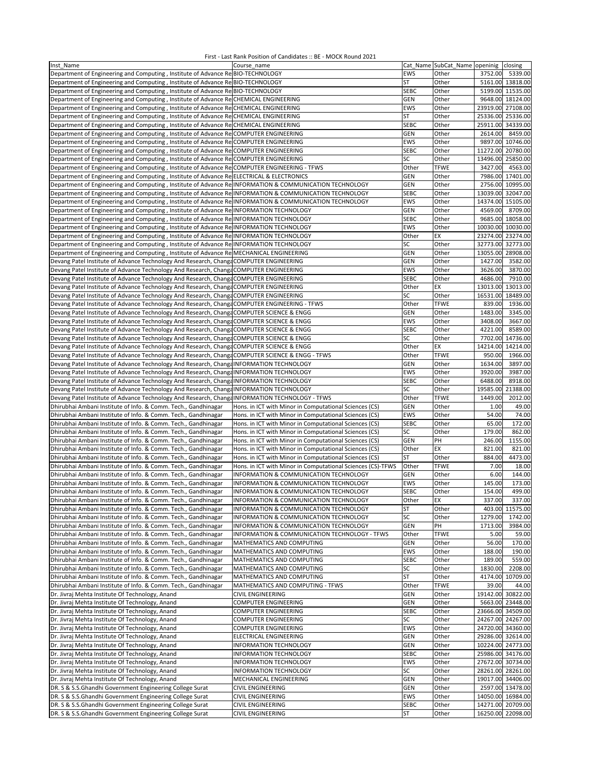| Inst Name                                                                                               | Course name                                                 |             | Cat Name SubCat Name openinig | closing              |
|---------------------------------------------------------------------------------------------------------|-------------------------------------------------------------|-------------|-------------------------------|----------------------|
| Department of Engineering and Computing, Institute of Advance Re BIO-TECHNOLOGY                         |                                                             | <b>EWS</b>  | Other                         | 3752.00<br>5339.00   |
| Department of Engineering and Computing, Institute of Advance Re BIO-TECHNOLOGY                         |                                                             | ST          | Other                         | 5161.00 13818.00     |
| Department of Engineering and Computing, Institute of Advance Re BIO-TECHNOLOGY                         |                                                             | <b>SEBC</b> | Other                         | 5199.00 11535.00     |
|                                                                                                         |                                                             |             |                               |                      |
| Department of Engineering and Computing, Institute of Advance Re CHEMICAL ENGINEERING                   |                                                             | GEN         | Other                         | 9648.00 18124.00     |
| Department of Engineering and Computing, Institute of Advance Re CHEMICAL ENGINEERING                   |                                                             | <b>EWS</b>  | Other                         | 23919.00 27108.00    |
| Department of Engineering and Computing, Institute of Advance ReCHEMICAL ENGINEERING                    |                                                             | ST          | Other                         | 25336.00<br>25336.00 |
| Department of Engineering and Computing, Institute of Advance Re CHEMICAL ENGINEERING                   |                                                             | <b>SEBC</b> | Other                         | 25911.00<br>34339.00 |
| Department of Engineering and Computing, Institute of Advance Re COMPUTER ENGINEERING                   |                                                             | <b>GEN</b>  | Other                         | 2614.00<br>8459.00   |
| Department of Engineering and Computing, Institute of Advance Re COMPUTER ENGINEERING                   |                                                             | <b>EWS</b>  | Other                         | 9897.00 10746.00     |
| Department of Engineering and Computing, Institute of Advance Re COMPUTER ENGINEERING                   |                                                             | <b>SEBC</b> | Other                         | 11272.00<br>20780.00 |
| Department of Engineering and Computing, Institute of Advance Re COMPUTER ENGINEERING                   |                                                             | SC          | Other                         | 13496.00<br>25850.00 |
|                                                                                                         |                                                             |             |                               |                      |
| Department of Engineering and Computing, Institute of Advance ReCOMPUTER ENGINEERING - TFWS             |                                                             | Other       | <b>TFWE</b>                   | 3427.00<br>4563.00   |
| Department of Engineering and Computing, Institute of Advance Re ELECTRICAL & ELECTRONICS               |                                                             | GEN         | Other                         | 7986.00<br>17401.00  |
| Department of Engineering and Computing, Institute of Advance ReINFORMATION & COMMUNICATION TECHNOLOGY  |                                                             | GEN         | Other                         | 2756.00<br>10995.00  |
| Department of Engineering and Computing, Institute of Advance Re INFORMATION & COMMUNICATION TECHNOLOGY |                                                             | <b>SEBC</b> | Other                         | 13039.00<br>32047.00 |
| Department of Engineering and Computing, Institute of Advance Re INFORMATION & COMMUNICATION TECHNOLOGY |                                                             | <b>EWS</b>  | Other                         | 14374.00<br>15105.00 |
| Department of Engineering and Computing, Institute of Advance Re INFORMATION TECHNOLOGY                 |                                                             | <b>GEN</b>  | Other                         | 4569.00<br>8709.00   |
| Department of Engineering and Computing, Institute of Advance RelINFORMATION TECHNOLOGY                 |                                                             | <b>SEBC</b> | Other                         | 9685.00<br>18058.00  |
| Department of Engineering and Computing, Institute of Advance Re INFORMATION TECHNOLOGY                 |                                                             | <b>EWS</b>  | Other                         | 10030.00 10030.00    |
| Department of Engineering and Computing, Institute of Advance RelINFORMATION TECHNOLOGY                 |                                                             | Other       | EX                            | 23274.00 23274.00    |
|                                                                                                         |                                                             |             |                               |                      |
| Department of Engineering and Computing, Institute of Advance RelINFORMATION TECHNOLOGY                 |                                                             | SC          | Other                         | 32773.00<br>32773.00 |
| Department of Engineering and Computing, Institute of Advance Re MECHANICAL ENGINEERING                 |                                                             | <b>GEN</b>  | Other                         | 13055.00<br>28908.00 |
| Devang Patel Institute of Advance Technology And Research, Change COMPUTER ENGINEERING                  |                                                             | <b>GEN</b>  | Other                         | 1427.00<br>3582.00   |
| Devang Patel Institute of Advance Technology And Research, Changa COMPUTER ENGINEERING                  |                                                             | EWS         | Other                         | 3626.00<br>3870.00   |
| Devang Patel Institute of Advance Technology And Research, Change COMPUTER ENGINEERING                  |                                                             | <b>SEBC</b> | Other                         | 4686.00<br>7910.00   |
| Devang Patel Institute of Advance Technology And Research, Changa COMPUTER ENGINEERING                  |                                                             | Other       | EX                            | 13013.00<br>13013.00 |
| Devang Patel Institute of Advance Technology And Research, Changa COMPUTER ENGINEERING                  |                                                             | SC          | Other                         | 16531.00<br>18489.00 |
| Devang Patel Institute of Advance Technology And Research, Change COMPUTER ENGINEERING - TFWS           |                                                             | Other       | <b>TFWE</b>                   | 839.00<br>1936.00    |
| Devang Patel Institute of Advance Technology And Research, Changa COMPUTER SCIENCE & ENGG               |                                                             | GEN         | Other                         | 1483.00<br>3345.00   |
| Devang Patel Institute of Advance Technology And Research, Changa COMPUTER SCIENCE & ENGG               |                                                             | EWS         | Other                         | 3408.00<br>3667.00   |
|                                                                                                         | <b>COMPUTER SCIENCE &amp; ENGG</b>                          | <b>SEBC</b> | Other                         | 4221.00              |
| Devang Patel Institute of Advance Technology And Research, Changa                                       |                                                             |             |                               | 8589.00              |
| Devang Patel Institute of Advance Technology And Research, Changa COMPUTER SCIENCE & ENGG               |                                                             | SC          | Other                         | 7702.00<br>14736.00  |
| Devang Patel Institute of Advance Technology And Research, Changa                                       | <b>COMPUTER SCIENCE &amp; ENGG</b>                          | Other       | EX                            | 14214.00 14214.00    |
| Devang Patel Institute of Advance Technology And Research, Changa COMPUTER SCIENCE & ENGG - TFWS        |                                                             | Other       | <b>TFWE</b>                   | 950.00<br>1966.00    |
| Devang Patel Institute of Advance Technology And Research, Changa INFORMATION TECHNOLOGY                |                                                             | GEN         | Other                         | 1634.00<br>3897.00   |
| Devang Patel Institute of Advance Technology And Research, ChangaINFORMATION TECHNOLOGY                 |                                                             | EWS         | Other                         | 3920.00<br>3987.00   |
| Devang Patel Institute of Advance Technology And Research, ChangeINFORMATION TECHNOLOGY                 |                                                             | <b>SEBC</b> | Other                         | 6488.00<br>8918.00   |
| Devang Patel Institute of Advance Technology And Research, ChangeINFORMATION TECHNOLOGY                 |                                                             | SC          | Other                         | 19585.00<br>21388.00 |
| Devang Patel Institute of Advance Technology And Research, Changa INFORMATION TECHNOLOGY - TFWS         |                                                             | Other       | <b>TFWE</b>                   | 1449.00<br>2012.00   |
| Dhirubhai Ambani Institute of Info. & Comm. Tech., Gandhinagar                                          | Hons. in ICT with Minor in Computational Sciences (CS)      | GEN         | Other                         | 49.00<br>1.00        |
| Dhirubhai Ambani Institute of Info. & Comm. Tech., Gandhinagar                                          | Hons. in ICT with Minor in Computational Sciences (CS)      | <b>EWS</b>  | Other                         | 54.00<br>74.00       |
|                                                                                                         |                                                             | <b>SEBC</b> | Other                         | 65.00<br>172.00      |
| Dhirubhai Ambani Institute of Info. & Comm. Tech., Gandhinagar                                          | Hons. in ICT with Minor in Computational Sciences (CS)      |             |                               |                      |
| Dhirubhai Ambani Institute of Info. & Comm. Tech., Gandhinagar                                          | Hons. in ICT with Minor in Computational Sciences (CS)      | SC          | Other                         | 179.00<br>862.00     |
| Dhirubhai Ambani Institute of Info. & Comm. Tech., Gandhinagar                                          | Hons. in ICT with Minor in Computational Sciences (CS)      | GEN         | PH                            | 1155.00<br>246.00    |
| Dhirubhai Ambani Institute of Info. & Comm. Tech., Gandhinagar                                          | Hons. in ICT with Minor in Computational Sciences (CS)      | Other       | EX                            | 821.00<br>821.00     |
| Dhirubhai Ambani Institute of Info. & Comm. Tech., Gandhinagar                                          | Hons. in ICT with Minor in Computational Sciences (CS)      | ST          | Other                         | 4473.00<br>884.00    |
| Dhirubhai Ambani Institute of Info. & Comm. Tech., Gandhinagar                                          | Hons. in ICT with Minor in Computational Sciences (CS)-TFWS | Other       | <b>TFWE</b>                   | 18.00<br>7.00        |
| Dhirubhai Ambani Institute of Info. & Comm. Tech., Gandhinagar                                          | INFORMATION & COMMUNICATION TECHNOLOGY                      | <b>GEN</b>  | Other                         | 6.00<br>144.00       |
| Dhirubhai Ambani Institute of Info. & Comm. Tech., Gandhinagar                                          | INFORMATION & COMMUNICATION TECHNOLOGY                      | <b>EWS</b>  | Other                         | 145.00<br>173.00     |
| Dhirubhai Ambani Institute of Info. & Comm. Tech., Gandhinagar                                          | INFORMATION & COMMUNICATION TECHNOLOGY                      | <b>SEBC</b> | Other                         | 154.00<br>499.00     |
| Dhirubhai Ambani Institute of Info. & Comm. Tech., Gandhinagar                                          | INFORMATION & COMMUNICATION TECHNOLOGY                      | Other       | EX                            | 337.00<br>337.00     |
|                                                                                                         |                                                             | <b>ST</b>   | Other                         | 403.00 11575.00      |
| Dhirubhai Ambani Institute of Info. & Comm. Tech., Gandhinagar                                          | INFORMATION & COMMUNICATION TECHNOLOGY                      |             |                               |                      |
| Dhirubhai Ambani Institute of Info. & Comm. Tech., Gandhinagar                                          | INFORMATION & COMMUNICATION TECHNOLOGY                      | SC          | Other                         | 1279.00<br>1742.00   |
| Dhirubhai Ambani Institute of Info. & Comm. Tech., Gandhinagar                                          | INFORMATION & COMMUNICATION TECHNOLOGY                      | <b>GEN</b>  | PH                            | 1713.00<br>3984.00   |
| Dhirubhai Ambani Institute of Info. & Comm. Tech., Gandhinagar                                          | INFORMATION & COMMUNICATION TECHNOLOGY - TFWS               | Other       | <b>TFWE</b>                   | 59.00<br>5.00        |
| Dhirubhai Ambani Institute of Info. & Comm. Tech., Gandhinagar                                          | MATHEMATICS AND COMPUTING                                   | <b>GEN</b>  | Other                         | 56.00<br>170.00      |
| Dhirubhai Ambani Institute of Info. & Comm. Tech., Gandhinagar                                          | MATHEMATICS AND COMPUTING                                   | EWS         | Other                         | 188.00<br>190.00     |
| Dhirubhai Ambani Institute of Info. & Comm. Tech., Gandhinagar                                          | MATHEMATICS AND COMPUTING                                   | SEBC        | Other                         | 189.00<br>559.00     |
| Dhirubhai Ambani Institute of Info. & Comm. Tech., Gandhinagar                                          |                                                             |             | Other                         |                      |
| Dhirubhai Ambani Institute of Info. & Comm. Tech., Gandhinagar                                          | MATHEMATICS AND COMPUTING                                   | SC          |                               | 1830.00<br>2208.00   |
|                                                                                                         | MATHEMATICS AND COMPUTING                                   | <b>ST</b>   | Other                         | 10709.00<br>4174.00  |
| Dhirubhai Ambani Institute of Info. & Comm. Tech., Gandhinagar                                          | MATHEMATICS AND COMPUTING - TFWS                            | Other       | <b>TFWE</b>                   | 39.00<br>44.00       |
|                                                                                                         |                                                             | GEN         | Other                         | 19142.00 30822.00    |
| Dr. Jivraj Mehta Institute Of Technology, Anand                                                         | CIVIL ENGINEERING                                           |             |                               | 5663.00 23448.00     |
| Dr. Jivraj Mehta Institute Of Technology, Anand                                                         | <b>COMPUTER ENGINEERING</b>                                 | GEN         | Other                         |                      |
| Dr. Jivraj Mehta Institute Of Technology, Anand                                                         | <b>COMPUTER ENGINEERING</b>                                 | <b>SEBC</b> | Other                         | 23666.00 34509.00    |
| Dr. Jivraj Mehta Institute Of Technology, Anand                                                         | <b>COMPUTER ENGINEERING</b>                                 | SC          | Other                         | 24267.00 24267.00    |
| Dr. Jivraj Mehta Institute Of Technology, Anand                                                         | COMPUTER ENGINEERING                                        | EWS         | Other                         | 24720.00 34360.00    |
| Dr. Jivraj Mehta Institute Of Technology, Anand                                                         | ELECTRICAL ENGINEERING                                      | <b>GEN</b>  | Other                         | 29286.00 32614.00    |
| Dr. Jivraj Mehta Institute Of Technology, Anand                                                         | INFORMATION TECHNOLOGY                                      | GEN         | Other                         | 10224.00 24773.00    |
| Dr. Jivraj Mehta Institute Of Technology, Anand                                                         | INFORMATION TECHNOLOGY                                      | <b>SEBC</b> | Other                         | 25986.00 34176.00    |
| Dr. Jivraj Mehta Institute Of Technology, Anand                                                         | INFORMATION TECHNOLOGY                                      | EWS         | Other                         | 27672.00 30734.00    |
| Dr. Jivraj Mehta Institute Of Technology, Anand                                                         | INFORMATION TECHNOLOGY                                      | SC          | Other                         | 28261.00 28261.00    |
| Dr. Jivraj Mehta Institute Of Technology, Anand                                                         | MECHANICAL ENGINEERING                                      | GEN         | Other                         | 19017.00 34406.00    |
| DR. S & S.S.Ghandhi Government Engineering College Surat                                                | CIVIL ENGINEERING                                           | GEN         | Other                         | 2597.00 13478.00     |
| DR. S & S.S.Ghandhi Government Engineering College Surat                                                | CIVIL ENGINEERING                                           | EWS         | Other                         | 14050.00 16984.00    |
| DR. S & S.S.Ghandhi Government Engineering College Surat                                                | CIVIL ENGINEERING                                           | <b>SEBC</b> | Other                         | 14271.00 20709.00    |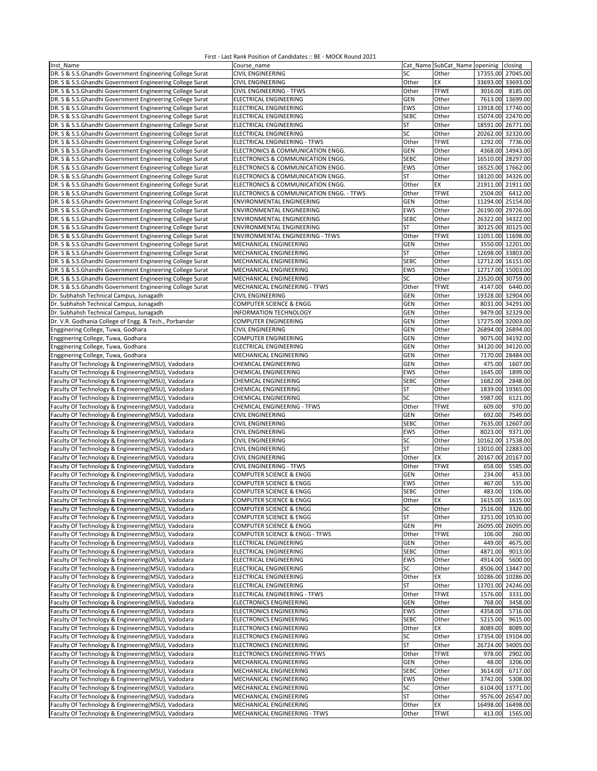| Inst Name                                                | Course name                              |             | Cat Name SubCat Name openinig | closing              |
|----------------------------------------------------------|------------------------------------------|-------------|-------------------------------|----------------------|
| DR. S & S.S.Ghandhi Government Engineering College Surat | CIVIL ENGINEERING                        | SC          | Other                         | 17355.00 27045.00    |
|                                                          |                                          |             |                               |                      |
| DR. S & S.S.Ghandhi Government Engineering College Surat | <b>CIVIL ENGINEERING</b>                 | Other       | EX                            | 33693.00 33693.00    |
| DR. S & S.S.Ghandhi Government Engineering College Surat | CIVIL ENGINEERING - TFWS                 | Other       | <b>TFWE</b>                   | 3016.00<br>8185.00   |
| DR. S & S.S.Ghandhi Government Engineering College Surat | <b>ELECTRICAL ENGINEERING</b>            | <b>GEN</b>  | Other                         | 7613.00 13699.00     |
| DR. S & S.S.Ghandhi Government Engineering College Surat |                                          | <b>EWS</b>  | Other                         | 13918.00 17740.00    |
|                                                          | ELECTRICAL ENGINEERING                   |             |                               |                      |
| DR. S & S.S.Ghandhi Government Engineering College Surat | ELECTRICAL ENGINEERING                   | <b>SEBC</b> | Other                         | 15074.00 22470.00    |
| DR. S & S.S.Ghandhi Government Engineering College Surat | ELECTRICAL ENGINEERING                   | ST          | Other                         | 18591.00 26771.00    |
| DR. S & S.S.Ghandhi Government Engineering College Surat | ELECTRICAL ENGINEERING                   | SC          | Other                         | 20262.00 32320.00    |
|                                                          |                                          |             |                               |                      |
| DR. S & S.S.Ghandhi Government Engineering College Surat | ELECTRICAL ENGINEERING - TFWS            | Other       | <b>TFWE</b>                   | 1292.00<br>7736.00   |
| DR. S & S.S.Ghandhi Government Engineering College Surat | ELECTRONICS & COMMUNICATION ENGG.        | GEN         | Other                         | 14943.00<br>4368.00  |
| DR. S & S.S.Ghandhi Government Engineering College Surat | ELECTRONICS & COMMUNICATION ENGG.        | <b>SEBC</b> | Other                         | 16510.00 28297.00    |
| DR. S & S.S.Ghandhi Government Engineering College Surat | ELECTRONICS & COMMUNICATION ENGG.        | EWS         | Other                         | 16525.00 17662.00    |
|                                                          |                                          |             |                               |                      |
| DR. S & S.S.Ghandhi Government Engineering College Surat | ELECTRONICS & COMMUNICATION ENGG.        | <b>ST</b>   | Other                         | 18120.00 34326.00    |
| DR. S & S.S.Ghandhi Government Engineering College Surat | ELECTRONICS & COMMUNICATION ENGG.        | Other       | EX                            | 21911.00 21911.00    |
| DR. S & S.S.Ghandhi Government Engineering College Surat | ELECTRONICS & COMMUNICATION ENGG. - TFWS | Other       | <b>TFWE</b>                   | 2504.00<br>6412.00   |
|                                                          |                                          |             |                               |                      |
| DR. S & S.S.Ghandhi Government Engineering College Surat | ENVIRONMENTAL ENGINEERING                | <b>GEN</b>  | Other                         | 11294.00 25154.00    |
| DR. S & S.S.Ghandhi Government Engineering College Surat | ENVIRONMENTAL ENGINEERING                | EWS         | Other                         | 26190.00 29726.00    |
| DR. S & S.S.Ghandhi Government Engineering College Surat | ENVIRONMENTAL ENGINEERING                | <b>SEBC</b> | Other                         | 26322.00 34322.00    |
|                                                          |                                          |             |                               |                      |
| DR. S & S.S.Ghandhi Government Engineering College Surat | ENVIRONMENTAL ENGINEERING                | <b>ST</b>   | Other                         | 30125.00 30125.00    |
| DR. S & S.S.Ghandhi Government Engineering College Surat | ENVIRONMENTAL ENGINEERING - TFWS         | Other       | <b>TFWE</b>                   | 11051.00 11698.00    |
| DR. S & S.S.Ghandhi Government Engineering College Surat | MECHANICAL ENGINEERING                   | <b>GEN</b>  | Other                         | 3550.00 12201.00     |
|                                                          |                                          |             |                               | 12698.00 33803.00    |
| DR. S & S.S.Ghandhi Government Engineering College Surat | MECHANICAL ENGINEERING                   | <b>ST</b>   | Other                         |                      |
| DR. S & S.S.Ghandhi Government Engineering College Surat | MECHANICAL ENGINEERING                   | <b>SEBC</b> | Other                         | 12712.00 16151.00    |
| DR. S & S.S.Ghandhi Government Engineering College Surat | MECHANICAL ENGINEERING                   | EWS         | Other                         | 12717.00 15003.00    |
|                                                          |                                          |             |                               |                      |
| DR. S & S.S.Ghandhi Government Engineering College Surat | MECHANICAL ENGINEERING                   | SC          | Other                         | 23520.00 30759.00    |
| DR. S & S.S.Ghandhi Government Engineering College Surat | MECHANICAL ENGINEERING - TFWS            | Other       | <b>TFWE</b>                   | 4147.00<br>6440.00   |
| Dr. Subhahsh Technical Campus, Junagadh                  | CIVIL ENGINEERING                        | GEN         | Other                         | 19328.00 32904.00    |
|                                                          |                                          |             |                               |                      |
| Dr. Subhahsh Technical Campus, Junagadh                  | <b>COMPUTER SCIENCE &amp; ENGG</b>       | GEN         | Other                         | 8031.00 34291.00     |
| Dr. Subhahsh Technical Campus, Junagadh                  | INFORMATION TECHNOLOGY                   | GEN         | Other                         | 9479.00 32329.00     |
| Dr. V.R. Godhania College of Engg. & Tech., Porbandar    | <b>COMPUTER ENGINEERING</b>              | GEN         | Other                         | 17275.00 32003.00    |
|                                                          |                                          | GEN         |                               |                      |
| Engginering College, Tuwa, Godhara                       | CIVIL ENGINEERING                        |             | Other                         | 26894.00 26894.00    |
| Engginering College, Tuwa, Godhara                       | <b>COMPUTER ENGINEERING</b>              | <b>GEN</b>  | Other                         | 9075.00 34192.00     |
| Engginering College, Tuwa, Godhara                       | <b>ELECTRICAL ENGINEERING</b>            | GEN         | Other                         | 34120.00 34120.00    |
| Engginering College, Tuwa, Godhara                       | MECHANICAL ENGINEERING                   | GEN         | Other                         | 7170.00              |
|                                                          |                                          |             |                               | 28484.00             |
| Faculty Of Technology & Engineering(MSU), Vadodara       | CHEMICAL ENGINEERING                     | GEN         | Other                         | 475.00<br>1607.00    |
| Faculty Of Technology & Engineering(MSU), Vadodara       | <b>CHEMICAL ENGINEERING</b>              | EWS         | Other                         | 1899.00<br>1645.00   |
|                                                          |                                          | <b>SEBC</b> | Other                         | 1682.00<br>2848.00   |
| Faculty Of Technology & Engineering(MSU), Vadodara       | CHEMICAL ENGINEERING                     |             |                               |                      |
| Faculty Of Technology & Engineering(MSU), Vadodara       | <b>CHEMICAL ENGINEERING</b>              | ST          | Other                         | 19365.00<br>1839.00  |
| Faculty Of Technology & Engineering(MSU), Vadodara       | <b>CHEMICAL ENGINEERING</b>              | SC          | Other                         | 5987.00<br>6121.00   |
| Faculty Of Technology & Engineering(MSU), Vadodara       | <b>CHEMICAL ENGINEERING - TFWS</b>       | Other       | <b>TFWE</b>                   | 609.00<br>970.00     |
|                                                          |                                          |             |                               |                      |
| Faculty Of Technology & Engineering(MSU), Vadodara       | <b>CIVIL ENGINEERING</b>                 | GEN         | Other                         | 692.00<br>7549.00    |
| Faculty Of Technology & Engineering(MSU), Vadodara       | CIVIL ENGINEERING                        | <b>SEBC</b> | Other                         | 7635.00<br>12607.00  |
| Faculty Of Technology & Engineering(MSU), Vadodara       | CIVIL ENGINEERING                        | EWS         | Other                         | 8023.00<br>9371.00   |
|                                                          |                                          |             |                               |                      |
| Faculty Of Technology & Engineering(MSU), Vadodara       | CIVIL ENGINEERING                        | SC          | Other                         | 10162.00 17538.00    |
| Faculty Of Technology & Engineering(MSU), Vadodara       | <b>CIVIL ENGINEERING</b>                 | <b>ST</b>   | Other                         | 13010.00<br>22883.00 |
| Faculty Of Technology & Engineering(MSU), Vadodara       | CIVIL ENGINEERING                        | Other       | EX                            | 20167.00<br>20167.00 |
|                                                          | CIVIL ENGINEERING - TFWS                 | Other       | <b>TFWE</b>                   | 658.00               |
| Faculty Of Technology & Engineering(MSU), Vadodara       |                                          |             |                               | 5585.00              |
| Faculty Of Technology & Engineering(MSU), Vadodara       | COMPUTER SCIENCE & ENGG                  | GEN         | Other                         | 234.00<br>453.00     |
| Faculty Of Technology & Engineering(MSU), Vadodara       | <b>COMPUTER SCIENCE &amp; ENGG</b>       | EWS         | Other                         | 535.00<br>467.00     |
| Faculty Of Technology & Engineering(MSU), Vadodara       | <b>COMPUTER SCIENCE &amp; ENGG</b>       | <b>SEBC</b> | Other                         | 483.00<br>1106.00    |
|                                                          |                                          |             |                               |                      |
| Faculty Of Technology & Engineering(MSU), Vadodara       | <b>COMPUTER SCIENCE &amp; ENGG</b>       | Other       | EX                            | 1615.00 1615.00      |
| Faculty Of Technology & Engineering(MSU), Vadodara       | COMPUTER SCIENCE & ENGG                  | SC          | Other                         | 2516.00<br>3326.00   |
| Faculty Of Technology & Engineering(MSU), Vadodara       | COMPUTER SCIENCE & ENGG                  | ST          | Other                         | 3251.00<br>10530.00  |
|                                                          |                                          |             |                               |                      |
| Faculty Of Technology & Engineering(MSU), Vadodara       | COMPUTER SCIENCE & ENGG                  | GEN         | PH                            | 26095.00 26095.00    |
| Faculty Of Technology & Engineering(MSU), Vadodara       | COMPUTER SCIENCE & ENGG - TFWS           | Other       | <b>TFWE</b>                   | 106.00<br>260.00     |
| Faculty Of Technology & Engineering(MSU), Vadodara       | ELECTRICAL ENGINEERING                   | <b>GEN</b>  | Other                         | 449.00<br>4675.00    |
|                                                          |                                          |             |                               |                      |
| Faculty Of Technology & Engineering(MSU), Vadodara       | ELECTRICAL ENGINEERING                   | <b>SEBC</b> | Other                         | 4871.00<br>9013.00   |
| Faculty Of Technology & Engineering(MSU), Vadodara       | ELECTRICAL ENGINEERING                   | EWS         | Other                         | 4914.00<br>5600.00   |
| Faculty Of Technology & Engineering(MSU), Vadodara       | ELECTRICAL ENGINEERING                   | SC          | Other                         | 13447.00<br>8506.00  |
|                                                          |                                          |             |                               |                      |
| Faculty Of Technology & Engineering(MSU), Vadodara       | ELECTRICAL ENGINEERING                   | Other       | EX                            | 10286.00<br>10286.00 |
| Faculty Of Technology & Engineering(MSU), Vadodara       | ELECTRICAL ENGINEERING                   | <b>ST</b>   | Other                         | 13701.00 24246.00    |
| Faculty Of Technology & Engineering(MSU), Vadodara       | ELECTRICAL ENGINEERING - TFWS            | Other       | <b>TFWE</b>                   | 1576.00<br>3331.00   |
|                                                          |                                          |             |                               |                      |
| Faculty Of Technology & Engineering(MSU), Vadodara       | <b>ELECTRONICS ENGINEERING</b>           | <b>GEN</b>  | Other                         | 768.00<br>3458.00    |
| Faculty Of Technology & Engineering(MSU), Vadodara       | <b>ELECTRONICS ENGINEERING</b>           | EWS         | Other                         | 4358.00<br>5716.00   |
| Faculty Of Technology & Engineering(MSU), Vadodara       | ELECTRONICS ENGINEERING                  | <b>SEBC</b> | Other                         | 5215.00<br>9615.00   |
| Faculty Of Technology & Engineering(MSU), Vadodara       |                                          |             |                               | 8089.00              |
|                                                          | ELECTRONICS ENGINEERING                  | Other       | EX                            | 8089.00              |
| Faculty Of Technology & Engineering(MSU), Vadodara       | ELECTRONICS ENGINEERING                  | SC          | Other                         | 17354.00 19104.00    |
| Faculty Of Technology & Engineering(MSU), Vadodara       | ELECTRONICS ENGINEERING                  | <b>ST</b>   | Other                         | 26724.00 34005.00    |
|                                                          |                                          |             | <b>TFWE</b>                   | 978.00<br>2902.00    |
| Faculty Of Technology & Engineering(MSU), Vadodara       | ELECTRONICS ENGINEERING-TFWS             | Other       |                               |                      |
| Faculty Of Technology & Engineering(MSU), Vadodara       | MECHANICAL ENGINEERING                   | <b>GEN</b>  | Other                         | 48.00<br>3206.00     |
| Faculty Of Technology & Engineering(MSU), Vadodara       | MECHANICAL ENGINEERING                   | SEBC        | Other                         | 6717.00<br>3614.00   |
| Faculty Of Technology & Engineering(MSU), Vadodara       | MECHANICAL ENGINEERING                   | EWS         | Other                         | 5308.00<br>3742.00   |
|                                                          |                                          |             |                               |                      |
| Faculty Of Technology & Engineering(MSU), Vadodara       | MECHANICAL ENGINEERING                   | SC          | Other                         | 6104.00 13771.00     |
| Faculty Of Technology & Engineering(MSU), Vadodara       | MECHANICAL ENGINEERING                   | <b>ST</b>   | Other                         | 9576.00 26547.00     |
| Faculty Of Technology & Engineering(MSU), Vadodara       | MECHANICAL ENGINEERING                   | Other       | EX                            | 16498.00 16498.00    |
|                                                          |                                          |             |                               |                      |
| Faculty Of Technology & Engineering(MSU), Vadodara       | MECHANICAL ENGINEERING - TFWS            | Other       | <b>TFWE</b>                   | 413.00<br>1565.00    |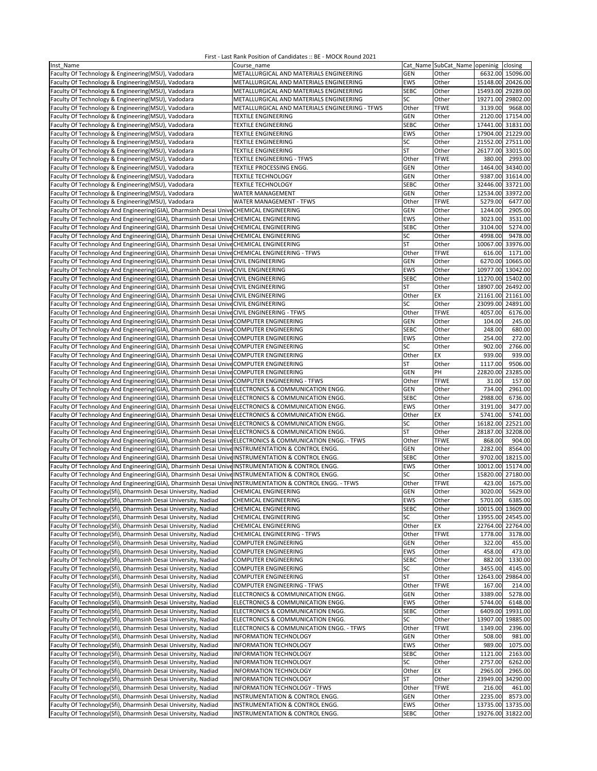| Inst Name                                                                                                  | Course name                                    |             | Cat Name SubCat Name openinig |                   | closing           |
|------------------------------------------------------------------------------------------------------------|------------------------------------------------|-------------|-------------------------------|-------------------|-------------------|
| Faculty Of Technology & Engineering(MSU), Vadodara                                                         | METALLURGICAL AND MATERIALS ENGINEERING        | GEN         | Other                         |                   | 6632.00 15096.00  |
|                                                                                                            |                                                |             |                               |                   |                   |
| Faculty Of Technology & Engineering(MSU), Vadodara                                                         | METALLURGICAL AND MATERIALS ENGINEERING        | <b>EWS</b>  | Other                         | 15148.00 20426.00 |                   |
| Faculty Of Technology & Engineering(MSU), Vadodara                                                         | METALLURGICAL AND MATERIALS ENGINEERING        | <b>SEBC</b> | Other                         | 15493.00 29289.00 |                   |
| Faculty Of Technology & Engineering(MSU), Vadodara                                                         | METALLURGICAL AND MATERIALS ENGINEERING        | SC          | Other                         | 19271.00 29802.00 |                   |
|                                                                                                            |                                                |             |                               |                   |                   |
| Faculty Of Technology & Engineering(MSU), Vadodara                                                         | METALLURGICAL AND MATERIALS ENGINEERING - TFWS | Other       | <b>TFWE</b>                   | 3139.00           | 9668.00           |
| Faculty Of Technology & Engineering(MSU), Vadodara                                                         | TEXTILE ENGINEERING                            | <b>GEN</b>  | Other                         |                   | 2120.00 17154.00  |
| Faculty Of Technology & Engineering(MSU), Vadodara                                                         | TEXTILE ENGINEERING                            | <b>SEBC</b> | Other                         | 17441.00 31831.00 |                   |
|                                                                                                            |                                                |             |                               |                   |                   |
| Faculty Of Technology & Engineering (MSU), Vadodara                                                        | TEXTILE ENGINEERING                            | <b>EWS</b>  | Other                         | 17904.00 21229.00 |                   |
| Faculty Of Technology & Engineering(MSU), Vadodara                                                         | TEXTILE ENGINEERING                            | SC          | Other                         | 21552.00 27511.00 |                   |
| Faculty Of Technology & Engineering(MSU), Vadodara                                                         | TEXTILE ENGINEERING                            | <b>ST</b>   | Other                         |                   | 26177.00 33015.00 |
|                                                                                                            |                                                |             |                               |                   |                   |
| Faculty Of Technology & Engineering(MSU), Vadodara                                                         | TEXTILE ENGINEERING - TFWS                     | Other       | <b>TFWE</b>                   | 380.00            | 2993.00           |
| Faculty Of Technology & Engineering(MSU), Vadodara                                                         | TEXTILE PROCESSING ENGG.                       | <b>GEN</b>  | Other                         | 1464.00           | 34340.00          |
| Faculty Of Technology & Engineering (MSU), Vadodara                                                        | <b>TEXTILE TECHNOLOGY</b>                      | <b>GEN</b>  | Other                         |                   | 9387.00 31614.00  |
|                                                                                                            |                                                |             |                               |                   |                   |
| Faculty Of Technology & Engineering(MSU), Vadodara                                                         | <b>TEXTILE TECHNOLOGY</b>                      | <b>SEBC</b> | Other                         | 32446.00          | 33721.00          |
| Faculty Of Technology & Engineering(MSU), Vadodara                                                         | <b>WATER MANAGEMENT</b>                        | GEN         | Other                         | 12534.00          | 33972.00          |
| Faculty Of Technology & Engineering(MSU), Vadodara                                                         | WATER MANAGEMENT - TFWS                        | Other       | <b>TFWE</b>                   | 5279.00           | 6477.00           |
|                                                                                                            |                                                |             |                               |                   |                   |
| Faculty Of Technology And Engineering(GIA), Dharmsinh Desai Unive CHEMICAL ENGINEERING                     |                                                | GEN         | Other                         | 1244.00           | 2905.00           |
| Faculty Of Technology And Engineering(GIA), Dharmsinh Desai Unive CHEMICAL ENGINEERING                     |                                                | <b>EWS</b>  | Other                         | 3023.00           | 3531.00           |
| Faculty Of Technology And Engineering(GIA), Dharmsinh Desai Unive CHEMICAL ENGINEERING                     |                                                | <b>SEBC</b> | Other                         | 3104.00           | 5274.00           |
|                                                                                                            |                                                |             |                               |                   |                   |
| Faculty Of Technology And Engineering(GIA), Dharmsinh Desai Unive CHEMICAL ENGINEERING                     |                                                | SC          | Other                         | 4998.00           | 9478.00           |
| Faculty Of Technology And Engineering(GIA), Dharmsinh Desai Unive CHEMICAL ENGINEERING                     |                                                | <b>ST</b>   | Other                         | 10067.00 33976.00 |                   |
|                                                                                                            |                                                |             | <b>TFWE</b>                   | 616.00            |                   |
| Faculty Of Technology And Engineering(GIA), Dharmsinh Desai Unive CHEMICAL ENGINEERING - TFWS              |                                                | Other       |                               |                   | 1171.00           |
| Faculty Of Technology And Engineering(GIA), Dharmsinh Desai Unive CIVIL ENGINEERING                        |                                                | <b>GEN</b>  | Other                         |                   | 6270.00 10665.00  |
| Faculty Of Technology And Engineering(GIA), Dharmsinh Desai Unive CIVIL ENGINEERING                        |                                                | <b>EWS</b>  | Other                         | 10977.00 13042.00 |                   |
|                                                                                                            |                                                | <b>SEBC</b> | Other                         | 11270.00          | 15402.00          |
| Faculty Of Technology And Engineering(GIA), Dharmsinh Desai Unive CIVIL ENGINEERING                        |                                                |             |                               |                   |                   |
| Faculty Of Technology And Engineering(GIA), Dharmsinh Desai Unive CIVIL ENGINEERING                        |                                                | ST          | Other                         | 18907.00 26492.00 |                   |
| Faculty Of Technology And Engineering(GIA), Dharmsinh Desai Unive CIVIL ENGINEERING                        |                                                | Other       | EX                            | 21161.00          | 21161.00          |
| Faculty Of Technology And Engineering(GIA), Dharmsinh Desai Unive CIVIL ENGINEERING                        |                                                | SC          | Other                         | 23099.00          | 24891.00          |
|                                                                                                            |                                                |             |                               |                   |                   |
| Faculty Of Technology And Engineering(GIA), Dharmsinh Desai UniveCIVIL ENGINEERING - TFWS                  |                                                | Other       | <b>TFWE</b>                   | 4057.00           | 6176.00           |
| Faculty Of Technology And Engineering(GIA), Dharmsinh Desai Unive COMPUTER ENGINEERING                     |                                                | GEN         | Other                         | 104.00            | 245.00            |
| Faculty Of Technology And Engineering(GIA), Dharmsinh Desai Unive COMPUTER ENGINEERING                     |                                                | <b>SEBC</b> | Other                         | 248.00            | 680.00            |
|                                                                                                            |                                                |             |                               |                   |                   |
| Faculty Of Technology And Engineering(GIA), Dharmsinh Desai Unive COMPUTER ENGINEERING                     |                                                | <b>EWS</b>  | Other                         | 254.00            | 272.00            |
| Faculty Of Technology And Engineering(GIA), Dharmsinh Desai Unive COMPUTER ENGINEERING                     |                                                | SC          | Other                         | 902.00            | 2766.00           |
| Faculty Of Technology And Engineering(GIA), Dharmsinh Desai Unive COMPUTER ENGINEERING                     |                                                | Other       | EX                            | 939.00            | 939.00            |
|                                                                                                            |                                                |             |                               |                   |                   |
| Faculty Of Technology And Engineering(GIA), Dharmsinh Desai Unive COMPUTER ENGINEERING                     |                                                | ST          | Other                         | 1117.00           | 9506.00           |
| Faculty Of Technology And Engineering(GIA), Dharmsinh Desai Unive COMPUTER ENGINEERING                     |                                                | <b>GEN</b>  | PH                            | 22820.00          | 23285.00          |
| Faculty Of Technology And Engineering(GIA), Dharmsinh Desai Unive COMPUTER ENGINEERING - TFWS              |                                                | Other       | <b>TFWE</b>                   | 31.00             | 157.00            |
|                                                                                                            |                                                |             |                               |                   |                   |
| Faculty Of Technology And Engineering(GIA), Dharmsinh Desai Unive ELECTRONICS & COMMUNICATION ENGG.        |                                                | GEN         | Other                         | 734.00            | 2961.00           |
| Faculty Of Technology And Engineering(GIA), Dharmsinh Desai Unive ELECTRONICS & COMMUNICATION ENGG.        |                                                | <b>SEBC</b> | Other                         | 2988.00           | 6736.00           |
| Faculty Of Technology And Engineering(GIA), Dharmsinh Desai Unive ELECTRONICS & COMMUNICATION ENGG.        |                                                | <b>EWS</b>  | Other                         | 3191.00           | 3477.00           |
|                                                                                                            |                                                |             |                               |                   |                   |
| Faculty Of Technology And Engineering(GIA), Dharmsinh Desai Unive ELECTRONICS & COMMUNICATION ENGG.        |                                                | Other       | EX                            | 5741.00           | 5741.00           |
| Faculty Of Technology And Engineering(GIA), Dharmsinh Desai Unive ELECTRONICS & COMMUNICATION ENGG.        |                                                | SC          | Other                         | 16182.00          | 22521.00          |
| Faculty Of Technology And Engineering(GIA), Dharmsinh Desai Unive ELECTRONICS & COMMUNICATION ENGG.        |                                                | <b>ST</b>   | Other                         | 28187.00          | 32208.00          |
|                                                                                                            |                                                |             |                               |                   |                   |
| Faculty Of Technology And Engineering(GIA), Dharmsinh Desai Unive ELECTRONICS & COMMUNICATION ENGG. - TFWS |                                                | Other       | <b>TFWE</b>                   | 868.00            | 904.00            |
| Faculty Of Technology And Engineering(GIA), Dharmsinh Desai Unive INSTRUMENTATION & CONTROL ENGG.          |                                                | GEN         | Other                         | 2282.00           | 8564.00           |
| Faculty Of Technology And Engineering(GIA), Dharmsinh Desai Unive INSTRUMENTATION & CONTROL ENGG.          |                                                | <b>SEBC</b> | Other                         |                   | 9702.00 18215.00  |
|                                                                                                            |                                                |             |                               | 10012.00 15174.00 |                   |
| Faculty Of Technology And Engineering(GIA), Dharmsinh Desai Unive INSTRUMENTATION & CONTROL ENGG.          |                                                | <b>EWS</b>  | Other                         |                   |                   |
| Faculty Of Technology And Engineering(GIA), Dharmsinh Desai Unive INSTRUMENTATION & CONTROL ENGG.          |                                                | SC          | Other                         | 15820.00 27180.00 |                   |
| Faculty Of Technology And Engineering(GIA), Dharmsinh Desai Unive INSTRUMENTATION & CONTROL ENGG. - TFWS   |                                                | Other       | <b>TFWE</b>                   | 423.00            | 1675.00           |
|                                                                                                            |                                                |             |                               |                   |                   |
| Faculty Of Technology(Sfi), Dharmsinh Desai University, Nadiad                                             | <b>CHEMICAL ENGINEERING</b>                    | GEN         | Other                         | 3020.00           | 5629.00           |
| Faculty Of Technology(Sfi), Dharmsinh Desai University, Nadiad                                             | <b>CHEMICAL ENGINEERING</b>                    | EWS         | Other                         | 5701.00           | 6385.00           |
| Faculty Of Technology(Sfi), Dharmsinh Desai University, Nadiad                                             | <b>CHEMICAL ENGINEERING</b>                    | <b>SEBC</b> | Other                         |                   | 10015.00 13609.00 |
| Faculty Of Technology(Sfi), Dharmsinh Desai University, Nadiad                                             | CHEMICAL ENGINEERING                           | SC          | Other                         |                   | 13955.00 24545.00 |
|                                                                                                            |                                                |             |                               |                   |                   |
| Faculty Of Technology(Sfi), Dharmsinh Desai University, Nadiad                                             | CHEMICAL ENGINEERING                           | Other       | EX                            |                   | 22764.00 22764.00 |
| Faculty Of Technology(Sfi), Dharmsinh Desai University, Nadiad                                             | CHEMICAL ENGINEERING - TFWS                    | Other       | <b>TFWE</b>                   | 1778.00           | 3178.00           |
| Faculty Of Technology(Sfi), Dharmsinh Desai University, Nadiad                                             | COMPUTER ENGINEERING                           | <b>GEN</b>  | Other                         | 322.00            | 455.00            |
|                                                                                                            |                                                |             |                               |                   |                   |
| Faculty Of Technology(Sfi), Dharmsinh Desai University, Nadiad                                             | COMPUTER ENGINEERING                           | EWS         | Other                         | 458.00            | 473.00            |
| Faculty Of Technology(Sfi), Dharmsinh Desai University, Nadiad                                             | <b>COMPUTER ENGINEERING</b>                    | <b>SEBC</b> | Other                         | 882.00            | 1330.00           |
| Faculty Of Technology(Sfi), Dharmsinh Desai University, Nadiad                                             | <b>COMPUTER ENGINEERING</b>                    | SC          | Other                         | 3455.00           | 4145.00           |
|                                                                                                            |                                                |             |                               |                   |                   |
| Faculty Of Technology(Sfi), Dharmsinh Desai University, Nadiad                                             | COMPUTER ENGINEERING                           | <b>ST</b>   | Other                         |                   | 12643.00 29864.00 |
| Faculty Of Technology(Sfi), Dharmsinh Desai University, Nadiad                                             | <b>COMPUTER ENGINEERING - TFWS</b>             | Other       | <b>TFWE</b>                   | 167.00            | 214.00            |
| Faculty Of Technology(Sfi), Dharmsinh Desai University, Nadiad                                             | ELECTRONICS & COMMUNICATION ENGG.              | GEN         | Other                         | 3389.00           | 5278.00           |
|                                                                                                            |                                                |             |                               |                   |                   |
| Faculty Of Technology(Sfi), Dharmsinh Desai University, Nadiad                                             | ELECTRONICS & COMMUNICATION ENGG.              | EWS         | Other                         | 5744.00           | 6148.00           |
| Faculty Of Technology(Sfi), Dharmsinh Desai University, Nadiad                                             | ELECTRONICS & COMMUNICATION ENGG.              | <b>SEBC</b> | Other                         | 6409.00           | 19931.00          |
| Faculty Of Technology(Sfi), Dharmsinh Desai University, Nadiad                                             | ELECTRONICS & COMMUNICATION ENGG.              | SC          | Other                         |                   | 13907.00 19885.00 |
|                                                                                                            |                                                |             |                               |                   |                   |
| Faculty Of Technology(Sfi), Dharmsinh Desai University, Nadiad                                             | ELECTRONICS & COMMUNICATION ENGG. - TFWS       | Other       | <b>TFWE</b>                   | 1349.00           | 2396.00           |
| Faculty Of Technology(Sfi), Dharmsinh Desai University, Nadiad                                             | INFORMATION TECHNOLOGY                         | <b>GEN</b>  | Other                         | 508.00            | 981.00            |
| Faculty Of Technology(Sfi), Dharmsinh Desai University, Nadiad                                             | INFORMATION TECHNOLOGY                         | EWS         | Other                         | 989.00            | 1075.00           |
|                                                                                                            |                                                |             |                               |                   |                   |
| Faculty Of Technology(Sfi), Dharmsinh Desai University, Nadiad                                             | INFORMATION TECHNOLOGY                         | <b>SEBC</b> | Other                         | 1121.00           | 2163.00           |
| Faculty Of Technology(Sfi), Dharmsinh Desai University, Nadiad                                             | INFORMATION TECHNOLOGY                         | SC          | Other                         | 2757.00           | 6262.00           |
| Faculty Of Technology(Sfi), Dharmsinh Desai University, Nadiad                                             | INFORMATION TECHNOLOGY                         | Other       | EX                            | 2965.00           | 2965.00           |
|                                                                                                            |                                                |             |                               |                   |                   |
| Faculty Of Technology(Sfi), Dharmsinh Desai University, Nadiad                                             | INFORMATION TECHNOLOGY                         | ST          | Other                         |                   | 23949.00 34290.00 |
| Faculty Of Technology(Sfi), Dharmsinh Desai University, Nadiad                                             | INFORMATION TECHNOLOGY - TFWS                  | Other       | <b>TFWE</b>                   | 216.00            | 461.00            |
| Faculty Of Technology(Sfi), Dharmsinh Desai University, Nadiad                                             | INSTRUMENTATION & CONTROL ENGG.                | GEN         | Other                         | 2235.00           | 8573.00           |
| Faculty Of Technology(Sfi), Dharmsinh Desai University, Nadiad                                             |                                                | EWS         | Other                         | 13735.00          | 13735.00          |
|                                                                                                            | INSTRUMENTATION & CONTROL ENGG.                |             |                               |                   |                   |
| Faculty Of Technology(Sfi), Dharmsinh Desai University, Nadiad                                             | INSTRUMENTATION & CONTROL ENGG.                | <b>SEBC</b> | Other                         |                   | 19276.00 31822.00 |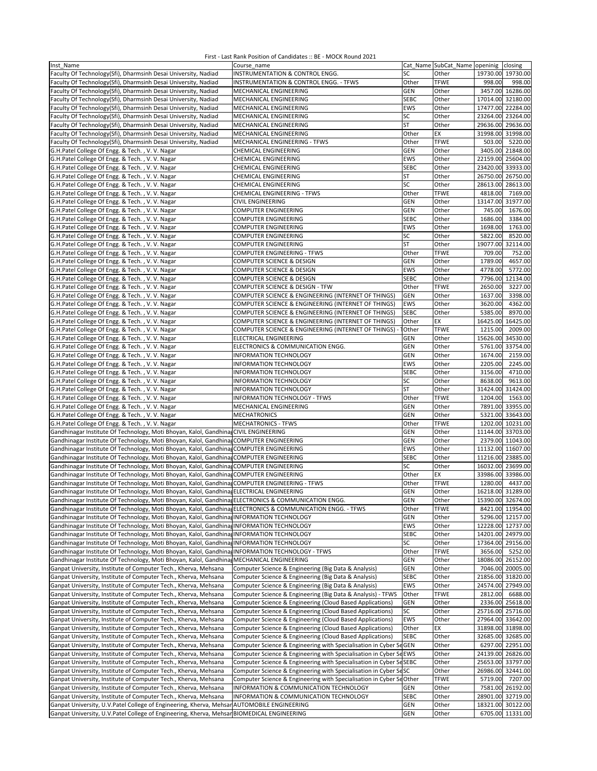| Inst Name                                                                                                   | Course name                                                         |             | Cat Name SubCat Name openinig | closing            |
|-------------------------------------------------------------------------------------------------------------|---------------------------------------------------------------------|-------------|-------------------------------|--------------------|
| Faculty Of Technology(Sfi), Dharmsinh Desai University, Nadiad                                              | INSTRUMENTATION & CONTROL ENGG.                                     | SC          | Other                         | 19730.00 19730.00  |
|                                                                                                             |                                                                     | Other       |                               |                    |
| Faculty Of Technology(Sfi), Dharmsinh Desai University, Nadiad                                              | INSTRUMENTATION & CONTROL ENGG. - TFWS                              |             | <b>TFWE</b>                   | 998.00<br>998.00   |
| Faculty Of Technology(Sfi), Dharmsinh Desai University, Nadiad                                              | MECHANICAL ENGINEERING                                              | <b>GEN</b>  | Other                         | 3457.00 16286.00   |
| Faculty Of Technology(Sfi), Dharmsinh Desai University, Nadiad                                              | MECHANICAL ENGINEERING                                              | <b>SEBC</b> | Other                         | 17014.00 32180.00  |
| Faculty Of Technology(Sfi), Dharmsinh Desai University, Nadiad                                              | MECHANICAL ENGINEERING                                              | EWS         | Other                         | 17477.00 22284.00  |
| Faculty Of Technology(Sfi), Dharmsinh Desai University, Nadiad                                              | MECHANICAL ENGINEERING                                              | SC          | Other                         | 23264.00 23264.00  |
|                                                                                                             | MECHANICAL ENGINEERING                                              |             |                               | 29636.00 29636.00  |
| Faculty Of Technology(Sfi), Dharmsinh Desai University, Nadiad                                              |                                                                     | <b>ST</b>   | Other                         |                    |
| Faculty Of Technology(Sfi), Dharmsinh Desai University, Nadiad                                              | MECHANICAL ENGINEERING                                              | Other       | EX                            | 31998.00 31998.00  |
| Faculty Of Technology(Sfi), Dharmsinh Desai University, Nadiad                                              | MECHANICAL ENGINEERING - TFWS                                       | Other       | <b>TFWE</b>                   | 5220.00<br>503.00  |
| G.H.Patel College Of Engg. & Tech., V.V. Nagar                                                              | <b>CHEMICAL ENGINEERING</b>                                         | <b>GEN</b>  | Other                         | 3405.00 21848.00   |
|                                                                                                             |                                                                     |             |                               |                    |
| G.H.Patel College Of Engg. & Tech., V. V. Nagar                                                             | CHEMICAL ENGINEERING                                                | EWS         | Other                         | 22159.00 25604.00  |
| G.H.Patel College Of Engg. & Tech., V.V. Nagar                                                              | <b>CHEMICAL ENGINEERING</b>                                         | <b>SEBC</b> | Other                         | 23420.00 33933.00  |
| G.H.Patel College Of Engg. & Tech., V. V. Nagar                                                             | CHEMICAL ENGINEERING                                                | <b>ST</b>   | Other                         | 26750.00 26750.00  |
| G.H.Patel College Of Engg. & Tech., V. V. Nagar                                                             | CHEMICAL ENGINEERING                                                | SC          | Other                         | 28613.00 28613.00  |
|                                                                                                             |                                                                     |             |                               |                    |
| G.H.Patel College Of Engg. & Tech., V. V. Nagar                                                             | CHEMICAL ENGINEERING - TFWS                                         | Other       | <b>TFWE</b>                   | 4818.00<br>7169.00 |
| G.H.Patel College Of Engg. & Tech., V. V. Nagar                                                             | <b>CIVIL ENGINEERING</b>                                            | <b>GEN</b>  | Other                         | 13147.00 31977.00  |
| G.H.Patel College Of Engg. & Tech., V.V. Nagar                                                              | <b>COMPUTER ENGINEERING</b>                                         | <b>GEN</b>  | Other                         | 745.00<br>1676.00  |
| G.H.Patel College Of Engg. & Tech., V. V. Nagar                                                             | <b>COMPUTER ENGINEERING</b>                                         | <b>SEBC</b> | Other                         | 1686.00<br>3384.00 |
|                                                                                                             |                                                                     |             |                               |                    |
| G.H.Patel College Of Engg. & Tech., V.V. Nagar                                                              | <b>COMPUTER ENGINEERING</b>                                         | EWS         | Other                         | 1698.00<br>1763.00 |
| G.H.Patel College Of Engg. & Tech., V. V. Nagar                                                             | <b>COMPUTER ENGINEERING</b>                                         | SC          | Other                         | 5822.00<br>8520.00 |
| G.H.Patel College Of Engg. & Tech., V. V. Nagar                                                             | COMPUTER ENGINEERING                                                | <b>ST</b>   | Other                         | 19077.00 32114.00  |
| G.H.Patel College Of Engg. & Tech., V. V. Nagar                                                             | <b>COMPUTER ENGINEERING - TFWS</b>                                  | Other       | <b>TFWE</b>                   | 709.00<br>752.00   |
|                                                                                                             |                                                                     |             |                               |                    |
| G.H.Patel College Of Engg. & Tech., V. V. Nagar                                                             | COMPUTER SCIENCE & DESIGN                                           | <b>GEN</b>  | Other                         | 4657.00<br>1789.00 |
| G.H.Patel College Of Engg. & Tech., V. V. Nagar                                                             | <b>COMPUTER SCIENCE &amp; DESIGN</b>                                | EWS         | Other                         | 4778.00<br>5772.00 |
| G.H.Patel College Of Engg. & Tech., V.V. Nagar                                                              | <b>COMPUTER SCIENCE &amp; DESIGN</b>                                | <b>SEBC</b> | Other                         | 7796.00 12134.00   |
| G.H.Patel College Of Engg. & Tech., V. V. Nagar                                                             | COMPUTER SCIENCE & DESIGN - TFW                                     | Other       | <b>TFWE</b>                   | 2650.00<br>3227.00 |
|                                                                                                             |                                                                     |             |                               |                    |
| G.H.Patel College Of Engg. & Tech., V. V. Nagar                                                             | COMPUTER SCIENCE & ENGINEERING (INTERNET OF THINGS)                 | <b>GEN</b>  | Other                         | 3398.00<br>1637.00 |
| G.H.Patel College Of Engg. & Tech., V. V. Nagar                                                             | COMPUTER SCIENCE & ENGINEERING (INTERNET OF THINGS)                 | EWS         | Other                         | 4362.00<br>3620.00 |
| G.H.Patel College Of Engg. & Tech., V. V. Nagar                                                             | COMPUTER SCIENCE & ENGINEERING (INTERNET OF THINGS)                 | <b>SEBC</b> | Other                         | 8970.00<br>5385.00 |
| G.H.Patel College Of Engg. & Tech., V.V. Nagar                                                              |                                                                     | Other       | EX                            | 16425.00 16425.00  |
|                                                                                                             | COMPUTER SCIENCE & ENGINEERING (INTERNET OF THINGS)                 |             |                               |                    |
| G.H.Patel College Of Engg. & Tech., V. V. Nagar                                                             | COMPUTER SCIENCE & ENGINEERING (INTERNET OF THINGS)                 | Other       | <b>TFWE</b>                   | 2009.00<br>1215.00 |
| G.H.Patel College Of Engg. & Tech., V. V. Nagar                                                             | ELECTRICAL ENGINEERING                                              | <b>GEN</b>  | Other                         | 15626.00 34530.00  |
| G.H.Patel College Of Engg. & Tech., V. V. Nagar                                                             | ELECTRONICS & COMMUNICATION ENGG.                                   | <b>GEN</b>  | Other                         | 5761.00 33754.00   |
|                                                                                                             |                                                                     | GEN         |                               | 2159.00            |
| G.H.Patel College Of Engg. & Tech., V. V. Nagar                                                             | <b>INFORMATION TECHNOLOGY</b>                                       |             | Other                         | 1674.00            |
| G.H.Patel College Of Engg. & Tech., V. V. Nagar                                                             | <b>INFORMATION TECHNOLOGY</b>                                       | <b>EWS</b>  | Other                         | 2205.00<br>2245.00 |
| G.H.Patel College Of Engg. & Tech., V. V. Nagar                                                             | INFORMATION TECHNOLOGY                                              | <b>SEBC</b> | Other                         | 4710.00<br>3156.00 |
| G.H.Patel College Of Engg. & Tech., V. V. Nagar                                                             | INFORMATION TECHNOLOGY                                              | SC          | Other                         | 8638.00<br>9613.00 |
|                                                                                                             |                                                                     |             |                               |                    |
| G.H.Patel College Of Engg. & Tech., V. V. Nagar                                                             | <b>INFORMATION TECHNOLOGY</b>                                       | <b>ST</b>   | Other                         | 31424.00 31424.00  |
| G.H.Patel College Of Engg. & Tech., V. V. Nagar                                                             | INFORMATION TECHNOLOGY - TFWS                                       | Other       | <b>TFWE</b>                   | 1204.00<br>1563.00 |
| G.H.Patel College Of Engg. & Tech., V. V. Nagar                                                             | MECHANICAL ENGINEERING                                              | <b>GEN</b>  | Other                         | 7891.00 33955.00   |
| G.H.Patel College Of Engg. & Tech., V. V. Nagar                                                             | <b>MECHATRONICS</b>                                                 | <b>GEN</b>  | Other                         | 5321.00 33643.00   |
|                                                                                                             |                                                                     |             |                               |                    |
| G.H.Patel College Of Engg. & Tech., V. V. Nagar                                                             | <b>MECHATRONICS - TFWS</b>                                          | Other       | <b>TFWE</b>                   | 1202.00 10231.00   |
| Gandhinagar Institute Of Technology, Moti Bhoyan, Kalol, Gandhina, CIVIL ENGINEERING                        |                                                                     | GEN         | Other                         | 11144.00 33703.00  |
| Gandhinagar Institute Of Technology, Moti Bhoyan, Kalol, Gandhina, COMPUTER ENGINEERING                     |                                                                     | GEN         | Other                         | 2379.00 11043.00   |
| Gandhinagar Institute Of Technology, Moti Bhoyan, Kalol, Gandhina, COMPUTER ENGINEERING                     |                                                                     | EWS         | Other                         | 11132.00 11607.00  |
|                                                                                                             |                                                                     |             |                               |                    |
| Gandhinagar Institute Of Technology, Moti Bhoyan, Kalol, Gandhina COMPUTER ENGINEERING                      |                                                                     | <b>SEBC</b> | Other                         | 11216.00 23885.00  |
| Gandhinagar Institute Of Technology, Moti Bhoyan, Kalol, Gandhina, COMPUTER ENGINEERING                     |                                                                     | SC          | Other                         | 16032.00 23699.00  |
| Gandhinagar Institute Of Technology, Moti Bhoyan, Kalol, Gandhina COMPUTER ENGINEERING                      |                                                                     | Other       | EX                            | 33986.00 33986.00  |
| Gandhinagar Institute Of Technology, Moti Bhoyan, Kalol, Gandhina, COMPUTER ENGINEERING - TFWS              |                                                                     | Other       | <b>TFWE</b>                   | 1280.00<br>4437.00 |
|                                                                                                             |                                                                     | GEN         |                               | 16218.00 31289.00  |
| Gandhinagar Institute Of Technology, Moti Bhoyan, Kalol, Gandhina, ELECTRICAL ENGINEERING                   |                                                                     |             | Other                         |                    |
| Gandhinagar Institute Of Technology, Moti Bhoyan, Kalol, Gandhina ELECTRONICS & COMMUNICATION ENGG.         |                                                                     | GEN         | Other                         | 15390.00 32674.00  |
| Gandhinagar Institute Of Technology, Moti Bhoyan, Kalol, Gandhina, ELECTRONICS & COMMUNICATION ENGG. - TFWS |                                                                     | Other       | <b>TFWE</b>                   | 8421.00 11954.00   |
| Gandhinagar Institute Of Technology, Moti Bhoyan, Kalol, Gandhina, INFORMATION TECHNOLOGY                   |                                                                     | <b>GEN</b>  | Other                         | 5296.00 12157.00   |
| Gandhinagar Institute Of Technology, Moti Bhoyan, Kalol, Gandhina, INFORMATION TECHNOLOGY                   |                                                                     | EWS         | Other                         | 12228.00 12737.00  |
|                                                                                                             |                                                                     |             |                               |                    |
| Gandhinagar Institute Of Technology, Moti Bhoyan, Kalol, Gandhina, INFORMATION TECHNOLOGY                   |                                                                     | <b>SEBC</b> | Other                         | 14201.00 24979.00  |
| Gandhinagar Institute Of Technology, Moti Bhoyan, Kalol, Gandhina, INFORMATION TECHNOLOGY                   |                                                                     | SC          | Other                         | 17364.00 29156.00  |
| Gandhinagar Institute Of Technology, Moti Bhoyan, Kalol, Gandhina INFORMATION TECHNOLOGY - TFWS             |                                                                     | Other       | <b>TFWE</b>                   | 3656.00 5252.00    |
| Gandhinagar Institute Of Technology, Moti Bhoyan, Kalol, Gandhina, MECHANICAL ENGINEERING                   |                                                                     | GEN         | Other                         | 18086.00 26152.00  |
|                                                                                                             |                                                                     |             |                               |                    |
| Ganpat University, Institute of Computer Tech., Kherva, Mehsana                                             | Computer Science & Engineering (Big Data & Analysis)                | <b>GEN</b>  | Other                         | 7046.00 20005.00   |
| Ganpat University, Institute of Computer Tech., Kherva, Mehsana                                             | Computer Science & Engineering (Big Data & Analysis)                | <b>SEBC</b> | Other                         | 21856.00 31820.00  |
| Ganpat University, Institute of Computer Tech., Kherva, Mehsana                                             | Computer Science & Engineering (Big Data & Analysis)                | EWS         | Other                         | 24574.00 27949.00  |
| Ganpat University, Institute of Computer Tech., Kherva, Mehsana                                             | Computer Science & Engineering (Big Data & Analysis) - TFWS         | Other       | <b>TFWE</b>                   | 2812.00<br>6688.00 |
|                                                                                                             |                                                                     |             |                               |                    |
| Ganpat University, Institute of Computer Tech., Kherva, Mehsana                                             | Computer Science & Engineering (Cloud Based Applications)           | <b>GEN</b>  | Other                         | 2336.00 25618.00   |
| Ganpat University, Institute of Computer Tech., Kherva, Mehsana                                             | Computer Science & Engineering (Cloud Based Applications)           | SC          | Other                         | 25716.00 25716.00  |
| Ganpat University, Institute of Computer Tech., Kherva, Mehsana                                             | Computer Science & Engineering (Cloud Based Applications)           | EWS         | Other                         | 27964.00 33642.00  |
| Ganpat University, Institute of Computer Tech., Kherva, Mehsana                                             | Computer Science & Engineering (Cloud Based Applications)           | Other       | EX                            | 31898.00 31898.00  |
|                                                                                                             |                                                                     |             |                               |                    |
| Ganpat University, Institute of Computer Tech., Kherva, Mehsana                                             | Computer Science & Engineering (Cloud Based Applications)           | <b>SEBC</b> | Other                         | 32685.00 32685.00  |
| Ganpat University, Institute of Computer Tech., Kherva, Mehsana                                             | Computer Science & Engineering with Specialisation in Cyber ScGEN   |             | Other                         | 6297.00 22951.00   |
| Ganpat University, Institute of Computer Tech., Kherva, Mehsana                                             | Computer Science & Engineering with Specialisation in Cyber SeEWS   |             | Other                         | 24139.00 26826.00  |
| Ganpat University, Institute of Computer Tech., Kherva, Mehsana                                             | Computer Science & Engineering with Specialisation in Cyber SeSEBC  |             | Other                         | 25653.00 33797.00  |
|                                                                                                             |                                                                     |             |                               |                    |
| Ganpat University, Institute of Computer Tech., Kherva, Mehsana                                             | Computer Science & Engineering with Specialisation in Cyber SeSC    |             | Other                         | 26986.00 32441.00  |
| Ganpat University, Institute of Computer Tech., Kherva, Mehsana                                             | Computer Science & Engineering with Specialisation in Cyber ScOther |             | <b>TFWE</b>                   | 5719.00<br>7207.00 |
| Ganpat University, Institute of Computer Tech., Kherva, Mehsana                                             | INFORMATION & COMMUNICATION TECHNOLOGY                              | <b>GEN</b>  | Other                         | 7581.00 26192.00   |
| Ganpat University, Institute of Computer Tech., Kherva, Mehsana                                             | INFORMATION & COMMUNICATION TECHNOLOGY                              | <b>SEBC</b> | Other                         | 28901.00 32719.00  |
|                                                                                                             |                                                                     |             |                               |                    |
| Ganpat University, U.V. Patel College of Engineering, Kherva, Mehsar                                        | <b>AUTOMOBILE ENGINEERING</b>                                       | <b>GEN</b>  | Other                         | 18321.00 30122.00  |
| Ganpat University, U.V.Patel College of Engineering, Kherva, Mehsar BIOMEDICAL ENGINEERING                  |                                                                     | GEN         | Other                         | 6705.00 11331.00   |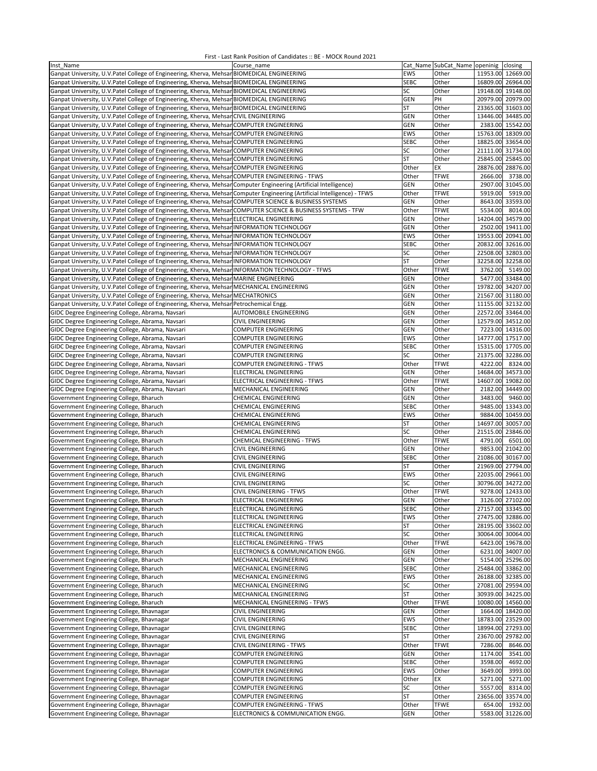| Inst Name                                                                                                                 | Course name                        |             | Cat Name SubCat Name openinig closing |                   |                   |
|---------------------------------------------------------------------------------------------------------------------------|------------------------------------|-------------|---------------------------------------|-------------------|-------------------|
| Ganpat University, U.V.Patel College of Engineering, Kherva, MehsanBIOMEDICAL ENGINEERING                                 |                                    | EWS         | Other                                 | 11953.00 12669.00 |                   |
| Ganpat University, U.V.Patel College of Engineering, Kherva, Mehsar BIOMEDICAL ENGINEERING                                |                                    | <b>SEBC</b> | Other                                 | 16809.00 26964.00 |                   |
| Ganpat University, U.V.Patel College of Engineering, Kherva, MehsanBIOMEDICAL ENGINEERING                                 |                                    | SC          | Other                                 | 19148.00 19148.00 |                   |
| Ganpat University, U.V.Patel College of Engineering, Kherva, MehsanBIOMEDICAL ENGINEERING                                 |                                    | <b>GEN</b>  | PH                                    |                   | 20979.00 20979.00 |
| Ganpat University, U.V.Patel College of Engineering, Kherva, MehsanBIOMEDICAL ENGINEERING                                 |                                    | ST          | Other                                 | 23365.00 31603.00 |                   |
| Ganpat University, U.V.Patel College of Engineering, Kherva, Mehsan CIVIL ENGINEERING                                     |                                    | GEN         | Other                                 | 13446.00 34485.00 |                   |
| Ganpat University, U.V.Patel College of Engineering, Kherva, Mehsan COMPUTER ENGINEERING                                  |                                    | GEN         | Other                                 |                   | 2383.00 15542.00  |
| Ganpat University, U.V.Patel College of Engineering, Kherva, MehsanCOMPUTER ENGINEERING                                   |                                    | <b>EWS</b>  | Other                                 | 15763.00          | 18309.00          |
|                                                                                                                           |                                    | <b>SEBC</b> | Other                                 | 18825.00 33654.00 |                   |
| Ganpat University, U.V.Patel College of Engineering, Kherva, Mehsan COMPUTER ENGINEERING                                  |                                    |             |                                       |                   |                   |
| Ganpat University, U.V.Patel College of Engineering, Kherva, Mehsan COMPUTER ENGINEERING                                  |                                    | SC          | Other                                 | 21111.00          | 31734.00          |
| Ganpat University, U.V. Patel College of Engineering, Kherva, Mehsan COMPUTER ENGINEERING                                 |                                    | ST          | Other                                 | 25845.00          | 25845.00          |
| Ganpat University, U.V.Patel College of Engineering, Kherva, Mehsar COMPUTER ENGINEERING                                  |                                    | Other       | EX                                    | 28876.00          | 28876.00          |
| Ganpat University, U.V.Patel College of Engineering, Kherva, Mehsar COMPUTER ENGINEERING - TFWS                           |                                    | Other       | <b>TFWE</b>                           | 2666.00           | 3738.00           |
| Ganpat University, U.V.Patel College of Engineering, Kherva, Mehsar Computer Engineering (Artificial Intelligence)        |                                    | GEN         | Other                                 | 2907.00           | 31045.00          |
| Ganpat University, U.V.Patel College of Engineering, Kherva, Mehsan Computer Engineering (Artificial Intelligence) - TFWS |                                    | Other       | <b>TFWE</b>                           | 5919.00           | 5919.00           |
| Ganpat University, U.V.Patel College of Engineering, Kherva, Mehsan COMPUTER SCIENCE & BUSINESS SYSTEMS                   |                                    | <b>GEN</b>  | Other                                 |                   | 8643.00 33593.00  |
| Ganpat University, U.V.Patel College of Engineering, Kherva, Mehsar COMPUTER SCIENCE & BUSINESS SYSTEMS - TFW             |                                    | Other       | <b>TFWE</b>                           | 5534.00           | 8014.00           |
| Ganpat University, U.V.Patel College of Engineering, Kherva, Mehsan ELECTRICAL ENGINEERING                                |                                    | GEN         | Other                                 | 14204.00          | 34579.00          |
| Ganpat University, U.V.Patel College of Engineering, Kherva, Mehsar INFORMATION TECHNOLOGY                                |                                    | GEN         | Other                                 | 2502.00           | 19411.00          |
| Ganpat University, U.V.Patel College of Engineering, Kherva, Mehsan INFORMATION TECHNOLOGY                                |                                    | <b>EWS</b>  | Other                                 | 19553.00 20941.00 |                   |
| Ganpat University, U.V.Patel College of Engineering, Kherva, Mehsar INFORMATION TECHNOLOGY                                |                                    | <b>SEBC</b> | Other                                 | 20832.00 32616.00 |                   |
|                                                                                                                           |                                    |             |                                       |                   |                   |
| Ganpat University, U.V.Patel College of Engineering, Kherva, Mehsar INFORMATION TECHNOLOGY                                |                                    | SC          | Other                                 | 22508.00 32803.00 |                   |
| Ganpat University, U.V.Patel College of Engineering, Kherva, Mehsan INFORMATION TECHNOLOGY                                |                                    | ST          | Other                                 | 32258.00 32258.00 |                   |
| Ganpat University, U.V.Patel College of Engineering, Kherva, Mehsan INFORMATION TECHNOLOGY - TFWS                         |                                    | Other       | <b>TFWE</b>                           | 3762.00           | 5149.00           |
| Ganpat University, U.V.Patel College of Engineering, Kherva, Mehsar MARINE ENGINEERING                                    |                                    | GEN         | Other                                 |                   | 5477.00 33484.00  |
| Ganpat University, U.V.Patel College of Engineering, Kherva, Mehsar MECHANICAL ENGINEERING                                |                                    | GEN         | Other                                 | 19782.00 34207.00 |                   |
| Ganpat University, U.V.Patel College of Engineering, Kherva, Mehsan MECHATRONICS                                          |                                    | <b>GEN</b>  | Other                                 | 21567.00 31180.00 |                   |
| Ganpat University, U.V.Patel College of Engineering, Kherva, Mehsar Petrochemical Engg.                                   |                                    | <b>GEN</b>  | Other                                 | 11155.00 32132.00 |                   |
| GIDC Degree Engineering College, Abrama, Navsari                                                                          | AUTOMOBILE ENGINEERING             | GEN         | Other                                 | 22572.00 33464.00 |                   |
| GIDC Degree Engineering College, Abrama, Navsari                                                                          | <b>CIVIL ENGINEERING</b>           | GEN         | Other                                 | 12579.00 34512.00 |                   |
| GIDC Degree Engineering College, Abrama, Navsari                                                                          | COMPUTER ENGINEERING               | <b>GEN</b>  | Other                                 |                   | 7223.00 14316.00  |
| GIDC Degree Engineering College, Abrama, Navsari                                                                          | COMPUTER ENGINEERING               | <b>EWS</b>  | Other                                 | 14777.00 17517.00 |                   |
| GIDC Degree Engineering College, Abrama, Navsari                                                                          | COMPUTER ENGINEERING               | <b>SEBC</b> | Other                                 | 15315.00 17705.00 |                   |
|                                                                                                                           |                                    | SC          |                                       |                   |                   |
| GIDC Degree Engineering College, Abrama, Navsari                                                                          | <b>COMPUTER ENGINEERING</b>        |             | Other                                 | 21375.00 32286.00 |                   |
| GIDC Degree Engineering College, Abrama, Navsari                                                                          | <b>COMPUTER ENGINEERING - TFWS</b> | Other       | <b>TFWE</b>                           | 4222.00           | 8324.00           |
| GIDC Degree Engineering College, Abrama, Navsari                                                                          | ELECTRICAL ENGINEERING             | GEN         | Other                                 | 14684.00          | 34573.00          |
| GIDC Degree Engineering College, Abrama, Navsari                                                                          | ELECTRICAL ENGINEERING - TFWS      | Other       | <b>TFWE</b>                           | 14607.00 19082.00 |                   |
| GIDC Degree Engineering College, Abrama, Navsari                                                                          | MECHANICAL ENGINEERING             | GEN         | Other                                 | 2182.00           | 34449.00          |
| Government Engineering College, Bharuch                                                                                   | CHEMICAL ENGINEERING               | GEN         | Other                                 | 3483.00           | 9460.00           |
| Government Engineering College, Bharuch                                                                                   | <b>CHEMICAL ENGINEERING</b>        | <b>SEBC</b> | Other                                 |                   | 9485.00 13343.00  |
| Government Engineering College, Bharuch                                                                                   | <b>CHEMICAL ENGINEERING</b>        | EWS         | Other                                 |                   | 9884.00 10459.00  |
| Government Engineering College, Bharuch                                                                                   | CHEMICAL ENGINEERING               | ST          | Other                                 | 14697.00          | 30057.00          |
| Government Engineering College, Bharuch                                                                                   | <b>CHEMICAL ENGINEERING</b>        | SC          | Other                                 | 21515.00          | 23846.00          |
| Government Engineering College, Bharuch                                                                                   | CHEMICAL ENGINEERING - TFWS        | Other       | <b>TFWE</b>                           | 4791.00           | 6501.00           |
| Government Engineering College, Bharuch                                                                                   | CIVIL ENGINEERING                  | GEN         | Other                                 | 9853.00           | 21042.00          |
| Government Engineering College, Bharuch                                                                                   | <b>CIVIL ENGINEERING</b>           | <b>SEBC</b> | Other                                 | 21086.00 30167.00 |                   |
| Government Engineering College, Bharuch                                                                                   | <b>CIVIL ENGINEERING</b>           | ST          | Other                                 | 21969.00 27794.00 |                   |
| Government Engineering College, Bharuch                                                                                   | <b>CIVIL ENGINEERING</b>           | <b>EWS</b>  | Other                                 | 22035.00 29661.00 |                   |
|                                                                                                                           |                                    |             |                                       |                   |                   |
| Government Engineering College, Bharuch                                                                                   | <b>CIVIL ENGINEERING</b>           | SC          | Other                                 | 30796.00          | 34272.00          |
| Government Engineering College, Bharuch                                                                                   | <b>CIVIL ENGINEERING - TFWS</b>    | Other       | <b>TFWE</b>                           |                   | 9278.00 12433.00  |
| Government Engineering College, Bharuch                                                                                   | ELECTRICAL ENGINEERING             | GEN         | Other                                 |                   | 3126.00 27102.00  |
| Government Engineering College, Bharuch                                                                                   | ELECTRICAL ENGINEERING             | <b>SEBC</b> | Other                                 |                   | 27157.00 33345.00 |
| Government Engineering College, Bharuch                                                                                   | ELECTRICAL ENGINEERING             | EWS         | Other                                 |                   | 27475.00 32886.00 |
| Government Engineering College, Bharuch                                                                                   | ELECTRICAL ENGINEERING             | ST          | Other                                 |                   | 28195.00 33602.00 |
| Government Engineering College, Bharuch                                                                                   | ELECTRICAL ENGINEERING             | SC          | Other                                 |                   | 30064.00 30064.00 |
| Government Engineering College, Bharuch                                                                                   | ELECTRICAL ENGINEERING - TFWS      | Other       | <b>TFWE</b>                           |                   | 6423.00 19678.00  |
| Government Engineering College, Bharuch                                                                                   | ELECTRONICS & COMMUNICATION ENGG.  | GEN         | Other                                 |                   | 6231.00 34007.00  |
| Government Engineering College, Bharuch                                                                                   | MECHANICAL ENGINEERING             | GEN         | Other                                 |                   | 5154.00 25296.00  |
| Government Engineering College, Bharuch                                                                                   | MECHANICAL ENGINEERING             | <b>SEBC</b> | Other                                 |                   | 25484.00 33862.00 |
| Government Engineering College, Bharuch                                                                                   | MECHANICAL ENGINEERING             | EWS         | Other                                 |                   | 26188.00 32385.00 |
| Government Engineering College, Bharuch                                                                                   | MECHANICAL ENGINEERING             | SC          | Other                                 |                   | 27081.00 29594.00 |
| Government Engineering College, Bharuch                                                                                   | MECHANICAL ENGINEERING             | <b>ST</b>   | Other                                 |                   | 30939.00 34225.00 |
|                                                                                                                           | MECHANICAL ENGINEERING - TFWS      | Other       | <b>TFWE</b>                           |                   | 10080.00 14560.00 |
| Government Engineering College, Bharuch                                                                                   |                                    |             |                                       |                   |                   |
| Government Engineering College, Bhavnagar                                                                                 | <b>CIVIL ENGINEERING</b>           | GEN         | Other                                 |                   | 1664.00 18420.00  |
| Government Engineering College, Bhavnagar                                                                                 | <b>CIVIL ENGINEERING</b>           | EWS         | Other                                 |                   | 18783.00 23529.00 |
| Government Engineering College, Bhavnagar                                                                                 | <b>CIVIL ENGINEERING</b>           | <b>SEBC</b> | Other                                 |                   | 18994.00 27293.00 |
| Government Engineering College, Bhavnagar                                                                                 | <b>CIVIL ENGINEERING</b>           | ST          | Other                                 | 23670.00          | 29782.00          |
| Government Engineering College, Bhavnagar                                                                                 | CIVIL ENGINEERING - TFWS           | Other       | <b>TFWE</b>                           | 7286.00           | 8646.00           |
| Government Engineering College, Bhavnagar                                                                                 | COMPUTER ENGINEERING               | GEN         | Other                                 | 1174.00           | 3541.00           |
| Government Engineering College, Bhavnagar                                                                                 | <b>COMPUTER ENGINEERING</b>        | <b>SEBC</b> | Other                                 | 3598.00           | 4692.00           |
| Government Engineering College, Bhavnagar                                                                                 | <b>COMPUTER ENGINEERING</b>        | EWS         | Other                                 | 3649.00           | 3993.00           |
| Government Engineering College, Bhavnagar                                                                                 | <b>COMPUTER ENGINEERING</b>        | Other       | EX                                    | 5271.00           | 5271.00           |
| Government Engineering College, Bhavnagar                                                                                 | <b>COMPUTER ENGINEERING</b>        | SC          | Other                                 | 5557.00           | 8314.00           |
| Government Engineering College, Bhavnagar                                                                                 | <b>COMPUTER ENGINEERING</b>        | <b>ST</b>   | Other                                 | 23656.00          | 33574.00          |
| Government Engineering College, Bhavnagar                                                                                 | <b>COMPUTER ENGINEERING - TFWS</b> | Other       | <b>TFWE</b>                           | 654.00            | 1932.00           |
| Government Engineering College, Bhavnagar                                                                                 | ELECTRONICS & COMMUNICATION ENGG.  | GEN         | Other                                 |                   | 5583.00 31226.00  |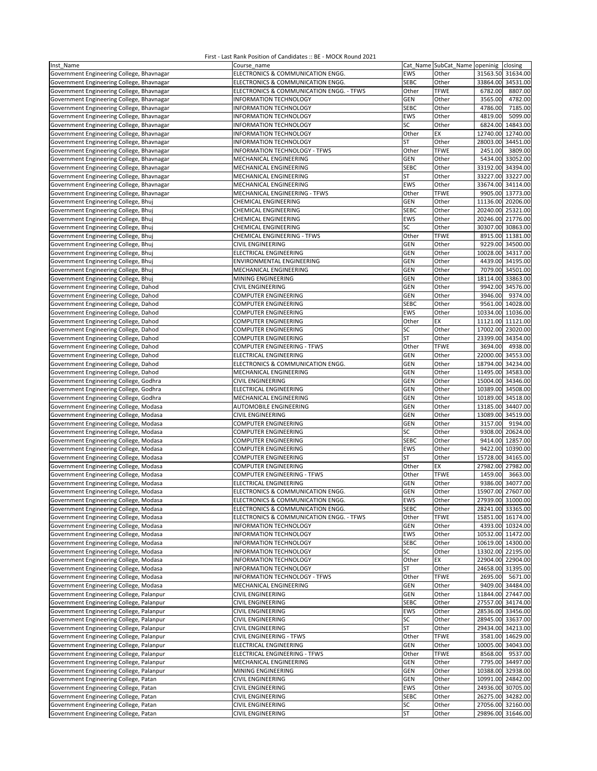| Inst Name                                 | Course name                              |             | Cat_Name SubCat_Name openinig closing |                   |                   |
|-------------------------------------------|------------------------------------------|-------------|---------------------------------------|-------------------|-------------------|
| Government Engineering College, Bhavnagar | ELECTRONICS & COMMUNICATION ENGG.        | EWS         | Other                                 | 31563.50 31634.00 |                   |
| Government Engineering College, Bhavnagar | ELECTRONICS & COMMUNICATION ENGG.        | <b>SEBC</b> | Other                                 | 33864.00 34531.00 |                   |
| Government Engineering College, Bhavnagar | ELECTRONICS & COMMUNICATION ENGG. - TFWS | Other       | <b>TFWE</b>                           | 6782.00           | 8807.00           |
| Government Engineering College, Bhavnagar | INFORMATION TECHNOLOGY                   | <b>GEN</b>  | Other                                 | 3565.00           | 4782.00           |
|                                           |                                          |             |                                       |                   |                   |
| Government Engineering College, Bhavnagar | INFORMATION TECHNOLOGY                   | <b>SEBC</b> | Other                                 | 4786.00           | 7185.00           |
| Government Engineering College, Bhavnagar | INFORMATION TECHNOLOGY                   | EWS         | Other                                 | 4819.00           | 5099.00           |
| Government Engineering College, Bhavnagar | <b>INFORMATION TECHNOLOGY</b>            | SC          | Other                                 | 6824.00           | 14843.00          |
| Government Engineering College, Bhavnagar | <b>INFORMATION TECHNOLOGY</b>            | Other       | EX                                    | 12740.00          | 12740.00          |
| Government Engineering College, Bhavnagar | INFORMATION TECHNOLOGY                   | ST          | Other                                 | 28003.00          | 34451.00          |
| Government Engineering College, Bhavnagar | <b>INFORMATION TECHNOLOGY - TFWS</b>     | Other       | <b>TFWE</b>                           | 2451.00           | 3809.00           |
| Government Engineering College, Bhavnagar | MECHANICAL ENGINEERING                   | <b>GEN</b>  | Other                                 | 5434.00           | 33052.00          |
| Government Engineering College, Bhavnagar | MECHANICAL ENGINEERING                   | <b>SEBC</b> | Other                                 | 33192.00 34394.00 |                   |
|                                           |                                          |             |                                       |                   |                   |
| Government Engineering College, Bhavnagar | MECHANICAL ENGINEERING                   | ST          | Other                                 | 33227.00 33227.00 |                   |
| Government Engineering College, Bhavnagar | MECHANICAL ENGINEERING                   | EWS         | Other                                 | 33674.00 34114.00 |                   |
| Government Engineering College, Bhavnagar | MECHANICAL ENGINEERING - TFWS            | Other       | <b>TFWE</b>                           |                   | 9905.00 13773.00  |
| Government Engineering College, Bhuj      | CHEMICAL ENGINEERING                     | <b>GEN</b>  | Other                                 | 11136.00 20206.00 |                   |
| Government Engineering College, Bhuj      | CHEMICAL ENGINEERING                     | <b>SEBC</b> | Other                                 | 20240.00 25321.00 |                   |
| Government Engineering College, Bhuj      | CHEMICAL ENGINEERING                     | EWS         | Other                                 | 20246.00 21776.00 |                   |
| Government Engineering College, Bhuj      | CHEMICAL ENGINEERING                     | SC          | Other                                 | 30307.00          | 30863.00          |
| Government Engineering College, Bhuj      | CHEMICAL ENGINEERING - TFWS              | Other       | <b>TFWE</b>                           |                   | 8915.00 11381.00  |
|                                           |                                          |             |                                       |                   |                   |
| Government Engineering College, Bhuj      | CIVIL ENGINEERING                        | <b>GEN</b>  | Other                                 |                   | 9229.00 34500.00  |
| Government Engineering College, Bhuj      | ELECTRICAL ENGINEERING                   | <b>GEN</b>  | Other                                 | 10028.00          | 34317.00          |
| Government Engineering College, Bhuj      | ENVIRONMENTAL ENGINEERING                | <b>GEN</b>  | Other                                 |                   | 4439.00 34195.00  |
| Government Engineering College, Bhuj      | MECHANICAL ENGINEERING                   | <b>GEN</b>  | Other                                 |                   | 7079.00 34501.00  |
| Government Engineering College, Bhuj      | MINING ENGINEERING                       | <b>GEN</b>  | Other                                 |                   | 18114.00 33863.00 |
| Government Engineering College, Dahod     | CIVIL ENGINEERING                        | <b>GEN</b>  | Other                                 |                   | 9942.00 34576.00  |
| Government Engineering College, Dahod     | COMPUTER ENGINEERING                     | GEN         | Other                                 | 3946.00           | 9374.00           |
| Government Engineering College, Dahod     | COMPUTER ENGINEERING                     | <b>SEBC</b> | Other                                 |                   | 9561.00 14028.00  |
| Government Engineering College, Dahod     | COMPUTER ENGINEERING                     | EWS         | Other                                 | 10334.00 11036.00 |                   |
|                                           |                                          |             |                                       |                   |                   |
| Government Engineering College, Dahod     | COMPUTER ENGINEERING                     | Other       | EX                                    | 11121.00 11121.00 |                   |
| Government Engineering College, Dahod     | <b>COMPUTER ENGINEERING</b>              | SC          | Other                                 | 17002.00          | 23020.00          |
| Government Engineering College, Dahod     | COMPUTER ENGINEERING                     | <b>ST</b>   | Other                                 | 23399.00          | 34354.00          |
| Government Engineering College, Dahod     | COMPUTER ENGINEERING - TFWS              | Other       | <b>TFWE</b>                           | 3694.00           | 4938.00           |
| Government Engineering College, Dahod     | <b>ELECTRICAL ENGINEERING</b>            | <b>GEN</b>  | Other                                 | 22000.00 34553.00 |                   |
| Government Engineering College, Dahod     | ELECTRONICS & COMMUNICATION ENGG.        | <b>GEN</b>  | Other                                 | 18794.00          | 34234.00          |
| Government Engineering College, Dahod     | MECHANICAL ENGINEERING                   | <b>GEN</b>  | Other                                 | 11495.00          | 34583.00          |
| Government Engineering College, Godhra    | CIVIL ENGINEERING                        | <b>GEN</b>  | Other                                 | 15004.00          | 34346.00          |
| Government Engineering College, Godhra    | ELECTRICAL ENGINEERING                   | GEN         | Other                                 | 10389.00 34508.00 |                   |
| Government Engineering College, Godhra    | MECHANICAL ENGINEERING                   | <b>GEN</b>  |                                       | 10189.00 34518.00 |                   |
|                                           |                                          |             | Other                                 |                   |                   |
| Government Engineering College, Modasa    | AUTOMOBILE ENGINEERING                   | <b>GEN</b>  | Other                                 | 13185.00 34407.00 |                   |
| Government Engineering College, Modasa    | CIVIL ENGINEERING                        | <b>GEN</b>  | Other                                 | 13089.00 34519.00 |                   |
| Government Engineering College, Modasa    | COMPUTER ENGINEERING                     | <b>GEN</b>  | Other                                 | 3157.00           | 9194.00           |
| Government Engineering College, Modasa    | COMPUTER ENGINEERING                     | SC          | Other                                 | 9308.00           | 20624.00          |
| Government Engineering College, Modasa    | COMPUTER ENGINEERING                     | <b>SEBC</b> | Other                                 | 9414.00           | 12857.00          |
| Government Engineering College, Modasa    | <b>COMPUTER ENGINEERING</b>              | <b>EWS</b>  | Other                                 |                   | 9422.00 10390.00  |
| Government Engineering College, Modasa    | COMPUTER ENGINEERING                     | <b>ST</b>   | Other                                 | 15728.00          | 34165.00          |
| Government Engineering College, Modasa    | COMPUTER ENGINEERING                     | Other       | EX                                    | 27982.00          | 27982.00          |
| Government Engineering College, Modasa    | COMPUTER ENGINEERING - TFWS              | Other       | <b>TFWE</b>                           | 1459.00           | 3663.00           |
|                                           |                                          |             |                                       |                   | 34077.00          |
| Government Engineering College, Modasa    | ELECTRICAL ENGINEERING                   | GEN         | Other                                 | 9386.00           |                   |
| Government Engineering College, Modasa    | ELECTRONICS & COMMUNICATION ENGG.        | <b>GEN</b>  | Other                                 | 15907.00 27607.00 |                   |
| Government Engineering College, Modasa    | ELECTRONICS & COMMUNICATION ENGG.        | EWS         | Other                                 |                   | 27939.00 31000.00 |
| Government Engineering College, Modasa    | ELECTRONICS & COMMUNICATION ENGG.        | <b>SEBC</b> | Other                                 | 28241.00 33365.00 |                   |
| Government Engineering College, Modasa    | ELECTRONICS & COMMUNICATION ENGG. - TFWS | Other       | <b>TFWE</b>                           | 15851.00 16174.00 |                   |
| Government Engineering College, Modasa    | INFORMATION TECHNOLOGY                   | GEN         | Other                                 |                   | 4393.00 10324.00  |
| Government Engineering College, Modasa    | INFORMATION TECHNOLOGY                   | EWS         | Other                                 |                   | 10532.00 11472.00 |
| Government Engineering College, Modasa    | INFORMATION TECHNOLOGY                   | <b>SEBC</b> | Other                                 |                   | 10619.00 14300.00 |
| Government Engineering College, Modasa    | INFORMATION TECHNOLOGY                   | SC          | Other                                 | 13302.00 22195.00 |                   |
| Government Engineering College, Modasa    | INFORMATION TECHNOLOGY                   | Other       | EX                                    | 22904.00 22904.00 |                   |
| Government Engineering College, Modasa    | <b>INFORMATION TECHNOLOGY</b>            |             |                                       | 24658.00 31395.00 |                   |
|                                           |                                          | ST          | Other                                 |                   |                   |
| Government Engineering College, Modasa    | INFORMATION TECHNOLOGY - TFWS            | Other       | <b>TFWE</b>                           | 2695.00           | 5671.00           |
| Government Engineering College, Modasa    | MECHANICAL ENGINEERING                   | <b>GEN</b>  | Other                                 |                   | 9409.00 34484.00  |
| Government Engineering College, Palanpur  | CIVIL ENGINEERING                        | <b>GEN</b>  | Other                                 | 11844.00 27447.00 |                   |
| Government Engineering College, Palanpur  | CIVIL ENGINEERING                        | <b>SEBC</b> | Other                                 | 27557.00 34174.00 |                   |
| Government Engineering College, Palanpur  | CIVIL ENGINEERING                        | EWS         | Other                                 | 28536.00 33456.00 |                   |
| Government Engineering College, Palanpur  | CIVIL ENGINEERING                        | SC          | Other                                 | 28945.00 33637.00 |                   |
| Government Engineering College, Palanpur  | CIVIL ENGINEERING                        | ST          | Other                                 | 29434.00 34213.00 |                   |
| Government Engineering College, Palanpur  | CIVIL ENGINEERING - TFWS                 | Other       | <b>TFWE</b>                           |                   | 3581.00 14629.00  |
| Government Engineering College, Palanpur  | ELECTRICAL ENGINEERING                   | <b>GEN</b>  | Other                                 |                   | 10005.00 34043.00 |
|                                           |                                          |             |                                       |                   |                   |
| Government Engineering College, Palanpur  | ELECTRICAL ENGINEERING - TFWS            | Other       | <b>TFWE</b>                           | 8568.00           | 9537.00           |
| Government Engineering College, Palanpur  | MECHANICAL ENGINEERING                   | <b>GEN</b>  | Other                                 |                   | 7795.00 34497.00  |
| Government Engineering College, Palanpur  | MINING ENGINEERING                       | <b>GEN</b>  | Other                                 |                   | 10388.00 32938.00 |
| Government Engineering College, Patan     | CIVIL ENGINEERING                        | <b>GEN</b>  | Other                                 |                   | 10991.00 24842.00 |
| Government Engineering College, Patan     | CIVIL ENGINEERING                        | EWS         | Other                                 |                   | 24936.00 30705.00 |
| Government Engineering College, Patan     | <b>CIVIL ENGINEERING</b>                 | <b>SEBC</b> | Other                                 |                   | 26275.00 34282.00 |
| Government Engineering College, Patan     | <b>CIVIL ENGINEERING</b>                 | SC          | Other                                 |                   | 27056.00 32160.00 |
| Government Engineering College, Patan     | CIVIL ENGINEERING                        | ST          | Other                                 |                   | 29896.00 31646.00 |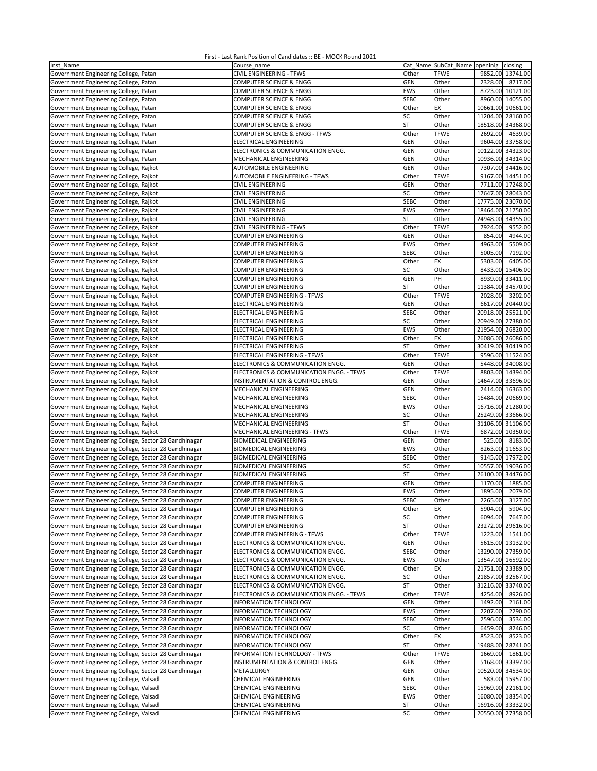| Inst Name                                             | Course name                                           |             |             | Cat_Name SubCat_Name openinig closing |
|-------------------------------------------------------|-------------------------------------------------------|-------------|-------------|---------------------------------------|
| Government Engineering College, Patan                 | CIVIL ENGINEERING - TFWS                              | Other       | TFWE        | 9852.00 13741.00                      |
| Government Engineering College, Patan                 | COMPUTER SCIENCE & ENGG                               | <b>GEN</b>  | Other       | 2328.00<br>8717.00                    |
| Government Engineering College, Patan                 | COMPUTER SCIENCE & ENGG                               | EWS         | Other       | 8723.00 10121.00                      |
| Government Engineering College, Patan                 | COMPUTER SCIENCE & ENGG                               | <b>SEBC</b> | Other       | 8960.00 14055.00                      |
| Government Engineering College, Patan                 | COMPUTER SCIENCE & ENGG                               | Other       | EX          | 10661.00 10661.00                     |
| Government Engineering College, Patan                 | COMPUTER SCIENCE & ENGG                               | SC          | Other       | 11204.00<br>28160.00                  |
| Government Engineering College, Patan                 | COMPUTER SCIENCE & ENGG                               | ST          | Other       | 18518.00<br>34368.00                  |
| Government Engineering College, Patan                 | COMPUTER SCIENCE & ENGG - TFWS                        | Other       | <b>TFWE</b> | 4639.00<br>2692.00                    |
| Government Engineering College, Patan                 | ELECTRICAL ENGINEERING                                | GEN         | Other       | 9604.00 33758.00                      |
| Government Engineering College, Patan                 | ELECTRONICS & COMMUNICATION ENGG.                     | GEN         | Other       | 10122.00<br>34323.00                  |
|                                                       | MECHANICAL ENGINEERING                                | GEN         | Other       | 10936.00<br>34314.00                  |
| Government Engineering College, Patan                 |                                                       |             | Other       |                                       |
| Government Engineering College, Rajkot                | AUTOMOBILE ENGINEERING                                | <b>GEN</b>  |             | 7307.00 34416.00                      |
| Government Engineering College, Rajkot                | AUTOMOBILE ENGINEERING - TFWS                         | Other       | <b>TFWE</b> | 9167.00 14451.00                      |
| Government Engineering College, Rajkot                | CIVIL ENGINEERING                                     | GEN         | Other       | 7711.00 17248.00                      |
| Government Engineering College, Rajkot                | CIVIL ENGINEERING                                     | SC          | Other       | 17647.00 28043.00                     |
| Government Engineering College, Rajkot                | CIVIL ENGINEERING                                     | <b>SEBC</b> | Other       | 17775.00 23070.00                     |
| Government Engineering College, Rajkot                | <b>CIVIL ENGINEERING</b>                              | <b>EWS</b>  | Other       | 18464.00<br>21750.00                  |
| Government Engineering College, Rajkot                | CIVIL ENGINEERING                                     | ST          | Other       | 24948.00<br>34355.00                  |
| Government Engineering College, Rajkot                | CIVIL ENGINEERING - TFWS                              | Other       | <b>TFWE</b> | 7924.00<br>9552.00                    |
| Government Engineering College, Rajkot                | <b>COMPUTER ENGINEERING</b>                           | GEN         | Other       | 854.00<br>4944.00                     |
| Government Engineering College, Rajkot                | <b>COMPUTER ENGINEERING</b>                           | EWS         | Other       | 5509.00<br>4963.00                    |
| Government Engineering College, Rajkot                | <b>COMPUTER ENGINEERING</b>                           | <b>SEBC</b> | Other       | 5005.00<br>7192.00                    |
| Government Engineering College, Rajkot                | <b>COMPUTER ENGINEERING</b>                           | Other       | EX          | 5303.00<br>6405.00                    |
| Government Engineering College, Rajkot                | <b>COMPUTER ENGINEERING</b>                           | SC          | Other       | 8433.00<br>15406.00                   |
| Government Engineering College, Rajkot                | COMPUTER ENGINEERING                                  | GEN         | PH          | 8939.00<br>33411.00                   |
| Government Engineering College, Rajkot                | <b>COMPUTER ENGINEERING</b>                           | <b>ST</b>   | Other       | 11384.00 34570.00                     |
| Government Engineering College, Rajkot                | COMPUTER ENGINEERING - TFWS                           | Other       | <b>TFWE</b> | 2028.00<br>3202.00                    |
| Government Engineering College, Rajkot                | ELECTRICAL ENGINEERING                                | GEN         | Other       | 6617.00 20440.00                      |
| Government Engineering College, Rajkot                | <b>ELECTRICAL ENGINEERING</b>                         | <b>SEBC</b> | Other       | 20918.00<br>25521.00                  |
| Government Engineering College, Rajkot                | <b>ELECTRICAL ENGINEERING</b>                         | SC          | Other       | 20949.00 27380.00                     |
| Government Engineering College, Rajkot                | ELECTRICAL ENGINEERING                                | <b>EWS</b>  | Other       | 26820.00<br>21954.00                  |
| Government Engineering College, Rajkot                | <b>ELECTRICAL ENGINEERING</b>                         | Other       | EX          | 26086.00<br>26086.00                  |
| Government Engineering College, Rajkot                | ELECTRICAL ENGINEERING                                | <b>ST</b>   | Other       | 30419.00 30419.00                     |
| Government Engineering College, Rajkot                | ELECTRICAL ENGINEERING - TFWS                         | Other       | <b>TFWE</b> | 9596.00 11524.00                      |
| Government Engineering College, Rajkot                | ELECTRONICS & COMMUNICATION ENGG.                     | GEN         | Other       | 5448.00<br>34008.00                   |
| Government Engineering College, Rajkot                | ELECTRONICS & COMMUNICATION ENGG. - TFWS              | Other       | <b>TFWE</b> | 8803.00 14394.00                      |
| Government Engineering College, Rajkot                | INSTRUMENTATION & CONTROL ENGG.                       | <b>GEN</b>  | Other       | 14647.00 33696.00                     |
| Government Engineering College, Rajkot                | MECHANICAL ENGINEERING                                | <b>GEN</b>  | Other       | 2414.00 16363.00                      |
| Government Engineering College, Rajkot                | MECHANICAL ENGINEERING                                | <b>SEBC</b> | Other       | 16484.00 20669.00                     |
| Government Engineering College, Rajkot                | MECHANICAL ENGINEERING                                | EWS         | Other       | 16716.00 21280.00                     |
| Government Engineering College, Rajkot                | MECHANICAL ENGINEERING                                | SC          | Other       | 25249.00 33666.00                     |
| Government Engineering College, Rajkot                | MECHANICAL ENGINEERING                                | ST          | Other       | 31106.00 31106.00                     |
| Government Engineering College, Rajkot                | MECHANICAL ENGINEERING - TFWS                         | Other       | <b>TFWE</b> | 6872.00<br>10350.00                   |
| Government Engineering College, Sector 28 Gandhinagar | <b>BIOMEDICAL ENGINEERING</b>                         | GEN         | Other       | 525.00<br>8183.00                     |
| Government Engineering College, Sector 28 Gandhinagar | <b>BIOMEDICAL ENGINEERING</b>                         | <b>EWS</b>  | Other       | 8263.00 11653.00                      |
| Government Engineering College, Sector 28 Gandhinagar | <b>BIOMEDICAL ENGINEERING</b>                         | <b>SEBC</b> | Other       | 9145.00 17972.00                      |
| Government Engineering College, Sector 28 Gandhinagar | <b>BIOMEDICAL ENGINEERING</b>                         | SC          | Other       | 10557.00 19036.00                     |
|                                                       |                                                       | <b>ST</b>   |             |                                       |
| Government Engineering College, Sector 28 Gandhinagar | <b>BIOMEDICAL ENGINEERING</b><br>COMPUTER ENGINEERING |             | Other       | 26100.00<br>34476.00                  |
| Government Engineering College, Sector 28 Gandhinagar |                                                       | <b>GEN</b>  | Other       | 1170.00<br>1885.00                    |
| Government Engineering College, Sector 28 Gandhinagar | COMPUTER ENGINEERING                                  | EWS         | Other       | 1895.00<br>2079.00                    |
| Government Engineering College, Sector 28 Gandhinagar | <b>COMPUTER ENGINEERING</b>                           | SEBC        | Other       | 2265.00 3127.00                       |
| Government Engineering College, Sector 28 Gandhinagar | <b>COMPUTER ENGINEERING</b>                           | Other       | EX          | 5904.00<br>5904.00                    |
| Government Engineering College, Sector 28 Gandhinagar | <b>COMPUTER ENGINEERING</b>                           | SC          | Other       | 6094.00<br>7647.00                    |
| Government Engineering College, Sector 28 Gandhinagar | COMPUTER ENGINEERING                                  | ST          | Other       | 23272.00 29616.00                     |
| Government Engineering College, Sector 28 Gandhinagar | COMPUTER ENGINEERING - TFWS                           | Other       | <b>TFWE</b> | 1223.00 1541.00                       |
| Government Engineering College, Sector 28 Gandhinagar | ELECTRONICS & COMMUNICATION ENGG.                     | <b>GEN</b>  | Other       | 5615.00 13132.00                      |
| Government Engineering College, Sector 28 Gandhinagar | ELECTRONICS & COMMUNICATION ENGG.                     | <b>SEBC</b> | Other       | 13290.00 27359.00                     |
| Government Engineering College, Sector 28 Gandhinagar | ELECTRONICS & COMMUNICATION ENGG.                     | EWS         | Other       | 13547.00 16592.00                     |
| Government Engineering College, Sector 28 Gandhinagar | ELECTRONICS & COMMUNICATION ENGG.                     | Other       | EX          | 21751.00 23389.00                     |
| Government Engineering College, Sector 28 Gandhinagar | ELECTRONICS & COMMUNICATION ENGG.                     | SC          | Other       | 21857.00<br>32567.00                  |
| Government Engineering College, Sector 28 Gandhinagar | ELECTRONICS & COMMUNICATION ENGG.                     | <b>ST</b>   | Other       | 31216.00<br>33740.00                  |
| Government Engineering College, Sector 28 Gandhinagar | ELECTRONICS & COMMUNICATION ENGG. - TFWS              | Other       | <b>TFWE</b> | 4254.00<br>8926.00                    |
| Government Engineering College, Sector 28 Gandhinagar | <b>INFORMATION TECHNOLOGY</b>                         | <b>GEN</b>  | Other       | 1492.00<br>2161.00                    |
| Government Engineering College, Sector 28 Gandhinagar | INFORMATION TECHNOLOGY                                | EWS         | Other       | 2207.00<br>2290.00                    |
| Government Engineering College, Sector 28 Gandhinagar | INFORMATION TECHNOLOGY                                | <b>SEBC</b> | Other       | 2596.00<br>3534.00                    |
| Government Engineering College, Sector 28 Gandhinagar | INFORMATION TECHNOLOGY                                | SC          | Other       | 8246.00<br>6459.00                    |
| Government Engineering College, Sector 28 Gandhinagar | INFORMATION TECHNOLOGY                                | Other       | EX          | 8523.00<br>8523.00                    |
| Government Engineering College, Sector 28 Gandhinagar | INFORMATION TECHNOLOGY                                | ST          | Other       | 19488.00<br>28741.00                  |
| Government Engineering College, Sector 28 Gandhinagar | <b>INFORMATION TECHNOLOGY - TFWS</b>                  | Other       | <b>TFWE</b> | 1861.00<br>1669.00                    |
| Government Engineering College, Sector 28 Gandhinagar | INSTRUMENTATION & CONTROL ENGG.                       | <b>GEN</b>  | Other       | 5168.00 33397.00                      |
| Government Engineering College, Sector 28 Gandhinagar | METALLURGY                                            | <b>GEN</b>  | Other       | 10520.00 34534.00                     |
| Government Engineering College, Valsad                | CHEMICAL ENGINEERING                                  | <b>GEN</b>  | Other       | 583.00 15957.00                       |
| Government Engineering College, Valsad                | CHEMICAL ENGINEERING                                  | <b>SEBC</b> | Other       | 15969.00 22161.00                     |
| Government Engineering College, Valsad                | CHEMICAL ENGINEERING                                  | EWS         | Other       | 16080.00 18354.00                     |
| Government Engineering College, Valsad                | CHEMICAL ENGINEERING                                  | ST          | Other       | 16916.00 33332.00                     |
| Government Engineering College, Valsad                | CHEMICAL ENGINEERING                                  | SC          | Other       | 20550.00 27358.00                     |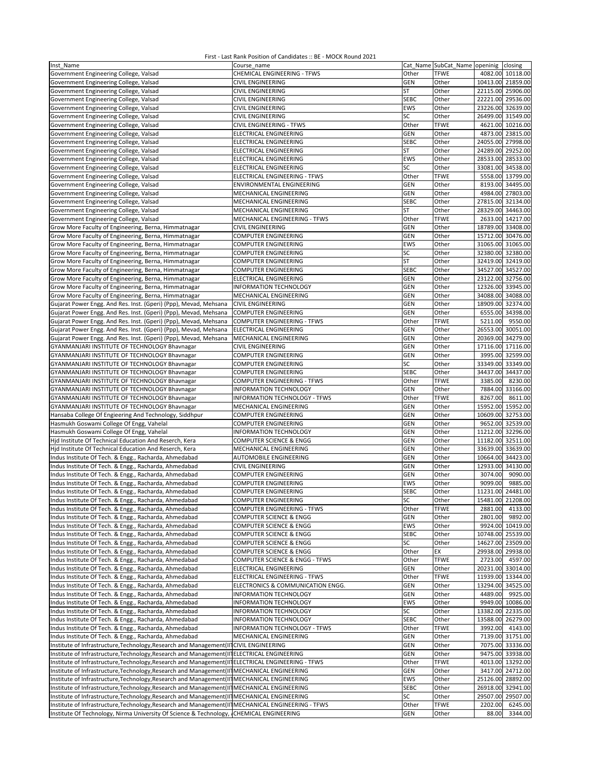| Inst Name                                                                                           | Course name                        |             | Cat Name SubCat Name openinig |                   | closing           |
|-----------------------------------------------------------------------------------------------------|------------------------------------|-------------|-------------------------------|-------------------|-------------------|
| Government Engineering College, Valsad                                                              | <b>CHEMICAL ENGINEERING - TFWS</b> | Other       | <b>TFWE</b>                   |                   | 4082.00 10118.00  |
|                                                                                                     |                                    |             |                               |                   |                   |
| Government Engineering College, Valsad                                                              | <b>CIVIL ENGINEERING</b>           | GEN         | Other                         |                   | 10413.00 21859.00 |
| Government Engineering College, Valsad                                                              | <b>CIVIL ENGINEERING</b>           | <b>ST</b>   | Other                         |                   | 22115.00 25906.00 |
| Government Engineering College, Valsad                                                              | CIVIL ENGINEERING                  | <b>SEBC</b> | Other                         |                   | 22221.00 29536.00 |
| Government Engineering College, Valsad                                                              | CIVIL ENGINEERING                  | EWS         | Other                         |                   | 23226.00 32639.00 |
| Government Engineering College, Valsad                                                              | CIVIL ENGINEERING                  | SC          | Other                         |                   | 26499.00 31549.00 |
|                                                                                                     | <b>CIVIL ENGINEERING - TFWS</b>    | Other       | <b>TFWE</b>                   |                   | 4621.00 10216.00  |
| Government Engineering College, Valsad                                                              |                                    |             |                               |                   |                   |
| Government Engineering College, Valsad                                                              | <b>ELECTRICAL ENGINEERING</b>      | <b>GEN</b>  | Other                         |                   | 4873.00 23815.00  |
| Government Engineering College, Valsad                                                              | <b>ELECTRICAL ENGINEERING</b>      | <b>SEBC</b> | Other                         |                   | 24055.00 27998.00 |
| Government Engineering College, Valsad                                                              | ELECTRICAL ENGINEERING             | <b>ST</b>   | Other                         |                   | 24289.00 29252.00 |
| Government Engineering College, Valsad                                                              | ELECTRICAL ENGINEERING             | EWS         | Other                         |                   | 28533.00 28533.00 |
|                                                                                                     | <b>ELECTRICAL ENGINEERING</b>      | SC          | Other                         |                   | 33081.00 34538.00 |
| Government Engineering College, Valsad                                                              |                                    |             |                               |                   |                   |
| Government Engineering College, Valsad                                                              | ELECTRICAL ENGINEERING - TFWS      | Other       | <b>TFWE</b>                   |                   | 5558.00 13799.00  |
| Government Engineering College, Valsad                                                              | ENVIRONMENTAL ENGINEERING          | GEN         | Other                         |                   | 8193.00 34495.00  |
| Government Engineering College, Valsad                                                              | MECHANICAL ENGINEERING             | <b>GEN</b>  | Other                         |                   | 4984.00 27803.00  |
| Government Engineering College, Valsad                                                              | MECHANICAL ENGINEERING             | <b>SEBC</b> | Other                         |                   | 27815.00 32134.00 |
|                                                                                                     |                                    |             |                               |                   |                   |
| Government Engineering College, Valsad                                                              | MECHANICAL ENGINEERING             | ST          | Other                         |                   | 28329.00 34463.00 |
| Government Engineering College, Valsad                                                              | MECHANICAL ENGINEERING - TFWS      | Other       | <b>TFWE</b>                   |                   | 2633.00 14217.00  |
| Grow More Faculty of Engineering, Berna, Himmatnagar                                                | <b>CIVIL ENGINEERING</b>           | <b>GEN</b>  | Other                         |                   | 18789.00 33408.00 |
| Grow More Faculty of Engineering, Berna, Himmatnagar                                                | COMPUTER ENGINEERING               | <b>GEN</b>  | Other                         |                   | 15712.00 30476.00 |
| Grow More Faculty of Engineering, Berna, Himmatnagar                                                | COMPUTER ENGINEERING               | EWS         | Other                         |                   | 31065.00 31065.00 |
|                                                                                                     |                                    |             |                               |                   |                   |
| Grow More Faculty of Engineering, Berna, Himmatnagar                                                | COMPUTER ENGINEERING               | SC          | Other                         |                   | 32380.00 32380.00 |
| Grow More Faculty of Engineering, Berna, Himmatnagar                                                | COMPUTER ENGINEERING               | <b>ST</b>   | Other                         |                   | 32419.00 32419.00 |
| Grow More Faculty of Engineering, Berna, Himmatnagar                                                | <b>COMPUTER ENGINEERING</b>        | <b>SEBC</b> | Other                         |                   | 34527.00 34527.00 |
| Grow More Faculty of Engineering, Berna, Himmatnagar                                                | ELECTRICAL ENGINEERING             | <b>GEN</b>  | Other                         | 23122.00 32756.00 |                   |
|                                                                                                     | INFORMATION TECHNOLOGY             | GEN         | Other                         |                   | 12326.00 33945.00 |
| Grow More Faculty of Engineering, Berna, Himmatnagar                                                |                                    |             |                               |                   |                   |
| Grow More Faculty of Engineering, Berna, Himmatnagar                                                | MECHANICAL ENGINEERING             | GEN         | Other                         |                   | 34088.00 34088.00 |
| Gujarat Power Engg. And Res. Inst. (Gperi) (Ppp), Mevad, Mehsana                                    | <b>CIVIL ENGINEERING</b>           | <b>GEN</b>  | Other                         |                   | 18909.00 32374.00 |
| Gujarat Power Engg. And Res. Inst. (Gperi) (Ppp), Mevad, Mehsana                                    | <b>COMPUTER ENGINEERING</b>        | <b>GEN</b>  | Other                         |                   | 6555.00 34398.00  |
| Gujarat Power Engg. And Res. Inst. (Gperi) (Ppp), Mevad, Mehsana                                    | <b>COMPUTER ENGINEERING - TFWS</b> | Other       | <b>TFWE</b>                   | 5211.00           | 9550.00           |
|                                                                                                     |                                    | <b>GEN</b>  | Other                         |                   | 26553.00 30051.00 |
| Gujarat Power Engg. And Res. Inst. (Gperi) (Ppp), Mevad, Mehsana                                    | ELECTRICAL ENGINEERING             |             |                               |                   |                   |
| Gujarat Power Engg. And Res. Inst. (Gperi) (Ppp), Mevad, Mehsana                                    | MECHANICAL ENGINEERING             | <b>GEN</b>  | Other                         |                   | 20369.00 34279.00 |
| GYANMANJARI INSTITUTE OF TECHNOLOGY Bhavnagar                                                       | CIVIL ENGINEERING                  | GEN         | Other                         |                   | 17116.00 17116.00 |
| GYANMANJARI INSTITUTE OF TECHNOLOGY Bhavnagar                                                       | COMPUTER ENGINEERING               | GEN         | Other                         |                   | 3995.00 32599.00  |
| GYANMANJARI INSTITUTE OF TECHNOLOGY Bhavnagar                                                       | COMPUTER ENGINEERING               | SC          | Other                         |                   | 33349.00 33349.00 |
|                                                                                                     |                                    | <b>SEBC</b> |                               |                   | 34437.00 34437.00 |
| GYANMANJARI INSTITUTE OF TECHNOLOGY Bhavnagar                                                       | COMPUTER ENGINEERING               |             | Other                         |                   |                   |
| GYANMANJARI INSTITUTE OF TECHNOLOGY Bhavnagar                                                       | COMPUTER ENGINEERING - TFWS        | Other       | <b>TFWE</b>                   | 3385.00           | 8230.00           |
| GYANMANJARI INSTITUTE OF TECHNOLOGY Bhavnagar                                                       | <b>INFORMATION TECHNOLOGY</b>      | <b>GEN</b>  | Other                         |                   | 7884.00 33166.00  |
| GYANMANJARI INSTITUTE OF TECHNOLOGY Bhavnagar                                                       | INFORMATION TECHNOLOGY - TFWS      | Other       | <b>TFWE</b>                   | 8267.00           | 8611.00           |
| GYANMANJARI INSTITUTE OF TECHNOLOGY Bhavnagar                                                       | MECHANICAL ENGINEERING             | <b>GEN</b>  | Other                         |                   | 15952.00 15952.00 |
|                                                                                                     |                                    | GEN         | Other                         |                   | 10609.00 32753.00 |
| Hansaba College Of Engieering And Technology, Siddhpur                                              | <b>COMPUTER ENGINEERING</b>        |             |                               |                   |                   |
| Hasmukh Goswami College Of Engg, Vahelal                                                            | COMPUTER ENGINEERING               | <b>GEN</b>  | Other                         |                   | 9652.00 32539.00  |
| Hasmukh Goswami College Of Engg, Vahelal                                                            | INFORMATION TECHNOLOGY             | <b>GEN</b>  | Other                         |                   | 11212.00 32296.00 |
| Hjd Institute Of Technical Education And Reserch, Kera                                              | COMPUTER SCIENCE & ENGG            | <b>GEN</b>  | Other                         |                   | 11182.00 32511.00 |
| Hjd Institute Of Technical Education And Reserch, Kera                                              | MECHANICAL ENGINEERING             | GEN         | Other                         |                   | 33639.00 33639.00 |
|                                                                                                     |                                    |             |                               |                   | 10664.00 34423.00 |
| Indus Institute Of Tech. & Engg., Racharda, Ahmedabad                                               | AUTOMOBILE ENGINEERING             | <b>GEN</b>  | Other                         |                   |                   |
| Indus Institute Of Tech. & Engg., Racharda, Ahmedabad                                               | <b>CIVIL ENGINEERING</b>           | <b>GEN</b>  | Other                         | 12933.00          | 34130.00          |
| Indus Institute Of Tech. & Engg., Racharda, Ahmedabad                                               | COMPUTER ENGINEERING               | GEN         | Other                         | 3074.00           | 9090.00           |
| Indus Institute Of Tech. & Engg., Racharda, Ahmedabad                                               | COMPUTER ENGINEERING               | EWS         | Other                         | 9099.00           | 9885.00           |
| Indus Institute Of Tech. & Engg., Racharda, Ahmedabad                                               | <b>COMPUTER ENGINEERING</b>        | <b>SEBC</b> | Other                         |                   | 11231.00 24481.00 |
| Indus Institute Of Tech. & Engg., Racharda, Ahmedabad                                               | <b>COMPUTER ENGINEERING</b>        |             |                               |                   |                   |
|                                                                                                     |                                    | SC          | Other                         |                   | 15481.00 21208.00 |
| Indus Institute Of Tech. & Engg., Racharda, Ahmedabad                                               | COMPUTER ENGINEERING - TFWS        | Other       | <b>TFWE</b>                   | 2881.00           | 4133.00           |
| Indus Institute Of Tech. & Engg., Racharda, Ahmedabad                                               | COMPUTER SCIENCE & ENGG            | <b>GEN</b>  | Other                         | 2801.00           | 9892.00           |
| Indus Institute Of Tech. & Engg., Racharda, Ahmedabad                                               | COMPUTER SCIENCE & ENGG            | EWS         | Other                         |                   | 9924.00 10419.00  |
| Indus Institute Of Tech. & Engg., Racharda, Ahmedabad                                               | COMPUTER SCIENCE & ENGG            | <b>SEBC</b> | Other                         |                   | 10748.00 25539.00 |
| Indus Institute Of Tech. & Engg., Racharda, Ahmedabad                                               | COMPUTER SCIENCE & ENGG            | SC          | Other                         |                   | 14627.00 23509.00 |
|                                                                                                     |                                    |             |                               |                   |                   |
| Indus Institute Of Tech. & Engg., Racharda, Ahmedabad                                               | COMPUTER SCIENCE & ENGG            | Other       | EX                            |                   | 29938.00 29938.00 |
| Indus Institute Of Tech. & Engg., Racharda, Ahmedabad                                               | COMPUTER SCIENCE & ENGG - TFWS     | Other       | <b>TFWE</b>                   |                   | 2723.00 4597.00   |
| Indus Institute Of Tech. & Engg., Racharda, Ahmedabad                                               | ELECTRICAL ENGINEERING             | <b>GEN</b>  | Other                         |                   | 20231.00 33014.00 |
| Indus Institute Of Tech. & Engg., Racharda, Ahmedabad                                               | ELECTRICAL ENGINEERING - TFWS      | Other       | <b>TFWE</b>                   |                   | 11939.00 13344.00 |
|                                                                                                     |                                    | GEN         |                               |                   | 13294.00 34525.00 |
| Indus Institute Of Tech. & Engg., Racharda, Ahmedabad                                               | ELECTRONICS & COMMUNICATION ENGG.  |             | Other                         |                   |                   |
| Indus Institute Of Tech. & Engg., Racharda, Ahmedabad                                               | <b>INFORMATION TECHNOLOGY</b>      | <b>GEN</b>  | Other                         |                   | 4489.00 9925.00   |
| Indus Institute Of Tech. & Engg., Racharda, Ahmedabad                                               | INFORMATION TECHNOLOGY             | EWS         | Other                         |                   | 9949.00 10086.00  |
| Indus Institute Of Tech. & Engg., Racharda, Ahmedabad                                               | <b>INFORMATION TECHNOLOGY</b>      | SC          | Other                         |                   | 13382.00 22335.00 |
| Indus Institute Of Tech. & Engg., Racharda, Ahmedabad                                               | <b>INFORMATION TECHNOLOGY</b>      | <b>SEBC</b> | Other                         |                   | 13588.00 26279.00 |
|                                                                                                     |                                    |             |                               |                   |                   |
| Indus Institute Of Tech. & Engg., Racharda, Ahmedabad                                               | INFORMATION TECHNOLOGY - TFWS      | Other       | <b>TFWE</b>                   |                   | 3992.00 4143.00   |
| Indus Institute Of Tech. & Engg., Racharda, Ahmedabad                                               | MECHANICAL ENGINEERING             | <b>GEN</b>  | Other                         |                   | 7139.00 31751.00  |
| Institute of Infrastructure, Technology, Research and Management (IITCIVIL ENGINEERING              |                                    | GEN         | Other                         |                   | 7075.00 33336.00  |
| Institute of Infrastructure, Technology, Research and Management (II ELECTRICAL ENGINEERING         |                                    | GEN         | Other                         |                   | 9475.00 33938.00  |
| Institute of Infrastructure, Technology, Research and Management (II] ELECTRICAL ENGINEERING - TFWS |                                    | Other       | <b>TFWE</b>                   |                   | 4013.00 13292.00  |
|                                                                                                     |                                    |             |                               |                   |                   |
| Institute of Infrastructure, Technology, Research and Management (II] MECHANICAL ENGINEERING        |                                    | <b>GEN</b>  | Other                         |                   | 3417.00 24712.00  |
| Institute of Infrastructure, Technology, Research and Management(II] MECHANICAL ENGINEERING         |                                    | EWS         | Other                         |                   | 25126.00 28892.00 |
| Institute of Infrastructure, Technology, Research and Management(II MECHANICAL ENGINEERING          |                                    | <b>SEBC</b> | Other                         |                   | 26918.00 32941.00 |
| Institute of Infrastructure, Technology, Research and Management (II] MECHANICAL ENGINEERING        |                                    | SC          | Other                         |                   | 29507.00 29507.00 |
| Institute of Infrastructure, Technology, Research and Management (II] MECHANICAL ENGINEERING - TFWS |                                    | Other       | <b>TFWE</b>                   | 2202.00           | 6245.00           |
|                                                                                                     |                                    |             |                               |                   |                   |
| Institute Of Technology, Nirma University Of Science & Technology, CHEMICAL ENGINEERING             |                                    | GEN         | Other                         | 88.00             | 3344.00           |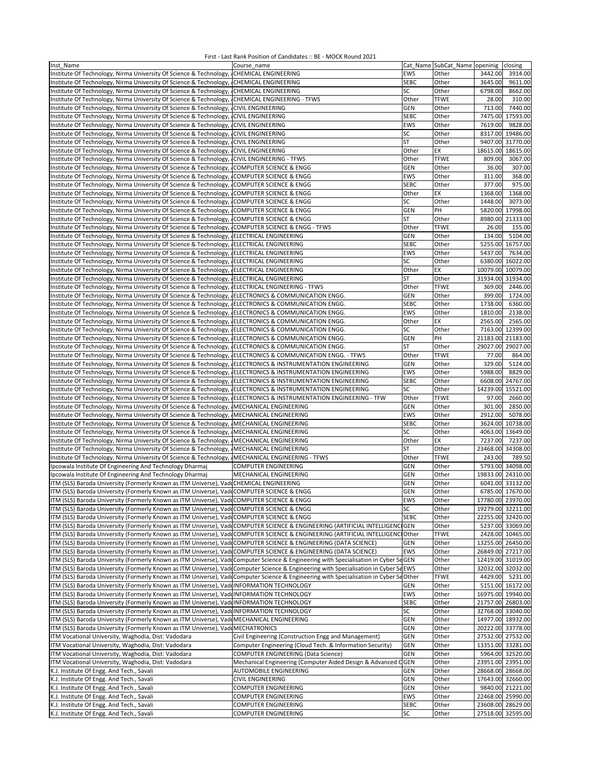| Inst Name                                                                                                                             | Course name                                                |             | Cat Name SubCat_Name openinig | closing              |
|---------------------------------------------------------------------------------------------------------------------------------------|------------------------------------------------------------|-------------|-------------------------------|----------------------|
| Institute Of Technology, Nirma University Of Science & Technology, ICHEMICAL ENGINEERING                                              |                                                            | EWS         | Other                         | 3442.00<br>3914.00   |
| Institute Of Technology, Nirma University Of Science & Technology, ICHEMICAL ENGINEERING                                              |                                                            | <b>SEBC</b> | Other                         | 3645.00<br>9611.00   |
| Institute Of Technology, Nirma University Of Science & Technology, CHEMICAL ENGINEERING                                               |                                                            | SC          | Other                         | 6798.00<br>8662.00   |
| Institute Of Technology, Nirma University Of Science & Technology, CHEMICAL ENGINEERING - TFWS                                        |                                                            | Other       | <b>TFWE</b>                   | 310.00<br>28.00      |
| Institute Of Technology, Nirma University Of Science & Technology, CIVIL ENGINEERING                                                  |                                                            | GEN         | Other                         | 713.00<br>7440.00    |
| Institute Of Technology, Nirma University Of Science & Technology, CIVIL ENGINEERING                                                  |                                                            | <b>SEBC</b> | Other                         | 7475.00<br>17593.00  |
| Institute Of Technology, Nirma University Of Science & Technology, ICIVIL ENGINEERING                                                 |                                                            | <b>EWS</b>  | Other                         | 7619.00<br>9828.00   |
| Institute Of Technology, Nirma University Of Science & Technology,                                                                    | <b>CIVIL ENGINEERING</b>                                   | SC          | Other                         | 8317.00<br>19486.00  |
| Institute Of Technology, Nirma University Of Science & Technology,                                                                    | <b>CIVIL ENGINEERING</b>                                   | ST          | Other                         | 9407.00 31770.00     |
| Institute Of Technology, Nirma University Of Science & Technology,                                                                    | <b>CIVIL ENGINEERING</b>                                   | Other       | EX                            | 18615.00<br>18615.00 |
| Institute Of Technology, Nirma University Of Science & Technology,                                                                    | <b>CIVIL ENGINEERING - TFWS</b>                            | Other       | <b>TFWE</b>                   | 809.00<br>3067.00    |
| Institute Of Technology, Nirma University Of Science & Technology,                                                                    | COMPUTER SCIENCE & ENGG                                    | GEN         | Other                         | 36.00<br>307.00      |
|                                                                                                                                       |                                                            |             |                               |                      |
| Institute Of Technology, Nirma University Of Science & Technology,                                                                    | COMPUTER SCIENCE & ENGG                                    | <b>EWS</b>  | Other                         | 311.00<br>368.00     |
| Institute Of Technology, Nirma University Of Science & Technology, COMPUTER SCIENCE & ENGG                                            |                                                            | <b>SEBC</b> | Other                         | 377.00<br>975.00     |
| Institute Of Technology, Nirma University Of Science & Technology,                                                                    | COMPUTER SCIENCE & ENGG                                    | Other       | EX                            | 1368.00<br>1368.00   |
| Institute Of Technology, Nirma University Of Science & Technology, COMPUTER SCIENCE & ENGG                                            |                                                            | SC          | Other                         | 3073.00<br>1448.00   |
| Institute Of Technology, Nirma University Of Science & Technology, COMPUTER SCIENCE & ENGG                                            |                                                            | <b>GEN</b>  | PH                            | 5820.00 17998.00     |
| Institute Of Technology, Nirma University Of Science & Technology, COMPUTER SCIENCE & ENGG                                            |                                                            | ST          | Other                         | 8980.00<br>21333.00  |
| Institute Of Technology, Nirma University Of Science & Technology, COMPUTER SCIENCE & ENGG - TFWS                                     |                                                            | Other       | <b>TFWE</b>                   | 155.00<br>26.00      |
| Institute Of Technology, Nirma University Of Science & Technology, JELECTRICAL ENGINEERING                                            |                                                            | GEN         | Other                         | 134.00<br>5104.00    |
| Institute Of Technology, Nirma University Of Science & Technology, JELECTRICAL ENGINEERING                                            |                                                            | <b>SEBC</b> | Other                         | 5255.00<br>16757.00  |
| Institute Of Technology, Nirma University Of Science & Technology,                                                                    | <b>ELECTRICAL ENGINEERING</b>                              | EWS         | Other                         | 5437.00<br>7634.00   |
| Institute Of Technology, Nirma University Of Science & Technology, ELECTRICAL ENGINEERING                                             |                                                            | SC          | Other                         | 6380.00<br>16022.00  |
| Institute Of Technology, Nirma University Of Science & Technology,                                                                    | ELECTRICAL ENGINEERING                                     | Other       | EX                            | 10079.00 10079.00    |
| Institute Of Technology, Nirma University Of Science & Technology,                                                                    | ELECTRICAL ENGINEERING                                     | ST          | Other                         | 31934.00 31934.00    |
| Institute Of Technology, Nirma University Of Science & Technology, JELECTRICAL ENGINEERING - TFWS                                     |                                                            | Other       | <b>TFWE</b>                   | 369.00<br>2446.00    |
| Institute Of Technology, Nirma University Of Science & Technology, JELECTRONICS & COMMUNICATION ENGG.                                 |                                                            | <b>GEN</b>  | Other                         | 1724.00<br>399.00    |
| Institute Of Technology, Nirma University Of Science & Technology, JELECTRONICS & COMMUNICATION ENGG.                                 |                                                            | <b>SEBC</b> | Other                         | 1738.00<br>6360.00   |
| Institute Of Technology, Nirma University Of Science & Technology, JELECTRONICS & COMMUNICATION ENGG.                                 |                                                            | EWS         | Other                         | 1810.00<br>2138.00   |
| Institute Of Technology, Nirma University Of Science & Technology, JELECTRONICS & COMMUNICATION ENGG.                                 |                                                            | Other       | EX                            | 2565.00<br>2565.00   |
| Institute Of Technology, Nirma University Of Science & Technology, JELECTRONICS & COMMUNICATION ENGG.                                 |                                                            | SC          | Other                         | 7163.00<br>12399.00  |
| Institute Of Technology, Nirma University Of Science & Technology, JELECTRONICS & COMMUNICATION ENGG.                                 |                                                            | GEN         | PH                            | 21183.00 21183.00    |
| Institute Of Technology, Nirma University Of Science & Technology, JELECTRONICS & COMMUNICATION ENGG.                                 |                                                            | <b>ST</b>   | Other                         | 29027.00 29027.00    |
| Institute Of Technology, Nirma University Of Science & Technology,                                                                    | ELECTRONICS & COMMUNICATION ENGG. - TFWS                   | Other       | <b>TFWE</b>                   | 77.00<br>864.00      |
| Institute Of Technology, Nirma University Of Science & Technology,                                                                    | ELECTRONICS & INSTRUMENTATION ENGINEERING                  | GEN         | Other                         | 329.00<br>5124.00    |
| Institute Of Technology, Nirma University Of Science & Technology,                                                                    | ELECTRONICS & INSTRUMENTATION ENGINEERING                  | <b>EWS</b>  | Other                         | 5988.00<br>8829.00   |
| Institute Of Technology, Nirma University Of Science & Technology,                                                                    | ELECTRONICS & INSTRUMENTATION ENGINEERING                  | <b>SEBC</b> | Other                         | 6608.00<br>24767.00  |
| Institute Of Technology, Nirma University Of Science & Technology,                                                                    | ELECTRONICS & INSTRUMENTATION ENGINEERING                  | SC          | Other                         | 14239.00<br>15521.00 |
| Institute Of Technology, Nirma University Of Science & Technology, JELECTRONICS & INSTRUMENTATION ENGINEERING - TFW                   |                                                            | Other       | <b>TFWE</b>                   | 97.00<br>2660.00     |
| Institute Of Technology, Nirma University Of Science & Technology, IMECHANICAL ENGINEERING                                            |                                                            | <b>GEN</b>  | Other                         | 301.00<br>2850.00    |
| Institute Of Technology, Nirma University Of Science & Technology, IMECHANICAL ENGINEERING                                            |                                                            | EWS         | Other                         | 5078.00<br>2912.00   |
| Institute Of Technology, Nirma University Of Science & Technology, IMECHANICAL ENGINEERING                                            |                                                            | <b>SEBC</b> | Other                         | 3624.00<br>10738.00  |
| Institute Of Technology, Nirma University Of Science & Technology, MECHANICAL ENGINEERING                                             |                                                            | SC          | Other                         | 4063.00<br>13649.00  |
| Institute Of Technology, Nirma University Of Science & Technology, IMECHANICAL ENGINEERING                                            |                                                            | Other       | EX                            | 7237.00<br>7237.00   |
| Institute Of Technology, Nirma University Of Science & Technology,                                                                    | MECHANICAL ENGINEERING                                     | <b>ST</b>   | Other                         | 23468.00<br>34308.00 |
| Institute Of Technology, Nirma University Of Science & Technology,                                                                    | MECHANICAL ENGINEERING - TFWS                              | Other       | <b>TFWE</b>                   | 243.00<br>789.50     |
| Ipcowala Institute Of Engineering And Technology Dharmaj                                                                              | <b>COMPUTER ENGINEERING</b>                                | GEN         | Other                         | 5793.00 34098.00     |
| Ipcowala Institute Of Engineering And Technology Dharmaj                                                                              | MECHANICAL ENGINEERING                                     | GEN         | Other                         | 19833.00 24310.00    |
| ITM (SLS) Baroda University (Formerly Known as ITM Universe), Vad CHEMICAL ENGINEERING                                                |                                                            | GEN         | Other                         | 6041.00 33132.00     |
| ITM (SLS) Baroda University (Formerly Known as ITM Universe), Vad COMPUTER SCIENCE & ENGG                                             |                                                            | <b>GEN</b>  | Other                         | 6785.00 17670.00     |
| ITM (SLS) Baroda University (Formerly Known as ITM Universe), Vad COMPUTER SCIENCE & ENGG                                             |                                                            | EWS         | Other                         | 17780.00 23970.00    |
| ITM (SLS) Baroda University (Formerly Known as ITM Universe), Vad COMPUTER SCIENCE & ENGG                                             |                                                            | SC          | Other                         | 19279.00 32211.00    |
| ITM (SLS) Baroda University (Formerly Known as ITM Universe), Vad COMPUTER SCIENCE & ENGG                                             |                                                            | <b>SEBC</b> | Other                         | 22255.00 32420.00    |
| ITM (SLS) Baroda University (Formerly Known as ITM Universe), Vad COMPUTER SCIENCE & ENGINEERING (ARTIFICIAL INTELLIGENCIGEN          |                                                            |             | Other                         | 5237.00 33069.00     |
| ITM (SLS) Baroda University (Formerly Known as ITM Universe), Vad COMPUTER SCIENCE & ENGINEERING (ARTIFICIAL INTELLIGENC Other        |                                                            |             | <b>TFWE</b>                   | 2428.00 10465.00     |
| ITM (SLS) Baroda University (Formerly Known as ITM Universe), Vad COMPUTER SCIENCE & ENGINEERING (DATA SCIENCE)                       |                                                            | <b>GEN</b>  | Other                         | 13255.00 26450.00    |
| ITM (SLS) Baroda University (Formerly Known as ITM Universe), Vad COMPUTER SCIENCE & ENGINEERING (DATA SCIENCE)                       |                                                            | <b>EWS</b>  | Other                         | 26849.00 27217.00    |
| ITM (SLS) Baroda University (Formerly Known as ITM Universe), Vad Computer Science & Engineering with Specialisation in Cyber SeGEN   |                                                            |             | Other                         | 12419.00 31019.00    |
| ITM (SLS) Baroda University (Formerly Known as ITM Universe), Vad Computer Science & Engineering with Specialisation in Cyber SeEWS   |                                                            |             | Other                         | 32032.00 32032.00    |
| ITM (SLS) Baroda University (Formerly Known as ITM Universe), Vad Computer Science & Engineering with Specialisation in Cyber SdOther |                                                            |             | <b>TFWE</b>                   | 4429.00<br>5231.00   |
| ITM (SLS) Baroda University (Formerly Known as ITM Universe), Vad INFORMATION TECHNOLOGY                                              |                                                            | <b>GEN</b>  | Other                         | 5151.00 16172.00     |
| ITM (SLS) Baroda University (Formerly Known as ITM Universe), VaddINFORMATION TECHNOLOGY                                              |                                                            | EWS         | Other                         | 16975.00 19940.00    |
| ITM (SLS) Baroda University (Formerly Known as ITM Universe), Vad INFORMATION TECHNOLOGY                                              |                                                            | <b>SEBC</b> | Other                         | 21757.00 26803.00    |
| ITM (SLS) Baroda University (Formerly Known as ITM Universe), Vad INFORMATION TECHNOLOGY                                              |                                                            | SC          | Other                         | 32768.00 33040.00    |
| ITM (SLS) Baroda University (Formerly Known as ITM Universe), Vad MECHANICAL ENGINEERING                                              |                                                            | <b>GEN</b>  | Other                         | 14977.00 18932.00    |
| ITM (SLS) Baroda University (Formerly Known as ITM Universe), Vad MECHATRONICS                                                        |                                                            | <b>GEN</b>  | Other                         | 20222.00 33778.00    |
| ITM Vocational University, Waghodia, Dist: Vadodara                                                                                   | Civil Engineering (Construction Engg and Management)       | <b>GEN</b>  | Other                         | 27532.00 27532.00    |
| ITM Vocational University, Waghodia, Dist: Vadodara                                                                                   | Computer Engineering (Cloud Tech. & Information Security)  | <b>GEN</b>  | Other                         | 13351.00 33281.00    |
| ITM Vocational University, Waghodia, Dist: Vadodara                                                                                   | COMPUTER ENGINEERING (Data Science)                        | GEN         | Other                         | 5964.00 32520.00     |
| ITM Vocational University, Waghodia, Dist: Vadodara                                                                                   | Mechanical Engineering (Computer Aided Design & Advanced C | <b>GEN</b>  | Other                         | 23951.00 23951.00    |
| K.J. Institute Of Engg. And Tech., Savali                                                                                             | AUTOMOBILE ENGINEERING                                     | <b>GEN</b>  | Other                         | 28668.00 28668.00    |
| K.J. Institute Of Engg. And Tech., Savali                                                                                             | <b>CIVIL ENGINEERING</b>                                   | <b>GEN</b>  | Other                         | 17643.00 32660.00    |
| K.J. Institute Of Engg. And Tech., Savali                                                                                             | <b>COMPUTER ENGINEERING</b>                                | <b>GEN</b>  | Other                         | 9840.00 21221.00     |
| K.J. Institute Of Engg. And Tech., Savali                                                                                             | <b>COMPUTER ENGINEERING</b>                                | EWS         | Other                         | 22468.00 25990.00    |
| K.J. Institute Of Engg. And Tech., Savali                                                                                             | COMPUTER ENGINEERING                                       | <b>SEBC</b> | Other                         | 23608.00 28629.00    |
| K.J. Institute Of Engg. And Tech., Savali                                                                                             | COMPUTER ENGINEERING                                       | SC          | Other                         | 27518.00 32595.00    |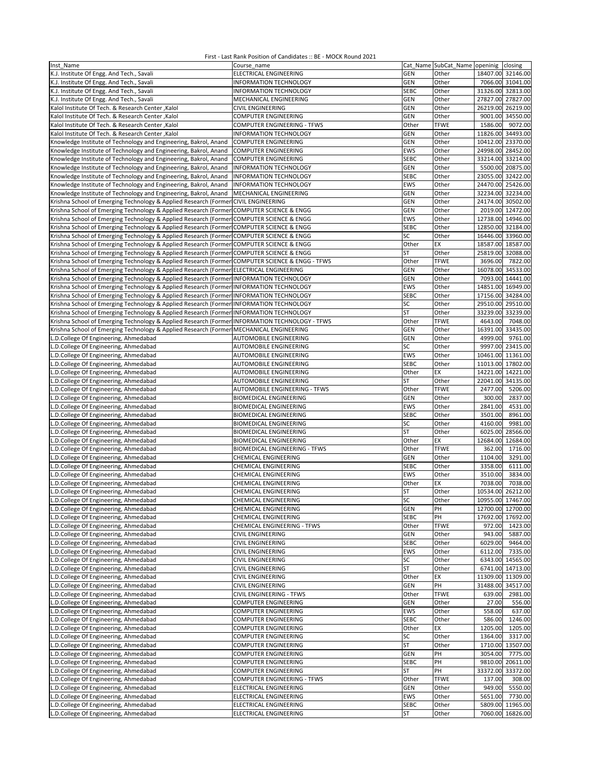| Inst Name                                                                                       | Course name                          |             | Cat Name SubCat Name openinig closing |                   |                   |
|-------------------------------------------------------------------------------------------------|--------------------------------------|-------------|---------------------------------------|-------------------|-------------------|
| K.J. Institute Of Engg. And Tech., Savali                                                       | ELECTRICAL ENGINEERING               | <b>GEN</b>  | Other                                 | 18407.00 32146.00 |                   |
| K.J. Institute Of Engg. And Tech., Savali                                                       | <b>INFORMATION TECHNOLOGY</b>        | GEN         | Other                                 |                   | 7066.00 31041.00  |
|                                                                                                 |                                      |             |                                       |                   |                   |
| K.J. Institute Of Engg. And Tech., Savali                                                       | INFORMATION TECHNOLOGY               | <b>SEBC</b> | Other                                 | 31326.00 32813.00 |                   |
| K.J. Institute Of Engg. And Tech., Savali                                                       | MECHANICAL ENGINEERING               | GEN         | Other                                 | 27827.00 27827.00 |                   |
| Kalol Institute Of Tech. & Research Center, Kalol                                               | <b>CIVIL ENGINEERING</b>             | <b>GEN</b>  | Other                                 | 26219.00 26219.00 |                   |
| Kalol Institute Of Tech. & Research Center, Kalol                                               | <b>COMPUTER ENGINEERING</b>          | GEN         | Other                                 |                   | 9001.00 34550.00  |
| Kalol Institute Of Tech. & Research Center, Kalol                                               | <b>COMPUTER ENGINEERING - TFWS</b>   | Other       | <b>TFWE</b>                           | 1586.00           | 9072.00           |
|                                                                                                 |                                      |             |                                       | 11826.00 34493.00 |                   |
| Kalol Institute Of Tech. & Research Center, Kalol                                               | <b>INFORMATION TECHNOLOGY</b>        | <b>GEN</b>  | Other                                 |                   |                   |
| Knowledge Institute of Technology and Engineering, Bakrol, Anand                                | <b>COMPUTER ENGINEERING</b>          | GEN         | Other                                 | 10412.00 23370.00 |                   |
| Knowledge Institute of Technology and Engineering, Bakrol, Anand                                | <b>COMPUTER ENGINEERING</b>          | EWS         | Other                                 | 24998.00 28452.00 |                   |
| Knowledge Institute of Technology and Engineering, Bakrol, Anand                                | <b>COMPUTER ENGINEERING</b>          | <b>SEBC</b> | Other                                 | 33214.00 33214.00 |                   |
| Knowledge Institute of Technology and Engineering, Bakrol, Anand                                | <b>INFORMATION TECHNOLOGY</b>        | <b>GEN</b>  | Other                                 |                   | 5500.00 20875.00  |
|                                                                                                 |                                      |             |                                       |                   |                   |
| Knowledge Institute of Technology and Engineering, Bakrol, Anand                                | <b>INFORMATION TECHNOLOGY</b>        | <b>SEBC</b> | Other                                 | 23055.00 32422.00 |                   |
| Knowledge Institute of Technology and Engineering, Bakrol, Anand                                | <b>INFORMATION TECHNOLOGY</b>        | EWS         | Other                                 | 24470.00 25426.00 |                   |
| Knowledge Institute of Technology and Engineering, Bakrol, Anand                                | MECHANICAL ENGINEERING               | <b>GEN</b>  | Other                                 | 32234.00 32234.00 |                   |
| Krishna School of Emerging Technology & Applied Research (Former CIVIL ENGINEERING              |                                      | <b>GEN</b>  | Other                                 | 24174.00 30502.00 |                   |
| Krishna School of Emerging Technology & Applied Research (Former                                | COMPUTER SCIENCE & ENGG              | GEN         | Other                                 |                   | 2019.00 12472.00  |
|                                                                                                 |                                      |             |                                       |                   |                   |
| Krishna School of Emerging Technology & Applied Research (Former COMPUTER SCIENCE & ENGG        |                                      | EWS         | Other                                 | 12738.00 14946.00 |                   |
| Krishna School of Emerging Technology & Applied Research (Former                                | <b>COMPUTER SCIENCE &amp; ENGG</b>   | <b>SEBC</b> | Other                                 | 12850.00 32184.00 |                   |
| Krishna School of Emerging Technology & Applied Research (Former COMPUTER SCIENCE & ENGG        |                                      | SC          | Other                                 | 16446.00 33960.00 |                   |
| Krishna School of Emerging Technology & Applied Research (Former                                | <b>COMPUTER SCIENCE &amp; ENGG</b>   | Other       | EX                                    | 18587.00          | 18587.00          |
|                                                                                                 |                                      | <b>ST</b>   |                                       | 25819.00 32088.00 |                   |
| Krishna School of Emerging Technology & Applied Research (Former COMPUTER SCIENCE & ENGG        |                                      |             | Other                                 |                   |                   |
| Krishna School of Emerging Technology & Applied Research (Former COMPUTER SCIENCE & ENGG - TFWS |                                      | Other       | <b>TFWE</b>                           | 3696.00           | 7822.00           |
| Krishna School of Emerging Technology & Applied Research (Former ELECTRICAL ENGINEERING         |                                      | <b>GEN</b>  | Other                                 | 16078.00 34533.00 |                   |
| Krishna School of Emerging Technology & Applied Research (Former INFORMATION TECHNOLOGY         |                                      | GEN         | Other                                 |                   | 7093.00 14441.00  |
| Krishna School of Emerging Technology & Applied Research (Former INFORMATION TECHNOLOGY         |                                      | EWS         | Other                                 | 14851.00 16949.00 |                   |
|                                                                                                 |                                      |             |                                       |                   |                   |
| Krishna School of Emerging Technology & Applied Research (Former INFORMATION TECHNOLOGY         |                                      | <b>SEBC</b> | Other                                 | 17156.00 34284.00 |                   |
| Krishna School of Emerging Technology & Applied Research (Former INFORMATION TECHNOLOGY         |                                      | SC          | Other                                 | 29510.00          | 29510.00          |
| Krishna School of Emerging Technology & Applied Research (Former INFORMATION TECHNOLOGY         |                                      | ST          | Other                                 | 33239.00          | 33239.00          |
| Krishna School of Emerging Technology & Applied Research (Former INFORMATION TECHNOLOGY - TFWS  |                                      | Other       | <b>TFWE</b>                           | 4643.00           | 7048.00           |
| Krishna School of Emerging Technology & Applied Research (Former MECHANICAL ENGINEERING         |                                      | GEN         | Other                                 | 16391.00 33435.00 |                   |
|                                                                                                 |                                      |             |                                       |                   |                   |
| L.D.College Of Engineering, Ahmedabad                                                           | AUTOMOBILE ENGINEERING               | GEN         | Other                                 | 4999.00           | 9761.00           |
| L.D.College Of Engineering, Ahmedabad                                                           | AUTOMOBILE ENGINEERING               | SC          | Other                                 |                   | 9997.00 23415.00  |
| L.D.College Of Engineering, Ahmedabad                                                           | AUTOMOBILE ENGINEERING               | <b>EWS</b>  | Other                                 | 10461.00 11361.00 |                   |
| L.D.College Of Engineering, Ahmedabad                                                           | AUTOMOBILE ENGINEERING               | <b>SEBC</b> | Other                                 | 11013.00 17802.00 |                   |
| L.D.College Of Engineering, Ahmedabad                                                           | AUTOMOBILE ENGINEERING               | Other       | EX                                    | 14221.00 14221.00 |                   |
|                                                                                                 |                                      |             |                                       |                   |                   |
| L.D.College Of Engineering, Ahmedabad                                                           | AUTOMOBILE ENGINEERING               | <b>ST</b>   | Other                                 | 22041.00 34135.00 |                   |
| L.D.College Of Engineering, Ahmedabad                                                           | AUTOMOBILE ENGINEERING - TFWS        | Other       | <b>TFWE</b>                           | 2477.00           | 5206.00           |
| L.D.College Of Engineering, Ahmedabad                                                           | <b>BIOMEDICAL ENGINEERING</b>        | GEN         | Other                                 | 300.00            | 2837.00           |
| L.D.College Of Engineering, Ahmedabad                                                           | <b>BIOMEDICAL ENGINEERING</b>        | EWS         | Other                                 | 2841.00           | 4531.00           |
| L.D.College Of Engineering, Ahmedabad                                                           | <b>BIOMEDICAL ENGINEERING</b>        | <b>SEBC</b> | Other                                 | 3501.00           | 8961.00           |
|                                                                                                 |                                      |             |                                       |                   |                   |
| L.D.College Of Engineering, Ahmedabad                                                           | <b>BIOMEDICAL ENGINEERING</b>        | SC          | Other                                 | 4160.00           | 9981.00           |
| L.D.College Of Engineering, Ahmedabad                                                           | <b>BIOMEDICAL ENGINEERING</b>        | <b>ST</b>   | Other                                 | 6025.00           | 28566.00          |
| L.D.College Of Engineering, Ahmedabad                                                           | <b>BIOMEDICAL ENGINEERING</b>        | Other       | EX                                    | 12684.00          | 12684.00          |
| L.D.College Of Engineering, Ahmedabad                                                           | <b>BIOMEDICAL ENGINEERING - TFWS</b> | Other       | <b>TFWE</b>                           | 362.00            | 1716.00           |
| L.D.College Of Engineering, Ahmedabad                                                           | CHEMICAL ENGINEERING                 | GEN         | Other                                 | 1104.00           | 3291.00           |
|                                                                                                 |                                      |             |                                       |                   |                   |
| L.D.College Of Engineering, Ahmedabad                                                           | <b>CHEMICAL ENGINEERING</b>          | <b>SEBC</b> | Other                                 | 3358.00           | 6111.00           |
| L.D.College Of Engineering, Ahmedabad                                                           | <b>CHEMICAL ENGINEERING</b>          | EWS         | Other                                 | 3510.00           | 3834.00           |
| L.D.College Of Engineering, Ahmedabad                                                           | <b>CHEMICAL ENGINEERING</b>          | Other       | EX                                    | 7038.00           | 7038.00           |
| L.D.College Of Engineering, Ahmedabad                                                           | CHEMICAL ENGINEERING                 | ST          | Other                                 | 10534.00 26212.00 |                   |
|                                                                                                 | CHEMICAL ENGINEERING                 |             |                                       |                   |                   |
| L.D.College Of Engineering, Ahmedabad                                                           |                                      | SC          | Other                                 |                   | 10955.00 17467.00 |
| L.D.College Of Engineering, Ahmedabad                                                           | CHEMICAL ENGINEERING                 | <b>GEN</b>  | PH                                    | 12700.00 12700.00 |                   |
| L.D.College Of Engineering, Ahmedabad                                                           | CHEMICAL ENGINEERING                 | SEBC        | PH                                    | 17692.00 17692.00 |                   |
| L.D.College Of Engineering, Ahmedabad                                                           | CHEMICAL ENGINEERING - TFWS          | Other       | <b>TFWE</b>                           |                   | 972.00 1423.00    |
| L.D.College Of Engineering, Ahmedabad                                                           | CIVIL ENGINEERING                    | <b>GEN</b>  | Other                                 | 943.00            | 5887.00           |
| L.D.College Of Engineering, Ahmedabad                                                           | CIVIL ENGINEERING                    | <b>SEBC</b> | Other                                 | 6029.00           | 9464.00           |
|                                                                                                 |                                      |             |                                       |                   |                   |
| L.D.College Of Engineering, Ahmedabad                                                           | CIVIL ENGINEERING                    | EWS         | Other                                 | 6112.00           | 7335.00           |
| L.D.College Of Engineering, Ahmedabad                                                           | CIVIL ENGINEERING                    | SC          | Other                                 |                   | 6343.00 14565.00  |
| L.D.College Of Engineering, Ahmedabad                                                           | CIVIL ENGINEERING                    | <b>ST</b>   | Other                                 |                   | 6741.00 14713.00  |
| L.D.College Of Engineering, Ahmedabad                                                           | CIVIL ENGINEERING                    | Other       | EX                                    | 11309.00 11309.00 |                   |
| L.D.College Of Engineering, Ahmedabad                                                           | <b>CIVIL ENGINEERING</b>             | <b>GEN</b>  | PH                                    | 31488.00          | 34517.00          |
|                                                                                                 |                                      |             |                                       |                   |                   |
| L.D.College Of Engineering, Ahmedabad                                                           | <b>CIVIL ENGINEERING - TFWS</b>      | Other       | <b>TFWE</b>                           | 639.00            | 2981.00           |
| L.D.College Of Engineering, Ahmedabad                                                           | <b>COMPUTER ENGINEERING</b>          | <b>GEN</b>  | Other                                 | 27.00             | 556.00            |
| L.D.College Of Engineering, Ahmedabad                                                           | <b>COMPUTER ENGINEERING</b>          | EWS         | Other                                 | 558.00            | 637.00            |
| L.D.College Of Engineering, Ahmedabad                                                           | <b>COMPUTER ENGINEERING</b>          | SEBC        | Other                                 | 586.00            | 1246.00           |
|                                                                                                 |                                      |             |                                       |                   |                   |
| L.D.College Of Engineering, Ahmedabad                                                           | COMPUTER ENGINEERING                 | Other       | EX                                    | 1205.00           | 1205.00           |
| L.D.College Of Engineering, Ahmedabad                                                           | COMPUTER ENGINEERING                 | SC          | Other                                 | 1364.00           | 3317.00           |
| L.D.College Of Engineering, Ahmedabad                                                           | COMPUTER ENGINEERING                 | <b>ST</b>   | Other                                 | 1710.00           | 13507.00          |
| L.D.College Of Engineering, Ahmedabad                                                           | <b>COMPUTER ENGINEERING</b>          | GEN         | PH                                    | 3054.00           | 7775.00           |
| L.D.College Of Engineering, Ahmedabad                                                           | <b>COMPUTER ENGINEERING</b>          | <b>SEBC</b> | PH                                    |                   | 9810.00 20611.00  |
|                                                                                                 |                                      |             |                                       |                   |                   |
| L.D.College Of Engineering, Ahmedabad                                                           | <b>COMPUTER ENGINEERING</b>          | <b>ST</b>   | PH                                    |                   | 33372.00 33372.00 |
| L.D.College Of Engineering, Ahmedabad                                                           | COMPUTER ENGINEERING - TFWS          | Other       | <b>TFWE</b>                           | 137.00            | 308.00            |
| L.D.College Of Engineering, Ahmedabad                                                           | ELECTRICAL ENGINEERING               | <b>GEN</b>  | Other                                 | 949.00            | 5550.00           |
| L.D.College Of Engineering, Ahmedabad                                                           | ELECTRICAL ENGINEERING               | EWS         | Other                                 | 5651.00           | 7730.00           |
| L.D.College Of Engineering, Ahmedabad                                                           | ELECTRICAL ENGINEERING               | <b>SEBC</b> | Other                                 |                   | 5809.00 11965.00  |
|                                                                                                 |                                      |             |                                       |                   |                   |
| L.D.College Of Engineering, Ahmedabad                                                           | ELECTRICAL ENGINEERING               | ST          | Other                                 |                   | 7060.00 16826.00  |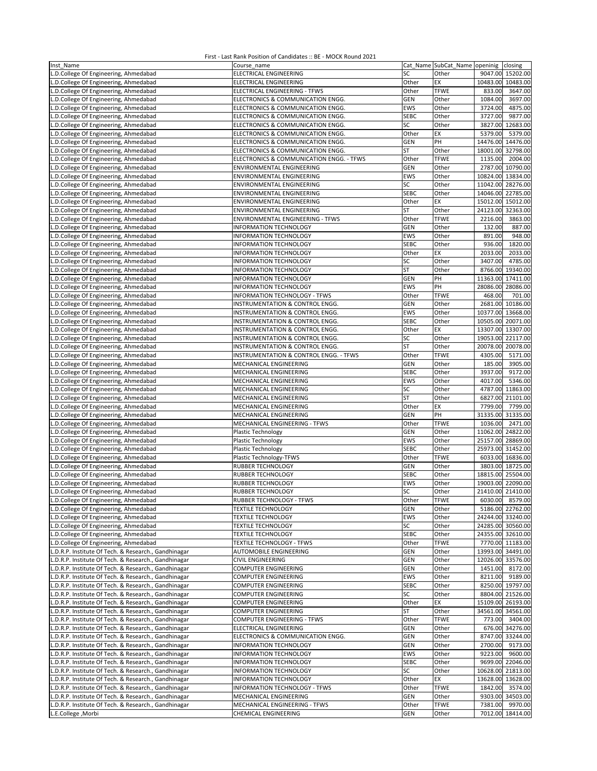| Inst Name                                            | Course name                                |             | Cat Name SubCat_Name openinig closing |          |                   |
|------------------------------------------------------|--------------------------------------------|-------------|---------------------------------------|----------|-------------------|
| L.D.College Of Engineering, Ahmedabad                | ELECTRICAL ENGINEERING                     | SC          | Other                                 |          | 9047.00 15202.00  |
| L.D.College Of Engineering, Ahmedabad                | ELECTRICAL ENGINEERING                     | Other       | EX                                    | 10483.00 | 10483.00          |
| L.D.College Of Engineering, Ahmedabad                | ELECTRICAL ENGINEERING - TFWS              | Other       | <b>TFWE</b>                           | 833.00   | 3647.00           |
|                                                      |                                            |             |                                       |          |                   |
| L.D.College Of Engineering, Ahmedabad                | ELECTRONICS & COMMUNICATION ENGG.          | <b>GEN</b>  | Other                                 | 1084.00  | 3697.00           |
| L.D.College Of Engineering, Ahmedabad                | ELECTRONICS & COMMUNICATION ENGG.          | <b>EWS</b>  | Other                                 | 3724.00  | 4875.00           |
| L.D.College Of Engineering, Ahmedabad                | ELECTRONICS & COMMUNICATION ENGG.          | <b>SEBC</b> | Other                                 | 3727.00  | 9877.00           |
| L.D.College Of Engineering, Ahmedabad                | ELECTRONICS & COMMUNICATION ENGG.          | SC          | Other                                 | 3827.00  | 12683.00          |
| L.D.College Of Engineering, Ahmedabad                | ELECTRONICS & COMMUNICATION ENGG.          | Other       | EX                                    | 5379.00  | 5379.00           |
| L.D.College Of Engineering, Ahmedabad                | ELECTRONICS & COMMUNICATION ENGG.          | <b>GEN</b>  | PH                                    | 14476.00 | 14476.00          |
| L.D.College Of Engineering, Ahmedabad                | ELECTRONICS & COMMUNICATION ENGG.          | <b>ST</b>   | Other                                 | 18001.00 | 32798.00          |
| L.D.College Of Engineering, Ahmedabad                | ELECTRONICS & COMMUNICATION ENGG. - TFWS   | Other       | <b>TFWE</b>                           | 1135.00  | 2004.00           |
|                                                      |                                            |             |                                       |          |                   |
| L.D.College Of Engineering, Ahmedabad                | ENVIRONMENTAL ENGINEERING                  | GEN         | Other                                 | 2787.00  | 10790.00          |
| L.D.College Of Engineering, Ahmedabad                | ENVIRONMENTAL ENGINEERING                  | <b>EWS</b>  | Other                                 | 10824.00 | 13834.00          |
| L.D.College Of Engineering, Ahmedabad                | ENVIRONMENTAL ENGINEERING                  | SC          | Other                                 | 11042.00 | 28276.00          |
| L.D.College Of Engineering, Ahmedabad                | ENVIRONMENTAL ENGINEERING                  | <b>SEBC</b> | Other                                 |          | 14046.00 22785.00 |
| L.D.College Of Engineering, Ahmedabad                | ENVIRONMENTAL ENGINEERING                  | Other       | EХ                                    | 15012.00 | 15012.00          |
| L.D.College Of Engineering, Ahmedabad                | ENVIRONMENTAL ENGINEERING                  | ST          | Other                                 | 24123.00 | 32363.00          |
| L.D.College Of Engineering, Ahmedabad                | ENVIRONMENTAL ENGINEERING - TFWS           | Other       | <b>TFWE</b>                           | 2216.00  | 3863.00           |
|                                                      |                                            |             |                                       |          |                   |
| L.D.College Of Engineering, Ahmedabad                | INFORMATION TECHNOLOGY                     | <b>GEN</b>  | Other                                 | 132.00   | 887.00            |
| L.D.College Of Engineering, Ahmedabad                | INFORMATION TECHNOLOGY                     | EWS         | Other                                 | 891.00   | 948.00            |
| L.D.College Of Engineering, Ahmedabad                | INFORMATION TECHNOLOGY                     | <b>SEBC</b> | Other                                 | 936.00   | 1820.00           |
| L.D.College Of Engineering, Ahmedabad                | INFORMATION TECHNOLOGY                     | Other       | EХ                                    | 2033.00  | 2033.00           |
| L.D.College Of Engineering, Ahmedabad                | <b>INFORMATION TECHNOLOGY</b>              | SC          | Other                                 | 3407.00  | 4785.00           |
| L.D.College Of Engineering, Ahmedabad                | <b>INFORMATION TECHNOLOGY</b>              | ST          | Other                                 | 8766.00  | 19340.00          |
| L.D.College Of Engineering, Ahmedabad                | INFORMATION TECHNOLOGY                     | GEN         | PH                                    | 11363.00 | 17411.00          |
|                                                      |                                            |             |                                       |          |                   |
| L.D.College Of Engineering, Ahmedabad                | INFORMATION TECHNOLOGY                     | EWS         | PH                                    | 28086.00 | 28086.00          |
| L.D.College Of Engineering, Ahmedabad                | INFORMATION TECHNOLOGY - TFWS              | Other       | <b>TFWE</b>                           | 468.00   | 701.00            |
| L.D.College Of Engineering, Ahmedabad                | INSTRUMENTATION & CONTROL ENGG.            | <b>GEN</b>  | Other                                 | 2681.00  | 10186.00          |
| L.D.College Of Engineering, Ahmedabad                | INSTRUMENTATION & CONTROL ENGG.            | EWS         | Other                                 |          | 10377.00 13668.00 |
| L.D.College Of Engineering, Ahmedabad                | <b>INSTRUMENTATION &amp; CONTROL ENGG.</b> | <b>SEBC</b> | Other                                 |          | 10505.00 20071.00 |
| L.D.College Of Engineering, Ahmedabad                | INSTRUMENTATION & CONTROL ENGG.            | Other       | ЕX                                    |          | 13307.00 13307.00 |
|                                                      |                                            |             |                                       |          |                   |
| L.D.College Of Engineering, Ahmedabad                | INSTRUMENTATION & CONTROL ENGG.            | SC          | Other                                 | 19053.00 | 22117.00          |
| L.D.College Of Engineering, Ahmedabad                | INSTRUMENTATION & CONTROL ENGG.            | <b>ST</b>   | Other                                 |          | 20078.00 20078.00 |
| L.D.College Of Engineering, Ahmedabad                | INSTRUMENTATION & CONTROL ENGG. - TFWS     | Other       | <b>TFWE</b>                           | 4305.00  | 5171.00           |
| L.D.College Of Engineering, Ahmedabad                | MECHANICAL ENGINEERING                     | GEN         | Other                                 | 185.00   | 3905.00           |
| L.D.College Of Engineering, Ahmedabad                | MECHANICAL ENGINEERING                     | <b>SEBC</b> | Other                                 | 3937.00  | 9172.00           |
| L.D.College Of Engineering, Ahmedabad                | MECHANICAL ENGINEERING                     | <b>EWS</b>  | Other                                 | 4017.00  | 5346.00           |
| L.D.College Of Engineering, Ahmedabad                | MECHANICAL ENGINEERING                     | SC          | Other                                 | 4787.00  | 11863.00          |
|                                                      |                                            |             |                                       |          |                   |
| L.D.College Of Engineering, Ahmedabad                | MECHANICAL ENGINEERING                     | <b>ST</b>   | Other                                 | 6827.00  | 21101.00          |
| L.D.College Of Engineering, Ahmedabad                | MECHANICAL ENGINEERING                     | Other       | EX                                    | 7799.00  | 7799.00           |
| L.D.College Of Engineering, Ahmedabad                | MECHANICAL ENGINEERING                     | <b>GEN</b>  | PH                                    | 31335.00 | 31335.00          |
| L.D.College Of Engineering, Ahmedabad                | MECHANICAL ENGINEERING - TFWS              | Other       | <b>TFWE</b>                           | 1036.00  | 2471.00           |
| L.D.College Of Engineering, Ahmedabad                | Plastic Technology                         | <b>GEN</b>  | Other                                 |          | 11062.00 24822.00 |
| L.D.College Of Engineering, Ahmedabad                | Plastic Technology                         | EWS         | Other                                 |          | 25157.00 28869.00 |
| L.D.College Of Engineering, Ahmedabad                | Plastic Technology                         | <b>SEBC</b> | Other                                 |          | 25973.00 31452.00 |
|                                                      |                                            |             |                                       |          |                   |
| L.D.College Of Engineering, Ahmedabad                | Plastic Technology-TFWS                    | Other       | <b>TFWE</b>                           |          | 6033.00 16836.00  |
| L.D.College Of Engineering, Ahmedabad                | RUBBER TECHNOLOGY                          | <b>GEN</b>  | Other                                 |          | 3803.00 18725.00  |
| L.D.College Of Engineering, Ahmedabad                | RUBBER TECHNOLOGY                          | <b>SEBC</b> | Other                                 | 18815.00 | 25504.00          |
| L.D.College Of Engineering, Ahmedabad                | <b>RUBBER TECHNOLOGY</b>                   | <b>EWS</b>  | Other                                 | 19003.00 | 22090.00          |
| L.D.College Of Engineering, Ahmedabad                | RUBBER TECHNOLOGY                          | SC          | Other                                 |          | 21410.00 21410.00 |
| L.D.College Of Engineering, Ahmedabad                | RUBBER TECHNOLOGY - TFWS                   | Other       | <b>TFWE</b>                           |          | 6030.00 8579.00   |
| L.D.College Of Engineering, Ahmedabad                | <b>TEXTILE TECHNOLOGY</b>                  | <b>GEN</b>  | Other                                 |          | 5186.00 22762.00  |
|                                                      |                                            |             |                                       |          |                   |
| L.D.College Of Engineering, Ahmedabad                | <b>TEXTILE TECHNOLOGY</b>                  | EWS         | Other                                 |          | 24244.00 33240.00 |
| L.D.College Of Engineering, Ahmedabad                | <b>TEXTILE TECHNOLOGY</b>                  | SC          | Other                                 |          | 24285.00 30560.00 |
| L.D.College Of Engineering, Ahmedabad                | <b>TEXTILE TECHNOLOGY</b>                  | <b>SEBC</b> | Other                                 |          | 24355.00 32610.00 |
| L.D.College Of Engineering, Ahmedabad                | <b>TEXTILE TECHNOLOGY - TFWS</b>           | Other       | <b>TFWE</b>                           |          | 7770.00 11183.00  |
| L.D.R.P. Institute Of Tech. & Research., Gandhinagar | AUTOMOBILE ENGINEERING                     | GEN         | Other                                 |          | 13993.00 34491.00 |
| L.D.R.P. Institute Of Tech. & Research., Gandhinagar | CIVIL ENGINEERING                          | GEN         | Other                                 |          | 12026.00 33576.00 |
| L.D.R.P. Institute Of Tech. & Research., Gandhinagar | COMPUTER ENGINEERING                       | GEN         | Other                                 | 1451.00  | 8172.00           |
|                                                      |                                            | <b>EWS</b>  |                                       |          |                   |
| L.D.R.P. Institute Of Tech. & Research., Gandhinagar | COMPUTER ENGINEERING                       |             | Other                                 | 8211.00  | 9189.00           |
| L.D.R.P. Institute Of Tech. & Research., Gandhinagar | COMPUTER ENGINEERING                       | <b>SEBC</b> | Other                                 |          | 8250.00 19797.00  |
| L.D.R.P. Institute Of Tech. & Research., Gandhinagar | COMPUTER ENGINEERING                       | SC          | Other                                 | 8804.00  | 21526.00          |
| L.D.R.P. Institute Of Tech. & Research., Gandhinagar | COMPUTER ENGINEERING                       | Other       | ЕX                                    |          | 15109.00 26193.00 |
| L.D.R.P. Institute Of Tech. & Research., Gandhinagar | COMPUTER ENGINEERING                       | ST          | Other                                 |          | 34561.00 34561.00 |
| L.D.R.P. Institute Of Tech. & Research., Gandhinagar | COMPUTER ENGINEERING - TFWS                | Other       | <b>TFWE</b>                           | 773.00   | 3404.00           |
| L.D.R.P. Institute Of Tech. & Research., Gandhinagar | ELECTRICAL ENGINEERING                     | <b>GEN</b>  | Other                                 |          | 676.00 34276.00   |
| L.D.R.P. Institute Of Tech. & Research., Gandhinagar |                                            | <b>GEN</b>  |                                       |          |                   |
|                                                      | ELECTRONICS & COMMUNICATION ENGG.          |             | Other                                 |          | 8747.00 33244.00  |
| L.D.R.P. Institute Of Tech. & Research., Gandhinagar | INFORMATION TECHNOLOGY                     | GEN         | Other                                 | 2700.00  | 9173.00           |
| L.D.R.P. Institute Of Tech. & Research., Gandhinagar | INFORMATION TECHNOLOGY                     | EWS         | Other                                 | 9223.00  | 9600.00           |
| L.D.R.P. Institute Of Tech. & Research., Gandhinagar | INFORMATION TECHNOLOGY                     | <b>SEBC</b> | Other                                 |          | 9699.00 22046.00  |
| L.D.R.P. Institute Of Tech. & Research., Gandhinagar | INFORMATION TECHNOLOGY                     | SC          | Other                                 |          | 10628.00 21813.00 |
| L.D.R.P. Institute Of Tech. & Research., Gandhinagar | INFORMATION TECHNOLOGY                     | Other       | EX                                    |          | 13628.00 13628.00 |
| L.D.R.P. Institute Of Tech. & Research., Gandhinagar | INFORMATION TECHNOLOGY - TFWS              | Other       | <b>TFWE</b>                           | 1842.00  | 3574.00           |
| L.D.R.P. Institute Of Tech. & Research., Gandhinagar | MECHANICAL ENGINEERING                     | GEN         | Other                                 |          | 9303.00 34503.00  |
|                                                      |                                            |             |                                       |          | 9970.00           |
| L.D.R.P. Institute Of Tech. & Research., Gandhinagar | MECHANICAL ENGINEERING - TFWS              | Other       | <b>TFWE</b>                           | 7381.00  |                   |
| L.E.College, Morbi                                   | CHEMICAL ENGINEERING                       | GEN         | Other                                 |          | 7012.00 18414.00  |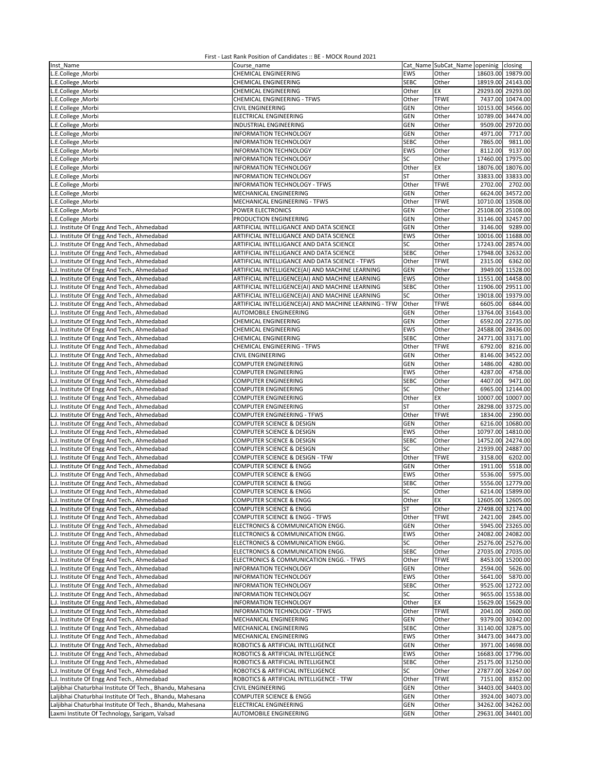| Inst Name                                                 | Course name                                            |             | Cat Name SubCat_Name openinig closing |                   |                   |
|-----------------------------------------------------------|--------------------------------------------------------|-------------|---------------------------------------|-------------------|-------------------|
| L.E.College, Morbi                                        | <b>CHEMICAL ENGINEERING</b>                            | EWS         | Other                                 | 18603.00 19879.00 |                   |
| L.E.College, Morbi                                        | CHEMICAL ENGINEERING                                   | <b>SEBC</b> | Other                                 | 18919.00 24143.00 |                   |
| L.E.College, Morbi                                        | CHEMICAL ENGINEERING                                   | Other       | EX                                    | 29293.00 29293.00 |                   |
| L.E.College, Morbi                                        | CHEMICAL ENGINEERING - TFWS                            | Other       | <b>TFWE</b>                           |                   | 7437.00 10474.00  |
| L.E.College, Morbi                                        | <b>CIVIL ENGINEERING</b>                               | <b>GEN</b>  | Other                                 | 10153.00 34566.00 |                   |
| L.E.College, Morbi                                        | <b>ELECTRICAL ENGINEERING</b>                          | <b>GEN</b>  | Other                                 |                   | 10789.00 34474.00 |
| L.E.College, Morbi                                        | INDUSTRIAL ENGINEERING                                 | GEN         | Other                                 | 9509.00           | 29720.00          |
| L.E.College, Morbi                                        | <b>INFORMATION TECHNOLOGY</b>                          | GEN         | Other                                 | 4971.00           | 7717.00           |
| L.E.College, Morbi                                        | INFORMATION TECHNOLOGY                                 | <b>SEBC</b> | Other                                 | 7865.00           | 9811.00           |
| L.E.College, Morbi                                        | INFORMATION TECHNOLOGY                                 | EWS         | Other                                 | 8112.00           | 9137.00           |
|                                                           |                                                        | SC          | Other                                 | 17460.00 17975.00 |                   |
| L.E.College, Morbi                                        | INFORMATION TECHNOLOGY                                 |             |                                       |                   |                   |
| L.E.College, Morbi                                        | <b>INFORMATION TECHNOLOGY</b>                          | Other       | EX                                    | 18076.00 18076.00 |                   |
| L.E.College, Morbi                                        | INFORMATION TECHNOLOGY                                 | <b>ST</b>   | Other                                 | 33833.00 33833.00 |                   |
| L.E.College, Morbi                                        | INFORMATION TECHNOLOGY - TFWS                          | Other       | <b>TFWE</b>                           | 2702.00           | 2702.00           |
| L.E.College, Morbi                                        | MECHANICAL ENGINEERING                                 | <b>GEN</b>  | Other                                 |                   | 6624.00 34572.00  |
| L.E.College, Morbi                                        | MECHANICAL ENGINEERING - TFWS                          | Other       | <b>TFWE</b>                           | 10710.00 13508.00 |                   |
| L.E.College, Morbi                                        | POWER ELECTRONICS                                      | <b>GEN</b>  | Other                                 | 25108.00 25108.00 |                   |
| L.E.College, Morbi                                        | PRODUCTION ENGINEERING                                 | GEN         | Other                                 | 31146.00          | 32457.00          |
| L.J. Institute Of Engg And Tech., Ahmedabad               | ARTIFICIAL INTELLIGANCE AND DATA SCIENCE               | GEN         | Other                                 | 3146.00           | 9289.00           |
| L.J. Institute Of Engg And Tech., Ahmedabad               | ARTIFICIAL INTELLIGANCE AND DATA SCIENCE               | EWS         | Other                                 | 10016.00 11688.00 |                   |
| L.J. Institute Of Engg And Tech., Ahmedabad               | ARTIFICIAL INTELLIGANCE AND DATA SCIENCE               | SC          | Other                                 | 17243.00          | 28574.00          |
| L.J. Institute Of Engg And Tech., Ahmedabad               | ARTIFICIAL INTELLIGANCE AND DATA SCIENCE               | <b>SEBC</b> | Other                                 | 17948.00 32632.00 |                   |
| L.J. Institute Of Engg And Tech., Ahmedabad               | ARTIFICIAL INTELLIGANCE AND DATA SCIENCE - TFWS        | Other       | <b>TFWE</b>                           | 2315.00           | 6362.00           |
| L.J. Institute Of Engg And Tech., Ahmedabad               | ARTIFICIAL INTELLIGENCE(AI) AND MACHINE LEARNING       | GEN         | Other                                 |                   | 3949.00 11528.00  |
| L.J. Institute Of Engg And Tech., Ahmedabad               | ARTIFICIAL INTELLIGENCE(AI) AND MACHINE LEARNING       | EWS         | Other                                 | 11551.00 14458.00 |                   |
| L.J. Institute Of Engg And Tech., Ahmedabad               | ARTIFICIAL INTELLIGENCE(AI) AND MACHINE LEARNING       | <b>SEBC</b> | Other                                 | 11906.00 29511.00 |                   |
| L.J. Institute Of Engg And Tech., Ahmedabad               | ARTIFICIAL INTELLIGENCE(AI) AND MACHINE LEARNING       | SC          | Other                                 | 19018.00 19379.00 |                   |
| L.J. Institute Of Engg And Tech., Ahmedabad               | ARTIFICIAL INTELLIGENCE(AI) AND MACHINE LEARNING - TFW | Other       | <b>TFWE</b>                           | 6605.00           | 6844.00           |
| L.J. Institute Of Engg And Tech., Ahmedabad               | AUTOMOBILE ENGINEERING                                 | <b>GEN</b>  | Other                                 | 13764.00 31643.00 |                   |
| L.J. Institute Of Engg And Tech., Ahmedabad               | CHEMICAL ENGINEERING                                   | GEN         | Other                                 |                   | 6592.00 22735.00  |
| L.J. Institute Of Engg And Tech., Ahmedabad               | CHEMICAL ENGINEERING                                   | EWS         | Other                                 | 24588.00          | 28436.00          |
| L.J. Institute Of Engg And Tech., Ahmedabad               | CHEMICAL ENGINEERING                                   | <b>SEBC</b> | Other                                 | 24771.00 33171.00 |                   |
| L.J. Institute Of Engg And Tech., Ahmedabad               | CHEMICAL ENGINEERING - TFWS                            | Other       | <b>TFWE</b>                           | 6792.00           | 8216.00           |
| L.J. Institute Of Engg And Tech., Ahmedabad               | <b>CIVIL ENGINEERING</b>                               | GEN         | Other                                 | 8146.00           | 34522.00          |
|                                                           |                                                        | GEN         | Other                                 | 1486.00           | 4280.00           |
| L.J. Institute Of Engg And Tech., Ahmedabad               | <b>COMPUTER ENGINEERING</b>                            |             |                                       |                   |                   |
| L.J. Institute Of Engg And Tech., Ahmedabad               | <b>COMPUTER ENGINEERING</b>                            | <b>EWS</b>  | Other                                 | 4287.00           | 4758.00           |
| L.J. Institute Of Engg And Tech., Ahmedabad               | <b>COMPUTER ENGINEERING</b>                            | <b>SEBC</b> | Other                                 | 4407.00           | 9471.00           |
| L.J. Institute Of Engg And Tech., Ahmedabad               | <b>COMPUTER ENGINEERING</b>                            | SC          | Other                                 | 6965.00           | 12144.00          |
| L.J. Institute Of Engg And Tech., Ahmedabad               | <b>COMPUTER ENGINEERING</b>                            | Other       | EX                                    | 10007.00          | 10007.00          |
| L.J. Institute Of Engg And Tech., Ahmedabad               | <b>COMPUTER ENGINEERING</b>                            | ST          | Other                                 | 28298.00 33725.00 |                   |
| L.J. Institute Of Engg And Tech., Ahmedabad               | COMPUTER ENGINEERING - TFWS                            | Other       | <b>TFWE</b>                           | 1834.00           | 2390.00           |
| L.J. Institute Of Engg And Tech., Ahmedabad               | COMPUTER SCIENCE & DESIGN                              | <b>GEN</b>  | Other                                 |                   | 6216.00 10680.00  |
| L.J. Institute Of Engg And Tech., Ahmedabad               | COMPUTER SCIENCE & DESIGN                              | EWS         | Other                                 | 10797.00          | 14810.00          |
| L.J. Institute Of Engg And Tech., Ahmedabad               | COMPUTER SCIENCE & DESIGN                              | <b>SEBC</b> | Other                                 | 14752.00 24274.00 |                   |
| L.J. Institute Of Engg And Tech., Ahmedabad               | COMPUTER SCIENCE & DESIGN                              | SC          | Other                                 | 21939.00          | 24887.00          |
| L.J. Institute Of Engg And Tech., Ahmedabad               | COMPUTER SCIENCE & DESIGN - TFW                        | Other       | <b>TFWE</b>                           | 3158.00           | 6202.00           |
| L.J. Institute Of Engg And Tech., Ahmedabad               | COMPUTER SCIENCE & ENGG                                | GEN         | Other                                 | 1911.00           | 5518.00           |
| L.J. Institute Of Engg And Tech., Ahmedabad               | COMPUTER SCIENCE & ENGG                                | <b>EWS</b>  | Other                                 | 5536.00           | 5975.00           |
| L.J. Institute Of Engg And Tech., Ahmedabad               | COMPUTER SCIENCE & ENGG                                | <b>SEBC</b> | Other                                 | 5556.00           | 12779.00          |
| L.J. Institute Of Engg And Tech., Ahmedabad               | COMPUTER SCIENCE & ENGG                                | SC          | Other                                 |                   | 6214.00 15899.00  |
| L.J. Institute Of Engg And Tech., Ahmedabad               | COMPUTER SCIENCE & ENGG                                | Other       | [EX                                   | 12605.00 12605.00 |                   |
| L.J. Institute Of Engg And Tech., Ahmedabad               | <b>COMPUTER SCIENCE &amp; ENGG</b>                     | ST          | Other                                 | 27498.00 32174.00 |                   |
| L.J. Institute Of Engg And Tech., Ahmedabad               | COMPUTER SCIENCE & ENGG - TFWS                         | Other       | <b>TFWE</b>                           |                   | 2421.00 2845.00   |
| L.J. Institute Of Engg And Tech., Ahmedabad               | ELECTRONICS & COMMUNICATION ENGG.                      | GEN         | Other                                 |                   | 5945.00 23265.00  |
| L.J. Institute Of Engg And Tech., Ahmedabad               | ELECTRONICS & COMMUNICATION ENGG.                      | EWS         | Other                                 | 24082.00 24082.00 |                   |
| L.J. Institute Of Engg And Tech., Ahmedabad               | ELECTRONICS & COMMUNICATION ENGG.                      | SC          | Other                                 |                   | 25276.00 25276.00 |
| L.J. Institute Of Engg And Tech., Ahmedabad               | ELECTRONICS & COMMUNICATION ENGG.                      | <b>SEBC</b> | Other                                 | 27035.00 27035.00 |                   |
| L.J. Institute Of Engg And Tech., Ahmedabad               | ELECTRONICS & COMMUNICATION ENGG. - TFWS               | Other       | <b>TFWE</b>                           |                   | 8453.00 15200.00  |
| L.J. Institute Of Engg And Tech., Ahmedabad               | INFORMATION TECHNOLOGY                                 | <b>GEN</b>  | Other                                 | 2594.00           | 5626.00           |
| L.J. Institute Of Engg And Tech., Ahmedabad               | INFORMATION TECHNOLOGY                                 | EWS         | Other                                 | 5641.00           | 5870.00           |
| L.J. Institute Of Engg And Tech., Ahmedabad               | INFORMATION TECHNOLOGY                                 | <b>SEBC</b> | Other                                 |                   | 9525.00 12722.00  |
| L.J. Institute Of Engg And Tech., Ahmedabad               | INFORMATION TECHNOLOGY                                 | SC          | Other                                 |                   | 9655.00 15538.00  |
| L.J. Institute Of Engg And Tech., Ahmedabad               | INFORMATION TECHNOLOGY                                 | Other       | EX                                    | 15629.00 15629.00 |                   |
| L.J. Institute Of Engg And Tech., Ahmedabad               | INFORMATION TECHNOLOGY - TFWS                          | Other       | <b>TFWE</b>                           | 2041.00           | 2600.00           |
| L.J. Institute Of Engg And Tech., Ahmedabad               | MECHANICAL ENGINEERING                                 | GEN         | Other                                 |                   | 9379.00 30342.00  |
| L.J. Institute Of Engg And Tech., Ahmedabad               | MECHANICAL ENGINEERING                                 | <b>SEBC</b> | Other                                 |                   | 31140.00 32875.00 |
| L.J. Institute Of Engg And Tech., Ahmedabad               | MECHANICAL ENGINEERING                                 | EWS         | Other                                 |                   | 34473.00 34473.00 |
| L.J. Institute Of Engg And Tech., Ahmedabad               | ROBOTICS & ARTIFICIAL INTELLIGENCE                     | <b>GEN</b>  | Other                                 |                   | 3971.00 14698.00  |
| L.J. Institute Of Engg And Tech., Ahmedabad               | ROBOTICS & ARTIFICIAL INTELLIGENCE                     | EWS         | Other                                 |                   | 16683.00 17796.00 |
| L.J. Institute Of Engg And Tech., Ahmedabad               | ROBOTICS & ARTIFICIAL INTELLIGENCE                     | <b>SEBC</b> | Other                                 | 25175.00 31250.00 |                   |
| L.J. Institute Of Engg And Tech., Ahmedabad               | ROBOTICS & ARTIFICIAL INTELLIGENCE                     | SC          | Other                                 | 27877.00 32647.00 |                   |
| L.J. Institute Of Engg And Tech., Ahmedabad               | ROBOTICS & ARTIFICIAL INTELLIGENCE - TFW               | Other       | <b>TFWE</b>                           | 7151.00           | 8352.00           |
| Laljibhai Chaturbhai Institute Of Tech., Bhandu, Mahesana | <b>CIVIL ENGINEERING</b>                               | GEN         | Other                                 |                   | 34403.00 34403.00 |
| Laljibhai Chaturbhai Institute Of Tech., Bhandu, Mahesana | <b>COMPUTER SCIENCE &amp; ENGG</b>                     | <b>GEN</b>  | Other                                 |                   | 3924.00 34073.00  |
| Laljibhai Chaturbhai Institute Of Tech., Bhandu, Mahesana | ELECTRICAL ENGINEERING                                 | <b>GEN</b>  | Other                                 |                   | 34262.00 34262.00 |
| Laxmi Institute Of Technology, Sarigam, Valsad            | AUTOMOBILE ENGINEERING                                 | GEN         | Other                                 | 29631.00 34401.00 |                   |
|                                                           |                                                        |             |                                       |                   |                   |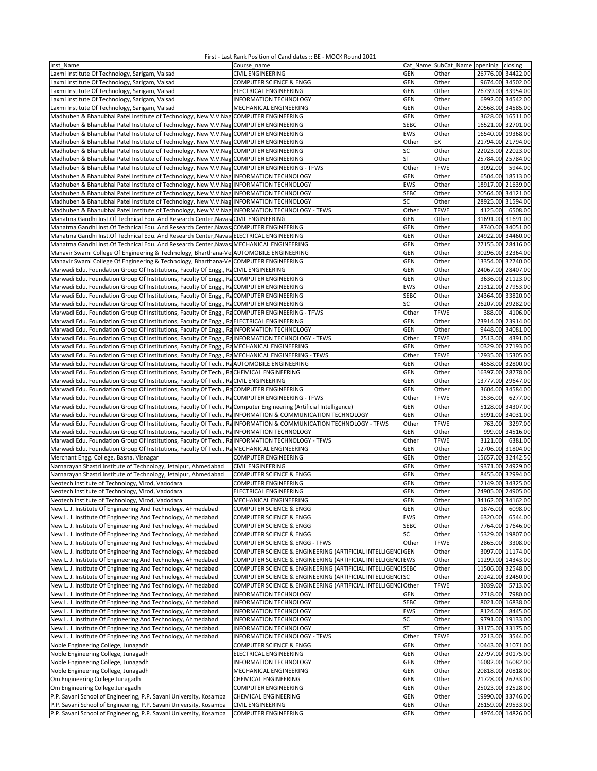| Inst Name                                                                                                          | Course name                                                  |                   | Cat_Name SubCat_Name openinig closing |                   |                              |
|--------------------------------------------------------------------------------------------------------------------|--------------------------------------------------------------|-------------------|---------------------------------------|-------------------|------------------------------|
| Laxmi Institute Of Technology, Sarigam, Valsad                                                                     | <b>CIVIL ENGINEERING</b>                                     | <b>GEN</b>        | Other                                 | 26776.00 34422.00 |                              |
| Laxmi Institute Of Technology, Sarigam, Valsad                                                                     | COMPUTER SCIENCE & ENGG                                      | <b>GEN</b>        | Other                                 |                   | 9674.00 34502.00             |
| Laxmi Institute Of Technology, Sarigam, Valsad                                                                     | ELECTRICAL ENGINEERING                                       | <b>GEN</b>        | Other                                 |                   | 26739.00 33954.00            |
| Laxmi Institute Of Technology, Sarigam, Valsad                                                                     | INFORMATION TECHNOLOGY                                       | <b>GEN</b>        | Other                                 |                   | 6992.00 34542.00             |
| Laxmi Institute Of Technology, Sarigam, Valsad                                                                     | MECHANICAL ENGINEERING                                       | <b>GEN</b>        | Other                                 |                   | 20568.00 34585.00            |
| Madhuben & Bhanubhai Patel Institute of Technology, New V.V.Nag COMPUTER ENGINEERING                               |                                                              | GEN               | Other                                 |                   | 3628.00 16511.00             |
| Madhuben & Bhanubhai Patel Institute of Technology, New V.V.Nag COMPUTER ENGINEERING                               |                                                              | <b>SEBC</b>       | Other                                 | 16521.00 32701.00 |                              |
| Madhuben & Bhanubhai Patel Institute of Technology, New V.V.Nag COMPUTER ENGINEERING                               |                                                              | EWS               | Other                                 |                   | 16540.00 19368.00            |
| Madhuben & Bhanubhai Patel Institute of Technology, New V.V.Nag COMPUTER ENGINEERING                               |                                                              | Other             | EX                                    | 21794.00 21794.00 |                              |
| Madhuben & Bhanubhai Patel Institute of Technology, New V.V.Nag COMPUTER ENGINEERING                               |                                                              | SC                | Other                                 | 22023.00          | 22023.00                     |
| Madhuben & Bhanubhai Patel Institute of Technology, New V.V.Nag COMPUTER ENGINEERING                               |                                                              | <b>ST</b>         | Other                                 | 25784.00 25784.00 |                              |
| Madhuben & Bhanubhai Patel Institute of Technology, New V.V.Nag COMPUTER ENGINEERING - TFWS                        |                                                              | Other             | <b>TFWE</b>                           | 3092.00           | 5944.00                      |
|                                                                                                                    |                                                              |                   |                                       |                   |                              |
| Madhuben & Bhanubhai Patel Institute of Technology, New V.V.Nag INFORMATION TECHNOLOGY                             |                                                              | <b>GEN</b>        | Other                                 |                   | 6504.00 18513.00             |
| Madhuben & Bhanubhai Patel Institute of Technology, New V.V.Nag INFORMATION TECHNOLOGY                             |                                                              | <b>EWS</b>        | Other                                 | 18917.00 21639.00 |                              |
| Madhuben & Bhanubhai Patel Institute of Technology, New V.V.Nag INFORMATION TECHNOLOGY                             |                                                              | <b>SEBC</b>       | Other                                 | 20564.00 34121.00 |                              |
| Madhuben & Bhanubhai Patel Institute of Technology, New V.V.Nag INFORMATION TECHNOLOGY                             |                                                              | SC                | Other                                 |                   | 28925.00 31594.00            |
| Madhuben & Bhanubhai Patel Institute of Technology, New V.V.Nag INFORMATION TECHNOLOGY - TFWS                      |                                                              | Other             | <b>TFWE</b>                           | 4125.00           | 6508.00                      |
| Mahatma Gandhi Inst. Of Technical Edu. And Research Center, Navasi CIVIL ENGINEERING                               |                                                              | <b>GEN</b>        | Other                                 | 31691.00 31691.00 |                              |
| Mahatma Gandhi Inst.Of Technical Edu. And Research Center, Navasi COMPUTER ENGINEERING                             |                                                              | GEN               | Other                                 |                   | 8740.00 34051.00             |
| Mahatma Gandhi Inst.Of Technical Edu. And Research Center, Navası ELECTRICAL ENGINEERING                           |                                                              | GEN               | Other                                 | 24922.00 34460.00 |                              |
| Mahatma Gandhi Inst. Of Technical Edu. And Research Center, Navasi MECHANICAL ENGINEERING                          |                                                              | GEN               | Other                                 | 27155.00 28416.00 |                              |
| Mahavir Swami College Of Engineering & Technology, Bharthana-Ve-AUTOMOBILE ENGINEERING                             |                                                              | GEN               | Other                                 |                   | 30296.00 32364.00            |
| Mahavir Swami College Of Engineering & Technology, Bharthana-Ve COMPUTER ENGINEERING                               |                                                              | GEN               | Other                                 | 13354.00 32740.00 |                              |
| Marwadi Edu. Foundation Group Of Institutions, Faculty Of Engg., RaCIVIL ENGINEERING                               |                                                              | GEN               | Other                                 |                   | 24067.00 28407.00            |
| Marwadi Edu. Foundation Group Of Institutions, Faculty Of Engg., RaCOMPUTER ENGINEERING                            |                                                              | GEN               | Other                                 |                   | 3636.00 21123.00             |
| Marwadi Edu. Foundation Group Of Institutions, Faculty Of Engg., RaCOMPUTER ENGINEERING                            |                                                              | EWS               | Other                                 | 21312.00 27953.00 |                              |
| Marwadi Edu. Foundation Group Of Institutions, Faculty Of Engg., RaCOMPUTER ENGINEERING                            |                                                              | <b>SEBC</b>       | Other                                 | 24364.00 33820.00 |                              |
| Marwadi Edu. Foundation Group Of Institutions, Faculty Of Engg., RaCOMPUTER ENGINEERING                            |                                                              | SC                | Other                                 |                   | 26207.00 29282.00            |
| Marwadi Edu. Foundation Group Of Institutions, Faculty Of Engg., RaCOMPUTER ENGINEERING - TFWS                     |                                                              | Other             | <b>TFWE</b>                           | 388.00            | 4106.00                      |
| Marwadi Edu. Foundation Group Of Institutions, Faculty Of Engg., RaELECTRICAL ENGINEERING                          |                                                              | <b>GEN</b>        | Other                                 |                   | 23914.00 23914.00            |
| Marwadi Edu. Foundation Group Of Institutions, Faculty Of Engg., RaINFORMATION TECHNOLOGY                          |                                                              | <b>GEN</b>        | Other                                 |                   | 9448.00 34081.00             |
| Marwadi Edu. Foundation Group Of Institutions, Faculty Of Engg., RaINFORMATION TECHNOLOGY - TFWS                   |                                                              | Other             | <b>TFWE</b>                           | 2513.00           | 4391.00                      |
| Marwadi Edu. Foundation Group Of Institutions, Faculty Of Engg., Ra MECHANICAL ENGINEERING                         |                                                              | GEN               | Other                                 |                   | 10329.00 27193.00            |
| Marwadi Edu. Foundation Group Of Institutions, Faculty Of Engg., RaMECHANICAL ENGINEERING - TFWS                   |                                                              | Other             | <b>TFWE</b>                           | 12935.00 15305.00 |                              |
| Marwadi Edu. Foundation Group Of Institutions, Faculty Of Tech., RaAUTOMOBILE ENGINEERING                          |                                                              | GEN               | Other                                 |                   | 4558.00 32800.00             |
| Marwadi Edu. Foundation Group Of Institutions, Faculty Of Tech., RaCHEMICAL ENGINEERING                            |                                                              | GEN               | Other                                 | 16397.00          | 28778.00                     |
| Marwadi Edu. Foundation Group Of Institutions, Faculty Of Tech., RaCIVIL ENGINEERING                               |                                                              | <b>GEN</b>        | Other                                 | 13777.00 29647.00 |                              |
| Marwadi Edu. Foundation Group Of Institutions, Faculty Of Tech., RaCOMPUTER ENGINEERING                            |                                                              | <b>GEN</b>        | Other                                 |                   | 3604.00 34584.00             |
| Marwadi Edu. Foundation Group Of Institutions, Faculty Of Tech., RaCOMPUTER ENGINEERING - TFWS                     |                                                              | Other             | <b>TFWE</b>                           | 1536.00           | 6277.00                      |
| Marwadi Edu. Foundation Group Of Institutions, Faculty Of Tech., Ra Computer Engineering (Artificial Intelligence) |                                                              | <b>GEN</b>        | Other                                 |                   | 5128.00 34307.00             |
| Marwadi Edu. Foundation Group Of Institutions, Faculty Of Tech., RaINFORMATION & COMMUNICATION TECHNOLOGY          |                                                              | <b>GEN</b>        | Other                                 |                   | 5991.00 34031.00             |
| Marwadi Edu. Foundation Group Of Institutions, Faculty Of Tech., RaINFORMATION & COMMUNICATION TECHNOLOGY - TFWS   |                                                              | Other             | <b>TFWE</b>                           | 763.00            | 3297.00                      |
| Marwadi Edu. Foundation Group Of Institutions, Faculty Of Tech., RaINFORMATION TECHNOLOGY                          |                                                              | <b>GEN</b>        | Other                                 | 999.00            | 34516.00                     |
| Marwadi Edu. Foundation Group Of Institutions, Faculty Of Tech., RaINFORMATION TECHNOLOGY - TFWS                   |                                                              | Other             | <b>TFWE</b>                           | 3121.00           | 6381.00                      |
| Marwadi Edu. Foundation Group Of Institutions, Faculty Of Tech., RaMECHANICAL ENGINEERING                          |                                                              | <b>GEN</b>        | Other                                 |                   | 12706.00 31804.00            |
| Merchant Engg. College, Basna. Visnagar                                                                            | <b>COMPUTER ENGINEERING</b>                                  | GEN               | Other                                 | 15657.00 32442.50 |                              |
| Narnarayan Shastri Institute of Technology, Jetalpur, Ahmedabad                                                    | <b>CIVIL ENGINEERING</b>                                     | GEN               | Other                                 | 19371.00 24929.00 |                              |
| Narnarayan Shastri Institute of Technology, Jetalpur, Ahmedabad                                                    | <b>COMPUTER SCIENCE &amp; ENGG</b>                           | GEN               | Other                                 |                   | 8455.00 32994.00             |
| Neotech Institute of Technology, Virod, Vadodara                                                                   | <b>COMPUTER ENGINEERING</b>                                  | GEN               | Other                                 |                   | 12149.00 34325.00            |
| Neotech Institute of Technology, Virod, Vadodara                                                                   | ELECTRICAL ENGINEERING                                       | <b>GEN</b>        | Other                                 | 24905.00 24905.00 |                              |
|                                                                                                                    |                                                              |                   |                                       |                   |                              |
| Neotech Institute of Technology, Virod, Vadodara<br>New L. J. Institute Of Engineering And Technology, Ahmedabad   | MECHANICAL ENGINEERING<br><b>COMPUTER SCIENCE &amp; ENGG</b> | GEN<br><b>GEN</b> | Other<br>Other                        | 1876.00           | 34162.00 34162.00<br>6098.00 |
| New L. J. Institute Of Engineering And Technology, Ahmedabad                                                       | COMPUTER SCIENCE & ENGG                                      | EWS               | Other                                 | 6320.00           | 6544.00                      |
| New L. J. Institute Of Engineering And Technology, Ahmedabad                                                       | <b>COMPUTER SCIENCE &amp; ENGG</b>                           | SEBC              | Other                                 |                   | 7764.00 17646.00             |
| New L. J. Institute Of Engineering And Technology, Ahmedabad                                                       | <b>COMPUTER SCIENCE &amp; ENGG</b>                           | SC                |                                       |                   | 15329.00 19807.00            |
| New L. J. Institute Of Engineering And Technology, Ahmedabad                                                       | COMPUTER SCIENCE & ENGG - TFWS                               |                   | Other<br><b>TFWE</b>                  | 2865.00           |                              |
|                                                                                                                    |                                                              | Other             |                                       |                   | 3308.00                      |
| New L. J. Institute Of Engineering And Technology, Ahmedabad                                                       | COMPUTER SCIENCE & ENGINEERING (ARTIFICIAL INTELLIGENCI GEN  |                   | Other                                 |                   | 3097.00 11174.00             |
| New L. J. Institute Of Engineering And Technology, Ahmedabad                                                       | COMPUTER SCIENCE & ENGINEERING (ARTIFICIAL INTELLIGENCIEWS   |                   | Other                                 |                   | 11299.00 14343.00            |
| New L. J. Institute Of Engineering And Technology, Ahmedabad                                                       | COMPUTER SCIENCE & ENGINEERING (ARTIFICIAL INTELLIGENCISEBC  |                   | Other                                 |                   | 11506.00 32548.00            |
| New L. J. Institute Of Engineering And Technology, Ahmedabad                                                       | COMPUTER SCIENCE & ENGINEERING (ARTIFICIAL INTELLIGENCISC    |                   | Other                                 |                   | 20242.00 32450.00            |
| New L. J. Institute Of Engineering And Technology, Ahmedabad                                                       | COMPUTER SCIENCE & ENGINEERING (ARTIFICIAL INTELLIGENCIOther |                   | <b>TFWE</b>                           | 3039.00           | 5713.00                      |
| New L. J. Institute Of Engineering And Technology, Ahmedabad                                                       | INFORMATION TECHNOLOGY                                       | GEN               | Other                                 | 2718.00           | 7980.00                      |
| New L. J. Institute Of Engineering And Technology, Ahmedabad                                                       | <b>INFORMATION TECHNOLOGY</b>                                | SEBC              | Other                                 |                   | 8021.00 16838.00             |
| New L. J. Institute Of Engineering And Technology, Ahmedabad                                                       | INFORMATION TECHNOLOGY                                       | EWS               | Other                                 | 8124.00           | 8445.00                      |
| New L. J. Institute Of Engineering And Technology, Ahmedabad                                                       | INFORMATION TECHNOLOGY                                       | SC                | Other                                 |                   | 9791.00 19133.00             |
| New L. J. Institute Of Engineering And Technology, Ahmedabad                                                       | INFORMATION TECHNOLOGY                                       | <b>ST</b>         | Other                                 |                   | 33175.00 33175.00            |
| New L. J. Institute Of Engineering And Technology, Ahmedabad                                                       | INFORMATION TECHNOLOGY - TFWS                                | Other             | <b>TFWE</b>                           | 2213.00           | 3544.00                      |
| Noble Engineering College, Junagadh                                                                                | COMPUTER SCIENCE & ENGG                                      | <b>GEN</b>        | Other                                 |                   | 10443.00 31071.00            |
| Noble Engineering College, Junagadh                                                                                | ELECTRICAL ENGINEERING                                       | <b>GEN</b>        | Other                                 |                   | 22797.00 30175.00            |
| Noble Engineering College, Junagadh                                                                                | INFORMATION TECHNOLOGY                                       | <b>GEN</b>        | Other                                 |                   | 16082.00 16082.00            |
| Noble Engineering College, Junagadh                                                                                | MECHANICAL ENGINEERING                                       | <b>GEN</b>        | Other                                 |                   | 20818.00 20818.00            |
| Om Engineering College Junagadh                                                                                    | CHEMICAL ENGINEERING                                         | <b>GEN</b>        | Other                                 |                   | 21728.00 26233.00            |
| Om Engineering College Junagadh                                                                                    | <b>COMPUTER ENGINEERING</b>                                  | <b>GEN</b>        | Other                                 |                   | 25023.00 32528.00            |
| P.P. Savani School of Engineering, P.P. Savani University, Kosamba                                                 | <b>CHEMICAL ENGINEERING</b>                                  | <b>GEN</b>        | Other                                 |                   | 19990.00 33746.00            |
| P.P. Savani School of Engineering, P.P. Savani University, Kosamba                                                 | <b>CIVIL ENGINEERING</b>                                     | <b>GEN</b>        | Other                                 |                   | 26159.00 29533.00            |
| P.P. Savani School of Engineering, P.P. Savani University, Kosamba                                                 | <b>COMPUTER ENGINEERING</b>                                  | <b>GEN</b>        | Other                                 |                   | 4974.00 14826.00             |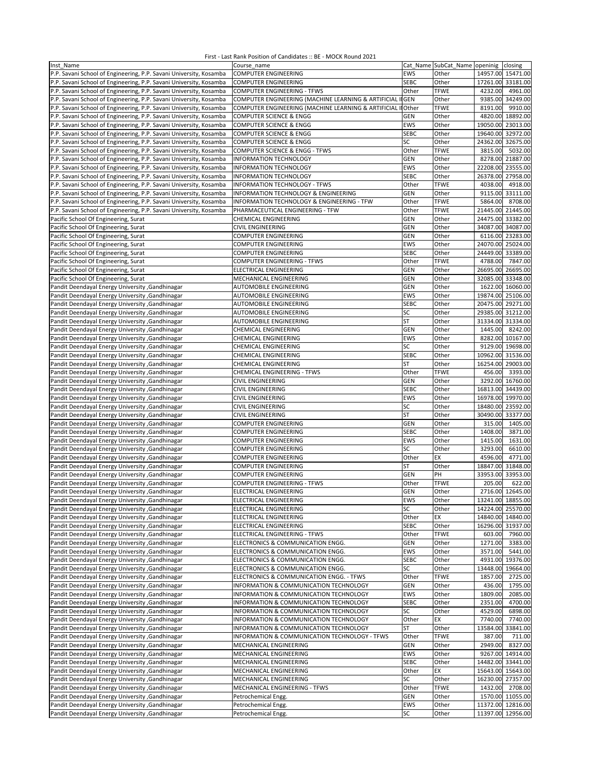| Inst Name                                                          | Course name                                                  |             | Cat Name SubCat_Name openinig |          | closing                    |
|--------------------------------------------------------------------|--------------------------------------------------------------|-------------|-------------------------------|----------|----------------------------|
| P.P. Savani School of Engineering, P.P. Savani University, Kosamba | <b>COMPUTER ENGINEERING</b>                                  | <b>EWS</b>  | Other                         |          | 14957.00 15471.00          |
| P.P. Savani School of Engineering, P.P. Savani University, Kosamba | <b>COMPUTER ENGINEERING</b>                                  | <b>SEBC</b> | Other                         |          | 17261.00 33181.00          |
| P.P. Savani School of Engineering, P.P. Savani University, Kosamba | <b>COMPUTER ENGINEERING - TFWS</b>                           | Other       | <b>TFWE</b>                   | 4232.00  | 4961.00                    |
| P.P. Savani School of Engineering, P.P. Savani University, Kosamba | COMPUTER ENGINEERING (MACHINE LEARNING & ARTIFICIAL I        | <b>IGEN</b> | Other                         |          | 9385.00 34249.00           |
| P.P. Savani School of Engineering, P.P. Savani University, Kosamba | COMPUTER ENGINEERING (MACHINE LEARNING & ARTIFICIAL II Other |             | <b>TFWE</b>                   | 8191.00  | 9910.00                    |
|                                                                    |                                                              | <b>GEN</b>  | Other                         | 4820.00  | 18892.00                   |
| P.P. Savani School of Engineering, P.P. Savani University, Kosamba | <b>COMPUTER SCIENCE &amp; ENGG</b>                           |             |                               |          |                            |
| P.P. Savani School of Engineering, P.P. Savani University, Kosamba | <b>COMPUTER SCIENCE &amp; ENGG</b>                           | EWS         | Other                         |          | 19050.00 23013.00          |
| P.P. Savani School of Engineering, P.P. Savani University, Kosamba | <b>COMPUTER SCIENCE &amp; ENGG</b>                           | <b>SEBC</b> | Other                         | 19640.00 | 32972.00                   |
| P.P. Savani School of Engineering, P.P. Savani University, Kosamba | <b>COMPUTER SCIENCE &amp; ENGG</b>                           | SC          | Other                         |          | 24362.00 32675.00          |
| P.P. Savani School of Engineering, P.P. Savani University, Kosamba | <b>COMPUTER SCIENCE &amp; ENGG - TFWS</b>                    | Other       | <b>TFWE</b>                   | 3815.00  | 5032.00                    |
| P.P. Savani School of Engineering, P.P. Savani University, Kosamba | <b>INFORMATION TECHNOLOGY</b>                                | GEN         | Other                         |          | 8278.00 21887.00           |
| P.P. Savani School of Engineering, P.P. Savani University, Kosamba | <b>INFORMATION TECHNOLOGY</b>                                | EWS         | Other                         |          | 22208.00 23555.00          |
| P.P. Savani School of Engineering, P.P. Savani University, Kosamba | <b>INFORMATION TECHNOLOGY</b>                                | <b>SEBC</b> | Other                         |          | 26378.00 27958.00          |
| P.P. Savani School of Engineering, P.P. Savani University, Kosamba | <b>INFORMATION TECHNOLOGY - TFWS</b>                         | Other       | <b>TFWE</b>                   | 4038.00  | 4918.00                    |
| P.P. Savani School of Engineering, P.P. Savani University, Kosamba | INFORMATION TECHNOLOGY & ENGINEERING                         | <b>GEN</b>  | Other                         |          | 9115.00 33111.00           |
| P.P. Savani School of Engineering, P.P. Savani University, Kosamba | INFORMATION TECHNOLOGY & ENGINEERING - TFW                   | Other       | <b>TFWE</b>                   | 5864.00  | 8708.00                    |
| P.P. Savani School of Engineering, P.P. Savani University, Kosamba | PHARMACEUTICAL ENGINEERING - TFW                             | Other       | <b>TFWE</b>                   |          | 21445.00 21445.00          |
| Pacific School Of Engineering, Surat                               | CHEMICAL ENGINEERING                                         | <b>GEN</b>  | Other                         |          | 24475.00 33382.00          |
| Pacific School Of Engineering, Surat                               | <b>CIVIL ENGINEERING</b>                                     | <b>GEN</b>  | Other                         | 34087.00 | 34087.00                   |
| Pacific School Of Engineering, Surat                               | COMPUTER ENGINEERING                                         | <b>GEN</b>  | Other                         |          | 6116.00 23283.00           |
|                                                                    |                                                              |             |                               |          |                            |
| Pacific School Of Engineering, Surat                               | COMPUTER ENGINEERING                                         | EWS         | Other                         | 24070.00 | 25024.00                   |
| Pacific School Of Engineering, Surat                               | <b>COMPUTER ENGINEERING</b>                                  | <b>SEBC</b> | Other                         |          | 24449.00 33389.00          |
| Pacific School Of Engineering, Surat                               | <b>COMPUTER ENGINEERING - TFWS</b>                           | Other       | <b>TFWE</b>                   | 4788.00  | 7847.00                    |
| Pacific School Of Engineering, Surat                               | ELECTRICAL ENGINEERING                                       | GEN         | Other                         |          | 26695.00 26695.00          |
| Pacific School Of Engineering, Surat                               | MECHANICAL ENGINEERING                                       | GEN         | Other                         |          | 32085.00 33348.00          |
| <b>Pandit Deendayal Energy University , Gandhinagar</b>            | AUTOMOBILE ENGINEERING                                       | GEN         | Other                         |          | 1622.00 16060.00           |
| Pandit Deendayal Energy University , Gandhinagar                   | AUTOMOBILE ENGINEERING                                       | <b>EWS</b>  | Other                         |          | 19874.00 25106.00          |
| Pandit Deendayal Energy University , Gandhinagar                   | AUTOMOBILE ENGINEERING                                       | <b>SEBC</b> | Other                         |          | 20475.00 29271.00          |
| Pandit Deendayal Energy University , Gandhinagar                   | AUTOMOBILE ENGINEERING                                       | SC          | Other                         |          | 29385.00 31212.00          |
| Pandit Deendayal Energy University , Gandhinagar                   | <b>AUTOMOBILE ENGINEERING</b>                                | <b>ST</b>   | Other                         |          | 31334.00 31334.00          |
| Pandit Deendayal Energy University , Gandhinagar                   | <b>CHEMICAL ENGINEERING</b>                                  | GEN         | Other                         | 1445.00  | 8242.00                    |
| Pandit Deendayal Energy University , Gandhinagar                   | CHEMICAL ENGINEERING                                         | EWS         | Other                         | 8282.00  | 10167.00                   |
| Pandit Deendayal Energy University , Gandhinagar                   | CHEMICAL ENGINEERING                                         | SC          | Other                         |          | 9129.00 19698.00           |
| Pandit Deendayal Energy University , Gandhinagar                   | <b>CHEMICAL ENGINEERING</b>                                  | <b>SEBC</b> | Other                         |          | 10962.00 31536.00          |
|                                                                    |                                                              |             |                               |          |                            |
| Pandit Deendayal Energy University , Gandhinagar                   | <b>CHEMICAL ENGINEERING</b>                                  | <b>ST</b>   | Other                         |          | 16254.00 29003.00          |
| Pandit Deendayal Energy University , Gandhinagar                   | CHEMICAL ENGINEERING - TFWS                                  | Other       | <b>TFWE</b>                   | 456.00   | 3393.00                    |
| Pandit Deendayal Energy University , Gandhinagar                   | <b>CIVIL ENGINEERING</b>                                     | GEN         | Other                         |          | 3292.00 16760.00           |
| Pandit Deendayal Energy University , Gandhinagar                   | <b>CIVIL ENGINEERING</b>                                     | <b>SEBC</b> | Other                         |          | 16813.00 34439.00          |
| Pandit Deendayal Energy University , Gandhinagar                   | CIVIL ENGINEERING                                            | EWS         | Other                         | 16978.00 | 19970.00                   |
| <b>Pandit Deendayal Energy University , Gandhinagar</b>            | <b>CIVIL ENGINEERING</b>                                     | SC          | Other                         |          | 18480.00 23592.00          |
| Pandit Deendayal Energy University , Gandhinagar                   | <b>CIVIL ENGINEERING</b>                                     | <b>ST</b>   | Other                         |          | 30490.00 33377.00          |
| Pandit Deendayal Energy University , Gandhinagar                   | COMPUTER ENGINEERING                                         | <b>GEN</b>  | Other                         | 315.00   | 1405.00                    |
| Pandit Deendayal Energy University , Gandhinagar                   | <b>COMPUTER ENGINEERING</b>                                  | <b>SEBC</b> | Other                         | 1408.00  | 3871.00                    |
| Pandit Deendayal Energy University , Gandhinagar                   | <b>COMPUTER ENGINEERING</b>                                  | <b>EWS</b>  | Other                         | 1415.00  | 1631.00                    |
| Pandit Deendayal Energy University , Gandhinagar                   | COMPUTER ENGINEERING                                         | SC          | Other                         | 3293.00  | 6610.00                    |
| Pandit Deendayal Energy University , Gandhinagar                   | COMPUTER ENGINEERING                                         | Other       | EX                            | 4596.00  | 4771.00                    |
| Pandit Deendayal Energy University , Gandhinagar                   | COMPUTER ENGINEERING                                         | <b>ST</b>   | Other                         | 18847.00 | 31848.00                   |
| Pandit Deendayal Energy University , Gandhinagar                   | <b>COMPUTER ENGINEERING</b>                                  | <b>GEN</b>  | PH                            |          | 33953.00 33953.00          |
|                                                                    |                                                              |             | <b>TFWE</b>                   |          |                            |
| Pandit Deendayal Energy University , Gandhinagar                   | COMPUTER ENGINEERING - TFWS                                  | Other       |                               | 205.00   | 622.00<br>2716.00 12645.00 |
| Pandit Deendayal Energy University , Gandhinagar                   | ELECTRICAL ENGINEERING                                       | GEN         | Other                         |          |                            |
| Pandit Deendayal Energy University , Gandhinagar                   | ELECTRICAL ENGINEERING                                       | EWS         | Other                         |          | 13241.00 18855.00          |
| Pandit Deendayal Energy University , Gandhinagar                   | ELECTRICAL ENGINEERING                                       | SC          | Other                         |          | 14224.00 25570.00          |
| Pandit Deendayal Energy University , Gandhinagar                   | ELECTRICAL ENGINEERING                                       | Other       | EX                            |          | 14840.00 14840.00          |
| Pandit Deendayal Energy University , Gandhinagar                   | ELECTRICAL ENGINEERING                                       | <b>SEBC</b> | Other                         |          | 16296.00 31937.00          |
| Pandit Deendayal Energy University , Gandhinagar                   | ELECTRICAL ENGINEERING - TFWS                                | Other       | <b>TFWE</b>                   |          | 603.00 7960.00             |
| Pandit Deendayal Energy University , Gandhinagar                   | ELECTRONICS & COMMUNICATION ENGG.                            | GEN         | Other                         | 1271.00  | 3383.00                    |
| Pandit Deendayal Energy University , Gandhinagar                   | ELECTRONICS & COMMUNICATION ENGG.                            | EWS         | Other                         | 3571.00  | 5441.00                    |
| Pandit Deendayal Energy University , Gandhinagar                   | ELECTRONICS & COMMUNICATION ENGG.                            | <b>SEBC</b> | Other                         | 4931.00  | 19376.00                   |
| Pandit Deendayal Energy University , Gandhinagar                   | ELECTRONICS & COMMUNICATION ENGG.                            | SC          | Other                         | 13448.00 | 19664.00                   |
| Pandit Deendayal Energy University , Gandhinagar                   | ELECTRONICS & COMMUNICATION ENGG. - TFWS                     | Other       | <b>TFWE</b>                   | 1857.00  | 2725.00                    |
| Pandit Deendayal Energy University , Gandhinagar                   | INFORMATION & COMMUNICATION TECHNOLOGY                       | <b>GEN</b>  | Other                         | 436.00   | 1795.00                    |
| Pandit Deendayal Energy University , Gandhinagar                   | INFORMATION & COMMUNICATION TECHNOLOGY                       | EWS         | Other                         | 1809.00  | 2085.00                    |
| Pandit Deendayal Energy University , Gandhinagar                   | INFORMATION & COMMUNICATION TECHNOLOGY                       | <b>SEBC</b> | Other                         | 2351.00  | 4700.00                    |
| Pandit Deendayal Energy University , Gandhinagar                   | INFORMATION & COMMUNICATION TECHNOLOGY                       | SC          | Other                         | 4529.00  | 6898.00                    |
| Pandit Deendayal Energy University , Gandhinagar                   | INFORMATION & COMMUNICATION TECHNOLOGY                       | Other       | EX                            | 7740.00  | 7740.00                    |
|                                                                    |                                                              |             |                               |          |                            |
| Pandit Deendayal Energy University , Gandhinagar                   | INFORMATION & COMMUNICATION TECHNOLOGY                       | ST          | Other                         | 13584.00 | 33841.00                   |
| Pandit Deendayal Energy University , Gandhinagar                   | INFORMATION & COMMUNICATION TECHNOLOGY - TFWS                | Other       | <b>TFWE</b>                   | 387.00   | 711.00                     |
| Pandit Deendayal Energy University , Gandhinagar                   | MECHANICAL ENGINEERING                                       | <b>GEN</b>  | Other                         | 2949.00  | 8327.00                    |
| Pandit Deendayal Energy University , Gandhinagar                   | MECHANICAL ENGINEERING                                       | EWS         | Other                         |          | 9267.00 14914.00           |
| Pandit Deendayal Energy University , Gandhinagar                   | MECHANICAL ENGINEERING                                       | <b>SEBC</b> | Other                         |          | 14482.00 33441.00          |
| Pandit Deendayal Energy University , Gandhinagar                   | MECHANICAL ENGINEERING                                       | Other       | EX                            |          | 15643.00 15643.00          |
| Pandit Deendayal Energy University , Gandhinagar                   | MECHANICAL ENGINEERING                                       | SC          | Other                         |          | 16230.00 27357.00          |
| Pandit Deendayal Energy University , Gandhinagar                   | MECHANICAL ENGINEERING - TFWS                                | Other       | <b>TFWE</b>                   | 1432.00  | 2708.00                    |
| Pandit Deendayal Energy University , Gandhinagar                   | Petrochemical Engg.                                          | GEN         | Other                         |          | 1570.00 11055.00           |
| Pandit Deendayal Energy University , Gandhinagar                   | Petrochemical Engg.                                          | EWS         | Other                         |          | 11372.00 12816.00          |
| Pandit Deendayal Energy University , Gandhinagar                   | Petrochemical Engg.                                          | SC          | Other                         |          | 11397.00 12956.00          |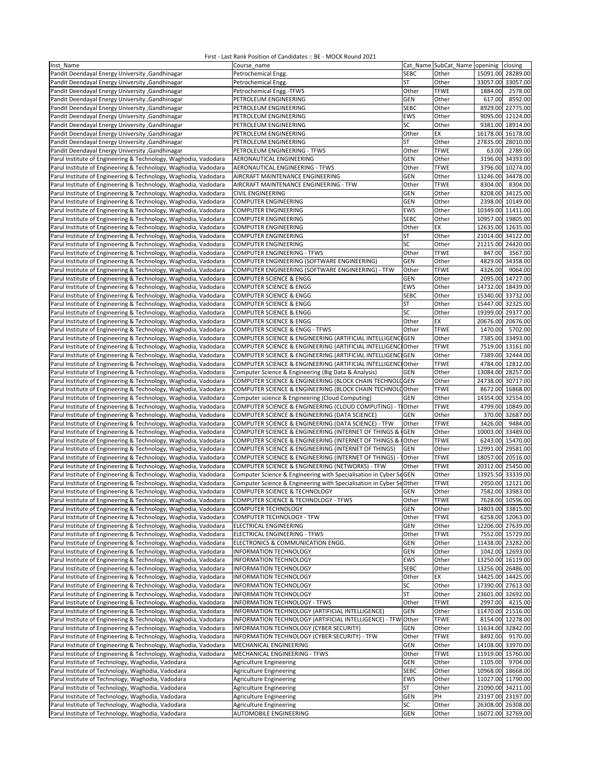| Inst Name                                                       | Course_name                                                         |              | Cat Name SubCat_Name openinig |         | closing           |
|-----------------------------------------------------------------|---------------------------------------------------------------------|--------------|-------------------------------|---------|-------------------|
| Pandit Deendayal Energy University , Gandhinagar                | Petrochemical Engg.                                                 | <b>SEBC</b>  | Other                         |         | 15091.00 28289.00 |
| Pandit Deendayal Energy University , Gandhinagar                | Petrochemical Engg.                                                 | ST           | Other                         |         | 33057.00 33057.00 |
| Pandit Deendayal Energy University , Gandhinagar                | Petrochemical Engg.-TFWS                                            | Other        | <b>TFWE</b>                   | 1884.00 | 2578.00           |
|                                                                 |                                                                     |              | Other                         | 617.00  | 8592.00           |
| <b>Pandit Deendayal Energy University , Gandhinagar</b>         | PETROLEUM ENGINEERING                                               | <b>GEN</b>   |                               |         |                   |
| Pandit Deendayal Energy University , Gandhinagar                | PETROLEUM ENGINEERING                                               | <b>SEBC</b>  | Other                         |         | 8929.00 22775.00  |
| Pandit Deendayal Energy University , Gandhinagar                | PETROLEUM ENGINEERING                                               | EWS          | Other                         |         | 9095.00 12124.00  |
| <b>Pandit Deendayal Energy University , Gandhinagar</b>         | PETROLEUM ENGINEERING                                               | SC           | Other                         |         | 9381.00 18914.00  |
| Pandit Deendayal Energy University , Gandhinagar                | PETROLEUM ENGINEERING                                               | Other        | EX                            |         | 16178.00 16178.00 |
| Pandit Deendayal Energy University , Gandhinagar                | PETROLEUM ENGINEERING                                               | ST           | Other                         |         | 27835.00 28010.00 |
| Pandit Deendayal Energy University , Gandhinagar                | PETROLEUM ENGINEERING - TFWS                                        | Other        | <b>TFWE</b>                   | 63.00   | 2789.00           |
| Parul Institute of Engineering & Technology, Waghodia, Vadodara | AERONAUTICAL ENGINEERING                                            | GEN          | Other                         |         | 3196.00 34393.00  |
| Parul Institute of Engineering & Technology, Waghodia, Vadodara | AERONAUTICAL ENGINEERING - TFWS                                     | Other        | <b>TFWE</b>                   |         | 3796.00 10274.00  |
| Parul Institute of Engineering & Technology, Waghodia, Vadodara | AIRCRAFT MAINTENANCE ENGINEERING                                    | GEN          | Other                         |         | 13246.00 34478.00 |
|                                                                 |                                                                     |              |                               |         |                   |
| Parul Institute of Engineering & Technology, Waghodia, Vadodara | AIRCRAFT MAINTENANCE ENGINEERING - TFW                              | Other        | <b>TFWE</b>                   | 8304.00 | 8304.00           |
| Parul Institute of Engineering & Technology, Waghodia, Vadodara | <b>CIVIL ENGINEERING</b>                                            | <b>GEN</b>   | Other                         |         | 8208.00 34125.00  |
| Parul Institute of Engineering & Technology, Waghodia, Vadodara | <b>COMPUTER ENGINEERING</b>                                         | <b>GEN</b>   | Other                         |         | 2398.00 10149.00  |
| Parul Institute of Engineering & Technology, Waghodia, Vadodara | <b>COMPUTER ENGINEERING</b>                                         | EWS          | Other                         |         | 10349.00 11411.00 |
| Parul Institute of Engineering & Technology, Waghodia, Vadodara | <b>COMPUTER ENGINEERING</b>                                         | <b>SEBC</b>  | Other                         |         | 10957.00 19805.00 |
| Parul Institute of Engineering & Technology, Waghodia, Vadodara | <b>COMPUTER ENGINEERING</b>                                         | Other        | EX                            |         | 12635.00 12635.00 |
| Parul Institute of Engineering & Technology, Waghodia, Vadodara | COMPUTER ENGINEERING                                                | ST           | Other                         |         | 21014.00 34122.00 |
| Parul Institute of Engineering & Technology, Waghodia, Vadodara | <b>COMPUTER ENGINEERING</b>                                         | SC           | Other                         |         | 21215.00 24420.00 |
|                                                                 |                                                                     |              | <b>TFWE</b>                   | 847.00  |                   |
| Parul Institute of Engineering & Technology, Waghodia, Vadodara | <b>COMPUTER ENGINEERING - TFWS</b>                                  | Other        |                               |         | 3567.00           |
| Parul Institute of Engineering & Technology, Waghodia, Vadodara | COMPUTER ENGINEERING (SOFTWARE ENGINEERING)                         | GEN          | Other                         |         | 4829.00 34358.00  |
| Parul Institute of Engineering & Technology, Waghodia, Vadodara | COMPUTER ENGINEERING (SOFTWARE ENGINEERING) - TFW                   | Other        | <b>TFWE</b>                   | 4326.00 | 9064.00           |
| Parul Institute of Engineering & Technology, Waghodia, Vadodara | <b>COMPUTER SCIENCE &amp; ENGG</b>                                  | GEN          | Other                         |         | 2095.00 14727.00  |
| Parul Institute of Engineering & Technology, Waghodia, Vadodara | COMPUTER SCIENCE & ENGG                                             | EWS          | Other                         |         | 14732.00 18439.00 |
| Parul Institute of Engineering & Technology, Waghodia, Vadodara | <b>COMPUTER SCIENCE &amp; ENGG</b>                                  | <b>SEBC</b>  | Other                         |         | 15340.00 33732.00 |
| Parul Institute of Engineering & Technology, Waghodia, Vadodara | <b>COMPUTER SCIENCE &amp; ENGG</b>                                  | ST           | Other                         |         | 15447.00 32325.00 |
| Parul Institute of Engineering & Technology, Waghodia, Vadodara | COMPUTER SCIENCE & ENGG                                             | SC           | Other                         |         | 19399.00 29377.00 |
| Parul Institute of Engineering & Technology, Waghodia, Vadodara | <b>COMPUTER SCIENCE &amp; ENGG</b>                                  | Other        | EX                            |         | 20676.00 20676.00 |
|                                                                 |                                                                     |              | <b>TFWE</b>                   | 1470.00 |                   |
| Parul Institute of Engineering & Technology, Waghodia, Vadodara | COMPUTER SCIENCE & ENGG - TFWS                                      | Other        |                               |         | 5702.00           |
| Parul Institute of Engineering & Technology, Waghodia, Vadodara | COMPUTER SCIENCE & ENGINEERING (ARTIFICIAL INTELLIGENCIGEN          |              | Other                         |         | 7385.00 33493.00  |
| Parul Institute of Engineering & Technology, Waghodia, Vadodara | COMPUTER SCIENCE & ENGINEERING (ARTIFICIAL INTELLIGENCIOther        |              | <b>TFWE</b>                   |         | 7519.00 13161.00  |
| Parul Institute of Engineering & Technology, Waghodia, Vadodara | COMPUTER SCIENCE & ENGINEERING (ARTIFICIAL INTELLIGENCIGEN          |              | Other                         |         | 7389.00 32444.00  |
| Parul Institute of Engineering & Technology, Waghodia, Vadodara | COMPUTER SCIENCE & ENGINEERING (ARTIFICIAL INTELLIGENCIOther        |              | <b>TFWE</b>                   |         | 4784.00 12812.00  |
| Parul Institute of Engineering & Technology, Waghodia, Vadodara | Computer Science & Engineering (Big Data & Analysis)                | <b>GEN</b>   | Other                         |         | 13084.00 28257.00 |
| Parul Institute of Engineering & Technology, Waghodia, Vadodara | COMPUTER SCIENCE & ENGINEERING (BLOCK CHAIN TECHNOLOGEN             |              | Other                         |         | 24738.00 30717.00 |
| Parul Institute of Engineering & Technology, Waghodia, Vadodara | COMPUTER SCIENCE & ENGINEERING (BLOCK CHAIN TECHNOLOOther           |              | <b>TFWE</b>                   |         | 8672.00 16868.00  |
| Parul Institute of Engineering & Technology, Waghodia, Vadodara | Computer science & Engineering (Cloud Computing)                    | <b>GEN</b>   | Other                         |         | 14354.00 32554.00 |
| Parul Institute of Engineering & Technology, Waghodia, Vadodara | COMPUTER SCIENCE & ENGINEERING (CLOUD COMPUTING) - TIOther          |              | <b>TFWE</b>                   |         | 4799.00 10849.00  |
|                                                                 |                                                                     |              |                               |         |                   |
| Parul Institute of Engineering & Technology, Waghodia, Vadodara | COMPUTER SCIENCE & ENGINEERING (DATA SCIENCE)                       | <b>GEN</b>   | Other                         |         | 370.00 32687.00   |
| Parul Institute of Engineering & Technology, Waghodia, Vadodara | COMPUTER SCIENCE & ENGINEERING (DATA SCIENCE) - TFW                 | Other        | <b>TFWE</b>                   | 3426.00 | 9484.00           |
| Parul Institute of Engineering & Technology, Waghodia, Vadodara | COMPUTER SCIENCE & ENGINEERING (INTERNET OF THINGS &                | (GEN         | Other                         |         | 10003.00 33489.00 |
| Parul Institute of Engineering & Technology, Waghodia, Vadodara | COMPUTER SCIENCE & ENGINEERING (INTERNET OF THINGS &                | <b>Other</b> | <b>TFWE</b>                   |         | 6243.00 15470.00  |
| Parul Institute of Engineering & Technology, Waghodia, Vadodara | COMPUTER SCIENCE & ENGINEERING (INTERNET OF THINGS)                 | <b>GEN</b>   | Other                         |         | 12991.00 29581.00 |
| Parul Institute of Engineering & Technology, Waghodia, Vadodara | COMPUTER SCIENCE & ENGINEERING (INTERNET OF THINGS) -               | 10ther       | <b>TFWE</b>                   |         | 18057.00 20516.00 |
| Parul Institute of Engineering & Technology, Waghodia, Vadodara | COMPUTER SCIENCE & ENGINEERING (NETWORKS) - TFW                     | Other        | <b>TFWE</b>                   |         | 20312.00 25450.00 |
| Parul Institute of Engineering & Technology, Waghodia, Vadodara | Computer Science & Engineering with Specialisation in Cyber SeGEN   |              | Other                         |         | 13925.50 33339.00 |
|                                                                 | Computer Science & Engineering with Specialisation in Cyber SeOther |              | <b>TFWE</b>                   |         | 2950.00 12121.00  |
| Parul Institute of Engineering & Technology, Waghodia, Vadodara |                                                                     |              |                               |         |                   |
| Parul Institute of Engineering & Technology, Waghodia, Vadodara | COMPUTER SCIENCE & TECHNOLOGY                                       | GEN          | Other                         |         | 7582.00 33983.00  |
| Parul Institute of Engineering & Technology, Waghodia, Vadodara | COMPUTER SCIENCE & TECHNOLOGY - TFWS                                | Other        | <b>TFWE</b>                   |         | 7628.00 10596.00  |
| Parul Institute of Engineering & Technology, Waghodia, Vadodara | COMPUTER TECHNOLOGY                                                 | <b>GEN</b>   | Other                         |         | 14803.00 33815.00 |
| Parul Institute of Engineering & Technology, Waghodia, Vadodara | COMPUTER TECHNOLOGY - TFW                                           | Other        | <b>TFWE</b>                   |         | 6258.00 12063.00  |
| Parul Institute of Engineering & Technology, Waghodia, Vadodara | ELECTRICAL ENGINEERING                                              | GEN          | Other                         |         | 12206.00 27639.00 |
| Parul Institute of Engineering & Technology, Waghodia, Vadodara | ELECTRICAL ENGINEERING - TFWS                                       | Other        | <b>TFWE</b>                   |         | 7552.00 15729.00  |
| Parul Institute of Engineering & Technology, Waghodia, Vadodara | ELECTRONICS & COMMUNICATION ENGG.                                   | <b>GEN</b>   | Other                         |         | 11438.00 23282.00 |
| Parul Institute of Engineering & Technology, Waghodia, Vadodara | INFORMATION TECHNOLOGY                                              | <b>GEN</b>   | Other                         |         | 1042.00 12693.00  |
| Parul Institute of Engineering & Technology, Waghodia, Vadodara | INFORMATION TECHNOLOGY                                              | EWS          | Other                         |         | 13250.00 16119.00 |
|                                                                 |                                                                     |              |                               |         |                   |
| Parul Institute of Engineering & Technology, Waghodia, Vadodara | INFORMATION TECHNOLOGY                                              | <b>SEBC</b>  | Other                         |         | 13256.00 26486.00 |
| Parul Institute of Engineering & Technology, Waghodia, Vadodara | <b>INFORMATION TECHNOLOGY</b>                                       | Other        | EX                            |         | 14425.00 14425.00 |
| Parul Institute of Engineering & Technology, Waghodia, Vadodara | <b>INFORMATION TECHNOLOGY</b>                                       | SC           | Other                         |         | 17390.00 27613.00 |
| Parul Institute of Engineering & Technology, Waghodia, Vadodara | INFORMATION TECHNOLOGY                                              | <b>ST</b>    | Other                         |         | 23601.00 32692.00 |
| Parul Institute of Engineering & Technology, Waghodia, Vadodara | INFORMATION TECHNOLOGY - TFWS                                       | Other        | <b>TFWE</b>                   | 2997.00 | 4215.00           |
| Parul Institute of Engineering & Technology, Waghodia, Vadodara | INFORMATION TECHNOLOGY (ARTIFICIAL INTELLIGENCE)                    | <b>GEN</b>   | Other                         |         | 11470.00 21516.00 |
| Parul Institute of Engineering & Technology, Waghodia, Vadodara | INFORMATION TECHNOLOGY (ARTIFICIAL INTELLIGENCE) - TFW              | Other        | <b>TFWE</b>                   |         | 8154.00 12278.00  |
| Parul Institute of Engineering & Technology, Waghodia, Vadodara | INFORMATION TECHNOLOGY (CYBER SECURITY)                             | GEN          | Other                         |         | 11634.00 32842.00 |
| Parul Institute of Engineering & Technology, Waghodia, Vadodara | INFORMATION TECHNOLOGY (CYBER SECURITY) - TFW                       | Other        | <b>TFWE</b>                   | 8492.00 | 9170.00           |
|                                                                 |                                                                     |              |                               |         |                   |
| Parul Institute of Engineering & Technology, Waghodia, Vadodara | MECHANICAL ENGINEERING                                              | <b>GEN</b>   | Other                         |         | 14108.00 33970.00 |
| Parul Institute of Engineering & Technology, Waghodia, Vadodara | MECHANICAL ENGINEERING - TFWS                                       | Other        | <b>TFWE</b>                   |         | 11919.00 15760.00 |
| Parul Institute of Technology, Waghodia, Vadodara               | Agriculture Engineering                                             | <b>GEN</b>   | Other                         |         | 1105.00 9704.00   |
| Parul Institute of Technology, Waghodia, Vadodara               | Agriculture Engineering                                             | SEBC         | Other                         |         | 10968.00 18668.00 |
| Parul Institute of Technology, Waghodia, Vadodara               | Agriculture Engineering                                             | EWS          | Other                         |         | 11027.00 11790.00 |
| Parul Institute of Technology, Waghodia, Vadodara               | Agriculture Engineering                                             | ST           | Other                         |         | 21090.00 34211.00 |
| Parul Institute of Technology, Waghodia, Vadodara               | Agriculture Engineering                                             | GEN          | PH                            |         | 23197.00 23197.00 |
| Parul Institute of Technology, Waghodia, Vadodara               | Agriculture Engineering                                             | SC           | Other                         |         | 26308.00 26308.00 |
| Parul Institute of Technology, Waghodia, Vadodara               | AUTOMOBILE ENGINEERING                                              | <b>GEN</b>   | Other                         |         | 16072.00 32769.00 |
|                                                                 |                                                                     |              |                               |         |                   |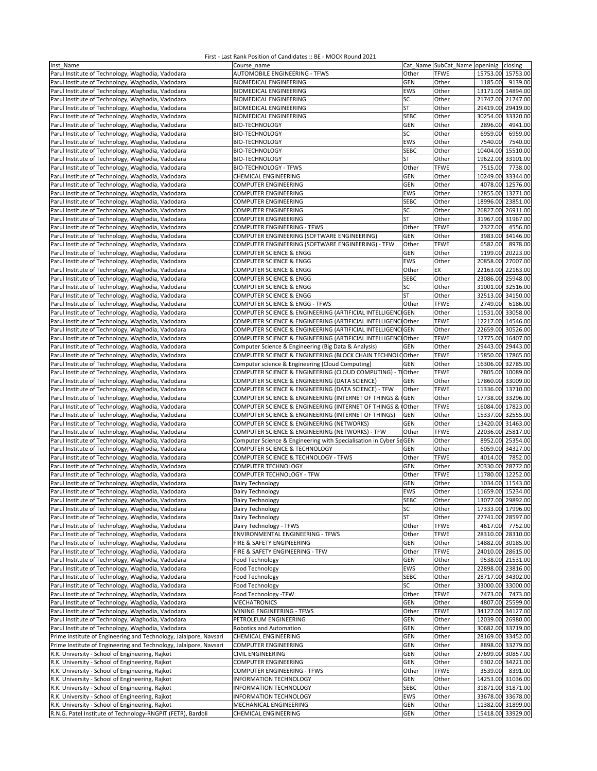| Inst Name                                                         | Course name                                                       |              | Cat Name SubCat_Name openinig |         | closing           |
|-------------------------------------------------------------------|-------------------------------------------------------------------|--------------|-------------------------------|---------|-------------------|
| Parul Institute of Technology, Waghodia, Vadodara                 | <b>AUTOMOBILE ENGINEERING - TFWS</b>                              | Other        | <b>TFWE</b>                   |         | 15753.00 15753.00 |
| Parul Institute of Technology, Waghodia, Vadodara                 | <b>BIOMEDICAL ENGINEERING</b>                                     | GEN          | Other                         | 1185.00 | 9139.00           |
| Parul Institute of Technology, Waghodia, Vadodara                 | <b>BIOMEDICAL ENGINEERING</b>                                     | <b>EWS</b>   | Other                         |         | 13171.00 14894.00 |
| Parul Institute of Technology, Waghodia, Vadodara                 | <b>BIOMEDICAL ENGINEERING</b>                                     | SC           | Other                         |         | 21747.00 21747.00 |
| Parul Institute of Technology, Waghodia, Vadodara                 | <b>BIOMEDICAL ENGINEERING</b>                                     | ST           | Other                         |         | 29419.00 29419.00 |
| Parul Institute of Technology, Waghodia, Vadodara                 | <b>BIOMEDICAL ENGINEERING</b>                                     | <b>SEBC</b>  | Other                         |         | 30254.00 33320.00 |
| Parul Institute of Technology, Waghodia, Vadodara                 | <b>BIO-TECHNOLOGY</b>                                             | GEN          | Other                         | 2896.00 | 4941.00           |
| Parul Institute of Technology, Waghodia, Vadodara                 | <b>BIO-TECHNOLOGY</b>                                             | SC           | Other                         | 6959.00 | 6959.00           |
|                                                                   |                                                                   | <b>EWS</b>   |                               | 7540.00 |                   |
| Parul Institute of Technology, Waghodia, Vadodara                 | <b>BIO-TECHNOLOGY</b>                                             |              | Other                         |         | 7540.00           |
| Parul Institute of Technology, Waghodia, Vadodara                 | <b>BIO-TECHNOLOGY</b>                                             | SEBC         | Other                         |         | 10404.00 15510.00 |
| Parul Institute of Technology, Waghodia, Vadodara                 | <b>BIO-TECHNOLOGY</b>                                             | ST           | Other                         |         | 19622.00 33101.00 |
| Parul Institute of Technology, Waghodia, Vadodara                 | <b>BIO-TECHNOLOGY - TFWS</b>                                      | Other        | <b>TFWE</b>                   | 7515.00 | 7738.00           |
| Parul Institute of Technology, Waghodia, Vadodara                 | <b>CHEMICAL ENGINEERING</b>                                       | GEN          | Other                         |         | 10249.00 33344.00 |
| Parul Institute of Technology, Waghodia, Vadodara                 | <b>COMPUTER ENGINEERING</b>                                       | GEN          | Other                         |         | 4078.00 12576.00  |
| Parul Institute of Technology, Waghodia, Vadodara                 | <b>COMPUTER ENGINEERING</b>                                       | <b>EWS</b>   | Other                         |         | 12855.00 13271.00 |
| Parul Institute of Technology, Waghodia, Vadodara                 | COMPUTER ENGINEERING                                              | <b>SEBC</b>  | Other                         |         | 18996.00 23851.00 |
| Parul Institute of Technology, Waghodia, Vadodara                 | <b>COMPUTER ENGINEERING</b>                                       | SC           | Other                         |         | 26827.00 26911.00 |
| Parul Institute of Technology, Waghodia, Vadodara                 | COMPUTER ENGINEERING                                              | ST           | Other                         |         | 31967.00 31967.00 |
| Parul Institute of Technology, Waghodia, Vadodara                 | <b>COMPUTER ENGINEERING - TFWS</b>                                | Other        | <b>TFWE</b>                   | 2327.00 | 4556.00           |
| Parul Institute of Technology, Waghodia, Vadodara                 | COMPUTER ENGINEERING (SOFTWARE ENGINEERING)                       | <b>GEN</b>   | Other                         |         | 3983.00 34146.00  |
| Parul Institute of Technology, Waghodia, Vadodara                 | COMPUTER ENGINEERING (SOFTWARE ENGINEERING) - TFW                 | Other        | <b>TFWE</b>                   | 6582.00 | 8978.00           |
|                                                                   | <b>COMPUTER SCIENCE &amp; ENGG</b>                                | <b>GEN</b>   | Other                         |         | 1199.00 20223.00  |
| Parul Institute of Technology, Waghodia, Vadodara                 |                                                                   |              |                               |         | 20858.00 27007.00 |
| Parul Institute of Technology, Waghodia, Vadodara                 | COMPUTER SCIENCE & ENGG                                           | EWS          | Other                         |         |                   |
| Parul Institute of Technology, Waghodia, Vadodara                 | COMPUTER SCIENCE & ENGG                                           | Other        | EX                            |         | 22163.00 22163.00 |
| Parul Institute of Technology, Waghodia, Vadodara                 | COMPUTER SCIENCE & ENGG                                           | <b>SEBC</b>  | Other                         |         | 23086.00 25948.00 |
| Parul Institute of Technology, Waghodia, Vadodara                 | <b>COMPUTER SCIENCE &amp; ENGG</b>                                | SC           | Other                         |         | 31001.00 32516.00 |
| Parul Institute of Technology, Waghodia, Vadodara                 | <b>COMPUTER SCIENCE &amp; ENGG</b>                                | <b>ST</b>    | Other                         |         | 32513.00 34150.00 |
| Parul Institute of Technology, Waghodia, Vadodara                 | COMPUTER SCIENCE & ENGG - TFWS                                    | Other        | <b>TFWE</b>                   | 2749.00 | 6186.00           |
| Parul Institute of Technology, Waghodia, Vadodara                 | COMPUTER SCIENCE & ENGINEERING (ARTIFICIAL INTELLIGENC GEN        |              | Other                         |         | 11531.00 33058.00 |
| Parul Institute of Technology, Waghodia, Vadodara                 | COMPUTER SCIENCE & ENGINEERING (ARTIFICIAL INTELLIGENCIOther      |              | <b>TFWE</b>                   |         | 12217.00 14546.00 |
| Parul Institute of Technology, Waghodia, Vadodara                 | COMPUTER SCIENCE & ENGINEERING (ARTIFICIAL INTELLIGENCIGEN        |              | Other                         |         | 22659.00 30526.00 |
| Parul Institute of Technology, Waghodia, Vadodara                 | COMPUTER SCIENCE & ENGINEERING (ARTIFICIAL INTELLIGENCIOther      |              | <b>TFWE</b>                   |         | 12775.00 16407.00 |
| Parul Institute of Technology, Waghodia, Vadodara                 | Computer Science & Engineering (Big Data & Analysis)              | <b>GEN</b>   | Other                         |         | 29443.00 29443.00 |
| Parul Institute of Technology, Waghodia, Vadodara                 | COMPUTER SCIENCE & ENGINEERING (BLOCK CHAIN TECHNOLOOther         |              | TFWE                          |         | 15850.00 17865.00 |
| Parul Institute of Technology, Waghodia, Vadodara                 | Computer science & Engineering (Cloud Computing)                  | <b>GEN</b>   | Other                         |         | 16306.00 32785.00 |
|                                                                   | COMPUTER SCIENCE & ENGINEERING (CLOUD COMPUTING) - T              | <b>Other</b> | <b>TFWE</b>                   |         | 7805.00 10089.00  |
| Parul Institute of Technology, Waghodia, Vadodara                 |                                                                   |              |                               |         |                   |
| Parul Institute of Technology, Waghodia, Vadodara                 | COMPUTER SCIENCE & ENGINEERING (DATA SCIENCE)                     | <b>GEN</b>   | Other                         |         | 17860.00 33009.00 |
| Parul Institute of Technology, Waghodia, Vadodara                 | COMPUTER SCIENCE & ENGINEERING (DATA SCIENCE) - TFW               | Other        | <b>TFWE</b>                   |         | 11336.00 13710.00 |
| Parul Institute of Technology, Waghodia, Vadodara                 | COMPUTER SCIENCE & ENGINEERING (INTERNET OF THINGS &              | <b>GEN</b>   | Other                         |         | 17738.00 33296.00 |
| Parul Institute of Technology, Waghodia, Vadodara                 | COMPUTER SCIENCE & ENGINEERING (INTERNET OF THINGS &              | Other        | <b>TFWE</b>                   |         | 16084.00 17823.00 |
| Parul Institute of Technology, Waghodia, Vadodara                 | COMPUTER SCIENCE & ENGINEERING (INTERNET OF THINGS)               | <b>GEN</b>   | Other                         |         | 15337.00 32555.00 |
| Parul Institute of Technology, Waghodia, Vadodara                 | COMPUTER SCIENCE & ENGINEERING (NETWORKS)                         | GEN          | Other                         |         | 13420.00 31463.00 |
| Parul Institute of Technology, Waghodia, Vadodara                 | COMPUTER SCIENCE & ENGINEERING (NETWORKS) - TFW                   | Other        | <b>TFWE</b>                   |         | 22036.00 25817.00 |
| Parul Institute of Technology, Waghodia, Vadodara                 | Computer Science & Engineering with Specialisation in Cyber SeGEN |              | Other                         |         | 8952.00 25354.00  |
| Parul Institute of Technology, Waghodia, Vadodara                 | COMPUTER SCIENCE & TECHNOLOGY                                     | <b>GEN</b>   | Other                         |         | 6059.00 34327.00  |
| Parul Institute of Technology, Waghodia, Vadodara                 | COMPUTER SCIENCE & TECHNOLOGY - TFWS                              | Other        | TFWE                          |         | 4014.00 7852.00   |
| Parul Institute of Technology, Waghodia, Vadodara                 | COMPUTER TECHNOLOGY                                               | GEN          | Other                         |         | 20330.00 28772.00 |
| Parul Institute of Technology, Waghodia, Vadodara                 | COMPUTER TECHNOLOGY - TFW                                         | Other        | <b>TFWE</b>                   |         | 11780.00 12252.00 |
| Parul Institute of Technology, Waghodia, Vadodara                 | Dairy Technology                                                  | <b>GEN</b>   | Other                         |         | 1034.00 11543.00  |
| Parul Institute of Technology, Waghodia, Vadodara                 | Dairy Technology                                                  | <b>EWS</b>   | Other                         |         | 11659.00 15234.00 |
| Parul Institute of Technology, Waghodia, Vadodara                 | Dairy Technology                                                  | SEBC         | Other                         |         | 13077.00 29892.00 |
| Parul Institute of Technology, Waghodia, Vadodara                 | Dairy Technology                                                  |              |                               |         |                   |
|                                                                   |                                                                   | SC           | Other                         |         | 17333.00 17996.00 |
| Parul Institute of Technology, Waghodia, Vadodara                 | Dairy Technology                                                  | ST           | Other                         |         | 27741.00 28597.00 |
| Parul Institute of Technology, Waghodia, Vadodara                 | Dairy Technology - TFWS                                           | Other        | <b>TFWE</b>                   | 4617.00 | 7752.00           |
| Parul Institute of Technology, Waghodia, Vadodara                 | <b>ENVIRONMENTAL ENGINEERING - TFWS</b>                           | Other        | <b>TFWE</b>                   |         | 28310.00 28310.00 |
| Parul Institute of Technology, Waghodia, Vadodara                 | FIRE & SAFETY ENGINEERING                                         | <b>GEN</b>   | Other                         |         | 14882.00 30185.00 |
| Parul Institute of Technology, Waghodia, Vadodara                 | FIRE & SAFETY ENGINEERING - TFW                                   | Other        | <b>TFWE</b>                   |         | 24010.00 28615.00 |
| Parul Institute of Technology, Waghodia, Vadodara                 | Food Technology                                                   | <b>GEN</b>   | Other                         |         | 9538.00 21531.00  |
| Parul Institute of Technology, Waghodia, Vadodara                 | Food Technology                                                   | EWS          | Other                         |         | 22898.00 23816.00 |
| Parul Institute of Technology, Waghodia, Vadodara                 | Food Technology                                                   | SEBC         | Other                         |         | 28717.00 34302.00 |
| Parul Institute of Technology, Waghodia, Vadodara                 | Food Technology                                                   | SC           | Other                         |         | 33000.00 33000.00 |
| Parul Institute of Technology, Waghodia, Vadodara                 | Food Technology -TFW                                              | Other        | <b>TFWE</b>                   | 7473.00 | 7473.00           |
| Parul Institute of Technology, Waghodia, Vadodara                 | <b>MECHATRONICS</b>                                               | GEN          | Other                         |         | 4807.00 25599.00  |
| Parul Institute of Technology, Waghodia, Vadodara                 | MINING ENGINEERING - TFWS                                         | Other        | <b>TFWE</b>                   |         | 34127.00 34127.00 |
| Parul Institute of Technology, Waghodia, Vadodara                 | PETROLEUM ENGINEERING                                             | <b>GEN</b>   | Other                         |         | 12039.00 26980.00 |
| Parul Institute of Technology, Waghodia, Vadodara                 | Robotics and Automation                                           | <b>GEN</b>   | Other                         |         | 30682.00 33719.00 |
|                                                                   |                                                                   |              |                               |         |                   |
| Prime Institute of Engineering and Technology, Jalalpore, Navsari | <b>CHEMICAL ENGINEERING</b>                                       | <b>GEN</b>   | Other                         |         | 28169.00 33452.00 |
| Prime Institute of Engineering and Technology, Jalalpore, Navsari | <b>COMPUTER ENGINEERING</b>                                       | GEN          | Other                         |         | 8898.00 33279.00  |
| R.K. University - School of Engineering, Rajkot                   | <b>CIVIL ENGINEERING</b>                                          | <b>GEN</b>   | Other                         |         | 27699.00 30857.00 |
| R.K. University - School of Engineering, Rajkot                   | <b>COMPUTER ENGINEERING</b>                                       | <b>GEN</b>   | Other                         |         | 6302.00 34221.00  |
| R.K. University - School of Engineering, Rajkot                   | <b>COMPUTER ENGINEERING - TFWS</b>                                | Other        | TFWE                          | 3539.00 | 8391.00           |
| R.K. University - School of Engineering, Rajkot                   | <b>INFORMATION TECHNOLOGY</b>                                     | GEN          | Other                         |         | 14253.00 31036.00 |
| R.K. University - School of Engineering, Rajkot                   | INFORMATION TECHNOLOGY                                            | SEBC         | Other                         |         | 31871.00 31871.00 |
| R.K. University - School of Engineering, Rajkot                   | INFORMATION TECHNOLOGY                                            | EWS          | Other                         |         | 33678.00 33678.00 |
| R.K. University - School of Engineering, Rajkot                   | MECHANICAL ENGINEERING                                            | GEN          | Other                         |         | 11382.00 31899.00 |
| R.N.G. Patel Institute of Technology-RNGPIT (FETR), Bardoli       | <b>CHEMICAL ENGINEERING</b>                                       | GEN          | Other                         |         | 15418.00 33929.00 |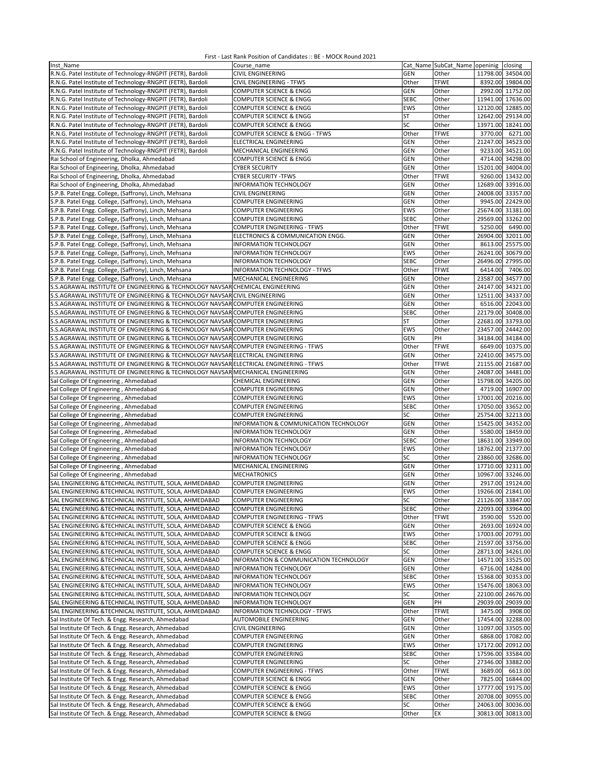| Inst Name                                                                              | Course_name                            |             |             | Cat Name SubCat Name openinig closing |
|----------------------------------------------------------------------------------------|----------------------------------------|-------------|-------------|---------------------------------------|
| R.N.G. Patel Institute of Technology-RNGPIT (FETR), Bardoli                            | <b>CIVIL ENGINEERING</b>               | GEN         | Other       | 11798.00 34504.00                     |
| R.N.G. Patel Institute of Technology-RNGPIT (FETR), Bardoli                            | CIVIL ENGINEERING - TFWS               | Other       | <b>TFWE</b> | 8392.00 19804.00                      |
| R.N.G. Patel Institute of Technology-RNGPIT (FETR), Bardoli                            | COMPUTER SCIENCE & ENGG                | GEN         | Other       | 2992.00 11752.00                      |
| R.N.G. Patel Institute of Technology-RNGPIT (FETR), Bardoli                            | COMPUTER SCIENCE & ENGG                | <b>SEBC</b> | Other       | 11941.00 17636.00                     |
|                                                                                        |                                        |             |             |                                       |
| R.N.G. Patel Institute of Technology-RNGPIT (FETR), Bardoli                            | COMPUTER SCIENCE & ENGG                | EWS         | Other       | 12120.00 12885.00                     |
| R.N.G. Patel Institute of Technology-RNGPIT (FETR), Bardoli                            | <b>COMPUTER SCIENCE &amp; ENGG</b>     | ST          | Other       | 12642.00 29134.00                     |
| R.N.G. Patel Institute of Technology-RNGPIT (FETR), Bardoli                            | <b>COMPUTER SCIENCE &amp; ENGG</b>     | SC          | Other       | 13971.00 18241.00                     |
| R.N.G. Patel Institute of Technology-RNGPIT (FETR), Bardoli                            | COMPUTER SCIENCE & ENGG - TFWS         | Other       | <b>TFWE</b> | 3770.00<br>6271.00                    |
| R.N.G. Patel Institute of Technology-RNGPIT (FETR), Bardoli                            | ELECTRICAL ENGINEERING                 | GEN         | Other       | 21247.00 34523.00                     |
| R.N.G. Patel Institute of Technology-RNGPIT (FETR), Bardoli                            | MECHANICAL ENGINEERING                 | <b>GEN</b>  | Other       | 9233.00 34521.00                      |
| Rai School of Engineering, Dholka, Ahmedabad                                           | <b>COMPUTER SCIENCE &amp; ENGG</b>     | GEN         | Other       | 4714.00 34298.00                      |
| Rai School of Engineering, Dholka, Ahmedabad                                           | <b>CYBER SECURITY</b>                  | GEN         | Other       | 15201.00 34004.00                     |
|                                                                                        | <b>CYBER SECURITY -TFWS</b>            | Other       | <b>TFWE</b> | 9260.00 13432.00                      |
| Rai School of Engineering, Dholka, Ahmedabad                                           |                                        |             |             |                                       |
| Rai School of Engineering, Dholka, Ahmedabad                                           | INFORMATION TECHNOLOGY                 | GEN         | Other       | 12689.00 33916.00                     |
| S.P.B. Patel Engg. College, (Saffrony), Linch, Mehsana                                 | CIVIL ENGINEERING                      | GEN         | Other       | 24008.00 33357.00                     |
| S.P.B. Patel Engg. College, (Saffrony), Linch, Mehsana                                 | COMPUTER ENGINEERING                   | GEN         | Other       | 9945.00 22429.00                      |
| S.P.B. Patel Engg. College, (Saffrony), Linch, Mehsana                                 | COMPUTER ENGINEERING                   | EWS         | Other       | 25674.00 31381.00                     |
| S.P.B. Patel Engg. College, (Saffrony), Linch, Mehsana                                 | COMPUTER ENGINEERING                   | <b>SEBC</b> | Other       | 29569.00 33262.00                     |
| S.P.B. Patel Engg. College, (Saffrony), Linch, Mehsana                                 | COMPUTER ENGINEERING - TFWS            | Other       | <b>TFWE</b> | 5250.00<br>6490.00                    |
| S.P.B. Patel Engg. College, (Saffrony), Linch, Mehsana                                 | ELECTRONICS & COMMUNICATION ENGG.      | <b>GEN</b>  | Other       | 26904.00 32011.00                     |
|                                                                                        |                                        |             |             |                                       |
| S.P.B. Patel Engg. College, (Saffrony), Linch, Mehsana                                 | INFORMATION TECHNOLOGY                 | <b>GEN</b>  | Other       | 8613.00 25575.00                      |
| S.P.B. Patel Engg. College, (Saffrony), Linch, Mehsana                                 | INFORMATION TECHNOLOGY                 | <b>EWS</b>  | Other       | 26241.00 30679.00                     |
| S.P.B. Patel Engg. College, (Saffrony), Linch, Mehsana                                 | <b>INFORMATION TECHNOLOGY</b>          | <b>SEBC</b> | Other       | 26496.00 27995.00                     |
| S.P.B. Patel Engg. College, (Saffrony), Linch, Mehsana                                 | INFORMATION TECHNOLOGY - TFWS          | Other       | <b>TFWE</b> | 6414.00<br>7406.00                    |
| S.P.B. Patel Engg. College, (Saffrony), Linch, Mehsana                                 | MECHANICAL ENGINEERING                 | GEN         | Other       | 23587.00 34577.00                     |
| S.S.AGRAWAL INSTITUTE OF ENGINEERING & TECHNOLOGY NAVSAR CHEMICAL ENGINEERING          |                                        | GEN         | Other       | 24147.00 34321.00                     |
| S.S.AGRAWAL INSTITUTE OF ENGINEERING & TECHNOLOGY NAVSAR CIVIL ENGINEERING             |                                        | GEN         | Other       | 12511.00 34337.00                     |
| S.S.AGRAWAL INSTITUTE OF ENGINEERING & TECHNOLOGY NAVSAR COMPUTER ENGINEERING          |                                        | <b>GEN</b>  | Other       | 6516.00 22043.00                      |
|                                                                                        |                                        | <b>SEBC</b> |             | 22179.00 30408.00                     |
| S.S.AGRAWAL INSTITUTE OF ENGINEERING & TECHNOLOGY NAVSAR COMPUTER ENGINEERING          |                                        |             | Other       |                                       |
| S.S.AGRAWAL INSTITUTE OF ENGINEERING & TECHNOLOGY NAVSAR COMPUTER ENGINEERING          |                                        | ST          | Other       | 22681.00 33793.00                     |
| S.S.AGRAWAL INSTITUTE OF ENGINEERING & TECHNOLOGY NAVSAR COMPUTER ENGINEERING          |                                        | <b>EWS</b>  | Other       | 23457.00 24442.00                     |
| S.S.AGRAWAL INSTITUTE OF ENGINEERING & TECHNOLOGY NAVSAR COMPUTER ENGINEERING          |                                        | <b>GEN</b>  | PH          | 34184.00 34184.00                     |
| S.S.AGRAWAL INSTITUTE OF ENGINEERING & TECHNOLOGY NAVSAR COMPUTER ENGINEERING - TFWS   |                                        | Other       | <b>TFWE</b> | 6649.00 10375.00                      |
| S.S.AGRAWAL INSTITUTE OF ENGINEERING & TECHNOLOGY NAVSAR ELECTRICAL ENGINEERING        |                                        | <b>GEN</b>  | Other       | 22410.00 34575.00                     |
| S.S.AGRAWAL INSTITUTE OF ENGINEERING & TECHNOLOGY NAVSAR ELECTRICAL ENGINEERING - TFWS |                                        | Other       | <b>TFWE</b> | 21155.00 21687.00                     |
| S.S.AGRAWAL INSTITUTE OF ENGINEERING & TECHNOLOGY NAVSAR MECHANICAL ENGINEERING        |                                        | GEN         | Other       | 24087.00 34481.00                     |
|                                                                                        |                                        |             |             |                                       |
| Sal College Of Engineering, Ahmedabad                                                  | CHEMICAL ENGINEERING                   | GEN         | Other       | 15798.00 34205.00                     |
| Sal College Of Engineering, Ahmedabad                                                  | COMPUTER ENGINEERING                   | GEN         | Other       | 4719.00 16907.00                      |
| Sal College Of Engineering, Ahmedabad                                                  | <b>COMPUTER ENGINEERING</b>            | EWS         | Other       | 17001.00 20216.00                     |
| Sal College Of Engineering, Ahmedabad                                                  | <b>COMPUTER ENGINEERING</b>            | <b>SEBC</b> | Other       | 17050.00 33652.00                     |
| Sal College Of Engineering, Ahmedabad                                                  | <b>COMPUTER ENGINEERING</b>            | SC          | Other       | 25754.00 32213.00                     |
| Sal College Of Engineering, Ahmedabad                                                  | INFORMATION & COMMUNICATION TECHNOLOGY | <b>GEN</b>  | Other       | 15425.00 34352.00                     |
| Sal College Of Engineering, Ahmedabad                                                  | INFORMATION TECHNOLOGY                 | <b>GEN</b>  | Other       | 5580.00 18459.00                      |
| Sal College Of Engineering, Ahmedabad                                                  | INFORMATION TECHNOLOGY                 | <b>SEBC</b> | Other       | 18631.00 33949.00                     |
| Sal College Of Engineering, Ahmedabad                                                  | INFORMATION TECHNOLOGY                 | EWS         | Other       | 18762.00 21377.00                     |
|                                                                                        |                                        |             |             |                                       |
| Sal College Of Engineering, Ahmedabad                                                  | INFORMATION TECHNOLOGY                 | SC          | Other       | 23860.00 32686.00                     |
| Sal College Of Engineering, Ahmedabad                                                  | MECHANICAL ENGINEERING                 | <b>GEN</b>  | Other       | 17710.00 32311.00                     |
| Sal College Of Engineering, Ahmedabad                                                  | <b>MECHATRONICS</b>                    | GEN         | Other       | 10967.00 33246.00                     |
| SAL ENGINEERING & TECHNICAL INSTITUTE, SOLA, AHMEDABAD                                 | COMPUTER ENGINEERING                   | GEN         | Other       | 2917.00 19124.00                      |
| SAL ENGINEERING & TECHNICAL INSTITUTE, SOLA, AHMEDABAD                                 | COMPUTER ENGINEERING                   | EWS         | Other       | 19266.00 21841.00                     |
| SAL ENGINEERING &TECHNICAL INSTITUTE, SOLA, AHMEDABAD                                  | COMPUTER ENGINEERING                   | SC          | Other       | 21126.00 33847.00                     |
| SAL ENGINEERING & TECHNICAL INSTITUTE, SOLA, AHMEDABAD                                 | <b>COMPUTER ENGINEERING</b>            | <b>SEBC</b> | Other       | 22093.00 33964.00                     |
| SAL ENGINEERING & TECHNICAL INSTITUTE, SOLA, AHMEDABAD                                 | COMPUTER ENGINEERING - TFWS            | Other       | <b>TFWE</b> | 3590.00<br>5520.00                    |
| SAL ENGINEERING & TECHNICAL INSTITUTE, SOLA, AHMEDABAD                                 | COMPUTER SCIENCE & ENGG                | <b>GEN</b>  | Other       | 2693.00 16924.00                      |
|                                                                                        |                                        |             |             |                                       |
| SAL ENGINEERING & TECHNICAL INSTITUTE, SOLA, AHMEDABAD                                 | COMPUTER SCIENCE & ENGG                | EWS         | Other       | 17003.00 20791.00                     |
| SAL ENGINEERING & TECHNICAL INSTITUTE, SOLA, AHMEDABAD                                 | <b>COMPUTER SCIENCE &amp; ENGG</b>     | <b>SEBC</b> | Other       | 21597.00 33756.00                     |
| SAL ENGINEERING & TECHNICAL INSTITUTE, SOLA, AHMEDABAD                                 | <b>COMPUTER SCIENCE &amp; ENGG</b>     | SC          | Other       | 28713.00 34261.00                     |
| SAL ENGINEERING &TECHNICAL INSTITUTE, SOLA, AHMEDABAD                                  | INFORMATION & COMMUNICATION TECHNOLOGY | <b>GEN</b>  | Other       | 14571.00 33525.00                     |
| SAL ENGINEERING & TECHNICAL INSTITUTE, SOLA, AHMEDABAD                                 | INFORMATION TECHNOLOGY                 | GEN         | Other       | 6716.00 14284.00                      |
| SAL ENGINEERING & TECHNICAL INSTITUTE, SOLA, AHMEDABAD                                 | <b>INFORMATION TECHNOLOGY</b>          | SEBC        | Other       | 15368.00 30353.00                     |
| SAL ENGINEERING & TECHNICAL INSTITUTE, SOLA, AHMEDABAD                                 | INFORMATION TECHNOLOGY                 | EWS         | Other       | 15476.00 18063.00                     |
| SAL ENGINEERING & TECHNICAL INSTITUTE, SOLA, AHMEDABAD                                 | <b>INFORMATION TECHNOLOGY</b>          | SC          | Other       | 22100.00 24676.00                     |
| SAL ENGINEERING & TECHNICAL INSTITUTE, SOLA, AHMEDABAD                                 | INFORMATION TECHNOLOGY                 | <b>GEN</b>  | PH          | 29039.00 29039.00                     |
| SAL ENGINEERING &TECHNICAL INSTITUTE, SOLA, AHMEDABAD                                  | <b>INFORMATION TECHNOLOGY - TFWS</b>   | Other       | <b>TFWE</b> |                                       |
|                                                                                        |                                        |             |             | 3475.00<br>3908.00                    |
| Sal Institute Of Tech. & Engg. Research, Ahmedabad                                     | <b>AUTOMOBILE ENGINEERING</b>          | <b>GEN</b>  | Other       | 17454.00 32288.00                     |
| Sal Institute Of Tech. & Engg. Research, Ahmedabad                                     | <b>CIVIL ENGINEERING</b>               | <b>GEN</b>  | Other       | 11097.00 33505.00                     |
| Sal Institute Of Tech. & Engg. Research, Ahmedabad                                     | COMPUTER ENGINEERING                   | <b>GEN</b>  | Other       | 6868.00 17082.00                      |
| Sal Institute Of Tech. & Engg. Research, Ahmedabad                                     | COMPUTER ENGINEERING                   | EWS         | Other       | 17172.00 20912.00                     |
| Sal Institute Of Tech. & Engg. Research, Ahmedabad                                     | COMPUTER ENGINEERING                   | <b>SEBC</b> | Other       | 17596.00 33584.00                     |
| Sal Institute Of Tech. & Engg. Research, Ahmedabad                                     | COMPUTER ENGINEERING                   | SC          | Other       | 27346.00 33882.00                     |
| Sal Institute Of Tech. & Engg. Research, Ahmedabad                                     | COMPUTER ENGINEERING - TFWS            | Other       | <b>TFWE</b> | 3689.00<br>6613.00                    |
| Sal Institute Of Tech. & Engg. Research, Ahmedabad                                     | COMPUTER SCIENCE & ENGG                | GEN         | Other       | 7825.00 16844.00                      |
| Sal Institute Of Tech. & Engg. Research, Ahmedabad                                     | COMPUTER SCIENCE & ENGG                | EWS         | Other       | 17777.00 19175.00                     |
|                                                                                        |                                        |             |             |                                       |
| Sal Institute Of Tech. & Engg. Research, Ahmedabad                                     | COMPUTER SCIENCE & ENGG                | <b>SEBC</b> | Other       | 20708.00 30955.00                     |
| Sal Institute Of Tech. & Engg. Research, Ahmedabad                                     | COMPUTER SCIENCE & ENGG                | SC          | Other       | 24063.00 30036.00                     |
| Sal Institute Of Tech. & Engg. Research, Ahmedabad                                     | <b>COMPUTER SCIENCE &amp; ENGG</b>     | Other       | EX          | 30813.00 30813.00                     |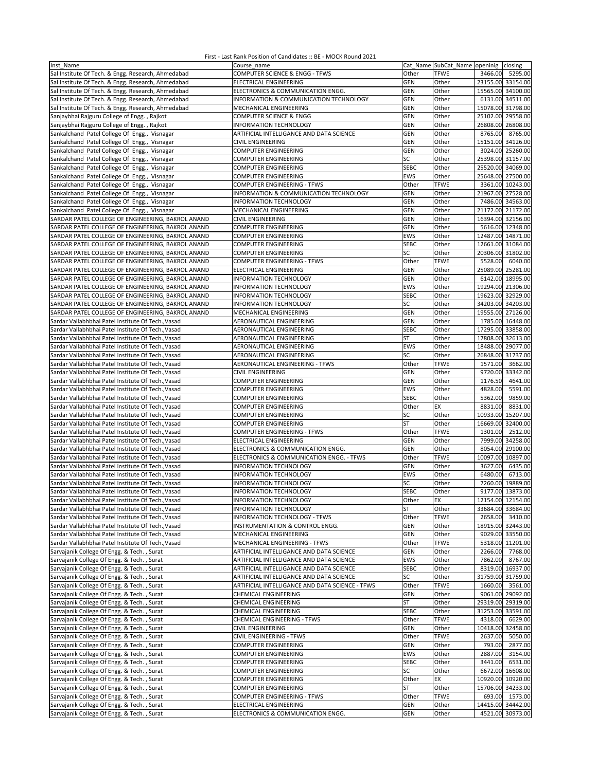| Inst Name                                          | Course name                                     |             |             | Cat_Name SubCat_Name openinig closing |          |
|----------------------------------------------------|-------------------------------------------------|-------------|-------------|---------------------------------------|----------|
| Sal Institute Of Tech. & Engg. Research, Ahmedabad | COMPUTER SCIENCE & ENGG - TFWS                  | Other       | <b>TFWE</b> | 3466.00                               | 5295.00  |
| Sal Institute Of Tech. & Engg. Research, Ahmedabad | ELECTRICAL ENGINEERING                          | <b>GEN</b>  | Other       | 23155.00 33154.00                     |          |
| Sal Institute Of Tech. & Engg. Research, Ahmedabad | ELECTRONICS & COMMUNICATION ENGG.               | <b>GEN</b>  | Other       | 15565.00 34100.00                     |          |
| Sal Institute Of Tech. & Engg. Research, Ahmedabad | INFORMATION & COMMUNICATION TECHNOLOGY          | GEN         | Other       | 6131.00 34511.00                      |          |
| Sal Institute Of Tech. & Engg. Research, Ahmedabad | MECHANICAL ENGINEERING                          | <b>GEN</b>  | Other       | 15078.00 31798.00                     |          |
| Sanjaybhai Rajguru College of Engg., Rajkot        | <b>COMPUTER SCIENCE &amp; ENGG</b>              | <b>GEN</b>  | Other       | 25102.00                              | 29558.00 |
| Sanjaybhai Rajguru College of Engg., Rajkot        | <b>INFORMATION TECHNOLOGY</b>                   | GEN         | Other       | 26808.00                              | 26808.00 |
| Sankalchand Patel College Of Engg., Visnagar       | ARTIFICIAL INTELLIGANCE AND DATA SCIENCE        | GEN         | Other       | 8765.00                               | 8765.00  |
| Sankalchand Patel College Of Engg., Visnagar       | CIVIL ENGINEERING                               | GEN         | Other       | 15151.00 34126.00                     |          |
| Sankalchand Patel College Of Engg., Visnagar       | <b>COMPUTER ENGINEERING</b>                     | GEN         | Other       | 3024.00 25260.00                      |          |
| Sankalchand Patel College Of Engg., Visnagar       | <b>COMPUTER ENGINEERING</b>                     | SC          | Other       | 25398.00 31157.00                     |          |
|                                                    |                                                 |             |             | 25520.00 34069.00                     |          |
| Sankalchand Patel College Of Engg., Visnagar       | <b>COMPUTER ENGINEERING</b>                     | <b>SEBC</b> | Other       |                                       |          |
| Sankalchand Patel College Of Engg., Visnagar       | <b>COMPUTER ENGINEERING</b>                     | EWS         | Other       | 25648.00 27500.00                     |          |
| Sankalchand Patel College Of Engg., Visnagar       | COMPUTER ENGINEERING - TFWS                     | Other       | <b>TFWE</b> | 3361.00 10243.00                      |          |
| Sankalchand Patel College Of Engg., Visnagar       | INFORMATION & COMMUNICATION TECHNOLOGY          | <b>GEN</b>  | Other       | 21967.00 27528.00                     |          |
| Sankalchand Patel College Of Engg., Visnagar       | INFORMATION TECHNOLOGY                          | <b>GEN</b>  | Other       | 7486.00 34563.00                      |          |
| Sankalchand Patel College Of Engg., Visnagar       | MECHANICAL ENGINEERING                          | GEN         | Other       | 21172.00 21172.00                     |          |
| SARDAR PATEL COLLEGE OF ENGINEERING, BAKROL ANAND  | <b>CIVIL ENGINEERING</b>                        | <b>GEN</b>  | Other       | 16394.00 32156.00                     |          |
| SARDAR PATEL COLLEGE OF ENGINEERING, BAKROL ANAND  | <b>COMPUTER ENGINEERING</b>                     | <b>GEN</b>  | Other       | 5616.00 12348.00                      |          |
| SARDAR PATEL COLLEGE OF ENGINEERING, BAKROL ANAND  | COMPUTER ENGINEERING                            | EWS         | Other       | 12487.00 14871.00                     |          |
| SARDAR PATEL COLLEGE OF ENGINEERING, BAKROL ANAND  | COMPUTER ENGINEERING                            | <b>SEBC</b> | Other       | 12661.00 31084.00                     |          |
| SARDAR PATEL COLLEGE OF ENGINEERING, BAKROL ANAND  | <b>COMPUTER ENGINEERING</b>                     | SC          | Other       | 20306.00 31802.00                     |          |
| SARDAR PATEL COLLEGE OF ENGINEERING, BAKROL ANAND  | COMPUTER ENGINEERING - TFWS                     | Other       | <b>TFWE</b> | 5528.00                               | 6040.00  |
| SARDAR PATEL COLLEGE OF ENGINEERING, BAKROL ANAND  | ELECTRICAL ENGINEERING                          | GEN         | Other       | 25089.00 25281.00                     |          |
| SARDAR PATEL COLLEGE OF ENGINEERING, BAKROL ANAND  | <b>INFORMATION TECHNOLOGY</b>                   | GEN         | Other       | 6142.00 18995.00                      |          |
| SARDAR PATEL COLLEGE OF ENGINEERING, BAKROL ANAND  | <b>INFORMATION TECHNOLOGY</b>                   | <b>EWS</b>  | Other       | 19294.00 21306.00                     |          |
| SARDAR PATEL COLLEGE OF ENGINEERING, BAKROL ANAND  | INFORMATION TECHNOLOGY                          | <b>SEBC</b> | Other       | 19623.00 32929.00                     |          |
| SARDAR PATEL COLLEGE OF ENGINEERING, BAKROL ANAND  | INFORMATION TECHNOLOGY                          | SC          | Other       | 34203.00 34203.00                     |          |
| SARDAR PATEL COLLEGE OF ENGINEERING, BAKROL ANAND  | MECHANICAL ENGINEERING                          | <b>GEN</b>  | Other       | 19555.00 27126.00                     |          |
| Sardar Vallabhbhai Patel Institute Of Tech., Vasad | AERONAUTICAL ENGINEERING                        | GEN         | Other       | 1785.00 16448.00                      |          |
| Sardar Vallabhbhai Patel Institute Of Tech., Vasad | AERONAUTICAL ENGINEERING                        | <b>SEBC</b> | Other       | 17295.00 33858.00                     |          |
| Sardar Vallabhbhai Patel Institute Of Tech., Vasad | AERONAUTICAL ENGINEERING                        | ST          | Other       | 17808.00                              | 32613.00 |
| Sardar Vallabhbhai Patel Institute Of Tech., Vasad | AERONAUTICAL ENGINEERING                        | <b>EWS</b>  | Other       | 18488.00 29077.00                     |          |
| Sardar Vallabhbhai Patel Institute Of Tech., Vasad | AERONAUTICAL ENGINEERING                        | SC          | Other       | 26848.00 31737.00                     |          |
| Sardar Vallabhbhai Patel Institute Of Tech., Vasad | AERONAUTICAL ENGINEERING - TFWS                 | Other       | <b>TFWE</b> | 1571.00                               | 3662.00  |
| Sardar Vallabhbhai Patel Institute Of Tech., Vasad | <b>CIVIL ENGINEERING</b>                        | GEN         | Other       | 9720.00                               | 33342.00 |
| Sardar Vallabhbhai Patel Institute Of Tech., Vasad | <b>COMPUTER ENGINEERING</b>                     | GEN         | Other       | 1176.50                               | 4641.00  |
| Sardar Vallabhbhai Patel Institute Of Tech., Vasad | COMPUTER ENGINEERING                            | <b>EWS</b>  | Other       | 4828.00                               | 5591.00  |
| Sardar Vallabhbhai Patel Institute Of Tech., Vasad | <b>COMPUTER ENGINEERING</b>                     | <b>SEBC</b> | Other       | 5362.00                               | 9859.00  |
| Sardar Vallabhbhai Patel Institute Of Tech., Vasad | <b>COMPUTER ENGINEERING</b>                     | Other       | EX          | 8831.00                               | 8831.00  |
| Sardar Vallabhbhai Patel Institute Of Tech., Vasad | <b>COMPUTER ENGINEERING</b>                     | SC          | Other       | 10933.00                              | 15207.00 |
| Sardar Vallabhbhai Patel Institute Of Tech., Vasad | <b>COMPUTER ENGINEERING</b>                     | ST          | Other       | 16669.00 32400.00                     |          |
| Sardar Vallabhbhai Patel Institute Of Tech., Vasad | COMPUTER ENGINEERING - TFWS                     | Other       | <b>TFWE</b> | 1301.00                               | 2512.00  |
| Sardar Vallabhbhai Patel Institute Of Tech., Vasad | <b>ELECTRICAL ENGINEERING</b>                   | <b>GEN</b>  | Other       | 7999.00 34258.00                      |          |
| Sardar Vallabhbhai Patel Institute Of Tech., Vasad | ELECTRONICS & COMMUNICATION ENGG.               | GEN         | Other       | 8054.00                               | 29100.00 |
| Sardar Vallabhbhai Patel Institute Of Tech., Vasad | ELECTRONICS & COMMUNICATION ENGG. - TFWS        | Other       | <b>TFWE</b> | 10097.00                              | 10897.00 |
| Sardar Vallabhbhai Patel Institute Of Tech., Vasad | <b>INFORMATION TECHNOLOGY</b>                   | GEN         | Other       | 3627.00                               | 6435.00  |
| Sardar Vallabhbhai Patel Institute Of Tech., Vasad | <b>INFORMATION TECHNOLOGY</b>                   | <b>EWS</b>  | Other       | 6480.00                               | 6713.00  |
| Sardar Vallabhbhai Patel Institute Of Tech., Vasad | INFORMATION TECHNOLOGY                          | SC          | Other       | 7260.00                               | 19889.00 |
| Sardar Vallabhbhai Patel Institute Of Tech., Vasad | <b>INFORMATION TECHNOLOGY</b>                   | <b>SEBC</b> | Other       | 9177.00 13873.00                      |          |
| Sardar Vallabhbhai Patel Institute Of Tech., Vasad | INFORMATION TECHNOLOGY                          | Other       | EX          | 12154.00 12154.00                     |          |
| Sardar Vallabhbhai Patel Institute Of Tech., Vasad | INFORMATION TECHNOLOGY                          | ST          | Other       | 33684.00 33684.00                     |          |
| Sardar Vallabhbhai Patel Institute Of Tech., Vasad | INFORMATION TECHNOLOGY - TFWS                   | Other       | <b>TFWE</b> | 2658.00                               | 3410.00  |
| Sardar Vallabhbhai Patel Institute Of Tech., Vasad | INSTRUMENTATION & CONTROL ENGG.                 | <b>GEN</b>  | Other       | 18915.00 32443.00                     |          |
| Sardar Vallabhbhai Patel Institute Of Tech., Vasad | MECHANICAL ENGINEERING                          | GEN         | Other       | 9029.00 33550.00                      |          |
| Sardar Vallabhbhai Patel Institute Of Tech., Vasad | MECHANICAL ENGINEERING - TFWS                   | Other       | <b>TFWE</b> | 5318.00 11201.00                      |          |
| Sarvajanik College Of Engg. & Tech., Surat         | ARTIFICIAL INTELLIGANCE AND DATA SCIENCE        | <b>GEN</b>  | Other       | 2266.00                               | 7768.00  |
| Sarvajanik College Of Engg. & Tech., Surat         | ARTIFICIAL INTELLIGANCE AND DATA SCIENCE        | EWS         | Other       | 7862.00                               | 8767.00  |
| Sarvajanik College Of Engg. & Tech., Surat         | ARTIFICIAL INTELLIGANCE AND DATA SCIENCE        | SEBC        | Other       | 8319.00 16937.00                      |          |
| Sarvajanik College Of Engg. & Tech., Surat         | ARTIFICIAL INTELLIGANCE AND DATA SCIENCE        | SC          | Other       | 31759.00 31759.00                     |          |
| Sarvajanik College Of Engg. & Tech., Surat         | ARTIFICIAL INTELLIGANCE AND DATA SCIENCE - TFWS | Other       | <b>TFWE</b> | 1660.00                               | 3561.00  |
| Sarvajanik College Of Engg. & Tech., Surat         | <b>CHEMICAL ENGINEERING</b>                     | <b>GEN</b>  | Other       | 9061.00 29092.00                      |          |
| Sarvajanik College Of Engg. & Tech., Surat         | <b>CHEMICAL ENGINEERING</b>                     | <b>ST</b>   | Other       | 29319.00 29319.00                     |          |
| Sarvajanik College Of Engg. & Tech., Surat         | CHEMICAL ENGINEERING                            | <b>SEBC</b> | Other       | 31253.00 33591.00                     |          |
| Sarvajanik College Of Engg. & Tech., Surat         | CHEMICAL ENGINEERING - TFWS                     | Other       | <b>TFWE</b> | 4318.00                               | 6629.00  |
| Sarvajanik College Of Engg. & Tech., Surat         | <b>CIVIL ENGINEERING</b>                        | GEN         | Other       | 10418.00 32458.00                     |          |
| Sarvajanik College Of Engg. & Tech., Surat         | <b>CIVIL ENGINEERING - TFWS</b>                 | Other       | <b>TFWE</b> | 2637.00                               | 5050.00  |
| Sarvajanik College Of Engg. & Tech., Surat         | COMPUTER ENGINEERING                            | GEN         | Other       | 793.00                                | 2877.00  |
| Sarvajanik College Of Engg. & Tech., Surat         | COMPUTER ENGINEERING                            | EWS         | Other       | 2887.00                               | 3154.00  |
| Sarvajanik College Of Engg. & Tech., Surat         | COMPUTER ENGINEERING                            | SEBC        | Other       | 3441.00                               | 6531.00  |
| Sarvajanik College Of Engg. & Tech., Surat         | COMPUTER ENGINEERING                            | SC          | Other       | 6672.00 16608.00                      |          |
| Sarvajanik College Of Engg. & Tech., Surat         | <b>COMPUTER ENGINEERING</b>                     | Other       | ЕX          | 10920.00 10920.00                     |          |
| Sarvajanik College Of Engg. & Tech., Surat         | COMPUTER ENGINEERING                            | ST          | Other       | 15706.00 34233.00                     |          |
| Sarvajanik College Of Engg. & Tech., Surat         | <b>COMPUTER ENGINEERING - TFWS</b>              | Other       | <b>TFWE</b> | 693.00 1573.00                        |          |
| Sarvajanik College Of Engg. & Tech., Surat         | ELECTRICAL ENGINEERING                          | GEN         | Other       | 14415.00 34442.00                     |          |
| Sarvajanik College Of Engg. & Tech., Surat         | ELECTRONICS & COMMUNICATION ENGG.               | GEN         | Other       | 4521.00 30973.00                      |          |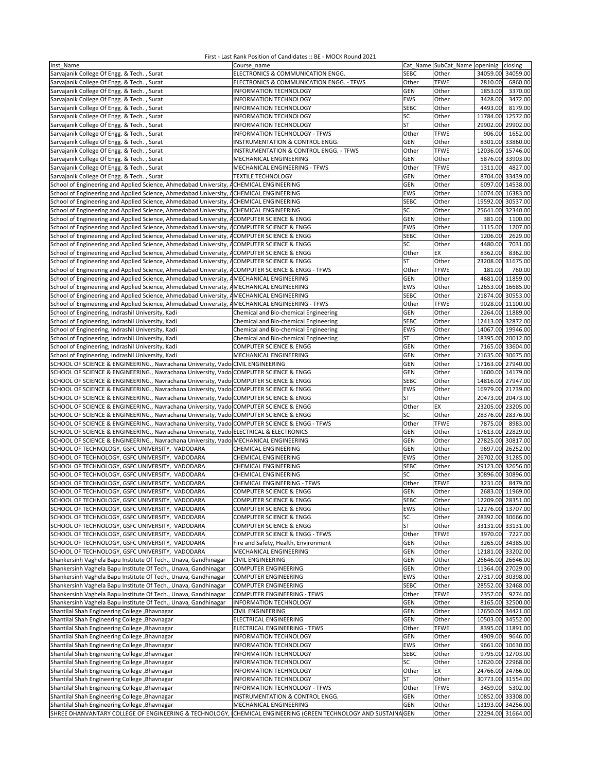| Inst Name                                                                                                                                                                             | Course name                              |                         | Cat Name SubCat Name openinig | closing                                 |
|---------------------------------------------------------------------------------------------------------------------------------------------------------------------------------------|------------------------------------------|-------------------------|-------------------------------|-----------------------------------------|
| Sarvajanik College Of Engg. & Tech., Surat                                                                                                                                            | ELECTRONICS & COMMUNICATION ENGG.        | <b>SEBC</b>             | Other                         | 34059.00<br>34059.00                    |
| Sarvajanik College Of Engg. & Tech., Surat                                                                                                                                            | ELECTRONICS & COMMUNICATION ENGG. - TFWS | Other                   | <b>TFWE</b>                   | 2810.00<br>6860.00                      |
| Sarvajanik College Of Engg. & Tech., Surat                                                                                                                                            | INFORMATION TECHNOLOGY                   | GEN                     | Other                         | 3370.00<br>1853.00                      |
| Sarvajanik College Of Engg. & Tech., Surat                                                                                                                                            | INFORMATION TECHNOLOGY                   | EWS                     | Other                         | 3428.00<br>3472.00                      |
| Sarvajanik College Of Engg. & Tech., Surat                                                                                                                                            | INFORMATION TECHNOLOGY                   | <b>SEBC</b>             | Other                         | 4493.00<br>8179.00                      |
| Sarvajanik College Of Engg. & Tech., Surat                                                                                                                                            | INFORMATION TECHNOLOGY                   | SC                      | Other                         | 11784.00<br>12572.00                    |
| Sarvajanik College Of Engg. & Tech., Surat                                                                                                                                            | INFORMATION TECHNOLOGY                   | ST                      | Other                         | 29902.00<br>29902.00                    |
| Sarvajanik College Of Engg. & Tech., Surat                                                                                                                                            | <b>INFORMATION TECHNOLOGY - TFWS</b>     | Other                   | <b>TFWE</b>                   | 1652.00<br>906.00                       |
| Sarvajanik College Of Engg. & Tech., Surat                                                                                                                                            | INSTRUMENTATION & CONTROL ENGG.          | GEN                     | Other                         | 8301.00 33860.00                        |
| Sarvajanik College Of Engg. & Tech., Surat                                                                                                                                            | INSTRUMENTATION & CONTROL ENGG. - TFWS   | Other                   | <b>TFWE</b>                   | 12036.00 15746.00                       |
| Sarvajanik College Of Engg. & Tech., Surat                                                                                                                                            | MECHANICAL ENGINEERING                   | <b>GEN</b>              | Other                         | 5876.00 33903.00                        |
| Sarvajanik College Of Engg. & Tech., Surat                                                                                                                                            | MECHANICAL ENGINEERING - TFWS            | Other                   | <b>TFWE</b>                   | 1311.00<br>4827.00                      |
| Sarvajanik College Of Engg. & Tech., Surat                                                                                                                                            | <b>TEXTILE TECHNOLOGY</b>                | GEN                     | Other                         | 8704.00 33439.00                        |
| School of Engineering and Applied Science, Ahmedabad University, ACHEMICAL ENGINEERING                                                                                                |                                          | GEN                     | Other                         | 6097.00 14538.00                        |
| School of Engineering and Applied Science, Ahmedabad University, ACHEMICAL ENGINEERING                                                                                                |                                          | <b>EWS</b>              | Other                         | 16074.00 16383.00                       |
| School of Engineering and Applied Science, Ahmedabad University, ACHEMICAL ENGINEERING                                                                                                |                                          | <b>SEBC</b>             | Other                         | 19592.00 30537.00                       |
| School of Engineering and Applied Science, Ahmedabad University, ACHEMICAL ENGINEERING                                                                                                |                                          | SC                      | Other                         | 25641.00 32340.00                       |
| School of Engineering and Applied Science, Ahmedabad University, ACOMPUTER SCIENCE & ENGG                                                                                             |                                          | <b>GEN</b>              | Other                         | 381.00<br>1100.00                       |
| School of Engineering and Applied Science, Ahmedabad University, ACOMPUTER SCIENCE & ENGG                                                                                             |                                          | <b>EWS</b>              | Other                         | 1115.00<br>1207.00                      |
| School of Engineering and Applied Science, Ahmedabad University, ACOMPUTER SCIENCE & ENGG                                                                                             |                                          | <b>SEBC</b>             | Other                         | 2629.00<br>1206.00                      |
| School of Engineering and Applied Science, Ahmedabad University, ACOMPUTER SCIENCE & ENGG                                                                                             |                                          | SC                      | Other                         | 4480.00<br>7031.00                      |
| School of Engineering and Applied Science, Ahmedabad University, ACOMPUTER SCIENCE & ENGG                                                                                             |                                          | Other                   | EX                            | 8362.00<br>8362.00                      |
| School of Engineering and Applied Science, Ahmedabad University, ACOMPUTER SCIENCE & ENGG                                                                                             |                                          | ST                      | Other                         | 23208.00<br>31675.00                    |
| School of Engineering and Applied Science, Ahmedabad University, ACOMPUTER SCIENCE & ENGG - TFWS                                                                                      |                                          | Other                   | <b>TFWE</b>                   | 181.00<br>760.00                        |
| School of Engineering and Applied Science, Ahmedabad University, AMECHANICAL ENGINEERING                                                                                              |                                          | GEN                     | Other                         | 4681.00 11859.00                        |
| School of Engineering and Applied Science, Ahmedabad University, AMECHANICAL ENGINEERING                                                                                              |                                          | <b>EWS</b>              | Other                         | 12653.00 16685.00                       |
| School of Engineering and Applied Science, Ahmedabad University, AMECHANICAL ENGINEERING                                                                                              |                                          | <b>SEBC</b>             | Other                         | 21874.00 30553.00                       |
| School of Engineering and Applied Science, Ahmedabad University, AMECHANICAL ENGINEERING - TFWS                                                                                       |                                          | Other                   | <b>TFWE</b>                   | 9028.00 11100.00                        |
| School of Engineering, Indrashil University, Kadi                                                                                                                                     | Chemical and Bio-chemical Engineering    | <b>GEN</b>              | Other                         | 2264.00 11889.00                        |
| School of Engineering, Indrashil University, Kadi                                                                                                                                     | Chemical and Bio-chemical Engineering    | <b>SEBC</b>             | Other                         | 12413.00 32872.00                       |
| School of Engineering, Indrashil University, Kadi                                                                                                                                     | Chemical and Bio-chemical Engineering    | <b>EWS</b>              | Other                         | 14067.00 19946.00                       |
| School of Engineering, Indrashil University, Kadi                                                                                                                                     | Chemical and Bio-chemical Engineering    | ST                      | Other                         | 18395.00 20012.00                       |
| School of Engineering, Indrashil University, Kadi                                                                                                                                     | COMPUTER SCIENCE & ENGG                  | GEN                     | Other                         | 7165.00 33604.00                        |
| School of Engineering, Indrashil University, Kadi                                                                                                                                     | MECHANICAL ENGINEERING                   | GEN                     | Other                         | 21635.00<br>30675.00                    |
| SCHOOL OF SCIENCE & ENGINEERING., Navrachana University, Vado CIVIL ENGINEERING                                                                                                       |                                          | GEN                     | Other                         | 17163.00 27940.00                       |
| SCHOOL OF SCIENCE & ENGINEERING., Navrachana University, Vado COMPUTER SCIENCE & ENGG                                                                                                 |                                          | GEN                     | Other                         | 1600.00 14179.00                        |
| SCHOOL OF SCIENCE & ENGINEERING., Navrachana University, Vado COMPUTER SCIENCE & ENGG                                                                                                 |                                          | <b>SEBC</b>             | Other                         | 14816.00 27947.00                       |
| SCHOOL OF SCIENCE & ENGINEERING., Navrachana University, Vado COMPUTER SCIENCE & ENGG                                                                                                 |                                          | <b>EWS</b><br><b>ST</b> | Other                         | 16979.00 21739.00                       |
| SCHOOL OF SCIENCE & ENGINEERING., Navrachana University, Vado COMPUTER SCIENCE & ENGG                                                                                                 |                                          | Other                   | Other<br>EX                   | 20473.00 20473.00                       |
| SCHOOL OF SCIENCE & ENGINEERING., Navrachana University, Vado COMPUTER SCIENCE & ENGG                                                                                                 |                                          | SC                      |                               | 23205.00 23205.00                       |
| SCHOOL OF SCIENCE & ENGINEERING., Navrachana University, Vado COMPUTER SCIENCE & ENGG<br>SCHOOL OF SCIENCE & ENGINEERING., Navrachana University, Vado COMPUTER SCIENCE & ENGG - TFWS |                                          | Other                   | Other<br><b>TFWE</b>          | 28376.00 28376.00<br>7875.00<br>8983.00 |
| SCHOOL OF SCIENCE & ENGINEERING., Navrachana University, Vado ELECTRICAL & ELECTRONICS                                                                                                |                                          | <b>GEN</b>              | Other                         | 17613.00 22829.00                       |
| SCHOOL OF SCIENCE & ENGINEERING., Navrachana University, Vado MECHANICAL ENGINEERING                                                                                                  |                                          | GEN                     | Other                         | 27825.00 30817.00                       |
| SCHOOL OF TECHNOLOGY, GSFC UNIVERSITY, VADODARA                                                                                                                                       | CHEMICAL ENGINEERING                     | GEN                     | Other                         | 9697.00 26252.00                        |
| SCHOOL OF TECHNOLOGY, GSFC UNIVERSITY, VADODARA                                                                                                                                       | <b>CHEMICAL ENGINEERING</b>              | EWS                     | Other                         | 26702.00 31285.00                       |
| SCHOOL OF TECHNOLOGY, GSFC UNIVERSITY, VADODARA                                                                                                                                       | CHEMICAL ENGINEERING                     | <b>SEBC</b>             | Other                         | 29123.00<br>32656.00                    |
| SCHOOL OF TECHNOLOGY, GSFC UNIVERSITY, VADODARA                                                                                                                                       | CHEMICAL ENGINEERING                     | SC                      | Other                         | 30896.00 30896.00                       |
| SCHOOL OF TECHNOLOGY, GSFC UNIVERSITY, VADODARA                                                                                                                                       | <b>CHEMICAL ENGINEERING - TFWS</b>       | Other                   | <b>TFWE</b>                   | 8479.00<br>3231.00                      |
| SCHOOL OF TECHNOLOGY, GSFC UNIVERSITY, VADODARA                                                                                                                                       | COMPUTER SCIENCE & ENGG                  | GEN                     | Other                         | 2683.00 11969.00                        |
| SCHOOL OF TECHNOLOGY, GSFC UNIVERSITY, VADODARA                                                                                                                                       | COMPUTER SCIENCE & ENGG                  | SEBC                    | Other                         | 12209.00 28351.00                       |
| SCHOOL OF TECHNOLOGY, GSFC UNIVERSITY, VADODARA                                                                                                                                       | COMPUTER SCIENCE & ENGG                  | EWS                     | Other                         | 12276.00 13707.00                       |
| SCHOOL OF TECHNOLOGY, GSFC UNIVERSITY, VADODARA                                                                                                                                       | COMPUTER SCIENCE & ENGG                  | SC                      | Other                         | 28392.00 30666.00                       |
| SCHOOL OF TECHNOLOGY, GSFC UNIVERSITY, VADODARA                                                                                                                                       | <b>COMPUTER SCIENCE &amp; ENGG</b>       | <b>ST</b>               | Other                         | 33131.00 33131.00                       |
| SCHOOL OF TECHNOLOGY, GSFC UNIVERSITY, VADODARA                                                                                                                                       | COMPUTER SCIENCE & ENGG - TFWS           | Other                   | <b>TFWE</b>                   | 3970.00 7227.00                         |
| SCHOOL OF TECHNOLOGY, GSFC UNIVERSITY, VADODARA                                                                                                                                       | Fire and Safety, Health, Environment     | <b>GEN</b>              | Other                         | 3265.00 34385.00                        |
| SCHOOL OF TECHNOLOGY, GSFC UNIVERSITY, VADODARA                                                                                                                                       | MECHANICAL ENGINEERING                   | <b>GEN</b>              | Other                         | 12181.00 33202.00                       |
| Shankersinh Vaghela Bapu Institute Of Tech., Unava, Gandhinagar                                                                                                                       | <b>CIVIL ENGINEERING</b>                 | GEN                     | Other                         | 26646.00 26646.00                       |
| Shankersinh Vaghela Bapu Institute Of Tech., Unava, Gandhinagar                                                                                                                       | <b>COMPUTER ENGINEERING</b>              | <b>GEN</b>              | Other                         | 11364.00 27029.00                       |
| Shankersinh Vaghela Bapu Institute Of Tech., Unava, Gandhinagar                                                                                                                       | <b>COMPUTER ENGINEERING</b>              | EWS                     | Other                         | 27317.00 30398.00                       |
| Shankersinh Vaghela Bapu Institute Of Tech., Unava, Gandhinagar                                                                                                                       | <b>COMPUTER ENGINEERING</b>              | <b>SEBC</b>             | Other                         | 28552.00 32468.00                       |
| Shankersinh Vaghela Bapu Institute Of Tech., Unava, Gandhinagar                                                                                                                       | <b>COMPUTER ENGINEERING - TFWS</b>       | Other                   | <b>TFWE</b>                   | 2357.00<br>9274.00                      |
| Shankersinh Vaghela Bapu Institute Of Tech., Unava, Gandhinagar                                                                                                                       | INFORMATION TECHNOLOGY                   | <b>GEN</b>              | Other                         | 8165.00 32500.00                        |
| Shantilal Shah Engineering College , Bhavnagar                                                                                                                                        | CIVIL ENGINEERING                        | <b>GEN</b>              | Other                         | 12650.00 34421.00                       |
| Shantilal Shah Engineering College, Bhavnagar                                                                                                                                         | ELECTRICAL ENGINEERING                   | <b>GEN</b>              | Other                         | 10503.00 34552.00                       |
| Shantilal Shah Engineering College, Bhavnagar                                                                                                                                         | ELECTRICAL ENGINEERING - TFWS            | Other                   | <b>TFWE</b>                   | 8395.00 11891.00                        |
| Shantilal Shah Engineering College , Bhavnagar                                                                                                                                        | INFORMATION TECHNOLOGY                   | GEN                     | Other                         | 4909.00 9646.00                         |
| Shantilal Shah Engineering College , Bhavnagar                                                                                                                                        | INFORMATION TECHNOLOGY                   | EWS                     | Other                         | 9661.00 10630.00                        |
| Shantilal Shah Engineering College , Bhavnagar                                                                                                                                        | INFORMATION TECHNOLOGY                   | <b>SEBC</b>             | Other                         | 9795.00 12703.00                        |
| Shantilal Shah Engineering College , Bhavnagar                                                                                                                                        | INFORMATION TECHNOLOGY                   | SC                      | Other                         | 12620.00 22968.00                       |
| Shantilal Shah Engineering College, Bhavnagar                                                                                                                                         | INFORMATION TECHNOLOGY                   | Other                   | ЕX                            | 24766.00 24766.00                       |
| Shantilal Shah Engineering College , Bhavnagar                                                                                                                                        | INFORMATION TECHNOLOGY                   | ST                      | Other                         | 30773.00 31554.00                       |
| Shantilal Shah Engineering College, Bhavnagar                                                                                                                                         | INFORMATION TECHNOLOGY - TFWS            | Other                   | <b>TFWE</b>                   | 3459.00<br>5302.00                      |
| Shantilal Shah Engineering College, Bhavnagar                                                                                                                                         | INSTRUMENTATION & CONTROL ENGG.          | <b>GEN</b>              | Other                         | 10852.00 33308.00                       |
| Shantilal Shah Engineering College , Bhavnagar                                                                                                                                        | MECHANICAL ENGINEERING                   | GEN                     | Other                         | 13193.00 34256.00                       |
| SHREE DHANVANTARY COLLEGE OF ENGINEERING & TECHNOLOGY, CHEMICAL ENGINEERING (GREEN TECHNOLOGY AND SUSTAINA GEN                                                                        |                                          |                         | Other                         | 22294.00 31664.00                       |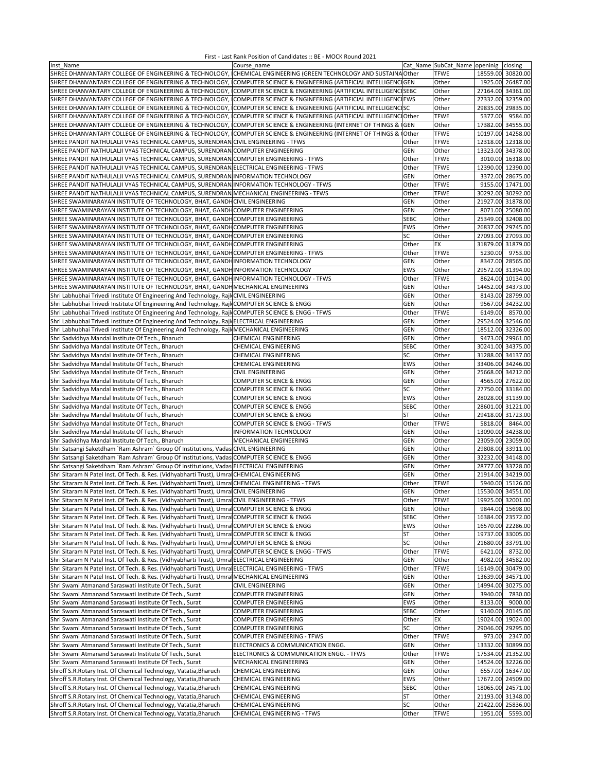| Inst Name                                                                                                           | Course name                                                   |             | Cat_Name SubCat_Name   openinig   closing |         |                   |
|---------------------------------------------------------------------------------------------------------------------|---------------------------------------------------------------|-------------|-------------------------------------------|---------|-------------------|
| SHREE DHANVANTARY COLLEGE OF ENGINEERING & TECHNOLOGY, ICHEMICAL ENGINEERING (GREEN TECHNOLOGY AND SUSTAINA Other   |                                                               |             | <b>TFWE</b>                               |         | 18559.00 30820.00 |
| SHREE DHANVANTARY COLLEGE OF ENGINEERING & TECHNOLOGY, (COMPUTER SCIENCE & ENGINEERING (ARTIFICIAL INTELLIGENCIGEN  |                                                               |             | Other                                     |         | 1925.00 26487.00  |
| SHREE DHANVANTARY COLLEGE OF ENGINEERING & TECHNOLOGY, ICOMPUTER SCIENCE & ENGINEERING (ARTIFICIAL INTELLIGENCISEBC |                                                               |             | Other                                     |         | 27164.00 34361.00 |
| SHREE DHANVANTARY COLLEGE OF ENGINEERING & TECHNOLOGY, COMPUTER SCIENCE & ENGINEERING (ARTIFICIAL INTELLIGENCIEWS   |                                                               |             | Other                                     |         | 27332.00 32359.00 |
|                                                                                                                     |                                                               |             |                                           |         |                   |
| SHREE DHANVANTARY COLLEGE OF ENGINEERING & TECHNOLOGY, ICOMPUTER SCIENCE & ENGINEERING (ARTIFICIAL INTELLIGENCISC   |                                                               |             | Other                                     |         | 29835.00 29835.00 |
| SHREE DHANVANTARY COLLEGE OF ENGINEERING & TECHNOLOGY,                                                              | COMPUTER SCIENCE & ENGINEERING (ARTIFICIAL INTELLIGENCI Other |             | <b>TFWE</b>                               | 5377.00 | 9584.00           |
| SHREE DHANVANTARY COLLEGE OF ENGINEERING & TECHNOLOGY,                                                              | COMPUTER SCIENCE & ENGINEERING (INTERNET OF THINGS & GEN      |             | Other                                     |         | 17382.00 34555.00 |
| SHREE DHANVANTARY COLLEGE OF ENGINEERING & TECHNOLOGY,                                                              | COMPUTER SCIENCE & ENGINEERING (INTERNET OF THINGS &          | 0ther       | <b>TFWE</b>                               |         | 10197.00 14258.00 |
| SHREE PANDIT NATHULALJI VYAS TECHNICAL CAMPUS, SURENDRAN CIVIL ENGINEERING - TFWS                                   |                                                               | Other       | <b>TFWE</b>                               |         | 12318.00 12318.00 |
| SHREE PANDIT NATHULALII VYAS TECHNICAL CAMPUS, SURENDRAN COMPUTER ENGINEERING                                       |                                                               | <b>GEN</b>  | Other                                     |         | 13323.00 34378.00 |
| SHREE PANDIT NATHULALJI VYAS TECHNICAL CAMPUS, SURENDRAN COMPUTER ENGINEERING - TFWS                                |                                                               | Other       | <b>TFWE</b>                               |         | 3010.00 16318.00  |
| SHREE PANDIT NATHULALJI VYAS TECHNICAL CAMPUS, SURENDRAN ELECTRICAL ENGINEERING - TFWS                              |                                                               | Other       | <b>TFWE</b>                               |         | 12390.00 12390.00 |
| SHREE PANDIT NATHULALJI VYAS TECHNICAL CAMPUS, SURENDRAN INFORMATION TECHNOLOGY                                     |                                                               | GEN         | Other                                     |         | 3372.00 28675.00  |
|                                                                                                                     |                                                               |             | <b>TFWE</b>                               |         |                   |
| SHREE PANDIT NATHULALJI VYAS TECHNICAL CAMPUS, SURENDRAN INFORMATION TECHNOLOGY - TFWS                              |                                                               | Other       |                                           |         | 9155.00 17471.00  |
| SHREE PANDIT NATHULALJI VYAS TECHNICAL CAMPUS, SURENDRAN MECHANICAL ENGINEERING - TFWS                              |                                                               | Other       | <b>TFWE</b>                               |         | 30292.00 30292.00 |
| SHREE SWAMINARAYAN INSTITUTE OF TECHNOLOGY, BHAT, GANDHCIVIL ENGINEERING                                            |                                                               | <b>GEN</b>  | Other                                     |         | 21927.00 31878.00 |
| SHREE SWAMINARAYAN INSTITUTE OF TECHNOLOGY, BHAT, GANDHCOMPUTER ENGINEERING                                         |                                                               | <b>GEN</b>  | Other                                     |         | 8071.00 25080.00  |
| SHREE SWAMINARAYAN INSTITUTE OF TECHNOLOGY, BHAT, GANDHCOMPUTER ENGINEERING                                         |                                                               | <b>SEBC</b> | Other                                     |         | 25349.00 32408.00 |
| SHREE SWAMINARAYAN INSTITUTE OF TECHNOLOGY, BHAT, GANDHCOMPUTER ENGINEERING                                         |                                                               | EWS         | Other                                     |         | 26837.00 29745.00 |
| SHREE SWAMINARAYAN INSTITUTE OF TECHNOLOGY, BHAT, GANDHCOMPUTER ENGINEERING                                         |                                                               | SC          | Other                                     |         | 27093.00 27093.00 |
| SHREE SWAMINARAYAN INSTITUTE OF TECHNOLOGY, BHAT, GANDHCOMPUTER ENGINEERING                                         |                                                               | Other       | EX                                        |         | 31879.00 31879.00 |
|                                                                                                                     |                                                               |             | <b>TFWE</b>                               | 5230.00 | 9753.00           |
| SHREE SWAMINARAYAN INSTITUTE OF TECHNOLOGY, BHAT, GANDH COMPUTER ENGINEERING - TFWS                                 |                                                               | Other       |                                           |         |                   |
| SHREE SWAMINARAYAN INSTITUTE OF TECHNOLOGY, BHAT, GANDHINFORMATION TECHNOLOGY                                       |                                                               | GEN         | Other                                     |         | 8347.00 28565.00  |
| SHREE SWAMINARAYAN INSTITUTE OF TECHNOLOGY, BHAT, GANDHINFORMATION TECHNOLOGY                                       |                                                               | EWS         | Other                                     |         | 29572.00 31394.00 |
| SHREE SWAMINARAYAN INSTITUTE OF TECHNOLOGY, BHAT, GANDHINFORMATION TECHNOLOGY - TFWS                                |                                                               | Other       | <b>TFWE</b>                               |         | 8624.00 10134.00  |
| SHREE SWAMINARAYAN INSTITUTE OF TECHNOLOGY, BHAT, GANDH MECHANICAL ENGINEERING                                      |                                                               | GEN         | Other                                     |         | 14452.00 34373.00 |
| Shri Labhubhai Trivedi Institute Of Engineering And Technology, Rajl CIVIL ENGINEERING                              |                                                               | <b>GEN</b>  | Other                                     |         | 8143.00 28799.00  |
| Shri Labhubhai Trivedi Institute Of Engineering And Technology, Rajl COMPUTER SCIENCE & ENGG                        |                                                               | <b>GEN</b>  | Other                                     |         | 9567.00 34232.00  |
| Shri Labhubhai Trivedi Institute Of Engineering And Technology, Rajl COMPUTER SCIENCE & ENGG - TFWS                 |                                                               | Other       | <b>TFWE</b>                               | 6149.00 | 8570.00           |
| Shri Labhubhai Trivedi Institute Of Engineering And Technology, Rajk ELECTRICAL ENGINEERING                         |                                                               | <b>GEN</b>  |                                           |         | 29524.00 32546.00 |
|                                                                                                                     |                                                               |             | Other                                     |         |                   |
| Shri Labhubhai Trivedi Institute Of Engineering And Technology, RajkMECHANICAL ENGINEERING                          |                                                               | <b>GEN</b>  | Other                                     |         | 18512.00 32326.00 |
| Shri Sadvidhya Mandal Institute Of Tech., Bharuch                                                                   | CHEMICAL ENGINEERING                                          | <b>GEN</b>  | Other                                     |         | 9473.00 29961.00  |
| Shri Sadvidhya Mandal Institute Of Tech., Bharuch                                                                   | CHEMICAL ENGINEERING                                          | <b>SEBC</b> | Other                                     |         | 30241.00 34375.00 |
| Shri Sadvidhya Mandal Institute Of Tech., Bharuch                                                                   | CHEMICAL ENGINEERING                                          | SC          | Other                                     |         | 31288.00 34137.00 |
| Shri Sadvidhya Mandal Institute Of Tech., Bharuch                                                                   | CHEMICAL ENGINEERING                                          | EWS         | Other                                     |         | 33406.00 34246.00 |
| Shri Sadvidhya Mandal Institute Of Tech., Bharuch                                                                   | CIVIL ENGINEERING                                             | <b>GEN</b>  | Other                                     |         | 25668.00 34212.00 |
| Shri Sadvidhya Mandal Institute Of Tech., Bharuch                                                                   | COMPUTER SCIENCE & ENGG                                       | GEN         | Other                                     |         | 4565.00 27622.00  |
|                                                                                                                     |                                                               |             |                                           |         |                   |
| Shri Sadvidhya Mandal Institute Of Tech., Bharuch                                                                   | COMPUTER SCIENCE & ENGG                                       | SC          | Other                                     |         | 27750.00 33184.00 |
| Shri Sadvidhya Mandal Institute Of Tech., Bharuch                                                                   | COMPUTER SCIENCE & ENGG                                       | EWS         | Other                                     |         | 28028.00 31139.00 |
| Shri Sadvidhya Mandal Institute Of Tech., Bharuch                                                                   | COMPUTER SCIENCE & ENGG                                       | <b>SEBC</b> | Other                                     |         | 28601.00 31221.00 |
| Shri Sadvidhya Mandal Institute Of Tech., Bharuch                                                                   | <b>COMPUTER SCIENCE &amp; ENGG</b>                            | ST          | Other                                     |         | 29418.00 31723.00 |
| Shri Sadvidhya Mandal Institute Of Tech., Bharuch                                                                   | COMPUTER SCIENCE & ENGG - TFWS                                | Other       | <b>TFWE</b>                               |         | 5818.00 8464.00   |
| Shri Sadvidhya Mandal Institute Of Tech., Bharuch                                                                   | <b>INFORMATION TECHNOLOGY</b>                                 | <b>GEN</b>  | Other                                     |         | 13090.00 34238.00 |
| Shri Sadvidhya Mandal Institute Of Tech., Bharuch                                                                   | MECHANICAL ENGINEERING                                        | GEN         | Other                                     |         | 23059.00 23059.00 |
| Shri Satsangi Saketdham `Ram Ashram` Group Of Institutions, Vadas CIVIL ENGINEERING                                 |                                                               | <b>GEN</b>  | Other                                     |         | 29808.00 33911.00 |
| Shri Satsangi Saketdham `Ram Ashram` Group Of Institutions, Vadas COMPUTER SCIENCE & ENGG                           |                                                               | GEN         | Other                                     |         | 32232.00 34148.00 |
|                                                                                                                     |                                                               |             |                                           |         |                   |
| Shri Satsangi Saketdham `Ram Ashram` Group Of Institutions, Vadas ELECTRICAL ENGINEERING                            |                                                               | GEN         | Other                                     |         | 28777.00 33728.00 |
| Shri Sitaram N Patel Inst. Of Tech. & Res. (Vidhyabharti Trust), Umra CHEMICAL ENGINEERING                          |                                                               | GEN         | Other                                     |         | 21914.00 34219.00 |
| Shri Sitaram N Patel Inst. Of Tech. & Res. (Vidhyabharti Trust), Umra CHEMICAL ENGINEERING - TFWS                   |                                                               | Other       | <b>TFWE</b>                               |         | 5940.00 15126.00  |
| Shri Sitaram N Patel Inst. Of Tech. & Res. (Vidhyabharti Trust), Umra CIVIL ENGINEERING                             |                                                               | <b>GEN</b>  | Other                                     |         | 15530.00 34551.00 |
| Shri Sitaram N Patel Inst. Of Tech. & Res. (Vidhyabharti Trust), Umral CIVIL ENGINEERING - TFWS                     |                                                               | Other       | TFWE                                      |         | 19925.00 32001.00 |
| Shri Sitaram N Patel Inst. Of Tech. & Res. (Vidhyabharti Trust), Umral COMPUTER SCIENCE & ENGG                      |                                                               | GEN         | Other                                     |         | 9844.00 15698.00  |
| Shri Sitaram N Patel Inst. Of Tech. & Res. (Vidhyabharti Trust), Umra COMPUTER SCIENCE & ENGG                       |                                                               | SEBC        | Other                                     |         | 16384.00 23572.00 |
| Shri Sitaram N Patel Inst. Of Tech. & Res. (Vidhyabharti Trust), Umra COMPUTER SCIENCE & ENGG                       |                                                               | <b>EWS</b>  | Other                                     |         | 16570.00 22286.00 |
| Shri Sitaram N Patel Inst. Of Tech. & Res. (Vidhyabharti Trust), Umra COMPUTER SCIENCE & ENGG                       |                                                               | ST          | Other                                     |         | 19737.00 33005.00 |
| Shri Sitaram N Patel Inst. Of Tech. & Res. (Vidhyabharti Trust), Umral COMPUTER SCIENCE & ENGG                      |                                                               | SC          | Other                                     |         | 21680.00 33791.00 |
|                                                                                                                     |                                                               |             |                                           |         |                   |
| Shri Sitaram N Patel Inst. Of Tech. & Res. (Vidhyabharti Trust), Umra COMPUTER SCIENCE & ENGG - TFWS                |                                                               | Other       | <b>TFWE</b>                               | 6421.00 | 8732.00           |
| Shri Sitaram N Patel Inst. Of Tech. & Res. (Vidhyabharti Trust), Umra ELECTRICAL ENGINEERING                        |                                                               | <b>GEN</b>  | Other                                     | 4982.00 | 34582.00          |
| Shri Sitaram N Patel Inst. Of Tech. & Res. (Vidhyabharti Trust), Umra ELECTRICAL ENGINEERING - TFWS                 |                                                               | Other       | <b>TFWE</b>                               |         | 16149.00 30479.00 |
| Shri Sitaram N Patel Inst. Of Tech. & Res. (Vidhyabharti Trust), Umra                                               | MECHANICAL ENGINEERING                                        | <b>GEN</b>  | Other                                     |         | 13639.00 34571.00 |
| Shri Swami Atmanand Saraswati Institute Of Tech., Surat                                                             | <b>CIVIL ENGINEERING</b>                                      | <b>GEN</b>  | Other                                     |         | 14994.00 30275.00 |
| Shri Swami Atmanand Saraswati Institute Of Tech., Surat                                                             | COMPUTER ENGINEERING                                          | <b>GEN</b>  | Other                                     | 3940.00 | 7830.00           |
| Shri Swami Atmanand Saraswati Institute Of Tech., Surat                                                             | <b>COMPUTER ENGINEERING</b>                                   | EWS         | Other                                     | 8133.00 | 9000.00           |
| Shri Swami Atmanand Saraswati Institute Of Tech., Surat                                                             | COMPUTER ENGINEERING                                          | <b>SEBC</b> | Other                                     |         | 9140.00 20145.00  |
|                                                                                                                     |                                                               |             |                                           |         |                   |
| Shri Swami Atmanand Saraswati Institute Of Tech., Surat                                                             | COMPUTER ENGINEERING                                          | Other       | EX                                        |         | 19024.00 19024.00 |
| Shri Swami Atmanand Saraswati Institute Of Tech., Surat                                                             | COMPUTER ENGINEERING                                          | SC          | Other                                     |         | 29046.00 29295.00 |
| Shri Swami Atmanand Saraswati Institute Of Tech., Surat                                                             | <b>COMPUTER ENGINEERING - TFWS</b>                            | Other       | <b>TFWE</b>                               | 973.00  | 2347.00           |
| Shri Swami Atmanand Saraswati Institute Of Tech., Surat                                                             | ELECTRONICS & COMMUNICATION ENGG.                             | GEN         | Other                                     |         | 13332.00 30899.00 |
| Shri Swami Atmanand Saraswati Institute Of Tech., Surat                                                             | ELECTRONICS & COMMUNICATION ENGG. - TFWS                      | Other       | <b>TFWE</b>                               |         | 17534.00 21352.00 |
| Shri Swami Atmanand Saraswati Institute Of Tech., Surat                                                             | MECHANICAL ENGINEERING                                        | GEN         | Other                                     |         | 14524.00 32226.00 |
| Shroff S.R. Rotary Inst. Of Chemical Technology, Vatatia, Bharuch                                                   | CHEMICAL ENGINEERING                                          | <b>GEN</b>  | Other                                     |         | 6557.00 16347.00  |
|                                                                                                                     |                                                               |             |                                           |         |                   |
| Shroff S.R.Rotary Inst. Of Chemical Technology, Vatatia, Bharuch                                                    | CHEMICAL ENGINEERING                                          | EWS         | Other                                     |         | 17672.00 24509.00 |
| Shroff S.R. Rotary Inst. Of Chemical Technology, Vatatia, Bharuch                                                   | CHEMICAL ENGINEERING                                          | <b>SEBC</b> | Other                                     |         | 18065.00 24571.00 |
| Shroff S.R.Rotary Inst. Of Chemical Technology, Vatatia, Bharuch                                                    | CHEMICAL ENGINEERING                                          | ST          | Other                                     |         | 21193.00 31348.00 |
| Shroff S.R.Rotary Inst. Of Chemical Technology, Vatatia, Bharuch                                                    | CHEMICAL ENGINEERING                                          | SC          | Other                                     |         | 21422.00 25836.00 |
| Shroff S.R.Rotary Inst. Of Chemical Technology, Vatatia, Bharuch                                                    | CHEMICAL ENGINEERING - TFWS                                   | Other       | <b>TFWE</b>                               |         | 1951.00 5593.00   |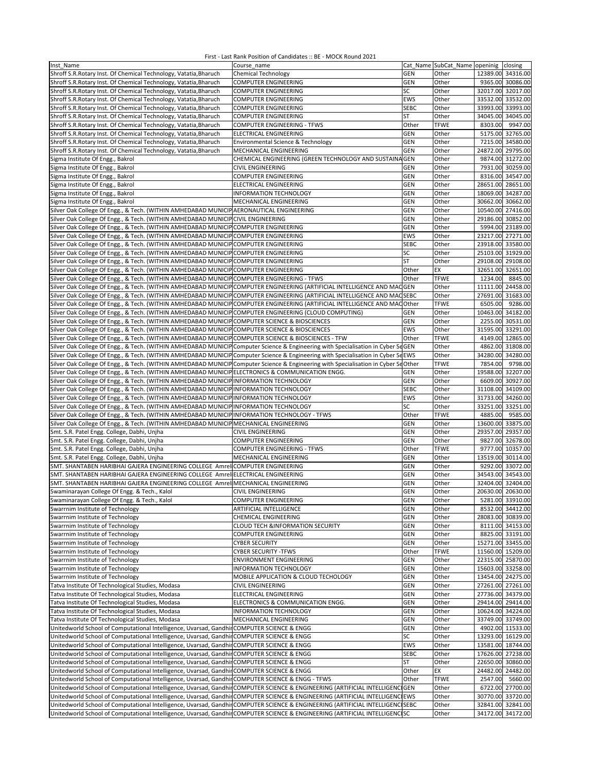| Inst Name                                                                                                                          | Course_name                                                 |             | Cat Name SubCat Name openinig closing |                   |                   |
|------------------------------------------------------------------------------------------------------------------------------------|-------------------------------------------------------------|-------------|---------------------------------------|-------------------|-------------------|
| Shroff S.R. Rotary Inst. Of Chemical Technology, Vatatia, Bharuch                                                                  | <b>Chemical Technology</b>                                  | <b>GEN</b>  | Other                                 | 12389.00 34316.00 |                   |
| Shroff S.R. Rotary Inst. Of Chemical Technology, Vatatia, Bharuch                                                                  | <b>COMPUTER ENGINEERING</b>                                 | <b>GEN</b>  | Other                                 |                   | 9365.00 30086.00  |
| Shroff S.R. Rotary Inst. Of Chemical Technology, Vatatia, Bharuch                                                                  | <b>COMPUTER ENGINEERING</b>                                 | SC          | Other                                 |                   | 32017.00 32017.00 |
| Shroff S.R.Rotary Inst. Of Chemical Technology, Vatatia, Bharuch                                                                   | <b>COMPUTER ENGINEERING</b>                                 | EWS         | Other                                 |                   | 33532.00 33532.00 |
| Shroff S.R. Rotary Inst. Of Chemical Technology, Vatatia, Bharuch                                                                  | <b>COMPUTER ENGINEERING</b>                                 | <b>SEBC</b> | Other                                 |                   | 33993.00 33993.00 |
| Shroff S.R. Rotary Inst. Of Chemical Technology, Vatatia, Bharuch                                                                  | <b>COMPUTER ENGINEERING</b>                                 | ST          | Other                                 |                   | 34045.00 34045.00 |
| Shroff S.R.Rotary Inst. Of Chemical Technology, Vatatia, Bharuch                                                                   | <b>COMPUTER ENGINEERING - TFWS</b>                          | Other       | <b>TFWE</b>                           |                   | 8303.00 9947.00   |
| Shroff S.R.Rotary Inst. Of Chemical Technology, Vatatia, Bharuch                                                                   | ELECTRICAL ENGINEERING                                      | <b>GEN</b>  | Other                                 |                   | 5175.00 32765.00  |
|                                                                                                                                    |                                                             | GEN         |                                       |                   |                   |
| Shroff S.R.Rotary Inst. Of Chemical Technology, Vatatia, Bharuch                                                                   | Environmental Science & Technology                          |             | Other                                 |                   | 7215.00 34580.00  |
| Shroff S.R.Rotary Inst. Of Chemical Technology, Vatatia, Bharuch                                                                   | MECHANICAL ENGINEERING                                      | GEN         | Other                                 |                   | 24872.00 29795.00 |
| Sigma Institute Of Engg., Bakrol                                                                                                   | CHEMICAL ENGINEERING (GREEN TECHNOLOGY AND SUSTAINA GEN     |             | Other                                 |                   | 9874.00 31272.00  |
| Sigma Institute Of Engg., Bakrol                                                                                                   | <b>CIVIL ENGINEERING</b>                                    | GEN         | Other                                 |                   | 7931.00 30259.00  |
| Sigma Institute Of Engg., Bakrol                                                                                                   | COMPUTER ENGINEERING                                        | GEN         | Other                                 |                   | 8316.00 34547.00  |
| Sigma Institute Of Engg., Bakrol                                                                                                   | ELECTRICAL ENGINEERING                                      | <b>GEN</b>  | Other                                 |                   | 28651.00 28651.00 |
| Sigma Institute Of Engg., Bakrol                                                                                                   | INFORMATION TECHNOLOGY                                      | GEN         | Other                                 | 18069.00 34287.00 |                   |
| Sigma Institute Of Engg., Bakrol                                                                                                   | MECHANICAL ENGINEERING                                      | GEN         | Other                                 |                   | 30662.00 30662.00 |
| Silver Oak College Of Engg., & Tech. (WITHIN AMHEDABAD MUNICIP AERONAUTICAL ENGINEERING                                            |                                                             | GEN         | Other                                 |                   | 10540.00 27416.00 |
| Silver Oak College Of Engg., & Tech. (WITHIN AMHEDABAD MUNICIP CIVIL ENGINEERING                                                   |                                                             | <b>GEN</b>  | Other                                 |                   | 29186.00 30852.00 |
| Silver Oak College Of Engg., & Tech. (WITHIN AMHEDABAD MUNICIP COMPUTER ENGINEERING                                                |                                                             | <b>GEN</b>  | Other                                 |                   | 5994.00 23189.00  |
| Silver Oak College Of Engg., & Tech. (WITHIN AMHEDABAD MUNICIP COMPUTER ENGINEERING                                                |                                                             | EWS         | Other                                 |                   | 23217.00 27271.00 |
| Silver Oak College Of Engg., & Tech. (WITHIN AMHEDABAD MUNICIP COMPUTER ENGINEERING                                                |                                                             | <b>SEBC</b> | Other                                 |                   | 23918.00 33580.00 |
| Silver Oak College Of Engg., & Tech. (WITHIN AMHEDABAD MUNICIP COMPUTER ENGINEERING                                                |                                                             | SC          | Other                                 | 25103.00 31929.00 |                   |
| Silver Oak College Of Engg., & Tech. (WITHIN AMHEDABAD MUNICIP COMPUTER ENGINEERING                                                |                                                             | <b>ST</b>   | Other                                 |                   | 29108.00 29108.00 |
| Silver Oak College Of Engg., & Tech. (WITHIN AMHEDABAD MUNICIP COMPUTER ENGINEERING                                                |                                                             | Other       | EX                                    |                   | 32651.00 32651.00 |
| Silver Oak College Of Engg., & Tech. (WITHIN AMHEDABAD MUNICIP COMPUTER ENGINEERING - TFWS                                         |                                                             | Other       | <b>TFWE</b>                           | 1234.00           | 8845.00           |
| Silver Oak College Of Engg., & Tech. (WITHIN AMHEDABAD MUNICIPCOMPUTER ENGINEERING (ARTIFICIAL INTELLIGENCE AND MACGEN             |                                                             |             | Other                                 | 11111.00 24458.00 |                   |
| Silver Oak College Of Engg., & Tech. (WITHIN AMHEDABAD MUNICIP COMPUTER ENGINEERING (ARTIFICIAL INTELLIGENCE AND MACSEBC           |                                                             |             | Other                                 | 27691.00 31683.00 |                   |
| Silver Oak College Of Engg., & Tech. (WITHIN AMHEDABAD MUNICIP COMPUTER ENGINEERING (ARTIFICIAL INTELLIGENCE AND MAC Other         |                                                             |             | <b>TFWE</b>                           |                   | 6505.00 9286.00   |
| Silver Oak College Of Engg., & Tech. (WITHIN AMHEDABAD MUNICIP COMPUTER ENGINEERING (CLOUD COMPUTING)                              |                                                             | <b>GEN</b>  | Other                                 |                   | 10463.00 34182.00 |
| Silver Oak College Of Engg., & Tech. (WITHIN AMHEDABAD MUNICIP COMPUTER SCIENCE & BIOSCIENCES                                      |                                                             | <b>GEN</b>  | Other                                 |                   | 2255.00 30531.00  |
| Silver Oak College Of Engg., & Tech. (WITHIN AMHEDABAD MUNICIP COMPUTER SCIENCE & BIOSCIENCES                                      |                                                             | EWS         | Other                                 |                   | 31595.00 33291.00 |
| Silver Oak College Of Engg., & Tech. (WITHIN AMHEDABAD MUNICIP COMPUTER SCIENCE & BIOSCIENCES - TFW                                |                                                             | Other       | <b>TFWE</b>                           |                   | 4149.00 12865.00  |
| Silver Oak College Of Engg., & Tech. (WITHIN AMHEDABAD MUNICIP Computer Science & Engineering with Specialisation in Cyber SeGEN   |                                                             |             | Other                                 |                   | 4862.00 31808.00  |
| Silver Oak College Of Engg., & Tech. (WITHIN AMHEDABAD MUNICIP Computer Science & Engineering with Specialisation in Cyber SeEWS   |                                                             |             | Other                                 |                   | 34280.00 34280.00 |
|                                                                                                                                    |                                                             |             |                                       |                   |                   |
| Silver Oak College Of Engg., & Tech. (WITHIN AMHEDABAD MUNICIP Computer Science & Engineering with Specialisation in Cyber SeOther |                                                             |             | <b>TFWE</b>                           |                   | 7854.00 9798.00   |
| Silver Oak College Of Engg., & Tech. (WITHIN AMHEDABAD MUNICIP ELECTRONICS & COMMUNICATION ENGG.                                   |                                                             | <b>GEN</b>  | Other                                 |                   | 19588.00 32207.00 |
| Silver Oak College Of Engg., & Tech. (WITHIN AMHEDABAD MUNICIP INFORMATION TECHNOLOGY                                              |                                                             | GEN         | Other                                 |                   | 6609.00 30927.00  |
| Silver Oak College Of Engg., & Tech. (WITHIN AMHEDABAD MUNICIP INFORMATION TECHNOLOGY                                              |                                                             | <b>SEBC</b> | Other                                 |                   | 31108.00 34109.00 |
| Silver Oak College Of Engg., & Tech. (WITHIN AMHEDABAD MUNICIP INFORMATION TECHNOLOGY                                              |                                                             | EWS         | Other                                 | 31733.00 34260.00 |                   |
| Silver Oak College Of Engg., & Tech. (WITHIN AMHEDABAD MUNICIPINFORMATION TECHNOLOGY                                               |                                                             | SC          | Other                                 | 33251.00 33251.00 |                   |
| Silver Oak College Of Engg., & Tech. (WITHIN AMHEDABAD MUNICIP INFORMATION TECHNOLOGY - TFWS                                       |                                                             | Other       | <b>TFWE</b>                           | 4885.00           | 9585.00           |
| Silver Oak College Of Engg., & Tech. (WITHIN AMHEDABAD MUNICIP MECHANICAL ENGINEERING                                              |                                                             | <b>GEN</b>  | Other                                 |                   | 13600.00 33875.00 |
| Smt. S.R. Patel Engg. College, Dabhi, Unjha                                                                                        | CIVIL ENGINEERING                                           | <b>GEN</b>  | Other                                 |                   | 29357.00 29357.00 |
| Smt. S.R. Patel Engg. College, Dabhi, Uniha                                                                                        | <b>COMPUTER ENGINEERING</b>                                 | <b>GEN</b>  | Other                                 |                   | 9827.00 32678.00  |
| Smt. S.R. Patel Engg. College, Dabhi, Uniha                                                                                        | COMPUTER ENGINEERING - TFWS                                 | Other       | <b>TFWE</b>                           |                   | 9777.00 10357.00  |
| Smt. S.R. Patel Engg. College, Dabhi, Unjha                                                                                        | MECHANICAL ENGINEERING                                      | <b>GEN</b>  | Other                                 |                   | 13519.00 30114.00 |
| SMT. SHANTABEN HARIBHAI GAJERA ENGINEERING COLLEGE Amrel COMPUTER ENGINEERING                                                      |                                                             | GEN         | Other                                 |                   | 9292.00 33072.00  |
| SMT. SHANTABEN HARIBHAI GAJERA ENGINEERING COLLEGE Amrel ELECTRICAL ENGINEERING                                                    |                                                             | GEN         | Other                                 |                   | 34543.00 34543.00 |
| SMT. SHANTABEN HARIBHAI GAJERA ENGINEERING COLLEGE Amrel MECHANICAL ENGINEERING                                                    |                                                             | GEN         | Other                                 |                   | 32404.00 32404.00 |
| Swaminarayan College Of Engg. & Tech., Kalol                                                                                       | <b>CIVIL ENGINEERING</b>                                    | <b>GEN</b>  | Other                                 | 20630.00 20630.00 |                   |
| Swaminarayan College Of Engg. & Tech., Kalol                                                                                       | COMPUTER ENGINEERING                                        | GEN         | Other                                 |                   | 5281.00 33910.00  |
| Swarrnim Institute of Technology                                                                                                   | ARTIFICIAL INTELLIGENCE                                     | GEN         | Other                                 |                   | 8532.00 34412.00  |
| Swarrnim Institute of Technology                                                                                                   | CHEMICAL ENGINEERING                                        | <b>GEN</b>  | Other                                 |                   | 28083.00 30839.00 |
| Swarrnim Institute of Technology                                                                                                   | <b>CLOUD TECH &amp;INFORMATION SECURITY</b>                 | GEN         | Other                                 |                   | 8111.00 34153.00  |
| Swarrnim Institute of Technology                                                                                                   | COMPUTER ENGINEERING                                        | GEN         | Other                                 |                   | 8825.00 33191.00  |
| Swarrnim Institute of Technology                                                                                                   | <b>CYBER SECURITY</b>                                       | GEN         | Other                                 |                   | 15271.00 33455.00 |
| Swarrnim Institute of Technology                                                                                                   | <b>CYBER SECURITY -TFWS</b>                                 | Other       | <b>TFWE</b>                           |                   | 11560.00 15209.00 |
| Swarrnim Institute of Technology                                                                                                   | ENVIRONMENT ENGINEERING                                     | <b>GEN</b>  | Other                                 |                   | 22315.00 25870.00 |
| Swarrnim Institute of Technology                                                                                                   | INFORMATION TECHNOLOGY                                      | <b>GEN</b>  | Other                                 | 15603.00 33258.00 |                   |
| Swarrnim Institute of Technology                                                                                                   | MOBILE APPLICATION & CLOUD TECHOLOGY                        | GEN         | Other                                 |                   | 13454.00 24275.00 |
| Tatva Institute Of Technological Studies, Modasa                                                                                   | CIVIL ENGINEERING                                           | GEN         | Other                                 |                   | 27261.00 27261.00 |
| Tatva Institute Of Technological Studies, Modasa                                                                                   | ELECTRICAL ENGINEERING                                      | GEN         | Other                                 |                   | 27736.00 34379.00 |
| Tatva Institute Of Technological Studies, Modasa                                                                                   | ELECTRONICS & COMMUNICATION ENGG.                           | GEN         | Other                                 |                   | 29414.00 29414.00 |
| Tatva Institute Of Technological Studies, Modasa                                                                                   | <b>INFORMATION TECHNOLOGY</b>                               | GEN         | Other                                 |                   | 10624.00 34224.00 |
| Tatva Institute Of Technological Studies, Modasa                                                                                   | MECHANICAL ENGINEERING                                      | GEN         | Other                                 |                   | 33749.00 33749.00 |
| Unitedworld School of Computational Intelligence, Uvarsad, Gandhir COMPUTER SCIENCE & ENGG                                         |                                                             | <b>GEN</b>  | Other                                 |                   | 4902.00 11533.00  |
| Unitedworld School of Computational Intelligence, Uvarsad, Gandhir COMPUTER SCIENCE & ENGG                                         |                                                             | SC          | Other                                 |                   | 13293.00 16129.00 |
| Unitedworld School of Computational Intelligence, Uvarsad, Gandhin COMPUTER SCIENCE & ENGG                                         |                                                             | EWS         | Other                                 |                   | 13581.00 18744.00 |
| Unitedworld School of Computational Intelligence, Uvarsad, Gandhir COMPUTER SCIENCE & ENGG                                         |                                                             | <b>SEBC</b> | Other                                 |                   | 17626.00 27238.00 |
| Unitedworld School of Computational Intelligence, Uvarsad, Gandhir COMPUTER SCIENCE & ENGG                                         |                                                             | ST          | Other                                 |                   | 22650.00 30860.00 |
| Unitedworld School of Computational Intelligence, Uvarsad, Gandhir COMPUTER SCIENCE & ENGG                                         |                                                             | Other       | EX                                    |                   | 24482.00 24482.00 |
| Unitedworld School of Computational Intelligence, Uvarsad, Gandhir COMPUTER SCIENCE & ENGG - TFWS                                  |                                                             | Other       | <b>TFWE</b>                           |                   | 2547.00 5660.00   |
| Unitedworld School of Computational Intelligence, Uvarsad, Gandhin COMPUTER SCIENCE & ENGINEERING (ARTIFICIAL INTELLIGENCIGEN      |                                                             |             | Other                                 |                   | 6722.00 27700.00  |
| Unitedworld School of Computational Intelligence, Uvarsad, Gandhir COMPUTER SCIENCE & ENGINEERING (ARTIFICIAL INTELLIGENCIEWS      |                                                             |             | Other                                 |                   | 30770.00 33720.00 |
| Unitedworld School of Computational Intelligence, Uvarsad, Gandhir                                                                 | COMPUTER SCIENCE & ENGINEERING (ARTIFICIAL INTELLIGENCISEBC |             | Other                                 |                   | 32841.00 32841.00 |
| Unitedworld School of Computational Intelligence, Uvarsad, GandhinCOMPUTER SCIENCE & ENGINEERING (ARTIFICIAL INTELLIGENCISC        |                                                             |             | Other                                 |                   | 34172.00 34172.00 |
|                                                                                                                                    |                                                             |             |                                       |                   |                   |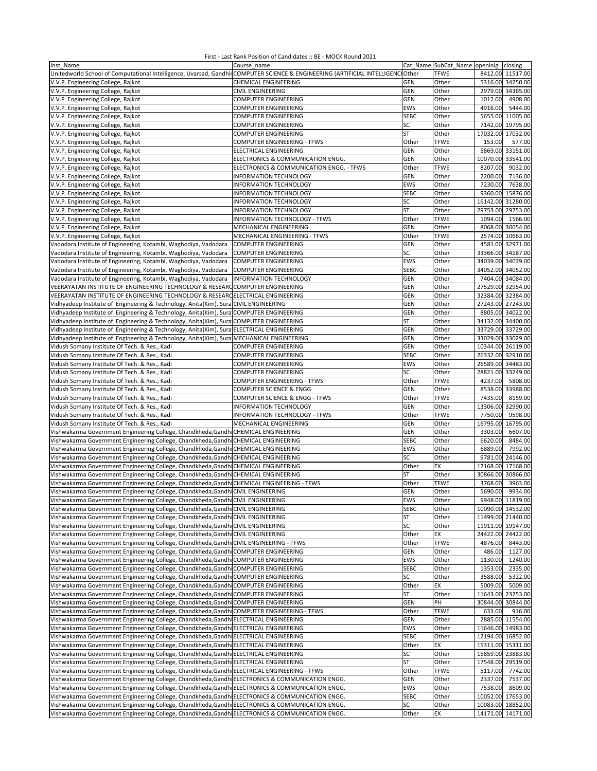| Inst Name                                                                                                                       | Course name                              |             | Cat Name SubCat Name openinig closing |          |                   |
|---------------------------------------------------------------------------------------------------------------------------------|------------------------------------------|-------------|---------------------------------------|----------|-------------------|
| Unitedworld School of Computational Intelligence, Uvarsad, Gandhir COMPUTER SCIENCE & ENGINEERING (ARTIFICIAL INTELLIGENCTOther |                                          |             | <b>TFWE</b>                           |          | 8412.00 11517.00  |
| V.V.P. Engineering College, Rajkot                                                                                              | CHEMICAL ENGINEERING                     | GEN         | Other                                 |          | 5316.00 34250.00  |
|                                                                                                                                 | <b>CIVIL ENGINEERING</b>                 |             |                                       |          |                   |
| V.V.P. Engineering College, Rajkot                                                                                              |                                          | <b>GEN</b>  | Other                                 |          | 2979.00 34365.00  |
| V.V.P. Engineering College, Rajkot                                                                                              | COMPUTER ENGINEERING                     | <b>GEN</b>  | Other                                 | 1012.00  | 4908.00           |
| V.V.P. Engineering College, Rajkot                                                                                              | COMPUTER ENGINEERING                     | EWS         | Other                                 | 4916.00  | 5444.00           |
| V.V.P. Engineering College, Rajkot                                                                                              | COMPUTER ENGINEERING                     | <b>SEBC</b> | Other                                 |          | 5655.00 11005.00  |
| V.V.P. Engineering College, Rajkot                                                                                              | COMPUTER ENGINEERING                     | SC          | Other                                 |          | 7142.00 19795.00  |
| V.V.P. Engineering College, Rajkot                                                                                              | COMPUTER ENGINEERING                     | ST          | Other                                 |          | 17032.00 17032.00 |
| V.V.P. Engineering College, Rajkot                                                                                              | COMPUTER ENGINEERING - TFWS              | Other       | <b>TFWE</b>                           | 153.00   | 577.00            |
| V.V.P. Engineering College, Rajkot                                                                                              | ELECTRICAL ENGINEERING                   | <b>GEN</b>  | Other                                 | 5869.00  | 33151.00          |
| V.V.P. Engineering College, Rajkot                                                                                              | ELECTRONICS & COMMUNICATION ENGG.        | GEN         | Other                                 | 10070.00 | 33541.00          |
| V.V.P. Engineering College, Rajkot                                                                                              | ELECTRONICS & COMMUNICATION ENGG. - TFWS | Other       | <b>TFWE</b>                           | 8207.00  | 9032.00           |
| V.V.P. Engineering College, Rajkot                                                                                              | INFORMATION TECHNOLOGY                   | <b>GEN</b>  | Other                                 | 2200.00  | 7136.00           |
|                                                                                                                                 |                                          |             |                                       | 7230.00  |                   |
| V.V.P. Engineering College, Rajkot                                                                                              | INFORMATION TECHNOLOGY                   | EWS         | Other                                 |          | 7638.00           |
| V.V.P. Engineering College, Rajkot                                                                                              | INFORMATION TECHNOLOGY                   | <b>SEBC</b> | Other                                 | 9360.00  | 15876.00          |
| V.V.P. Engineering College, Rajkot                                                                                              | <b>INFORMATION TECHNOLOGY</b>            | SC          | Other                                 |          | 16142.00 31280.00 |
| V.V.P. Engineering College, Rajkot                                                                                              | INFORMATION TECHNOLOGY                   | <b>ST</b>   | Other                                 |          | 29753.00 29753.00 |
| V.V.P. Engineering College, Rajkot                                                                                              | INFORMATION TECHNOLOGY - TFWS            | Other       | <b>TFWE</b>                           | 1094.00  | 1566.00           |
| V.V.P. Engineering College, Rajkot                                                                                              | MECHANICAL ENGINEERING                   | GEN         | Other                                 |          | 8068.00 30054.00  |
| V.V.P. Engineering College, Rajkot                                                                                              | MECHANICAL ENGINEERING - TFWS            | Other       | <b>TFWE</b>                           |          | 2574.00 10663.00  |
| Vadodara Institute of Engineering, Kotambi, Waghodiya, Vadodara                                                                 | <b>COMPUTER ENGINEERING</b>              | <b>GEN</b>  | Other                                 |          | 4581.00 32971.00  |
| Vadodara Institute of Engineering, Kotambi, Waghodiya, Vadodara                                                                 | <b>COMPUTER ENGINEERING</b>              | SC          | Other                                 |          | 33366.00 34187.00 |
| Vadodara Institute of Engineering, Kotambi, Waghodiya, Vadodara                                                                 | <b>COMPUTER ENGINEERING</b>              | EWS         | Other                                 | 34039.00 | 34039.00          |
|                                                                                                                                 | <b>COMPUTER ENGINEERING</b>              | <b>SEBC</b> | Other                                 |          | 34052.00 34052.00 |
| Vadodara Institute of Engineering, Kotambi, Waghodiya, Vadodara                                                                 |                                          |             |                                       |          |                   |
| Vadodara Institute of Engineering, Kotambi, Waghodiya, Vadodara                                                                 | INFORMATION TECHNOLOGY                   | GEN         | Other                                 |          | 7404.00 34084.00  |
| VEERAYATAN INSTITUTE OF ENGINEERING TECHNOLOGY & RESEARD COMPUTER ENGINEERING                                                   |                                          | <b>GEN</b>  | Other                                 |          | 27529.00 32954.00 |
| VEERAYATAN INSTITUTE OF ENGINEERING TECHNOLOGY & RESEARC ELECTRICAL ENGINEERING                                                 |                                          | <b>GEN</b>  | Other                                 |          | 32384.00 32384.00 |
| Vidhyadeep Institute of Engineering & Technology, Anita(Kim), Sura CIVIL ENGINEERING                                            |                                          | GEN         | Other                                 |          | 27243.00 27243.00 |
| Vidhyadeep Institute of Engineering & Technology, Anita(Kim), Sura COMPUTER ENGINEERING                                         |                                          | GEN         | Other                                 |          | 8805.00 34022.00  |
| Vidhyadeep Institute of Engineering & Technology, Anita(Kim), Sura COMPUTER ENGINEERING                                         |                                          | ST          | Other                                 |          | 34132.00 34400.00 |
| Vidhyadeep Institute of Engineering & Technology, Anita(Kim), Sura ELECTRICAL ENGINEERING                                       |                                          | <b>GEN</b>  | Other                                 |          | 33729.00 33729.00 |
| Vidhyadeep Institute of Engineering & Technology, Anita(Kim), Sura MECHANICAL ENGINEERING                                       |                                          | <b>GEN</b>  | Other                                 |          | 33029.00 33029.00 |
| Vidush Somany Institute Of Tech. & Res., Kadi                                                                                   | COMPUTER ENGINEERING                     | <b>GEN</b>  | Other                                 |          | 10344.00 26119.00 |
|                                                                                                                                 | COMPUTER ENGINEERING                     | <b>SEBC</b> | Other                                 | 26332.00 | 32910.00          |
| Vidush Somany Institute Of Tech. & Res., Kadi                                                                                   |                                          |             |                                       |          |                   |
| Vidush Somany Institute Of Tech. & Res., Kadi                                                                                   | COMPUTER ENGINEERING                     | EWS         | Other                                 |          | 26589.00 34483.00 |
| Vidush Somany Institute Of Tech. & Res., Kadi                                                                                   | COMPUTER ENGINEERING                     | SC          | Other                                 | 28821.00 | 33249.00          |
| Vidush Somany Institute Of Tech. & Res., Kadi                                                                                   | COMPUTER ENGINEERING - TFWS              | Other       | <b>TFWE</b>                           | 4237.00  | 5808.00           |
| Vidush Somany Institute Of Tech. & Res., Kadi                                                                                   | COMPUTER SCIENCE & ENGG                  | <b>GEN</b>  | Other                                 | 8538.00  | 33988.00          |
| Vidush Somany Institute Of Tech. & Res., Kadi                                                                                   | COMPUTER SCIENCE & ENGG - TFWS           | Other       | <b>TFWE</b>                           | 7435.00  | 8159.00           |
| Vidush Somany Institute Of Tech. & Res., Kadi                                                                                   | <b>INFORMATION TECHNOLOGY</b>            | <b>GEN</b>  | Other                                 | 13306.00 | 32990.00          |
| Vidush Somany Institute Of Tech. & Res., Kadi                                                                                   | INFORMATION TECHNOLOGY - TFWS            | Other       | <b>TFWE</b>                           | 7750.00  | 9598.00           |
| Vidush Somany Institute Of Tech. & Res., Kadi                                                                                   | MECHANICAL ENGINEERING                   | <b>GEN</b>  | Other                                 | 16795.00 | 16795.00          |
| Vishwakarma Government Engineering College, Chandkheda, Gandhi CHEMICAL ENGINEERING                                             |                                          | GEN         | Other                                 | 3303.00  | 6607.00           |
| Vishwakarma Government Engineering College, Chandkheda, Gandhi CHEMICAL ENGINEERING                                             |                                          | <b>SEBC</b> | Other                                 | 6620.00  | 8484.00           |
|                                                                                                                                 |                                          | EWS         |                                       | 6889.00  | 7992.00           |
| Vishwakarma Government Engineering College, Chandkheda, Gandhi CHEMICAL ENGINEERING                                             |                                          |             | Other                                 |          |                   |
| Vishwakarma Government Engineering College, Chandkheda, Gandhi CHEMICAL ENGINEERING                                             |                                          | SC          | Other                                 | 9781.00  | 24146.00          |
| Vishwakarma Government Engineering College, Chandkheda, Gandhi CHEMICAL ENGINEERING                                             |                                          | Other       | EX                                    | 17168.00 | 17168.00          |
| Vishwakarma Government Engineering College, Chandkheda, Gandhi CHEMICAL ENGINEERING                                             |                                          | ST          | Other                                 | 30866.00 | 30866.00          |
| Vishwakarma Government Engineering College, Chandkheda, Gandhi                                                                  | <b>CHEMICAL ENGINEERING - TFWS</b>       | Other       | <b>TFWE</b>                           | 3768.00  | 3963.00           |
| Vishwakarma Government Engineering College, Chandkheda, Gandhi CIVIL ENGINEERING                                                |                                          | <b>GEN</b>  | Other                                 | 5690.00  | 9934.00           |
| Vishwakarma Government Engineering College, Chandkheda, Gandhi CIVIL ENGINEERING                                                |                                          | EWS         | Other                                 |          | 9948.00 11819.00  |
| Vishwakarma Government Engineering College, Chandkheda, Gandhi CIVIL ENGINEERING                                                |                                          | SEBC        | Other                                 |          | 10090.00 14532.00 |
| Vishwakarma Government Engineering College, Chandkheda, Gandhi CIVIL ENGINEERING                                                |                                          | ST          | Other                                 |          | 11499.00 21440.00 |
| Vishwakarma Government Engineering College, Chandkheda, Gandhi CIVIL ENGINEERING                                                |                                          | SC          | Other                                 |          | 11911.00 19147.00 |
| Vishwakarma Government Engineering College, Chandkheda, Gandhi CIVIL ENGINEERING                                                |                                          | Other       | EX                                    |          | 24422.00 24422.00 |
| Vishwakarma Government Engineering College, Chandkheda, Gandhi CIVIL ENGINEERING - TFWS                                         |                                          | Other       | <b>TFWE</b>                           | 4876.00  | 8443.00           |
| Vishwakarma Government Engineering College, Chandkheda, Gandhi COMPUTER ENGINEERING                                             |                                          |             |                                       |          |                   |
|                                                                                                                                 |                                          | GEN         | Other                                 | 486.00   | 1127.00           |
| Vishwakarma Government Engineering College, Chandkheda, Gandhi COMPUTER ENGINEERING                                             |                                          | EWS         | Other                                 | 1130.00  | 1240.00           |
| Vishwakarma Government Engineering College, Chandkheda, Gandhi COMPUTER ENGINEERING                                             |                                          | <b>SEBC</b> | Other                                 | 1353.00  | 2335.00           |
| Vishwakarma Government Engineering College, Chandkheda, Gandhi COMPUTER ENGINEERING                                             |                                          | SC          | Other                                 | 3588.00  | 5322.00           |
| Vishwakarma Government Engineering College, Chandkheda, Gandhi COMPUTER ENGINEERING                                             |                                          | Other       | EX                                    | 5009.00  | 5009.00           |
| Vishwakarma Government Engineering College, Chandkheda, Gandhi COMPUTER ENGINEERING                                             |                                          | ST          | Other                                 |          | 11643.00 23253.00 |
| Vishwakarma Government Engineering College, Chandkheda, Gandhi COMPUTER ENGINEERING                                             |                                          | <b>GEN</b>  | PH                                    |          | 30844.00 30844.00 |
| Vishwakarma Government Engineering College, Chandkheda, Gandhi COMPUTER ENGINEERING - TFWS                                      |                                          | Other       | <b>TFWE</b>                           | 633.00   | 916.00            |
| Vishwakarma Government Engineering College, Chandkheda, Gandhi ELECTRICAL ENGINEERING                                           |                                          | <b>GEN</b>  | Other                                 |          | 2885.00 11554.00  |
| Vishwakarma Government Engineering College, Chandkheda, Gandhi                                                                  | <b>ELECTRICAL ENGINEERING</b>            | EWS         | Other                                 |          | 11646.00 14983.00 |
| Vishwakarma Government Engineering College, Chandkheda, Gandhi ELECTRICAL ENGINEERING                                           |                                          | <b>SEBC</b> | Other                                 |          | 12194.00 16852.00 |
|                                                                                                                                 |                                          |             |                                       |          |                   |
| Vishwakarma Government Engineering College, Chandkheda, Gandhi ELECTRICAL ENGINEERING                                           |                                          | Other       | EX                                    |          | 15311.00 15311.00 |
| Vishwakarma Government Engineering College, Chandkheda, Gandhi ELECTRICAL ENGINEERING                                           |                                          | SC          | Other                                 |          | 15859.00 23883.00 |
| Vishwakarma Government Engineering College, Chandkheda, Gandhi ELECTRICAL ENGINEERING                                           |                                          | ST          | Other                                 |          | 17548.00 29519.00 |
| Vishwakarma Government Engineering College, Chandkheda, Gandhi ELECTRICAL ENGINEERING - TFWS                                    |                                          | Other       | <b>TFWE</b>                           | 5117.00  | 7742.00           |
| Vishwakarma Government Engineering College, Chandkheda, Gandhi ELECTRONICS & COMMUNICATION ENGG.                                |                                          | <b>GEN</b>  | Other                                 | 2337.00  | 7537.00           |
| Vishwakarma Government Engineering College, Chandkheda, Gandhi ELECTRONICS & COMMUNICATION ENGG.                                |                                          | EWS         | Other                                 | 7538.00  | 8609.00           |
| Vishwakarma Government Engineering College, Chandkheda, Gandhi ELECTRONICS & COMMUNICATION ENGG.                                |                                          | <b>SEBC</b> | Other                                 |          | 10052.00 17653.00 |
| Vishwakarma Government Engineering College, Chandkheda, Gandhi ELECTRONICS & COMMUNICATION ENGG.                                |                                          | SC          | Other                                 |          | 10083.00 18852.00 |
| Vishwakarma Government Engineering College, Chandkheda, Gandhi ELECTRONICS & COMMUNICATION ENGG.                                |                                          | Other       | EX                                    |          | 14171.00 14171.00 |
|                                                                                                                                 |                                          |             |                                       |          |                   |